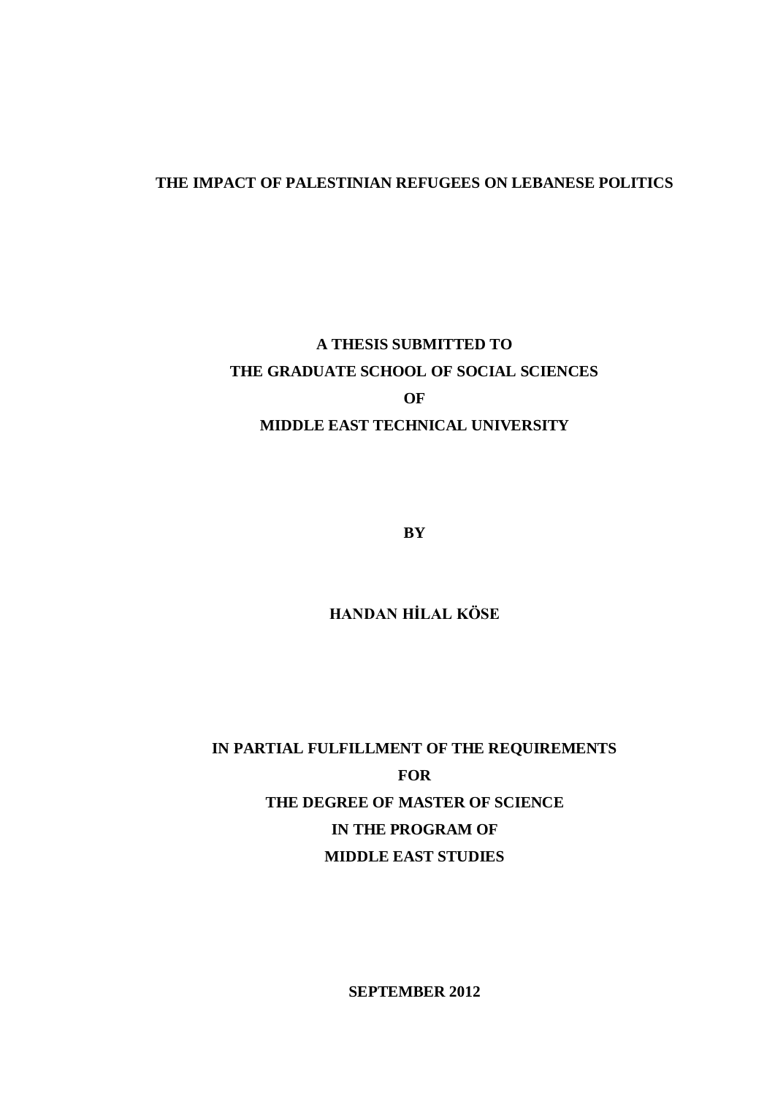# **THE IMPACT OF PALESTINIAN REFUGEES ON LEBANESE POLITICS**

# **A THESIS SUBMITTED TO THE GRADUATE SCHOOL OF SOCIAL SCIENCES OF MIDDLE EAST TECHNICAL UNIVERSITY**

**BY**

**HANDAN HİLAL KÖSE**

**IN PARTIAL FULFILLMENT OF THE REQUIREMENTS FOR THE DEGREE OF MASTER OF SCIENCE IN THE PROGRAM OF MIDDLE EAST STUDIES**

**SEPTEMBER 2012**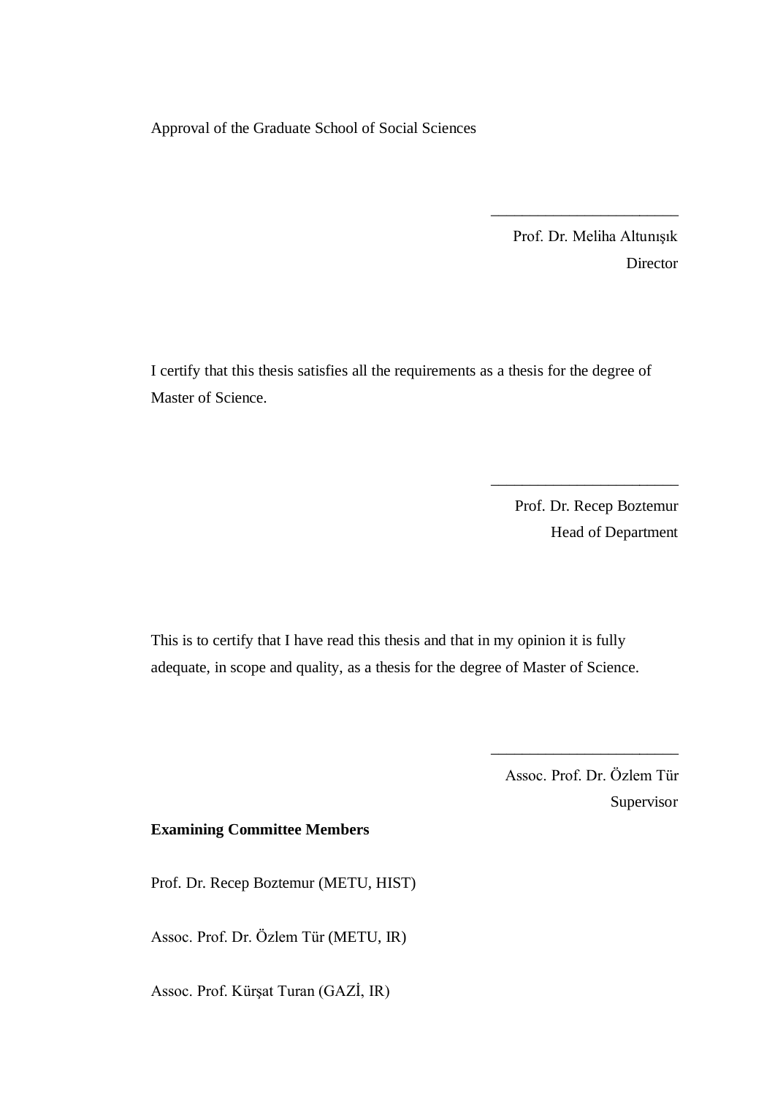Approval of the Graduate School of Social Sciences

Prof. Dr. Meliha Altunışık Director

\_\_\_\_\_\_\_\_\_\_\_\_\_\_\_\_\_\_\_\_\_\_\_\_

I certify that this thesis satisfies all the requirements as a thesis for the degree of Master of Science.

> Prof. Dr. Recep Boztemur Head of Department

\_\_\_\_\_\_\_\_\_\_\_\_\_\_\_\_\_\_\_\_\_\_\_\_

This is to certify that I have read this thesis and that in my opinion it is fully adequate, in scope and quality, as a thesis for the degree of Master of Science.

> Assoc. Prof. Dr. Özlem Tür Supervisor

\_\_\_\_\_\_\_\_\_\_\_\_\_\_\_\_\_\_\_\_\_\_\_\_

# **Examining Committee Members**

Prof. Dr. Recep Boztemur (METU, HIST)

Assoc. Prof. Dr. Özlem Tür (METU, IR)

Assoc. Prof. Kürşat Turan (GAZİ, IR)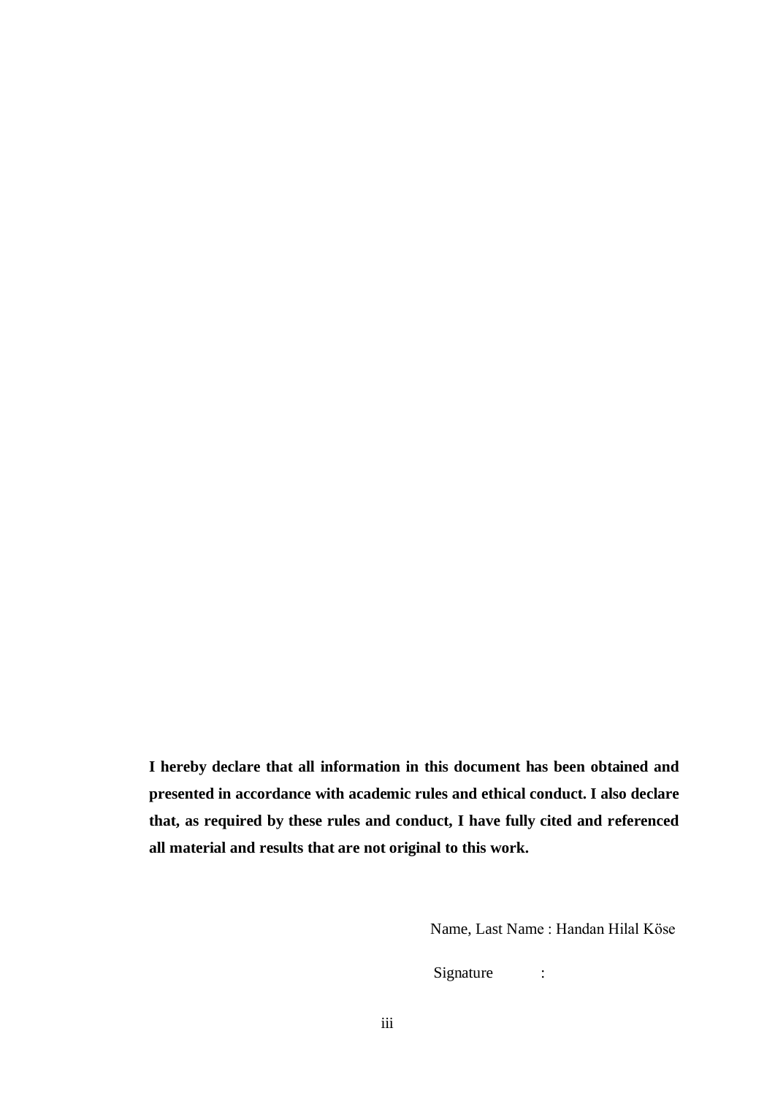**I hereby declare that all information in this document has been obtained and presented in accordance with academic rules and ethical conduct. I also declare that, as required by these rules and conduct, I have fully cited and referenced all material and results that are not original to this work.**

Name, Last Name : Handan Hilal Köse

Signature :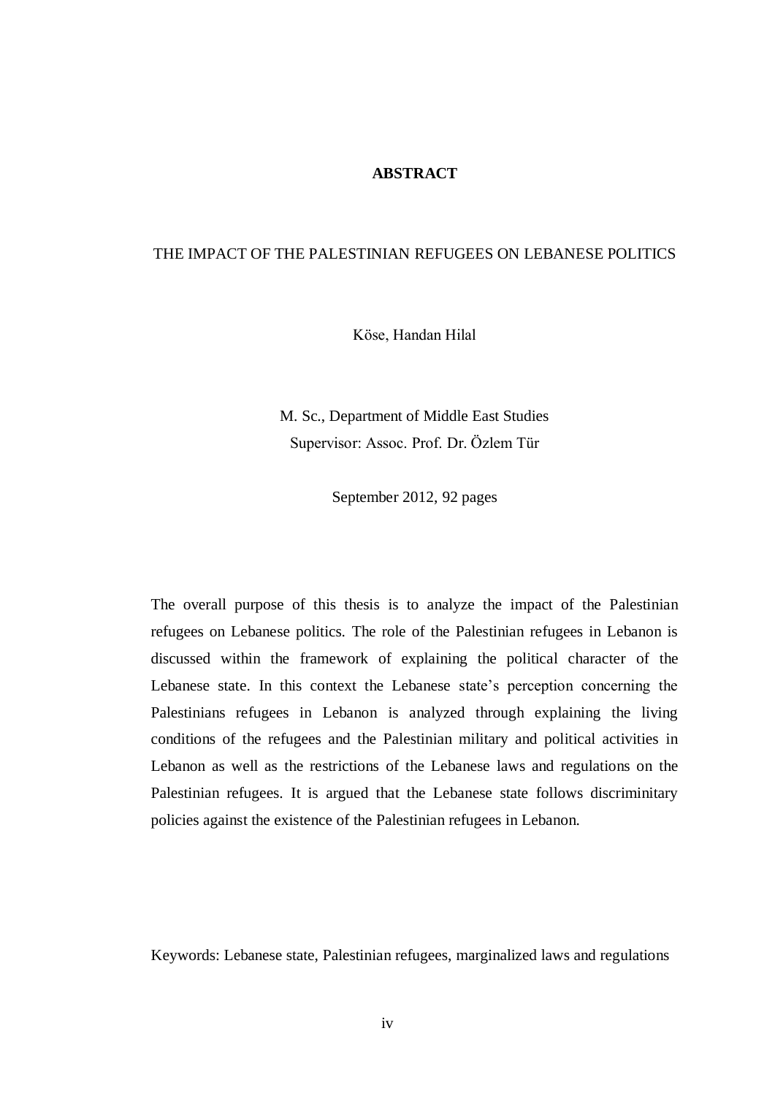# **ABSTRACT**

# THE IMPACT OF THE PALESTINIAN REFUGEES ON LEBANESE POLITICS

Köse, Handan Hilal

M. Sc., Department of Middle East Studies Supervisor: Assoc. Prof. Dr. Özlem Tür

September 2012, 92 pages

The overall purpose of this thesis is to analyze the impact of the Palestinian refugees on Lebanese politics. The role of the Palestinian refugees in Lebanon is discussed within the framework of explaining the political character of the Lebanese state. In this context the Lebanese state"s perception concerning the Palestinians refugees in Lebanon is analyzed through explaining the living conditions of the refugees and the Palestinian military and political activities in Lebanon as well as the restrictions of the Lebanese laws and regulations on the Palestinian refugees. It is argued that the Lebanese state follows discriminitary policies against the existence of the Palestinian refugees in Lebanon.

Keywords: Lebanese state, Palestinian refugees, marginalized laws and regulations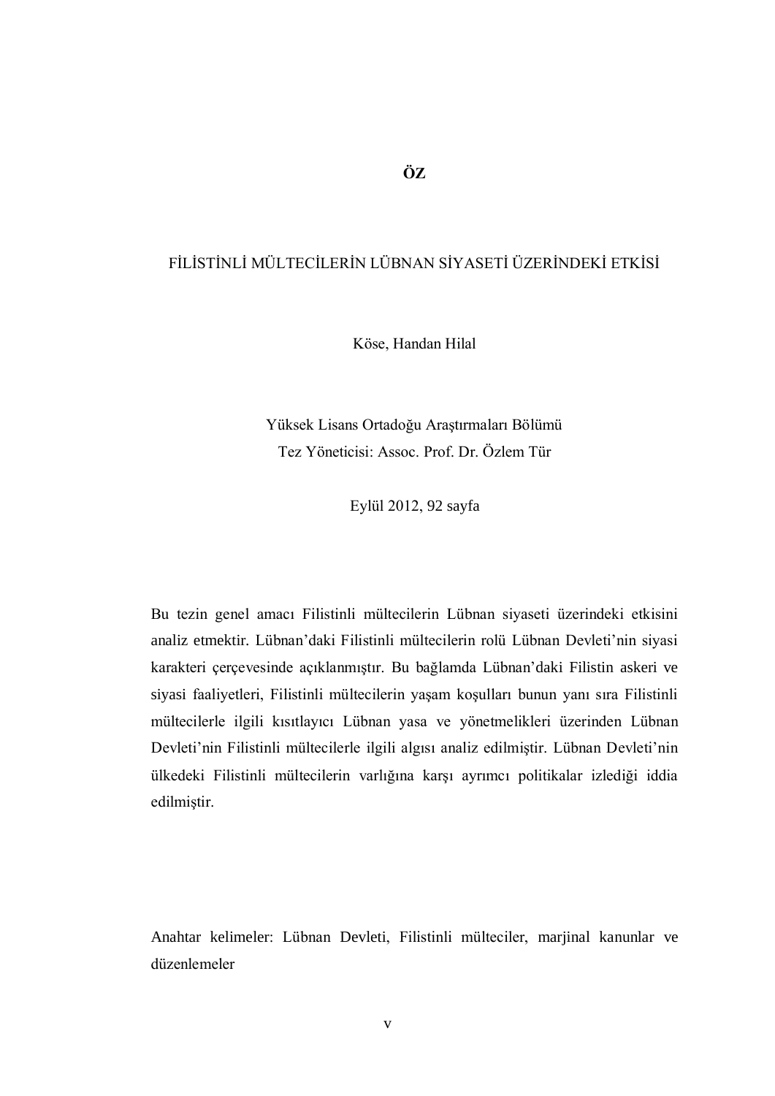# **ÖZ**

# FİLİSTİNLİ MÜLTECİLERİN LÜBNAN SİYASETİ ÜZERİNDEKİ ETKİSİ

Köse, Handan Hilal

Yüksek Lisans Ortadoğu Araştırmaları Bölümü Tez Yöneticisi: Assoc. Prof. Dr. Özlem Tür

Eylül 2012, 92 sayfa

Bu tezin genel amacı Filistinli mültecilerin Lübnan siyaseti üzerindeki etkisini analiz etmektir. Lübnan'daki Filistinli mültecilerin rolü Lübnan Devleti'nin siyasi karakteri çerçevesinde açıklanmıştır. Bu bağlamda Lübnan'daki Filistin askeri ve siyasi faaliyetleri, Filistinli mültecilerin yaşam koşulları bunun yanı sıra Filistinli mültecilerle ilgili kısıtlayıcı Lübnan yasa ve yönetmelikleri üzerinden Lübnan Devleti'nin Filistinli mültecilerle ilgili algısı analiz edilmiştir. Lübnan Devleti'nin ülkedeki Filistinli mültecilerin varlığına karşı ayrımcı politikalar izlediği iddia edilmiştir.

Anahtar kelimeler: Lübnan Devleti, Filistinli mülteciler, marjinal kanunlar ve düzenlemeler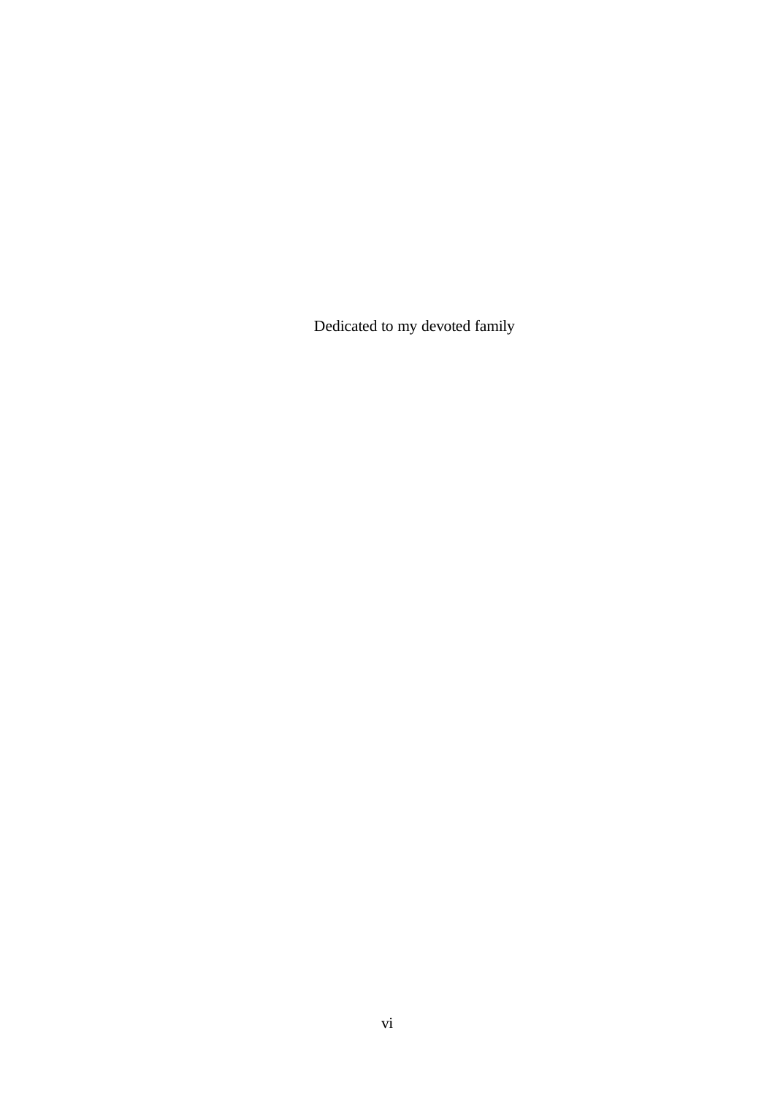Dedicated to my devoted family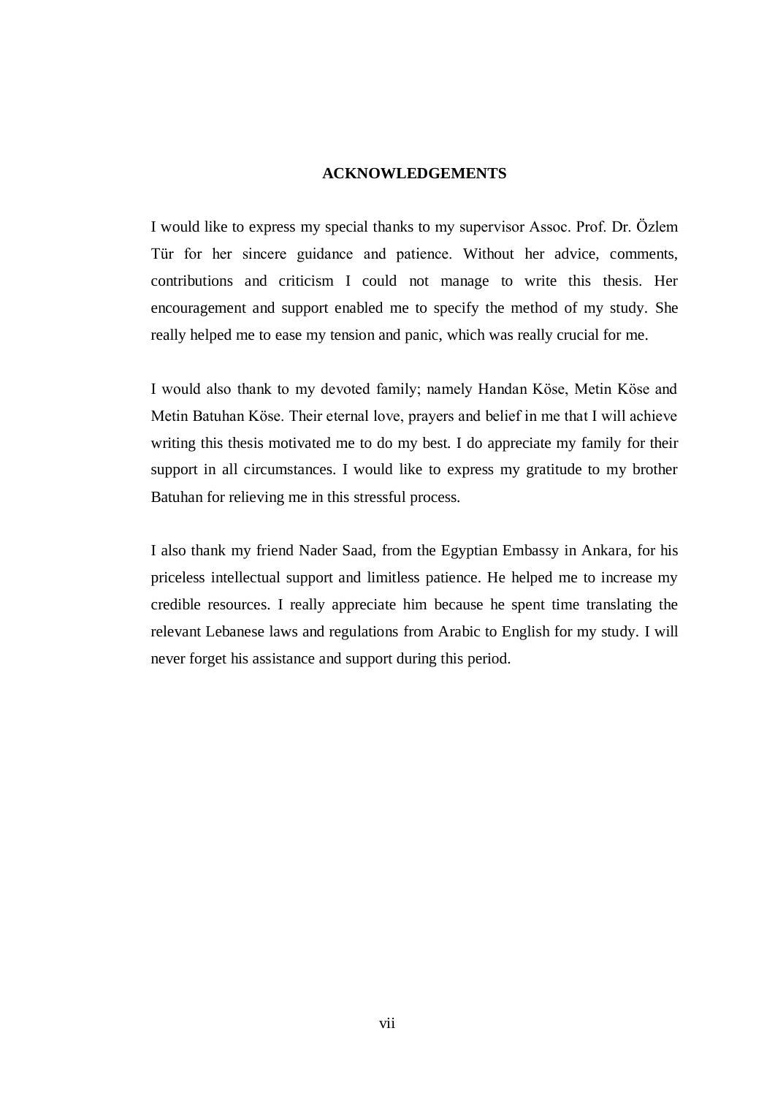# **ACKNOWLEDGEMENTS**

I would like to express my special thanks to my supervisor Assoc. Prof. Dr. Özlem Tür for her sincere guidance and patience. Without her advice, comments, contributions and criticism I could not manage to write this thesis. Her encouragement and support enabled me to specify the method of my study. She really helped me to ease my tension and panic, which was really crucial for me.

I would also thank to my devoted family; namely Handan Köse, Metin Köse and Metin Batuhan Köse. Their eternal love, prayers and belief in me that I will achieve writing this thesis motivated me to do my best. I do appreciate my family for their support in all circumstances. I would like to express my gratitude to my brother Batuhan for relieving me in this stressful process.

I also thank my friend Nader Saad, from the Egyptian Embassy in Ankara, for his priceless intellectual support and limitless patience. He helped me to increase my credible resources. I really appreciate him because he spent time translating the relevant Lebanese laws and regulations from Arabic to English for my study. I will never forget his assistance and support during this period.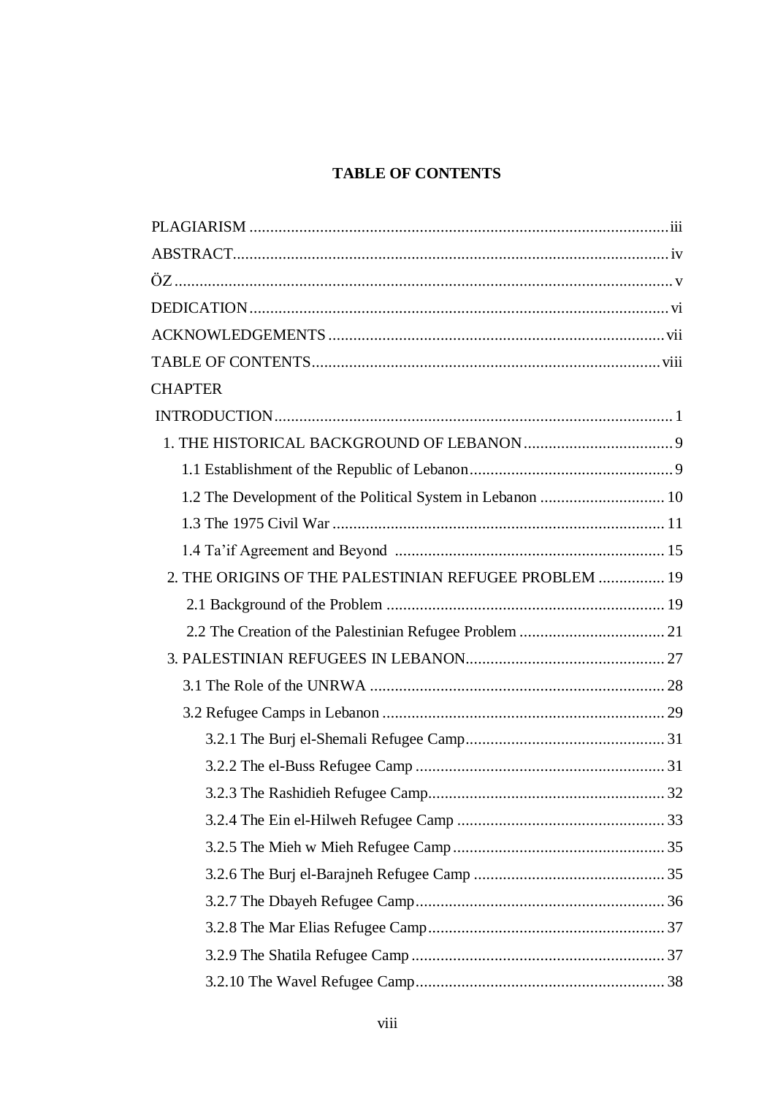# **TABLE OF CONTENTS**

| <b>CHAPTER</b>                                             |  |
|------------------------------------------------------------|--|
|                                                            |  |
|                                                            |  |
|                                                            |  |
| 1.2 The Development of the Political System in Lebanon  10 |  |
|                                                            |  |
|                                                            |  |
| 2. THE ORIGINS OF THE PALESTINIAN REFUGEE PROBLEM  19      |  |
|                                                            |  |
|                                                            |  |
|                                                            |  |
|                                                            |  |
|                                                            |  |
|                                                            |  |
|                                                            |  |
|                                                            |  |
|                                                            |  |
|                                                            |  |
|                                                            |  |
|                                                            |  |
|                                                            |  |
|                                                            |  |
|                                                            |  |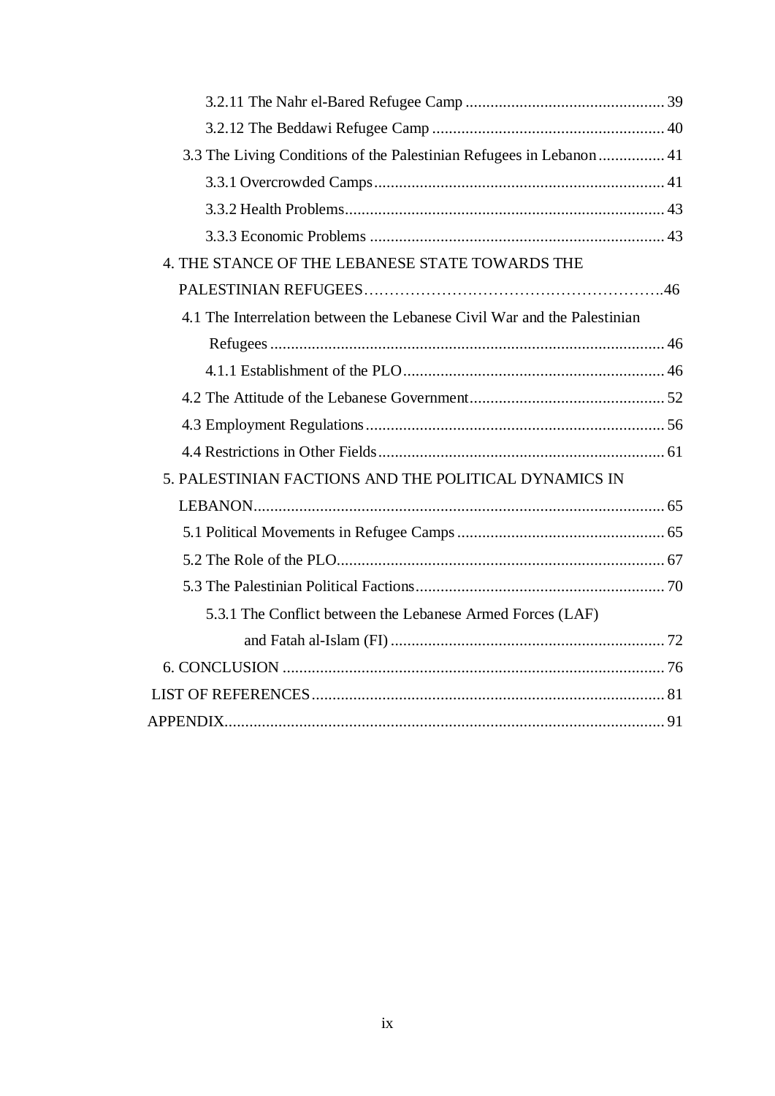| 3.3 The Living Conditions of the Palestinian Refugees in Lebanon  41     |  |
|--------------------------------------------------------------------------|--|
|                                                                          |  |
|                                                                          |  |
|                                                                          |  |
| 4. THE STANCE OF THE LEBANESE STATE TOWARDS THE                          |  |
|                                                                          |  |
| 4.1 The Interrelation between the Lebanese Civil War and the Palestinian |  |
|                                                                          |  |
|                                                                          |  |
|                                                                          |  |
|                                                                          |  |
|                                                                          |  |
| 5. PALESTINIAN FACTIONS AND THE POLITICAL DYNAMICS IN                    |  |
|                                                                          |  |
|                                                                          |  |
|                                                                          |  |
|                                                                          |  |
| 5.3.1 The Conflict between the Lebanese Armed Forces (LAF)               |  |
|                                                                          |  |
|                                                                          |  |
|                                                                          |  |
|                                                                          |  |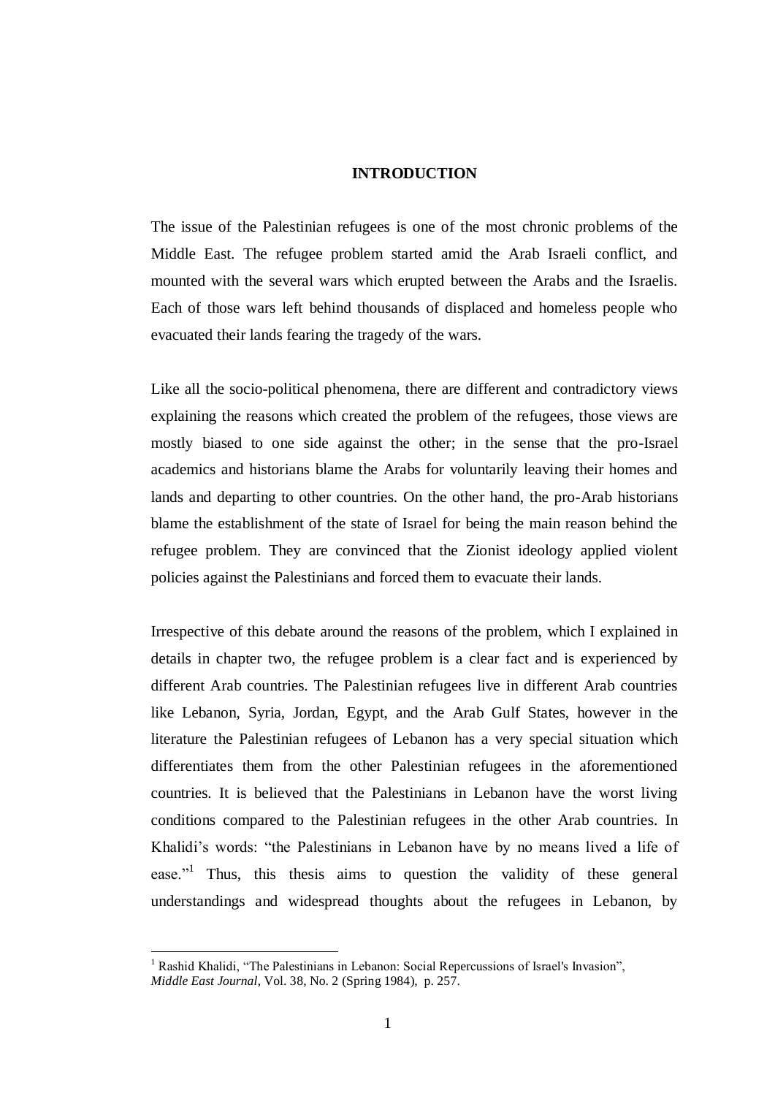# **INTRODUCTION**

The issue of the Palestinian refugees is one of the most chronic problems of the Middle East. The refugee problem started amid the Arab Israeli conflict, and mounted with the several wars which erupted between the Arabs and the Israelis. Each of those wars left behind thousands of displaced and homeless people who evacuated their lands fearing the tragedy of the wars.

Like all the socio-political phenomena, there are different and contradictory views explaining the reasons which created the problem of the refugees, those views are mostly biased to one side against the other; in the sense that the pro-Israel academics and historians blame the Arabs for voluntarily leaving their homes and lands and departing to other countries. On the other hand, the pro-Arab historians blame the establishment of the state of Israel for being the main reason behind the refugee problem. They are convinced that the Zionist ideology applied violent policies against the Palestinians and forced them to evacuate their lands.

Irrespective of this debate around the reasons of the problem, which I explained in details in chapter two, the refugee problem is a clear fact and is experienced by different Arab countries. The Palestinian refugees live in different Arab countries like Lebanon, Syria, Jordan, Egypt, and the Arab Gulf States, however in the literature the Palestinian refugees of Lebanon has a very special situation which differentiates them from the other Palestinian refugees in the aforementioned countries. It is believed that the Palestinians in Lebanon have the worst living conditions compared to the Palestinian refugees in the other Arab countries. In Khalidi"s words: "the Palestinians in Lebanon have by no means lived a life of ease."<sup>1</sup> Thus, this thesis aims to question the validity of these general understandings and widespread thoughts about the refugees in Lebanon, by

<sup>1</sup> Rashid Khalidi, "The Palestinians in Lebanon: Social Repercussions of Israel's Invasion", *Middle East Journal*, Vol. 38, No. 2 (Spring 1984), p. 257.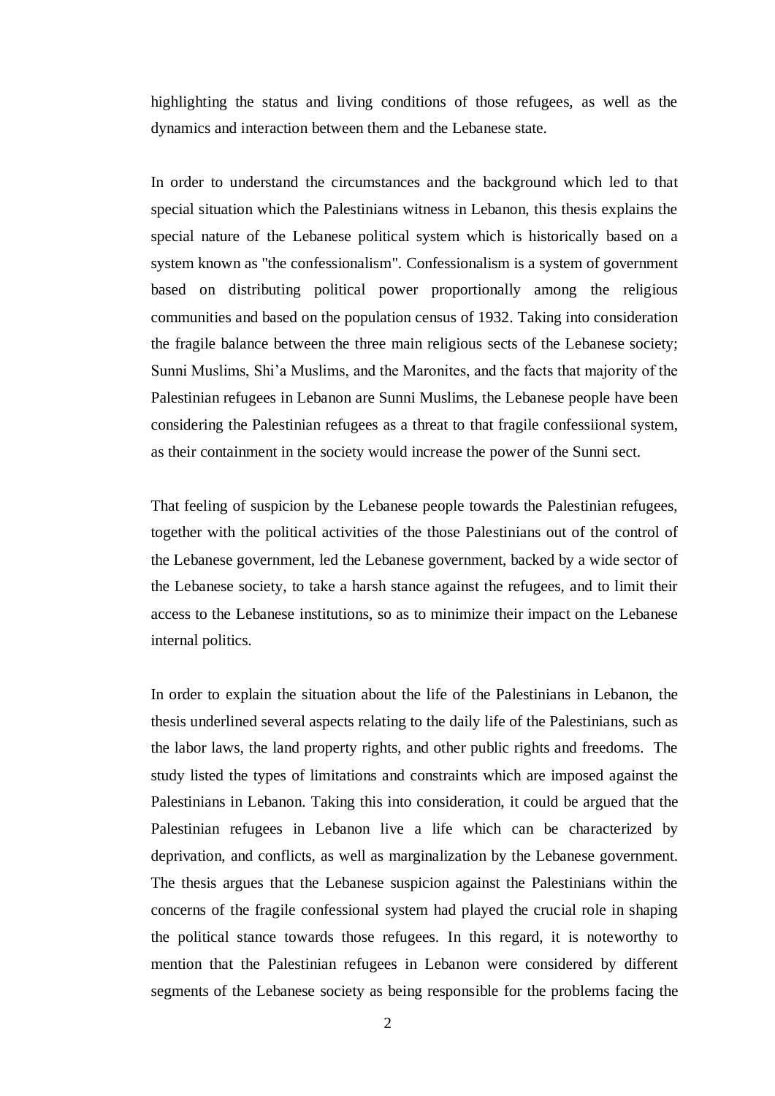highlighting the status and living conditions of those refugees, as well as the dynamics and interaction between them and the Lebanese state.

In order to understand the circumstances and the background which led to that special situation which the Palestinians witness in Lebanon, this thesis explains the special nature of the Lebanese political system which is historically based on a system known as "the confessionalism". Confessionalism is a system of government based on distributing political power proportionally among the religious communities and based on the population census of 1932. Taking into consideration the fragile balance between the three main religious sects of the Lebanese society; Sunni Muslims, Shi"a Muslims, and the Maronites, and the facts that majority of the Palestinian refugees in Lebanon are Sunni Muslims, the Lebanese people have been considering the Palestinian refugees as a threat to that fragile confessiional system, as their containment in the society would increase the power of the Sunni sect.

That feeling of suspicion by the Lebanese people towards the Palestinian refugees, together with the political activities of the those Palestinians out of the control of the Lebanese government, led the Lebanese government, backed by a wide sector of the Lebanese society, to take a harsh stance against the refugees, and to limit their access to the Lebanese institutions, so as to minimize their impact on the Lebanese internal politics.

In order to explain the situation about the life of the Palestinians in Lebanon, the thesis underlined several aspects relating to the daily life of the Palestinians, such as the labor laws, the land property rights, and other public rights and freedoms. The study listed the types of limitations and constraints which are imposed against the Palestinians in Lebanon. Taking this into consideration, it could be argued that the Palestinian refugees in Lebanon live a life which can be characterized by deprivation, and conflicts, as well as marginalization by the Lebanese government. The thesis argues that the Lebanese suspicion against the Palestinians within the concerns of the fragile confessional system had played the crucial role in shaping the political stance towards those refugees. In this regard, it is noteworthy to mention that the Palestinian refugees in Lebanon were considered by different segments of the Lebanese society as being responsible for the problems facing the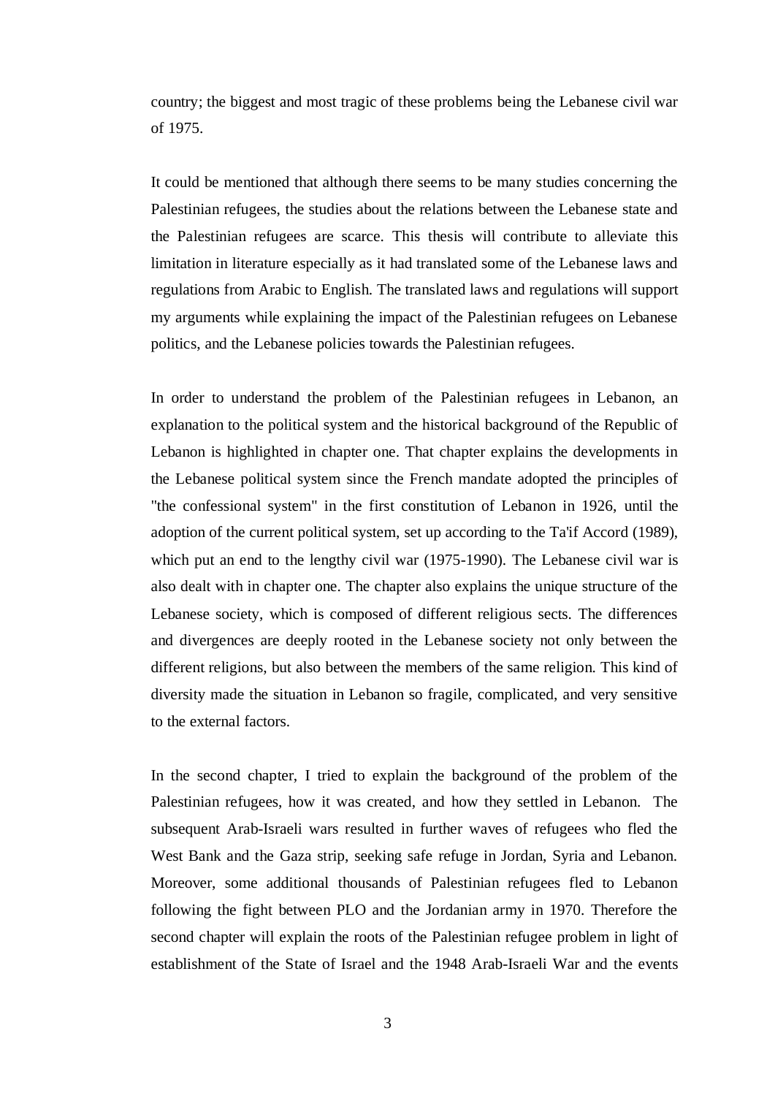country; the biggest and most tragic of these problems being the Lebanese civil war of 1975.

It could be mentioned that although there seems to be many studies concerning the Palestinian refugees, the studies about the relations between the Lebanese state and the Palestinian refugees are scarce. This thesis will contribute to alleviate this limitation in literature especially as it had translated some of the Lebanese laws and regulations from Arabic to English. The translated laws and regulations will support my arguments while explaining the impact of the Palestinian refugees on Lebanese politics, and the Lebanese policies towards the Palestinian refugees.

In order to understand the problem of the Palestinian refugees in Lebanon, an explanation to the political system and the historical background of the Republic of Lebanon is highlighted in chapter one. That chapter explains the developments in the Lebanese political system since the French mandate adopted the principles of "the confessional system" in the first constitution of Lebanon in 1926, until the adoption of the current political system, set up according to the Ta'if Accord (1989), which put an end to the lengthy civil war (1975-1990). The Lebanese civil war is also dealt with in chapter one. The chapter also explains the unique structure of the Lebanese society, which is composed of different religious sects. The differences and divergences are deeply rooted in the Lebanese society not only between the different religions, but also between the members of the same religion. This kind of diversity made the situation in Lebanon so fragile, complicated, and very sensitive to the external factors.

In the second chapter, I tried to explain the background of the problem of the Palestinian refugees, how it was created, and how they settled in Lebanon. The subsequent Arab-Israeli wars resulted in further waves of refugees who fled the West Bank and the Gaza strip, seeking safe refuge in Jordan, Syria and Lebanon. Moreover, some additional thousands of Palestinian refugees fled to Lebanon following the fight between PLO and the Jordanian army in 1970. Therefore the second chapter will explain the roots of the Palestinian refugee problem in light of establishment of the State of Israel and the 1948 Arab-Israeli War and the events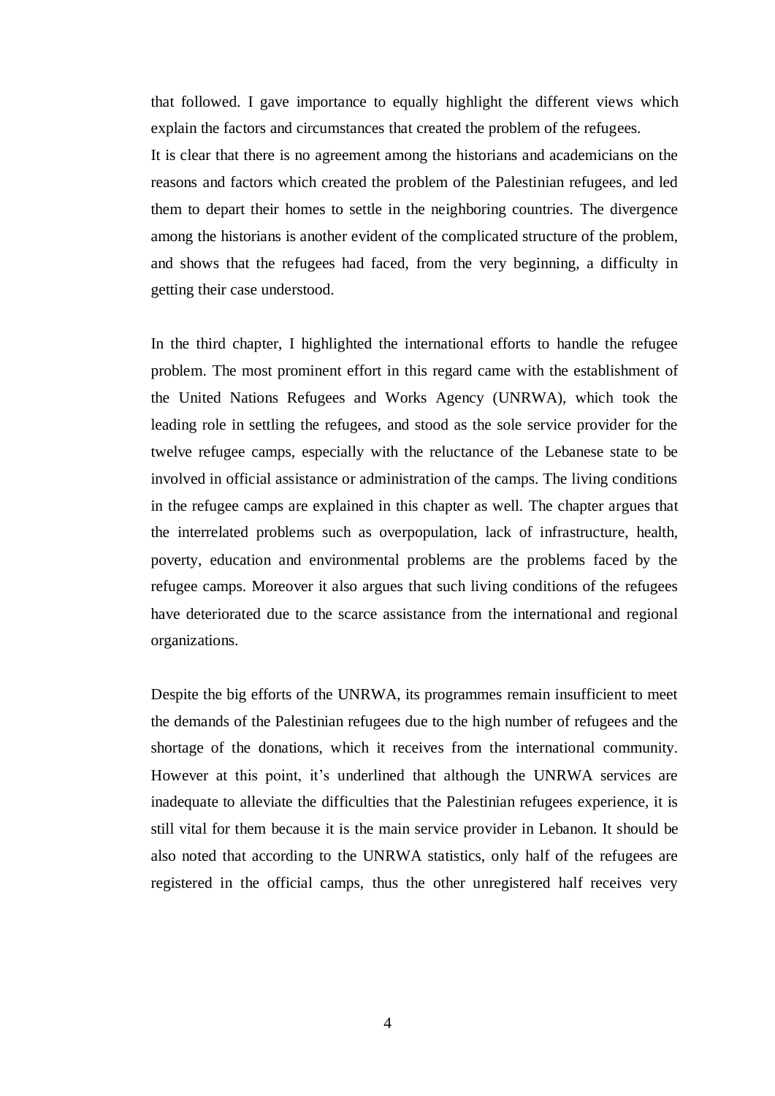that followed. I gave importance to equally highlight the different views which explain the factors and circumstances that created the problem of the refugees.

It is clear that there is no agreement among the historians and academicians on the reasons and factors which created the problem of the Palestinian refugees, and led them to depart their homes to settle in the neighboring countries. The divergence among the historians is another evident of the complicated structure of the problem, and shows that the refugees had faced, from the very beginning, a difficulty in getting their case understood.

In the third chapter, I highlighted the international efforts to handle the refugee problem. The most prominent effort in this regard came with the establishment of the United Nations Refugees and Works Agency (UNRWA), which took the leading role in settling the refugees, and stood as the sole service provider for the twelve refugee camps, especially with the reluctance of the Lebanese state to be involved in official assistance or administration of the camps. The living conditions in the refugee camps are explained in this chapter as well. The chapter argues that the interrelated problems such as overpopulation, lack of infrastructure, health, poverty, education and environmental problems are the problems faced by the refugee camps. Moreover it also argues that such living conditions of the refugees have deteriorated due to the scarce assistance from the international and regional organizations.

Despite the big efforts of the UNRWA, its programmes remain insufficient to meet the demands of the Palestinian refugees due to the high number of refugees and the shortage of the donations, which it receives from the international community. However at this point, it's underlined that although the UNRWA services are inadequate to alleviate the difficulties that the Palestinian refugees experience, it is still vital for them because it is the main service provider in Lebanon. It should be also noted that according to the UNRWA statistics, only half of the refugees are registered in the official camps, thus the other unregistered half receives very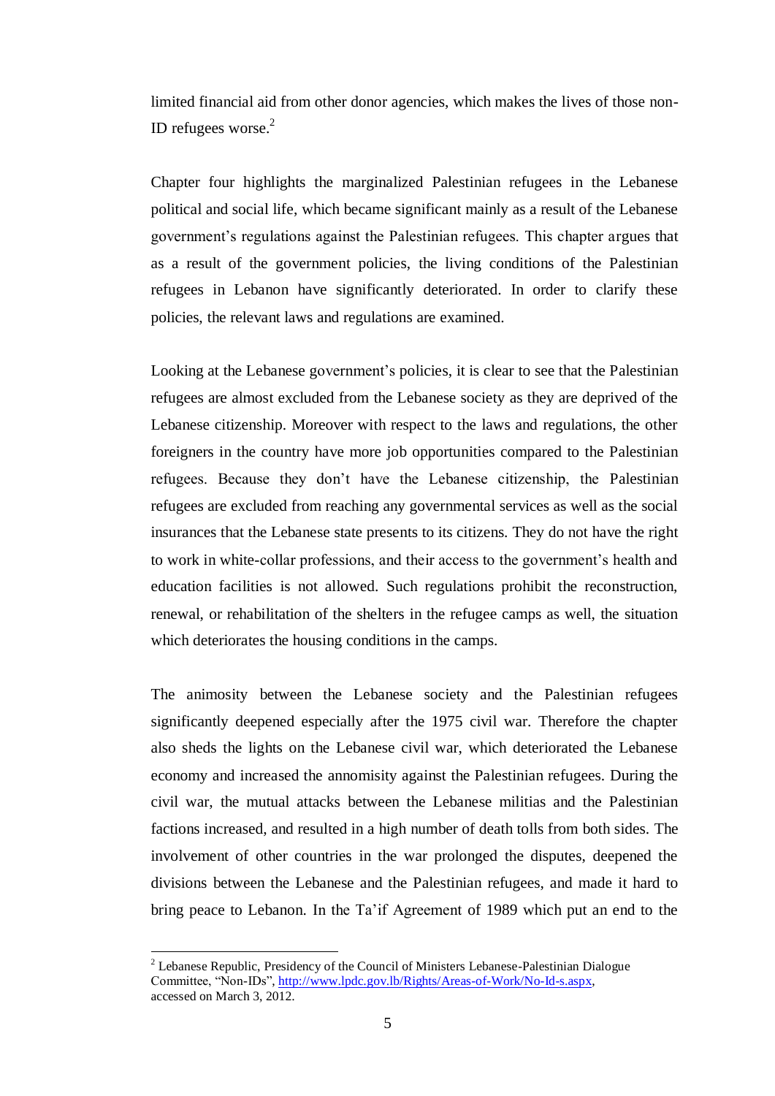limited financial aid from other donor agencies, which makes the lives of those non-ID refugees worse. $2$ 

Chapter four highlights the marginalized Palestinian refugees in the Lebanese political and social life, which became significant mainly as a result of the Lebanese government's regulations against the Palestinian refugees. This chapter argues that as a result of the government policies, the living conditions of the Palestinian refugees in Lebanon have significantly deteriorated. In order to clarify these policies, the relevant laws and regulations are examined.

Looking at the Lebanese government's policies, it is clear to see that the Palestinian refugees are almost excluded from the Lebanese society as they are deprived of the Lebanese citizenship. Moreover with respect to the laws and regulations, the other foreigners in the country have more job opportunities compared to the Palestinian refugees. Because they don"t have the Lebanese citizenship, the Palestinian refugees are excluded from reaching any governmental services as well as the social insurances that the Lebanese state presents to its citizens. They do not have the right to work in white-collar professions, and their access to the government"s health and education facilities is not allowed. Such regulations prohibit the reconstruction, renewal, or rehabilitation of the shelters in the refugee camps as well, the situation which deteriorates the housing conditions in the camps.

The animosity between the Lebanese society and the Palestinian refugees significantly deepened especially after the 1975 civil war. Therefore the chapter also sheds the lights on the Lebanese civil war, which deteriorated the Lebanese economy and increased the annomisity against the Palestinian refugees. During the civil war, the mutual attacks between the Lebanese militias and the Palestinian factions increased, and resulted in a high number of death tolls from both sides. The involvement of other countries in the war prolonged the disputes, deepened the divisions between the Lebanese and the Palestinian refugees, and made it hard to bring peace to Lebanon. In the Ta"if Agreement of 1989 which put an end to the

<sup>&</sup>lt;sup>2</sup> Lebanese Republic, Presidency of the Council of Ministers Lebanese-Palestinian Dialogue Committee, "Non-IDs", [http://www.lpdc.gov.lb/Rights/Areas-of-Work/No-Id-s.aspx,](http://www.lpdc.gov.lb/Rights/Areas-of-Work/No-Id-s.aspx) accessed on March 3, 2012.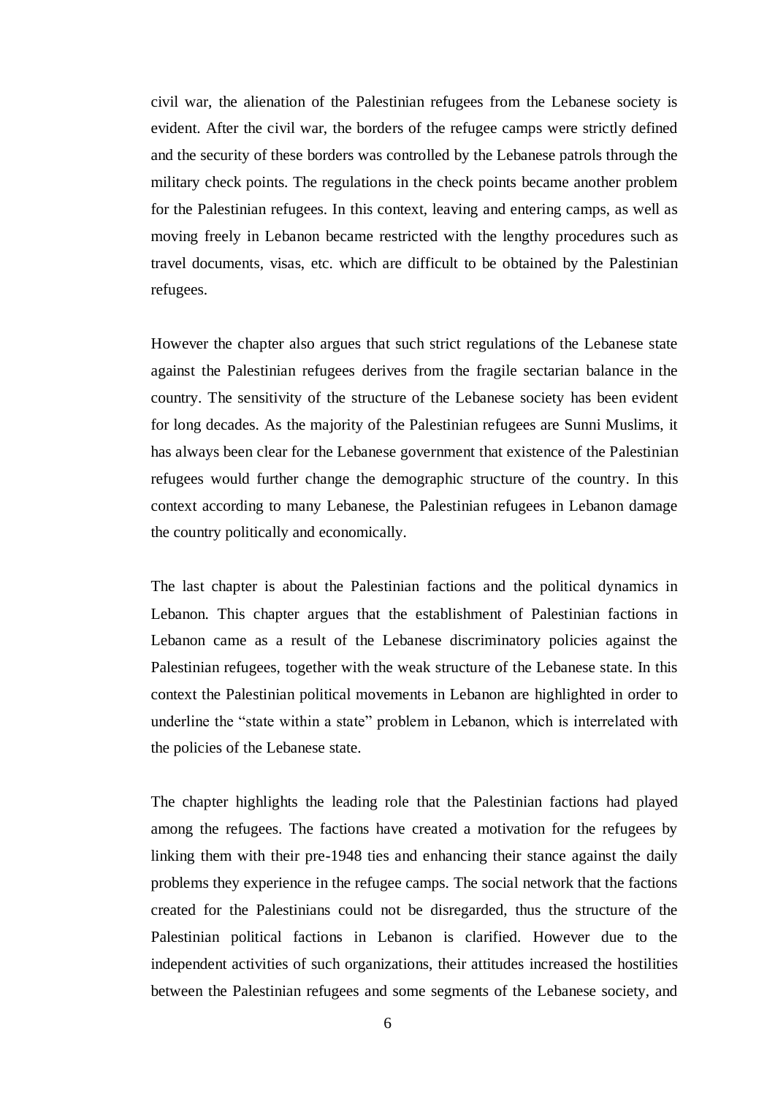civil war, the alienation of the Palestinian refugees from the Lebanese society is evident. After the civil war, the borders of the refugee camps were strictly defined and the security of these borders was controlled by the Lebanese patrols through the military check points. The regulations in the check points became another problem for the Palestinian refugees. In this context, leaving and entering camps, as well as moving freely in Lebanon became restricted with the lengthy procedures such as travel documents, visas, etc. which are difficult to be obtained by the Palestinian refugees.

However the chapter also argues that such strict regulations of the Lebanese state against the Palestinian refugees derives from the fragile sectarian balance in the country. The sensitivity of the structure of the Lebanese society has been evident for long decades. As the majority of the Palestinian refugees are Sunni Muslims, it has always been clear for the Lebanese government that existence of the Palestinian refugees would further change the demographic structure of the country. In this context according to many Lebanese, the Palestinian refugees in Lebanon damage the country politically and economically.

The last chapter is about the Palestinian factions and the political dynamics in Lebanon. This chapter argues that the establishment of Palestinian factions in Lebanon came as a result of the Lebanese discriminatory policies against the Palestinian refugees, together with the weak structure of the Lebanese state. In this context the Palestinian political movements in Lebanon are highlighted in order to underline the "state within a state" problem in Lebanon, which is interrelated with the policies of the Lebanese state.

The chapter highlights the leading role that the Palestinian factions had played among the refugees. The factions have created a motivation for the refugees by linking them with their pre-1948 ties and enhancing their stance against the daily problems they experience in the refugee camps. The social network that the factions created for the Palestinians could not be disregarded, thus the structure of the Palestinian political factions in Lebanon is clarified. However due to the independent activities of such organizations, their attitudes increased the hostilities between the Palestinian refugees and some segments of the Lebanese society, and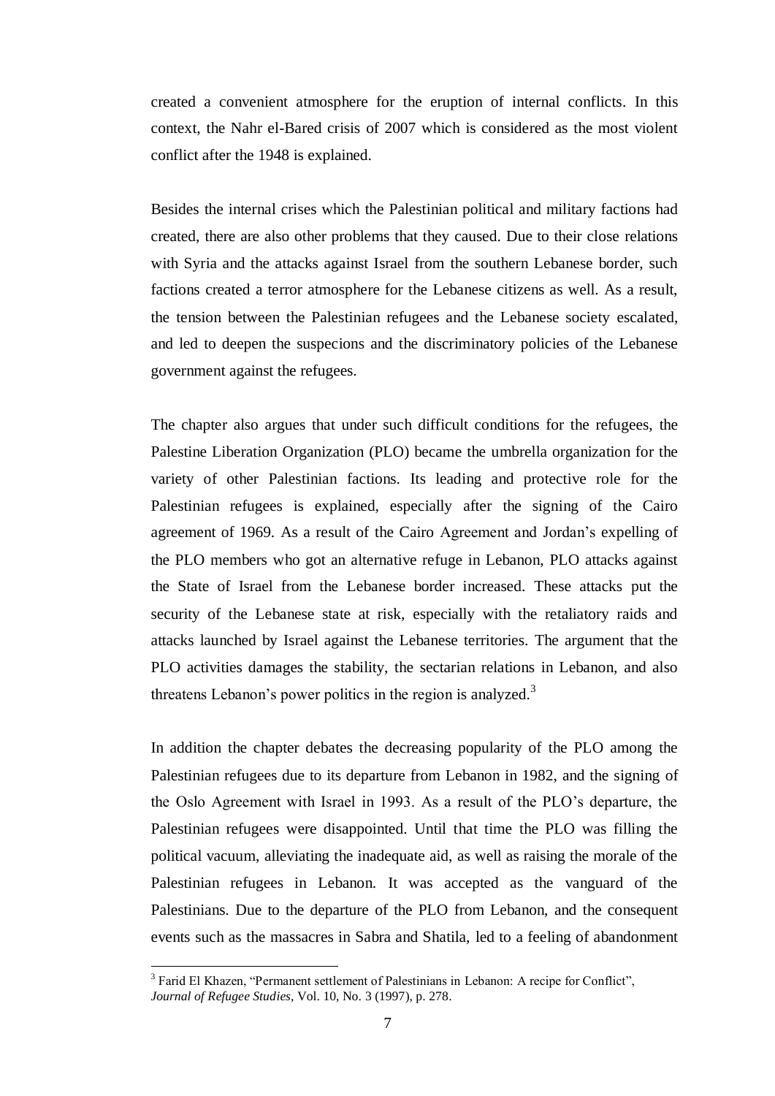created a convenient atmosphere for the eruption of internal conflicts. In this context, the Nahr el-Bared crisis of 2007 which is considered as the most violent conflict after the 1948 is explained.

Besides the internal crises which the Palestinian political and military factions had created, there are also other problems that they caused. Due to their close relations with Syria and the attacks against Israel from the southern Lebanese border, such factions created a terror atmosphere for the Lebanese citizens as well. As a result, the tension between the Palestinian refugees and the Lebanese society escalated, and led to deepen the suspecions and the discriminatory policies of the Lebanese government against the refugees.

The chapter also argues that under such difficult conditions for the refugees, the Palestine Liberation Organization (PLO) became the umbrella organization for the variety of other Palestinian factions. Its leading and protective role for the Palestinian refugees is explained, especially after the signing of the Cairo agreement of 1969. As a result of the Cairo Agreement and Jordan"s expelling of the PLO members who got an alternative refuge in Lebanon, PLO attacks against the State of Israel from the Lebanese border increased. These attacks put the security of the Lebanese state at risk, especially with the retaliatory raids and attacks launched by Israel against the Lebanese territories. The argument that the PLO activities damages the stability, the sectarian relations in Lebanon, and also threatens Lebanon's power politics in the region is analyzed.<sup>3</sup>

In addition the chapter debates the decreasing popularity of the PLO among the Palestinian refugees due to its departure from Lebanon in 1982, and the signing of the Oslo Agreement with Israel in 1993. As a result of the PLO"s departure, the Palestinian refugees were disappointed. Until that time the PLO was filling the political vacuum, alleviating the inadequate aid, as well as raising the morale of the Palestinian refugees in Lebanon. It was accepted as the vanguard of the Palestinians. Due to the departure of the PLO from Lebanon, and the consequent events such as the massacres in Sabra and Shatila, led to a feeling of abandonment

<sup>&</sup>lt;sup>3</sup> Farid El Khazen, "Permanent settlement of Palestinians in Lebanon: A recipe for Conflict", *Journal of Refugee Studies,* Vol. 10, No. 3 (1997), p. 278.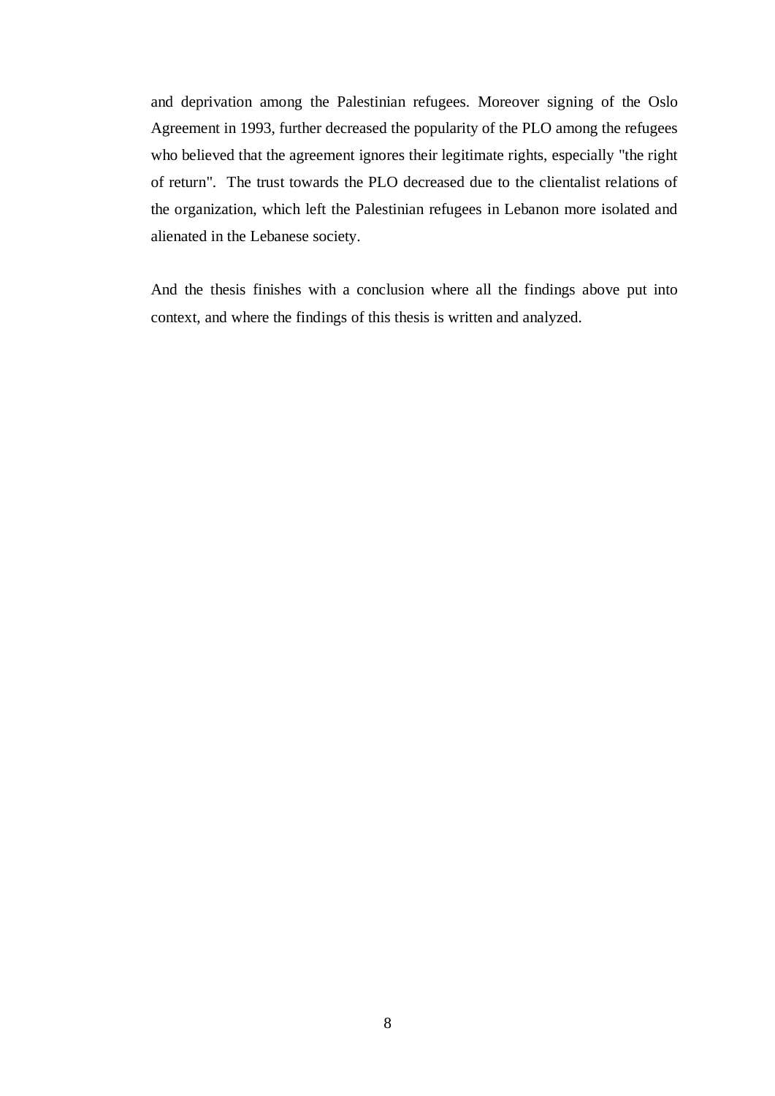and deprivation among the Palestinian refugees. Moreover signing of the Oslo Agreement in 1993, further decreased the popularity of the PLO among the refugees who believed that the agreement ignores their legitimate rights, especially "the right of return". The trust towards the PLO decreased due to the clientalist relations of the organization, which left the Palestinian refugees in Lebanon more isolated and alienated in the Lebanese society.

And the thesis finishes with a conclusion where all the findings above put into context, and where the findings of this thesis is written and analyzed.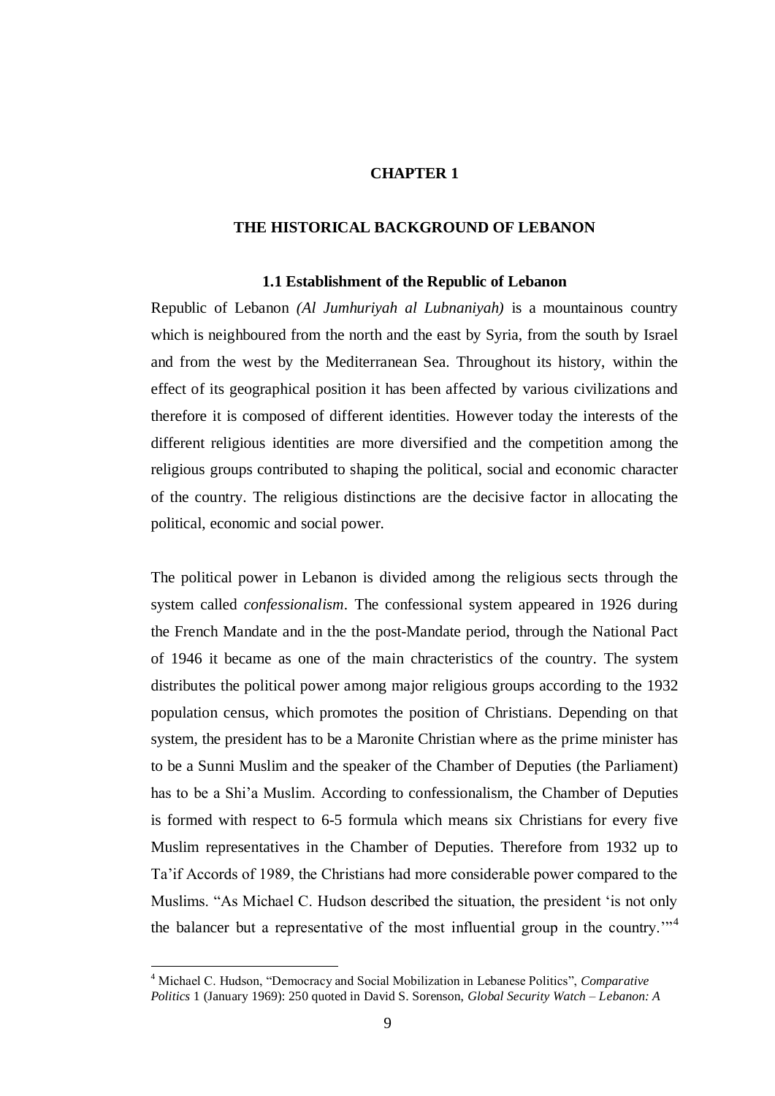# **CHAPTER 1**

# **THE HISTORICAL BACKGROUND OF LEBANON**

#### **1.1 Establishment of the Republic of Lebanon**

Republic of Lebanon *(Al Jumhuriyah al Lubnaniyah)* is a mountainous country which is neighboured from the north and the east by Syria, from the south by Israel and from the west by the Mediterranean Sea. Throughout its history, within the effect of its geographical position it has been affected by various civilizations and therefore it is composed of different identities. However today the interests of the different religious identities are more diversified and the competition among the religious groups contributed to shaping the political, social and economic character of the country. The religious distinctions are the decisive factor in allocating the political, economic and social power.

The political power in Lebanon is divided among the religious sects through the system called *confessionalism*. The confessional system appeared in 1926 during the French Mandate and in the the post-Mandate period, through the National Pact of 1946 it became as one of the main chracteristics of the country. The system distributes the political power among major religious groups according to the 1932 population census, which promotes the position of Christians. Depending on that system, the president has to be a Maronite Christian where as the prime minister has to be a Sunni Muslim and the speaker of the Chamber of Deputies (the Parliament) has to be a Shi"a Muslim. According to confessionalism, the Chamber of Deputies is formed with respect to 6-5 formula which means six Christians for every five Muslim representatives in the Chamber of Deputies. Therefore from 1932 up to Ta"if Accords of 1989, the Christians had more considerable power compared to the Muslims. "As Michael C. Hudson described the situation, the president "is not only the balancer but a representative of the most influential group in the country."<sup>4</sup>

<sup>4</sup> Michael C. Hudson, "Democracy and Social Mobilization in Lebanese Politics", *Comparative Politics* 1 (January 1969): 250 quoted in David S. Sorenson, *Global Security Watch – Lebanon: A*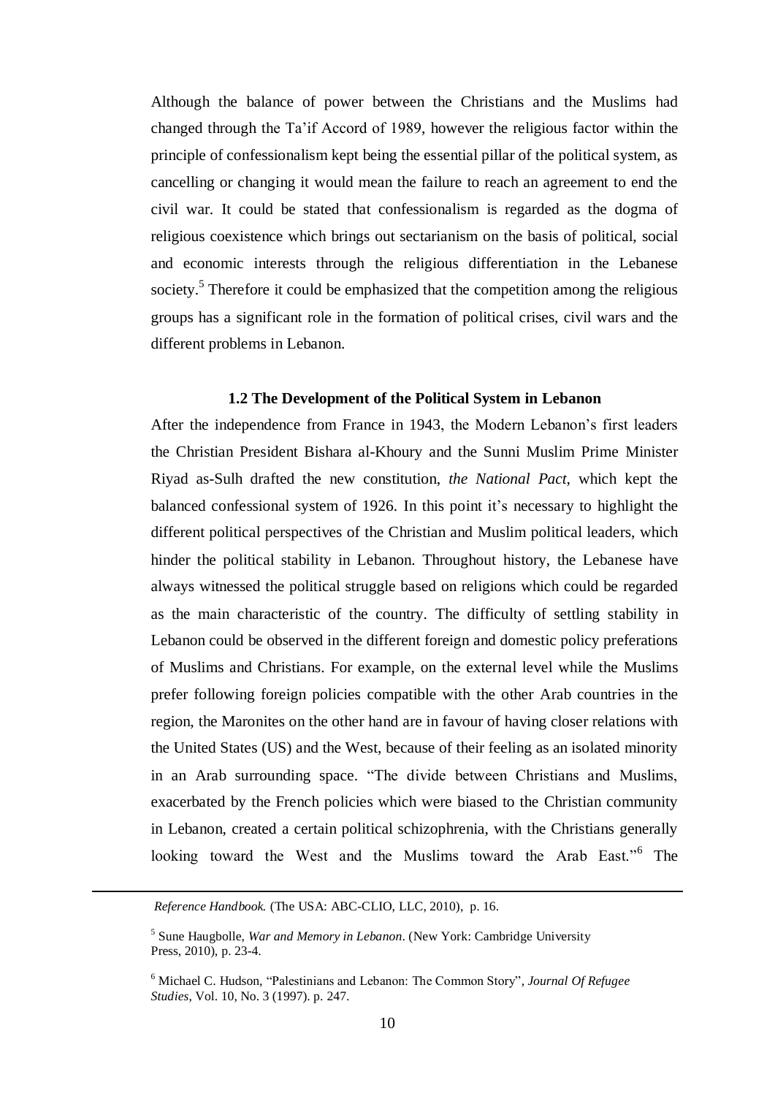Although the balance of power between the Christians and the Muslims had changed through the Ta"if Accord of 1989, however the religious factor within the principle of confessionalism kept being the essential pillar of the political system, as cancelling or changing it would mean the failure to reach an agreement to end the civil war. It could be stated that confessionalism is regarded as the dogma of religious coexistence which brings out sectarianism on the basis of political, social and economic interests through the religious differentiation in the Lebanese society.<sup>5</sup> Therefore it could be emphasized that the competition among the religious groups has a significant role in the formation of political crises, civil wars and the different problems in Lebanon.

## **1.2 The Development of the Political System in Lebanon**

After the independence from France in 1943, the Modern Lebanon"s first leaders the Christian President Bishara al-Khoury and the Sunni Muslim Prime Minister Riyad as-Sulh drafted the new constitution, *the National Pact,* which kept the balanced confessional system of 1926. In this point it"s necessary to highlight the different political perspectives of the Christian and Muslim political leaders, which hinder the political stability in Lebanon. Throughout history, the Lebanese have always witnessed the political struggle based on religions which could be regarded as the main characteristic of the country. The difficulty of settling stability in Lebanon could be observed in the different foreign and domestic policy preferations of Muslims and Christians. For example, on the external level while the Muslims prefer following foreign policies compatible with the other Arab countries in the region, the Maronites on the other hand are in favour of having closer relations with the United States (US) and the West, because of their feeling as an isolated minority in an Arab surrounding space. "The divide between Christians and Muslims, exacerbated by the French policies which were biased to the Christian community in Lebanon, created a certain political schizophrenia, with the Christians generally looking toward the West and the Muslims toward the Arab East."<sup>6</sup> The

*Reference Handbook.* (The USA: ABC-CLIO, LLC, 2010), p. 16.

<sup>5</sup> Sune Haugbolle, *War and Memory in Lebanon*. (New York: Cambridge University Press, 2010), p. 23-4.

<sup>6</sup> Michael C. Hudson, "Palestinians and Lebanon: The Common Story", *Journal Of Refugee Studies*, Vol. 10, No. 3 (1997). p. 247.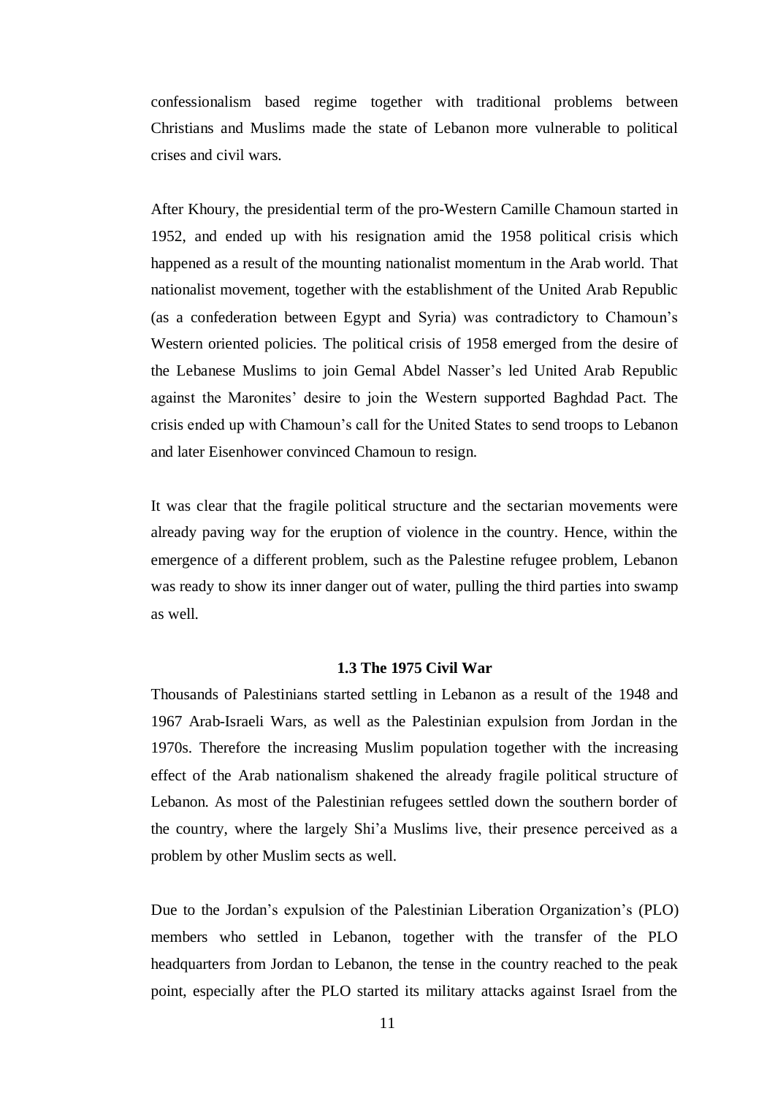confessionalism based regime together with traditional problems between Christians and Muslims made the state of Lebanon more vulnerable to political crises and civil wars.

After Khoury, the presidential term of the pro-Western Camille Chamoun started in 1952, and ended up with his resignation amid the 1958 political crisis which happened as a result of the mounting nationalist momentum in the Arab world. That nationalist movement, together with the establishment of the United Arab Republic (as a confederation between Egypt and Syria) was contradictory to Chamoun"s Western oriented policies. The political crisis of 1958 emerged from the desire of the Lebanese Muslims to join Gemal Abdel Nasser"s led United Arab Republic against the Maronites" desire to join the Western supported Baghdad Pact. The crisis ended up with Chamoun"s call for the United States to send troops to Lebanon and later Eisenhower convinced Chamoun to resign.

It was clear that the fragile political structure and the sectarian movements were already paving way for the eruption of violence in the country. Hence, within the emergence of a different problem, such as the Palestine refugee problem, Lebanon was ready to show its inner danger out of water, pulling the third parties into swamp as well.

## **1.3 The 1975 Civil War**

Thousands of Palestinians started settling in Lebanon as a result of the 1948 and 1967 Arab-Israeli Wars, as well as the Palestinian expulsion from Jordan in the 1970s. Therefore the increasing Muslim population together with the increasing effect of the Arab nationalism shakened the already fragile political structure of Lebanon. As most of the Palestinian refugees settled down the southern border of the country, where the largely Shi"a Muslims live, their presence perceived as a problem by other Muslim sects as well.

Due to the Jordan's expulsion of the Palestinian Liberation Organization's (PLO) members who settled in Lebanon, together with the transfer of the PLO headquarters from Jordan to Lebanon, the tense in the country reached to the peak point, especially after the PLO started its military attacks against Israel from the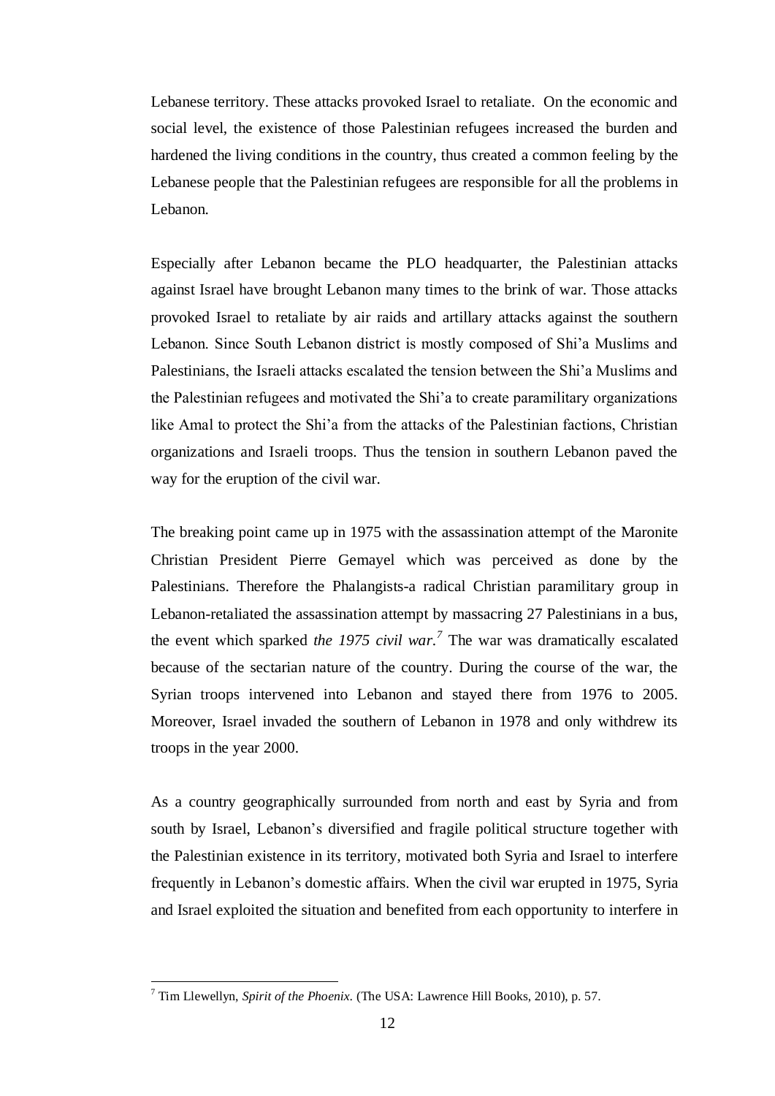Lebanese territory. These attacks provoked Israel to retaliate. On the economic and social level, the existence of those Palestinian refugees increased the burden and hardened the living conditions in the country, thus created a common feeling by the Lebanese people that the Palestinian refugees are responsible for all the problems in Lebanon.

Especially after Lebanon became the PLO headquarter, the Palestinian attacks against Israel have brought Lebanon many times to the brink of war. Those attacks provoked Israel to retaliate by air raids and artillary attacks against the southern Lebanon. Since South Lebanon district is mostly composed of Shi"a Muslims and Palestinians, the Israeli attacks escalated the tension between the Shi"a Muslims and the Palestinian refugees and motivated the Shi"a to create paramilitary organizations like Amal to protect the Shi"a from the attacks of the Palestinian factions, Christian organizations and Israeli troops. Thus the tension in southern Lebanon paved the way for the eruption of the civil war.

The breaking point came up in 1975 with the assassination attempt of the Maronite Christian President Pierre Gemayel which was perceived as done by the Palestinians. Therefore the Phalangists-a radical Christian paramilitary group in Lebanon-retaliated the assassination attempt by massacring 27 Palestinians in a bus, the event which sparked *the 1975 civil war. 7* The war was dramatically escalated because of the sectarian nature of the country. During the course of the war, the Syrian troops intervened into Lebanon and stayed there from 1976 to 2005. Moreover, Israel invaded the southern of Lebanon in 1978 and only withdrew its troops in the year 2000.

As a country geographically surrounded from north and east by Syria and from south by Israel, Lebanon"s diversified and fragile political structure together with the Palestinian existence in its territory, motivated both Syria and Israel to interfere frequently in Lebanon"s domestic affairs. When the civil war erupted in 1975, Syria and Israel exploited the situation and benefited from each opportunity to interfere in

<sup>7</sup> Tim Llewellyn, *Spirit of the Phoenix*. (The USA: Lawrence Hill Books, 2010), p. 57.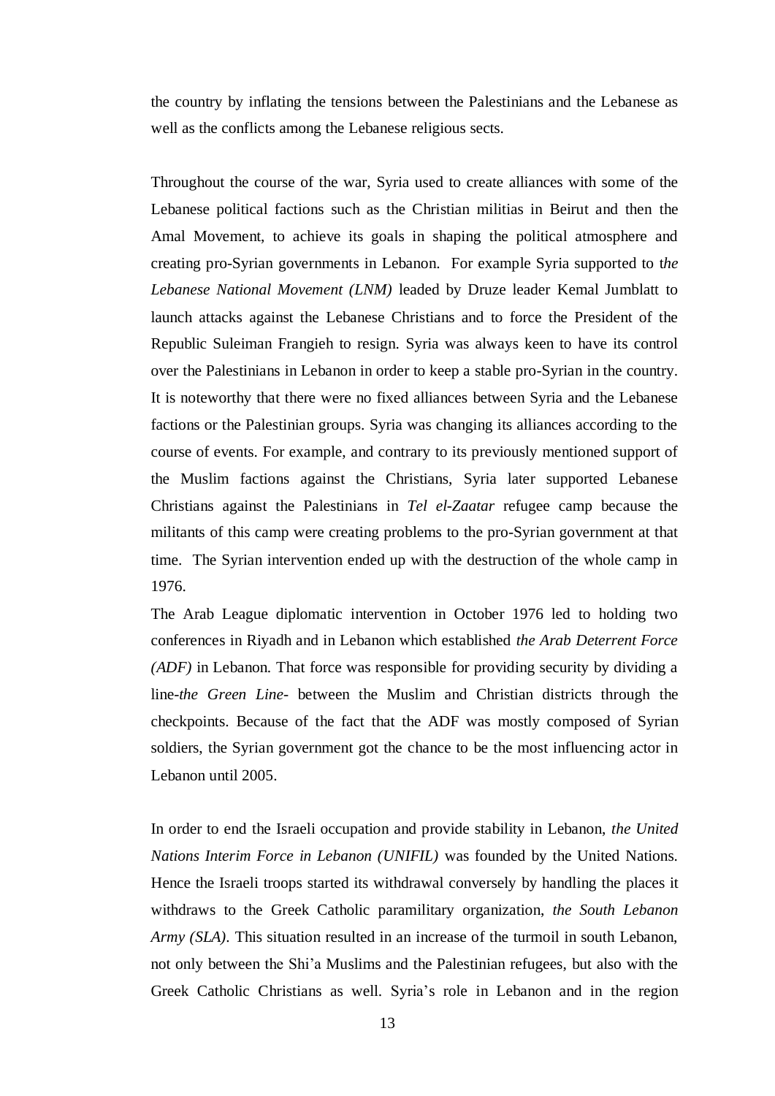the country by inflating the tensions between the Palestinians and the Lebanese as well as the conflicts among the Lebanese religious sects.

Throughout the course of the war, Syria used to create alliances with some of the Lebanese political factions such as the Christian militias in Beirut and then the Amal Movement, to achieve its goals in shaping the political atmosphere and creating pro-Syrian governments in Lebanon. For example Syria supported to t*he Lebanese National Movement (LNM)* leaded by Druze leader Kemal Jumblatt to launch attacks against the Lebanese Christians and to force the President of the Republic Suleiman Frangieh to resign. Syria was always keen to have its control over the Palestinians in Lebanon in order to keep a stable pro-Syrian in the country. It is noteworthy that there were no fixed alliances between Syria and the Lebanese factions or the Palestinian groups. Syria was changing its alliances according to the course of events. For example, and contrary to its previously mentioned support of the Muslim factions against the Christians, Syria later supported Lebanese Christians against the Palestinians in *Tel el-Zaatar* refugee camp because the militants of this camp were creating problems to the pro-Syrian government at that time. The Syrian intervention ended up with the destruction of the whole camp in 1976.

The Arab League diplomatic intervention in October 1976 led to holding two conferences in Riyadh and in Lebanon which established *the Arab Deterrent Force (ADF)* in Lebanon. That force was responsible for providing security by dividing a line-*the Green Line-* between the Muslim and Christian districts through the checkpoints. Because of the fact that the ADF was mostly composed of Syrian soldiers, the Syrian government got the chance to be the most influencing actor in Lebanon until 2005.

In order to end the Israeli occupation and provide stability in Lebanon, *the United Nations Interim Force in Lebanon (UNIFIL)* was founded by the United Nations. Hence the Israeli troops started its withdrawal conversely by handling the places it withdraws to the Greek Catholic paramilitary organization, *the South Lebanon Army (SLA).* This situation resulted in an increase of the turmoil in south Lebanon, not only between the Shi"a Muslims and the Palestinian refugees, but also with the Greek Catholic Christians as well. Syria"s role in Lebanon and in the region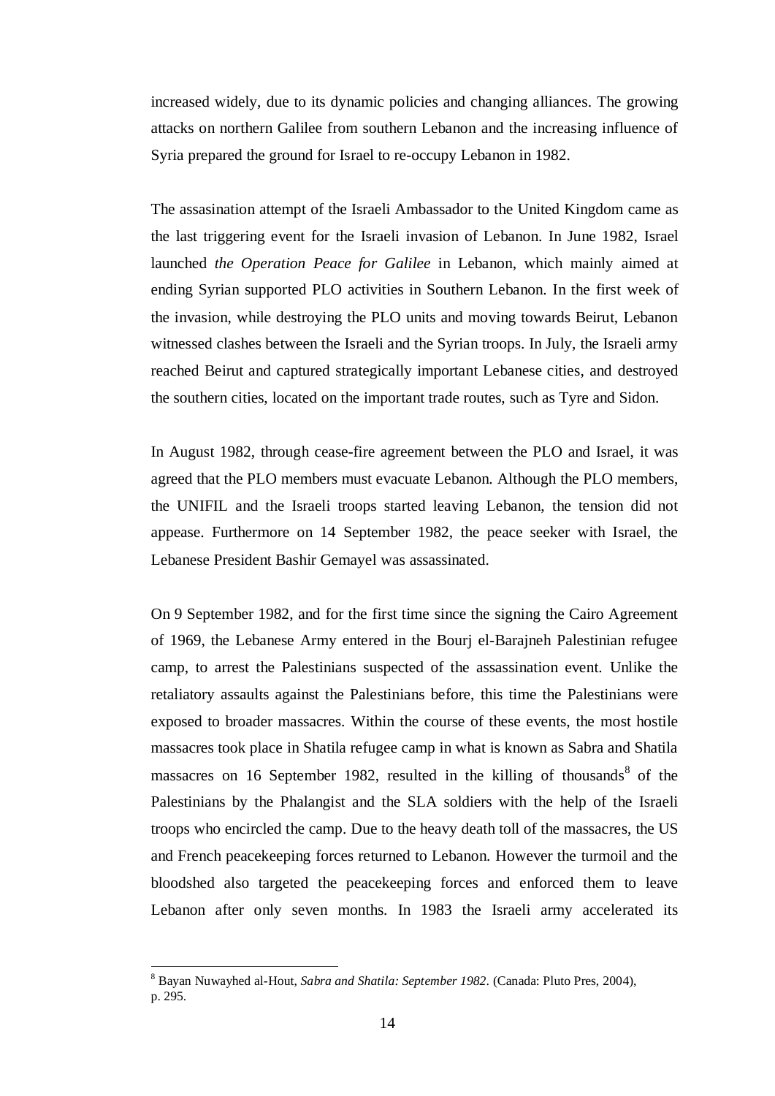increased widely, due to its dynamic policies and changing alliances. The growing attacks on northern Galilee from southern Lebanon and the increasing influence of Syria prepared the ground for Israel to re-occupy Lebanon in 1982.

The assasination attempt of the Israeli Ambassador to the United Kingdom came as the last triggering event for the Israeli invasion of Lebanon. In June 1982, Israel launched *the Operation Peace for Galilee* in Lebanon, which mainly aimed at ending Syrian supported PLO activities in Southern Lebanon. In the first week of the invasion, while destroying the PLO units and moving towards Beirut, Lebanon witnessed clashes between the Israeli and the Syrian troops. In July, the Israeli army reached Beirut and captured strategically important Lebanese cities, and destroyed the southern cities, located on the important trade routes, such as Tyre and Sidon.

In August 1982, through cease-fire agreement between the PLO and Israel, it was agreed that the PLO members must evacuate Lebanon. Although the PLO members, the UNIFIL and the Israeli troops started leaving Lebanon, the tension did not appease. Furthermore on 14 September 1982, the peace seeker with Israel, the Lebanese President Bashir Gemayel was assassinated.

On 9 September 1982, and for the first time since the signing the Cairo Agreement of 1969, the Lebanese Army entered in the Bourj el-Barajneh Palestinian refugee camp, to arrest the Palestinians suspected of the assassination event. Unlike the retaliatory assaults against the Palestinians before, this time the Palestinians were exposed to broader massacres. Within the course of these events, the most hostile massacres took place in Shatila refugee camp in what is known as Sabra and Shatila massacres on 16 September 1982, resulted in the killing of thousands  $\delta$  of the Palestinians by the Phalangist and the SLA soldiers with the help of the Israeli troops who encircled the camp. Due to the heavy death toll of the massacres, the US and French peacekeeping forces returned to Lebanon. However the turmoil and the bloodshed also targeted the peacekeeping forces and enforced them to leave Lebanon after only seven months. In 1983 the Israeli army accelerated its

<sup>8</sup> Bayan Nuwayhed al-Hout, *Sabra and Shatila: September 1982*. (Canada: Pluto Pres, 2004), p. 295.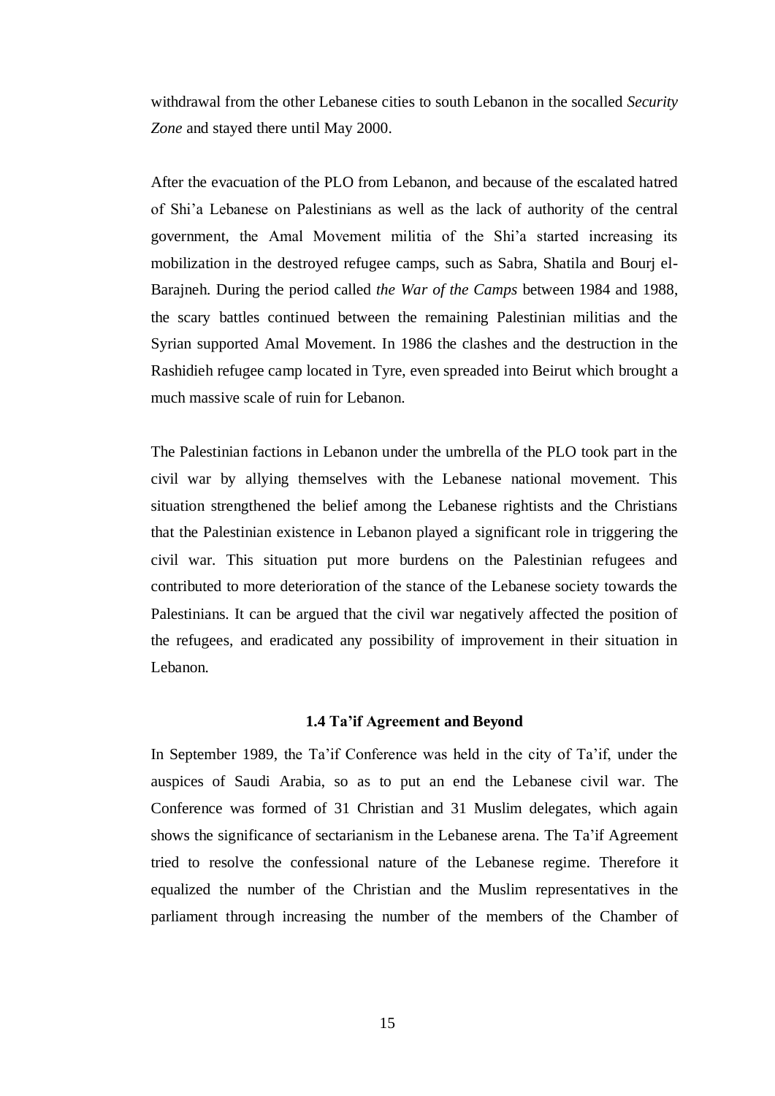withdrawal from the other Lebanese cities to south Lebanon in the socalled *Security Zone* and stayed there until May 2000.

After the evacuation of the PLO from Lebanon, and because of the escalated hatred of Shi"a Lebanese on Palestinians as well as the lack of authority of the central government, the Amal Movement militia of the Shi"a started increasing its mobilization in the destroyed refugee camps, such as Sabra, Shatila and Bourj el-Barajneh. During the period called *the War of the Camps* between 1984 and 1988, the scary battles continued between the remaining Palestinian militias and the Syrian supported Amal Movement. In 1986 the clashes and the destruction in the Rashidieh refugee camp located in Tyre, even spreaded into Beirut which brought a much massive scale of ruin for Lebanon.

The Palestinian factions in Lebanon under the umbrella of the PLO took part in the civil war by allying themselves with the Lebanese national movement. This situation strengthened the belief among the Lebanese rightists and the Christians that the Palestinian existence in Lebanon played a significant role in triggering the civil war. This situation put more burdens on the Palestinian refugees and contributed to more deterioration of the stance of the Lebanese society towards the Palestinians. It can be argued that the civil war negatively affected the position of the refugees, and eradicated any possibility of improvement in their situation in Lebanon.

# **1.4 Ta'if Agreement and Beyond**

In September 1989, the Ta"if Conference was held in the city of Ta"if, under the auspices of Saudi Arabia, so as to put an end the Lebanese civil war. The Conference was formed of 31 Christian and 31 Muslim delegates, which again shows the significance of sectarianism in the Lebanese arena. The Ta"if Agreement tried to resolve the confessional nature of the Lebanese regime. Therefore it equalized the number of the Christian and the Muslim representatives in the parliament through increasing the number of the members of the Chamber of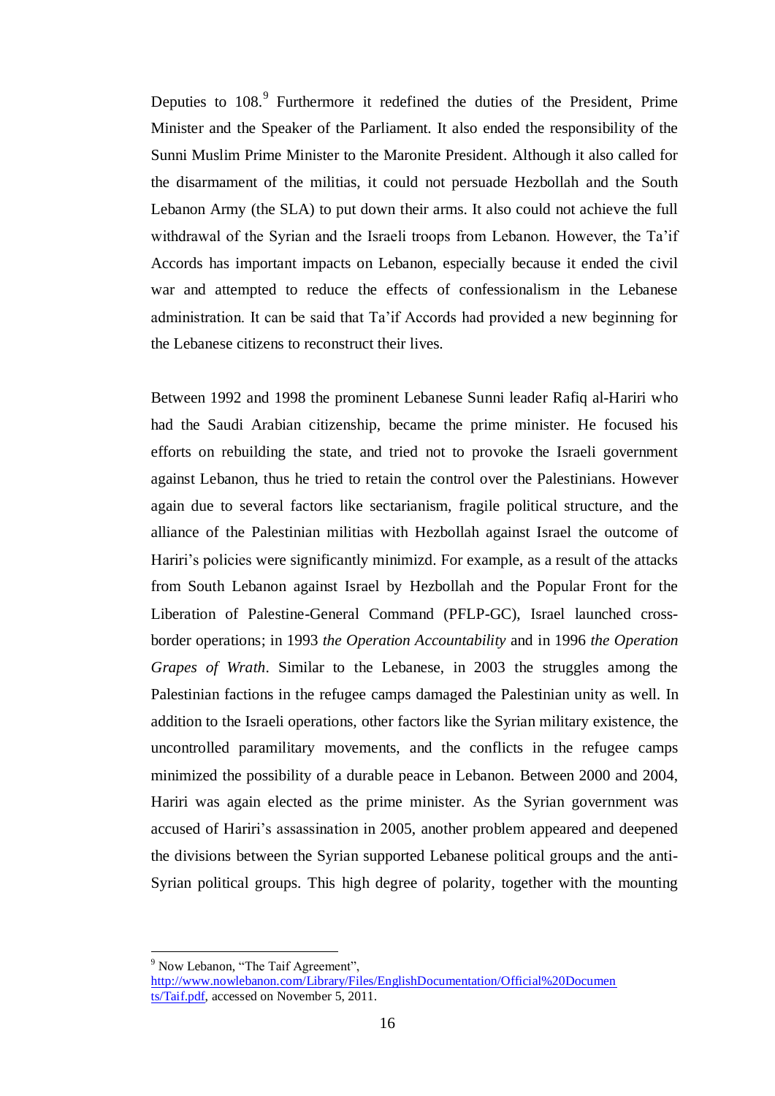Deputies to 108.<sup>9</sup> Furthermore it redefined the duties of the President, Prime Minister and the Speaker of the Parliament. It also ended the responsibility of the Sunni Muslim Prime Minister to the Maronite President. Although it also called for the disarmament of the militias, it could not persuade Hezbollah and the South Lebanon Army (the SLA) to put down their arms. It also could not achieve the full withdrawal of the Syrian and the Israeli troops from Lebanon. However, the Ta'if Accords has important impacts on Lebanon, especially because it ended the civil war and attempted to reduce the effects of confessionalism in the Lebanese administration. It can be said that Ta"if Accords had provided a new beginning for the Lebanese citizens to reconstruct their lives.

Between 1992 and 1998 the prominent Lebanese Sunni leader Rafiq al-Hariri who had the Saudi Arabian citizenship, became the prime minister. He focused his efforts on rebuilding the state, and tried not to provoke the Israeli government against Lebanon, thus he tried to retain the control over the Palestinians. However again due to several factors like sectarianism, fragile political structure, and the alliance of the Palestinian militias with Hezbollah against Israel the outcome of Hariri's policies were significantly minimizd. For example, as a result of the attacks from South Lebanon against Israel by Hezbollah and the Popular Front for the Liberation of Palestine-General Command (PFLP-GC), Israel launched crossborder operations; in 1993 *the Operation Accountability* and in 1996 *the Operation Grapes of Wrath*. Similar to the Lebanese, in 2003 the struggles among the Palestinian factions in the refugee camps damaged the Palestinian unity as well. In addition to the Israeli operations, other factors like the Syrian military existence, the uncontrolled paramilitary movements, and the conflicts in the refugee camps minimized the possibility of a durable peace in Lebanon. Between 2000 and 2004, Hariri was again elected as the prime minister. As the Syrian government was accused of Hariri"s assassination in 2005, another problem appeared and deepened the divisions between the Syrian supported Lebanese political groups and the anti-Syrian political groups. This high degree of polarity, together with the mounting

<sup>&</sup>lt;sup>9</sup> Now Lebanon, "The Taif Agreement",

[http://www.nowlebanon.com/Library/Files/EnglishDocumentation/Official%20Documen](http://www.nowlebanon.com/Library/Files/EnglishDocumentation/Official%20Documents/Taif.pdf) [ts/Taif.pdf,](http://www.nowlebanon.com/Library/Files/EnglishDocumentation/Official%20Documents/Taif.pdf) accessed on November 5, 2011.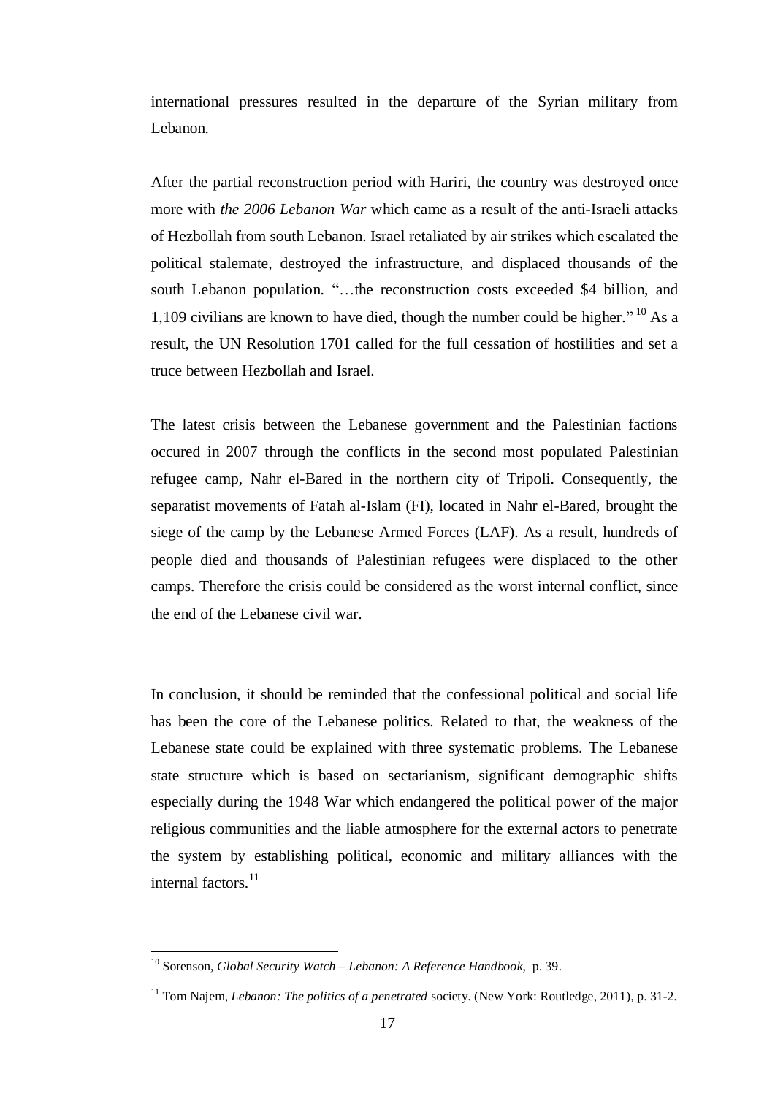international pressures resulted in the departure of the Syrian military from Lebanon.

After the partial reconstruction period with Hariri, the country was destroyed once more with *the 2006 Lebanon War* which came as a result of the anti-Israeli attacks of Hezbollah from south Lebanon. Israel retaliated by air strikes which escalated the political stalemate, destroyed the infrastructure, and displaced thousands of the south Lebanon population. "…the reconstruction costs exceeded \$4 billion, and 1,109 civilians are known to have died, though the number could be higher."  $^{10}$  As a result, the UN Resolution 1701 called for the full cessation of hostilities and set a truce between Hezbollah and Israel.

The latest crisis between the Lebanese government and the Palestinian factions occured in 2007 through the conflicts in the second most populated Palestinian refugee camp, Nahr el-Bared in the northern city of Tripoli. Consequently, the separatist movements of Fatah al-Islam (FI), located in Nahr el-Bared, brought the siege of the camp by the Lebanese Armed Forces (LAF). As a result, hundreds of people died and thousands of Palestinian refugees were displaced to the other camps. Therefore the crisis could be considered as the worst internal conflict, since the end of the Lebanese civil war.

In conclusion, it should be reminded that the confessional political and social life has been the core of the Lebanese politics. Related to that, the weakness of the Lebanese state could be explained with three systematic problems. The Lebanese state structure which is based on sectarianism, significant demographic shifts especially during the 1948 War which endangered the political power of the major religious communities and the liable atmosphere for the external actors to penetrate the system by establishing political, economic and military alliances with the internal factors.<sup>11</sup>

<sup>10</sup> Sorenson, *Global Security Watch – Lebanon: A Reference Handbook*, p. 39.

<sup>11</sup> Tom Najem, *Lebanon: The politics of a penetrated* society. (New York: Routledge, 2011), p. 31-2.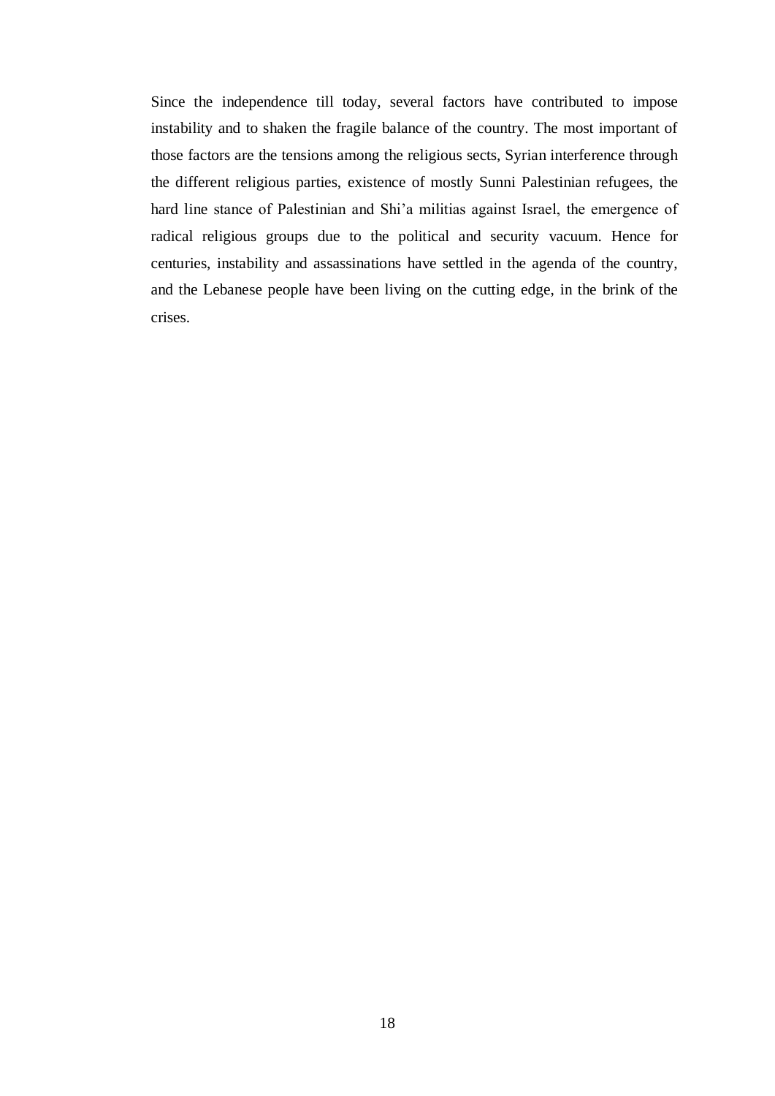Since the independence till today, several factors have contributed to impose instability and to shaken the fragile balance of the country. The most important of those factors are the tensions among the religious sects, Syrian interference through the different religious parties, existence of mostly Sunni Palestinian refugees, the hard line stance of Palestinian and Shi"a militias against Israel, the emergence of radical religious groups due to the political and security vacuum. Hence for centuries, instability and assassinations have settled in the agenda of the country, and the Lebanese people have been living on the cutting edge, in the brink of the crises.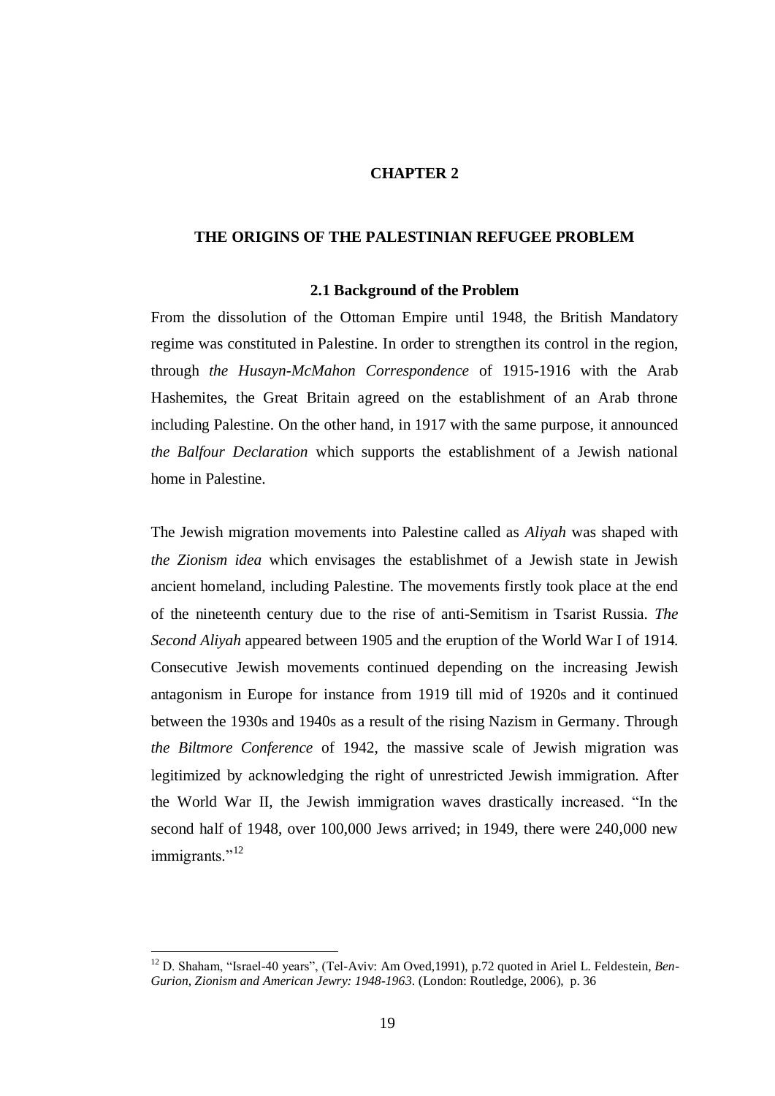## **CHAPTER 2**

# **THE ORIGINS OF THE PALESTINIAN REFUGEE PROBLEM**

#### **2.1 Background of the Problem**

From the dissolution of the Ottoman Empire until 1948, the British Mandatory regime was constituted in Palestine. In order to strengthen its control in the region, through *the Husayn-McMahon Correspondence* of 1915-1916 with the Arab Hashemites, the Great Britain agreed on the establishment of an Arab throne including Palestine. On the other hand, in 1917 with the same purpose, it announced *the Balfour Declaration* which supports the establishment of a Jewish national home in Palestine.

The Jewish migration movements into Palestine called as *Aliyah* was shaped with *the Zionism idea* which envisages the establishmet of a Jewish state in Jewish ancient homeland, including Palestine. The movements firstly took place at the end of the nineteenth century due to the rise of anti-Semitism in Tsarist Russia. *The Second Aliyah* appeared between 1905 and the eruption of the World War I of 1914. Consecutive Jewish movements continued depending on the increasing Jewish antagonism in Europe for instance from 1919 till mid of 1920s and it continued between the 1930s and 1940s as a result of the rising Nazism in Germany. Through *the Biltmore Conference* of 1942, the massive scale of Jewish migration was legitimized by acknowledging the right of unrestricted Jewish immigration. After the World War II, the Jewish immigration waves drastically increased. "In the second half of 1948, over 100,000 Jews arrived; in 1949, there were 240,000 new immigrants."<sup>12</sup>

<sup>&</sup>lt;sup>12</sup> D. Shaham, "Israel-40 years", (Tel-Aviv: Am Oved, 1991), p.72 quoted in Ariel L. Feldestein, *Ben*-*Gurion, Zionism and American Jewry: 1948-1963*. (London: Routledge, 2006), p. 36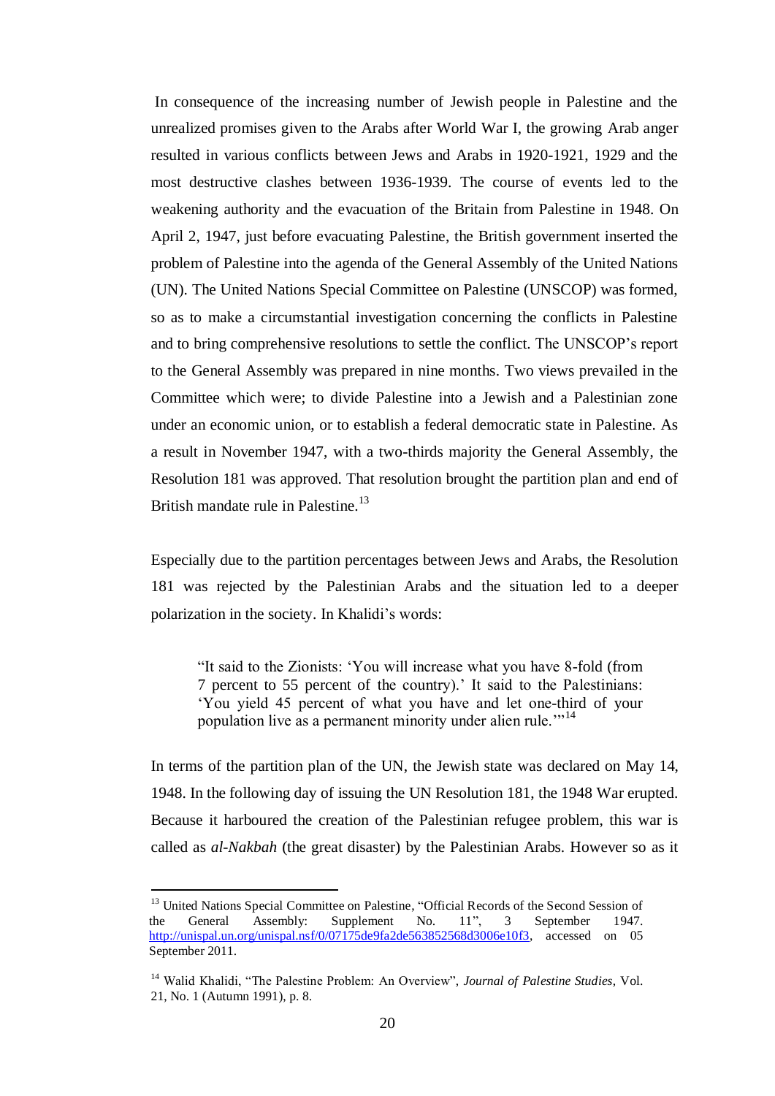In consequence of the increasing number of Jewish people in Palestine and the unrealized promises given to the Arabs after World War I, the growing Arab anger resulted in various conflicts between Jews and Arabs in 1920-1921, 1929 and the most destructive clashes between 1936-1939. The course of events led to the weakening authority and the evacuation of the Britain from Palestine in 1948. On April 2, 1947, just before evacuating Palestine, the British government inserted the problem of Palestine into the agenda of the General Assembly of the United Nations (UN). The United Nations Special Committee on Palestine (UNSCOP) was formed, so as to make a circumstantial investigation concerning the conflicts in Palestine and to bring comprehensive resolutions to settle the conflict. The UNSCOP"s report to the General Assembly was prepared in nine months. Two views prevailed in the Committee which were; to divide Palestine into a Jewish and a Palestinian zone under an economic union, or to establish a federal democratic state in Palestine. As a result in November 1947, with a two-thirds majority the General Assembly, the Resolution 181 was approved. That resolution brought the partition plan and end of British mandate rule in Palestine.<sup>13</sup>

Especially due to the partition percentages between Jews and Arabs, the Resolution 181 was rejected by the Palestinian Arabs and the situation led to a deeper polarization in the society. In Khalidi's words:

"It said to the Zionists: "You will increase what you have 8-fold (from 7 percent to 55 percent of the country)." It said to the Palestinians: "You yield 45 percent of what you have and let one-third of your population live as a permanent minority under alien rule.""<sup>14</sup>

In terms of the partition plan of the UN, the Jewish state was declared on May 14, 1948. In the following day of issuing the UN Resolution 181, the 1948 War erupted. Because it harboured the creation of the Palestinian refugee problem, this war is called as *al-Nakbah* (the great disaster) by the Palestinian Arabs. However so as it

<sup>&</sup>lt;sup>13</sup> United Nations Special Committee on Palestine, "Official Records of the Second Session of the General Assembly: Supplement No. 11", 3 September 1947. [http://unispal.un.org/unispal.nsf/0/07175de9fa2de563852568d3006e10f3,](http://unispal.un.org/unispal.nsf/0/07175de9fa2de563852568d3006e10f3) accessed on 05 September 2011.

<sup>14</sup> Walid Khalidi, "The Palestine Problem: An Overview", *Journal of Palestine Studies*, Vol. 21, No. 1 (Autumn 1991), p. 8.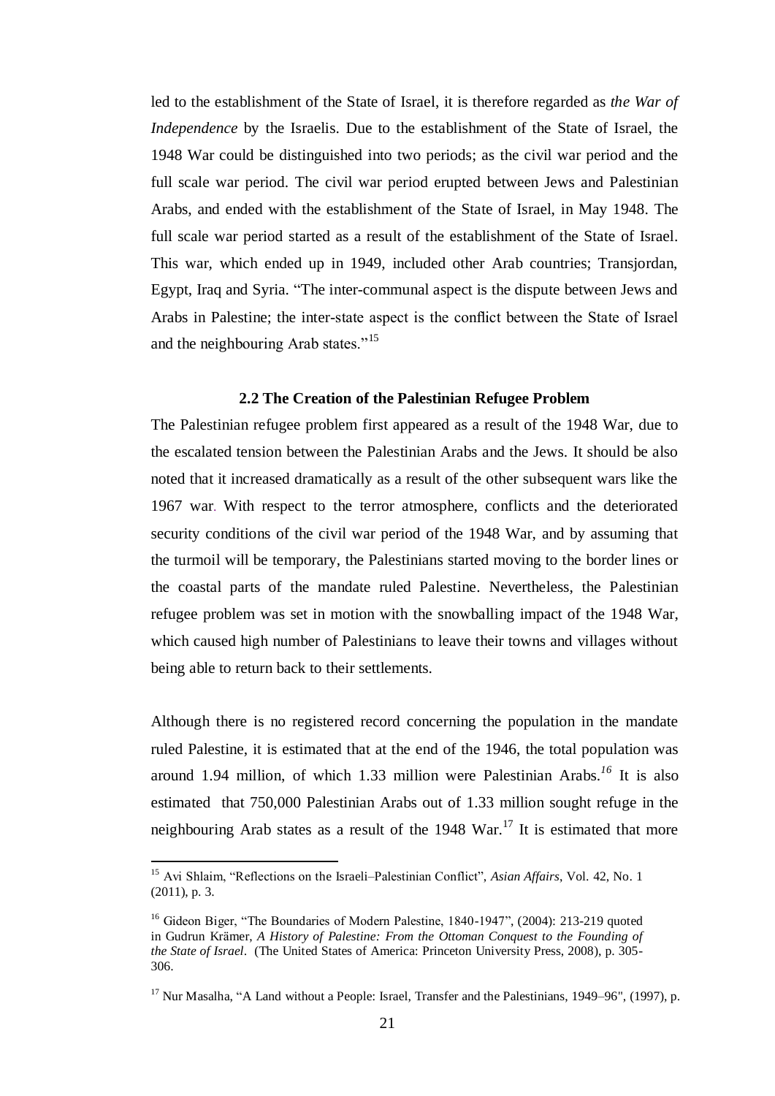led to the establishment of the State of Israel, it is therefore regarded as *the War of Independence* by the Israelis. Due to the establishment of the State of Israel, the 1948 War could be distinguished into two periods; as the civil war period and the full scale war period. The civil war period erupted between Jews and Palestinian Arabs, and ended with the establishment of the State of Israel, in May 1948. The full scale war period started as a result of the establishment of the State of Israel. This war, which ended up in 1949, included other Arab countries; Transjordan, Egypt, Iraq and Syria. "The inter-communal aspect is the dispute between Jews and Arabs in Palestine; the inter-state aspect is the conflict between the State of Israel and the neighbouring Arab states."<sup>15</sup>

## **2.2 The Creation of the Palestinian Refugee Problem**

The Palestinian refugee problem first appeared as a result of the 1948 War, due to the escalated tension between the Palestinian Arabs and the Jews. It should be also noted that it increased dramatically as a result of the other subsequent wars like the 1967 war. With respect to the terror atmosphere, conflicts and the deteriorated security conditions of the civil war period of the 1948 War, and by assuming that the turmoil will be temporary, the Palestinians started moving to the border lines or the coastal parts of the mandate ruled Palestine. Nevertheless, the Palestinian refugee problem was set in motion with the snowballing impact of the 1948 War, which caused high number of Palestinians to leave their towns and villages without being able to return back to their settlements.

Although there is no registered record concerning the population in the mandate ruled Palestine, it is estimated that at the end of the 1946, the total population was around 1.94 million, of which 1.33 million were Palestinian Arabs. *<sup>16</sup>* It is also estimated that 750,000 Palestinian Arabs out of 1.33 million sought refuge in the neighbouring Arab states as a result of the  $1948$  War.<sup>17</sup> It is estimated that more

<sup>15</sup> Avi Shlaim, "Reflections on the Israeli–Palestinian Conflict", *Asian Affairs*, Vol. 42, No. 1 (2011), p. 3.

<sup>&</sup>lt;sup>16</sup> Gideon Biger, "The Boundaries of Modern Palestine, 1840-1947", (2004): 213-219 quoted in Gudrun Krämer, *A History of Palestine: From the Ottoman Conquest to the Founding of the State of Israel*. (The United States of America: Princeton University Press, 2008), p. 305- 306.

 $17$  Nur Masalha, "A Land without a People: Israel, Transfer and the Palestinians, 1949–96", (1997), p.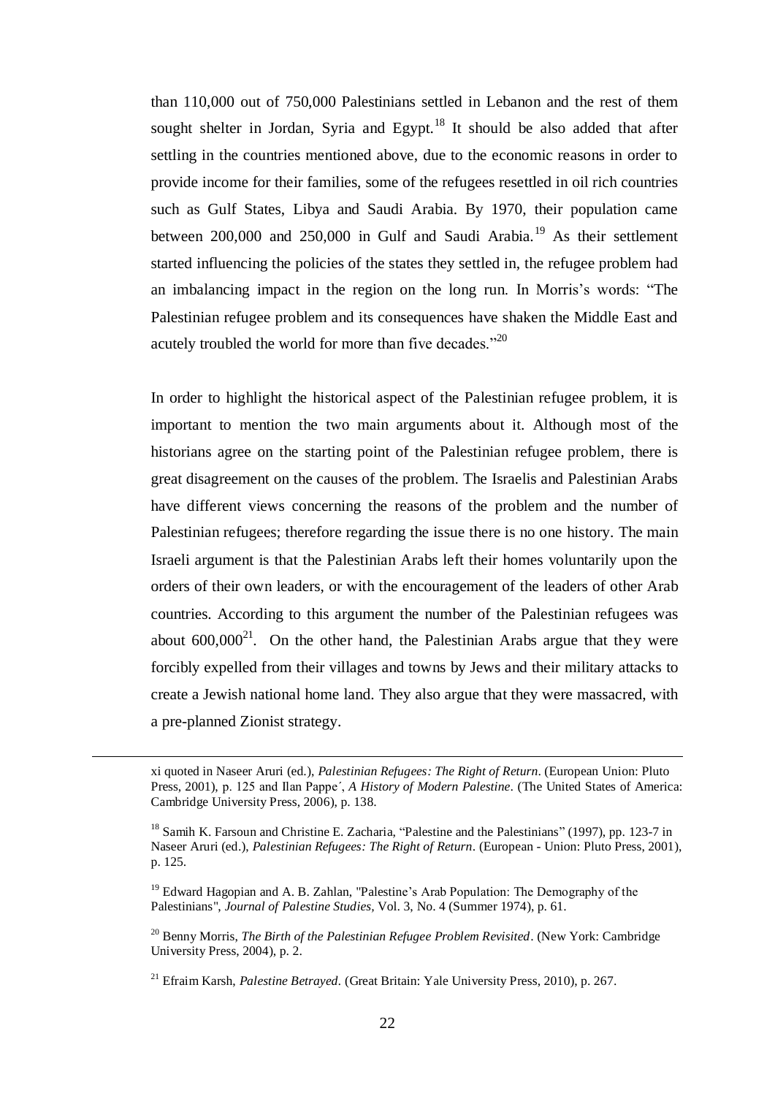than 110,000 out of 750,000 Palestinians settled in Lebanon and the rest of them sought shelter in Jordan, Syria and Egypt.<sup>18</sup> It should be also added that after settling in the countries mentioned above, due to the economic reasons in order to provide income for their families, some of the refugees resettled in oil rich countries such as Gulf States, Libya and Saudi Arabia. By 1970, their population came between  $200,000$  and  $250,000$  in Gulf and Saudi Arabia.<sup>19</sup> As their settlement started influencing the policies of the states they settled in, the refugee problem had an imbalancing impact in the region on the long run. In Morris's words: "The Palestinian refugee problem and its consequences have shaken the Middle East and acutely troubled the world for more than five decades."<sup>20</sup>

In order to highlight the historical aspect of the Palestinian refugee problem, it is important to mention the two main arguments about it. Although most of the historians agree on the starting point of the Palestinian refugee problem, there is great disagreement on the causes of the problem. The Israelis and Palestinian Arabs have different views concerning the reasons of the problem and the number of Palestinian refugees; therefore regarding the issue there is no one history. The main Israeli argument is that the Palestinian Arabs left their homes voluntarily upon the orders of their own leaders, or with the encouragement of the leaders of other Arab countries. According to this argument the number of the Palestinian refugees was about  $600,000^{21}$ . On the other hand, the Palestinian Arabs argue that they were forcibly expelled from their villages and towns by Jews and their military attacks to create a Jewish national home land. They also argue that they were massacred, with a pre-planned Zionist strategy.

 $\overline{a}$ 

xi quoted in Naseer Aruri (ed.), *Palestinian Refugees: The Right of Return*. (European Union: Pluto Press, 2001), p. 125 and Ilan Pappe´, *A History of Modern Palestine*. (The United States of America: Cambridge University Press, 2006), p. 138.

<sup>&</sup>lt;sup>18</sup> Samih K. Farsoun and Christine E. Zacharia, "Palestine and the Palestinians" (1997), pp. 123-7 in Naseer Aruri (ed.), *Palestinian Refugees: The Right of Return*. (European - Union: Pluto Press, 2001), p. 125.

<sup>&</sup>lt;sup>19</sup> Edward Hagopian and A. B. Zahlan, "Palestine's Arab Population: The Demography of the Palestinians", *Journal of Palestine Studies,* Vol. 3, No. 4 (Summer 1974), p. 61.

<sup>20</sup> Benny Morris, *The Birth of the Palestinian Refugee Problem Revisited*. (New York: Cambridge University Press, 2004), p. 2.

<sup>21</sup> Efraim Karsh, *Palestine Betrayed.* (Great Britain: Yale University Press, 2010), p. 267.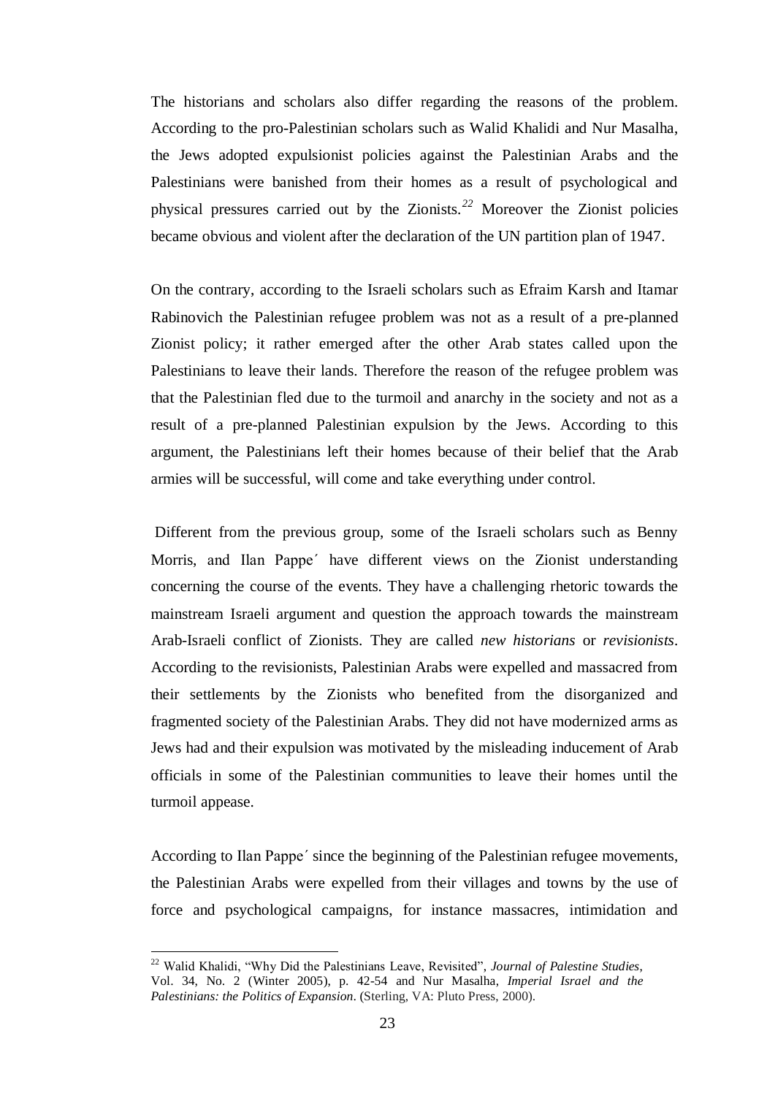The historians and scholars also differ regarding the reasons of the problem. According to the pro-Palestinian scholars such as Walid Khalidi and Nur Masalha, the Jews adopted expulsionist policies against the Palestinian Arabs and the Palestinians were banished from their homes as a result of psychological and physical pressures carried out by the Zionists.*<sup>22</sup>* Moreover the Zionist policies became obvious and violent after the declaration of the UN partition plan of 1947.

On the contrary, according to the Israeli scholars such as Efraim Karsh and Itamar Rabinovich the Palestinian refugee problem was not as a result of a pre-planned Zionist policy; it rather emerged after the other Arab states called upon the Palestinians to leave their lands. Therefore the reason of the refugee problem was that the Palestinian fled due to the turmoil and anarchy in the society and not as a result of a pre-planned Palestinian expulsion by the Jews. According to this argument, the Palestinians left their homes because of their belief that the Arab armies will be successful, will come and take everything under control.

Different from the previous group, some of the Israeli scholars such as Benny Morris, and Ilan Pappe´ have different views on the Zionist understanding concerning the course of the events. They have a challenging rhetoric towards the mainstream Israeli argument and question the approach towards the mainstream Arab-Israeli conflict of Zionists. They are called *new historians* or *revisionists*. According to the revisionists, Palestinian Arabs were expelled and massacred from their settlements by the Zionists who benefited from the disorganized and fragmented society of the Palestinian Arabs. They did not have modernized arms as Jews had and their expulsion was motivated by the misleading inducement of Arab officials in some of the Palestinian communities to leave their homes until the turmoil appease.

According to Ilan Pappe´ since the beginning of the Palestinian refugee movements, the Palestinian Arabs were expelled from their villages and towns by the use of force and psychological campaigns, for instance massacres, intimidation and

<sup>22</sup> Walid Khalidi, "Why Did the Palestinians Leave, Revisited", *Journal of Palestine Studies*, Vol. 34, No. 2 (Winter 2005), p. 42-54 and Nur Masalha, *Imperial Israel and the Palestinians: the Politics of Expansion*. (Sterling, VA: Pluto Press, 2000).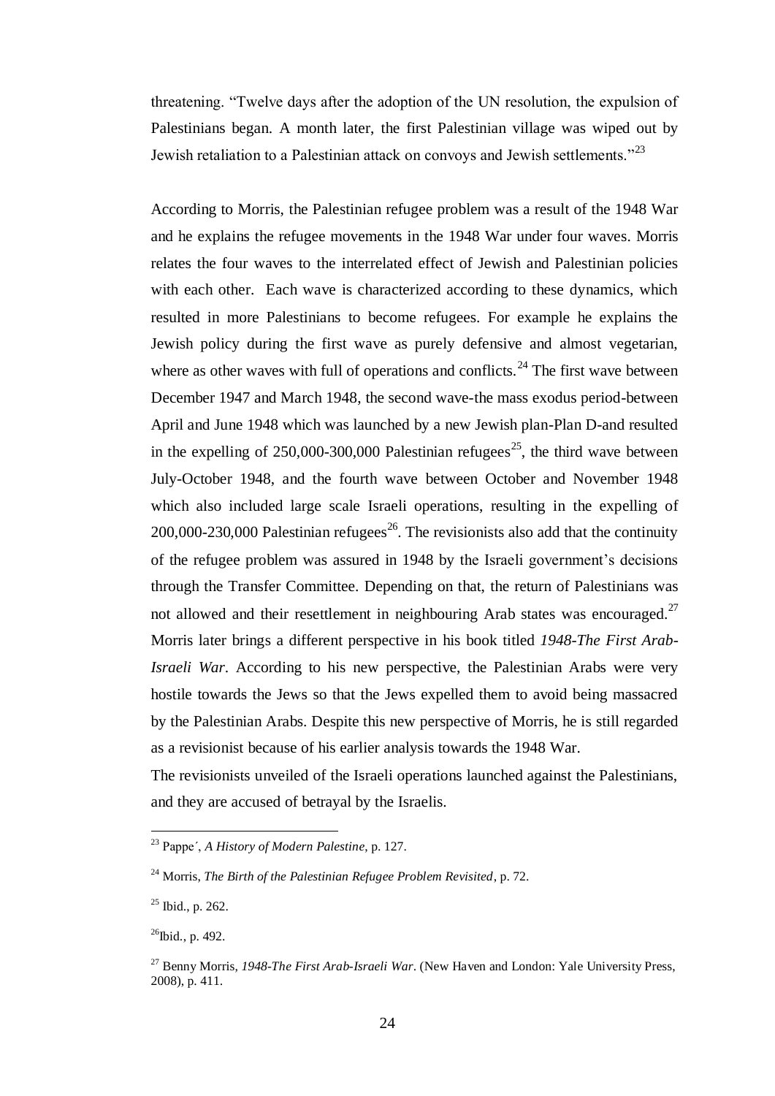threatening. "Twelve days after the adoption of the UN resolution, the expulsion of Palestinians began. A month later, the first Palestinian village was wiped out by Jewish retaliation to a Palestinian attack on convoys and Jewish settlements."<sup>23</sup>

According to Morris, the Palestinian refugee problem was a result of the 1948 War and he explains the refugee movements in the 1948 War under four waves. Morris relates the four waves to the interrelated effect of Jewish and Palestinian policies with each other. Each wave is characterized according to these dynamics, which resulted in more Palestinians to become refugees. For example he explains the Jewish policy during the first wave as purely defensive and almost vegetarian, where as other waves with full of operations and conflicts.<sup>24</sup> The first wave between December 1947 and March 1948, the second wave-the mass exodus period-between April and June 1948 which was launched by a new Jewish plan-Plan D-and resulted in the expelling of  $250,000$ -300,000 Palestinian refugees<sup>25</sup>, the third wave between July-October 1948, and the fourth wave between October and November 1948 which also included large scale Israeli operations, resulting in the expelling of 200,000-230,000 Palestinian refugees<sup>26</sup>. The revisionists also add that the continuity of the refugee problem was assured in 1948 by the Israeli government"s decisions through the Transfer Committee. Depending on that, the return of Palestinians was not allowed and their resettlement in neighbouring Arab states was encouraged.<sup>27</sup> Morris later brings a different perspective in his book titled *1948-The First Arab-Israeli War*. According to his new perspective, the Palestinian Arabs were very hostile towards the Jews so that the Jews expelled them to avoid being massacred by the Palestinian Arabs. Despite this new perspective of Morris, he is still regarded as a revisionist because of his earlier analysis towards the 1948 War.

The revisionists unveiled of the Israeli operations launched against the Palestinians, and they are accused of betrayal by the Israelis.

<sup>23</sup> Pappe´, *A History of Modern Palestine*, p. 127.

<sup>24</sup> Morris, *The Birth of the Palestinian Refugee Problem Revisited*, p. 72.

 $25$  Ibid., p. 262.

 $^{26}$ Ibid., p. 492.

<sup>27</sup> Benny Morris, *1948-The First Arab-Israeli War*. (New Haven and London: Yale University Press, 2008), p. 411.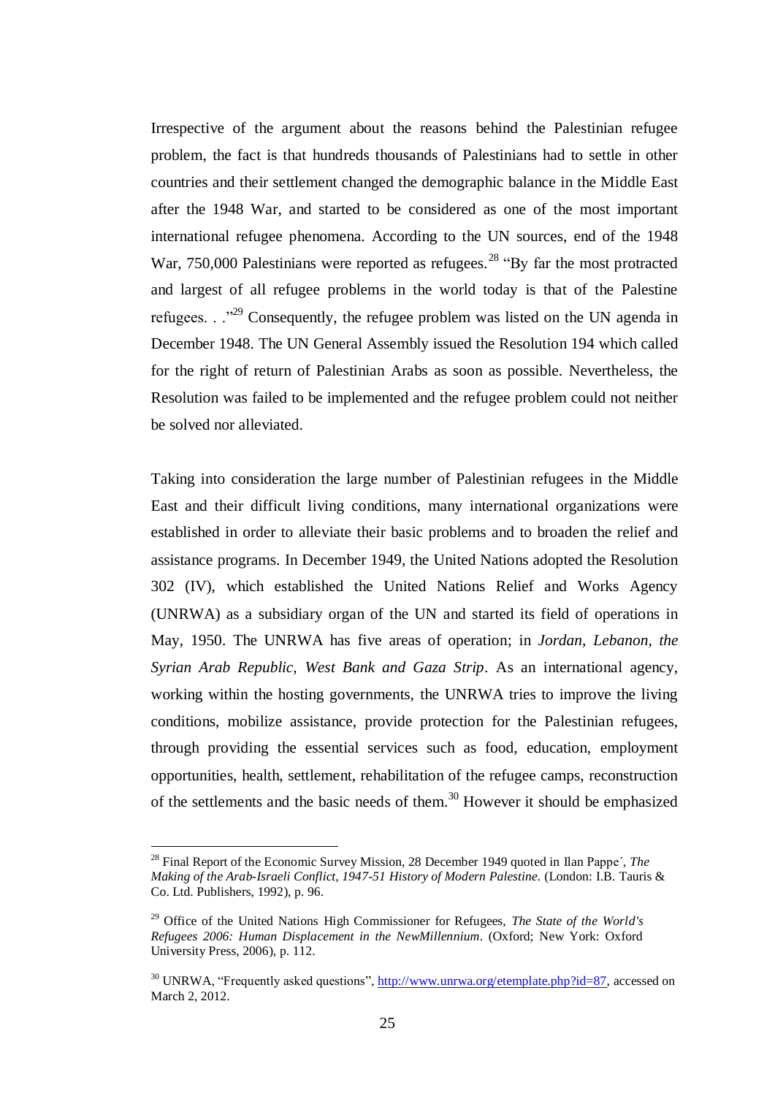Irrespective of the argument about the reasons behind the Palestinian refugee problem, the fact is that hundreds thousands of Palestinians had to settle in other countries and their settlement changed the demographic balance in the Middle East after the 1948 War, and started to be considered as one of the most important international refugee phenomena. According to the UN sources, end of the 1948 War,  $750,000$  Palestinians were reported as refugees.<sup>28</sup> "By far the most protracted and largest of all refugee problems in the world today is that of the Palestine refugees.  $\cdot$   $\cdot$ <sup>29</sup> Consequently, the refugee problem was listed on the UN agenda in December 1948. The UN General Assembly issued the Resolution 194 which called for the right of return of Palestinian Arabs as soon as possible. Nevertheless, the Resolution was failed to be implemented and the refugee problem could not neither be solved nor alleviated.

Taking into consideration the large number of Palestinian refugees in the Middle East and their difficult living conditions, many international organizations were established in order to alleviate their basic problems and to broaden the relief and assistance programs. In December 1949, the United Nations adopted the Resolution 302 (IV), which established the United Nations Relief and Works Agency (UNRWA) as a subsidiary organ of the UN and started its field of operations in May, 1950. The UNRWA has five areas of operation; in *Jordan, Lebanon, the Syrian Arab Republic, West Bank and Gaza Strip*. As an international agency, working within the hosting governments, the UNRWA tries to improve the living conditions, mobilize assistance, provide protection for the Palestinian refugees, through providing the essential services such as food, education, employment opportunities, health, settlement, rehabilitation of the refugee camps, reconstruction of the settlements and the basic needs of them.<sup>30</sup> However it should be emphasized

<sup>28</sup> Final Report of the Economic Survey Mission, 28 December 1949 quoted in Ilan Pappe´, *The Making of the Arab-Israeli Conflict, 1947-51 History of Modern Palestine*. (London: I.B. Tauris & Co. Ltd. Publishers, 1992), p. 96.

<sup>29</sup> Office of the United Nations High Commissioner for Refugees, *The State of the World's Refugees 2006: Human Displacement in the NewMillennium*. (Oxford; New York: Oxford University Press, 2006), p. 112.

<sup>&</sup>lt;sup>30</sup> UNRWA, "Frequently asked questions", [http://www.unrwa.org/etemplate.php?id=87,](http://www.unrwa.org/etemplate.php?id=87) accessed on March 2, 2012.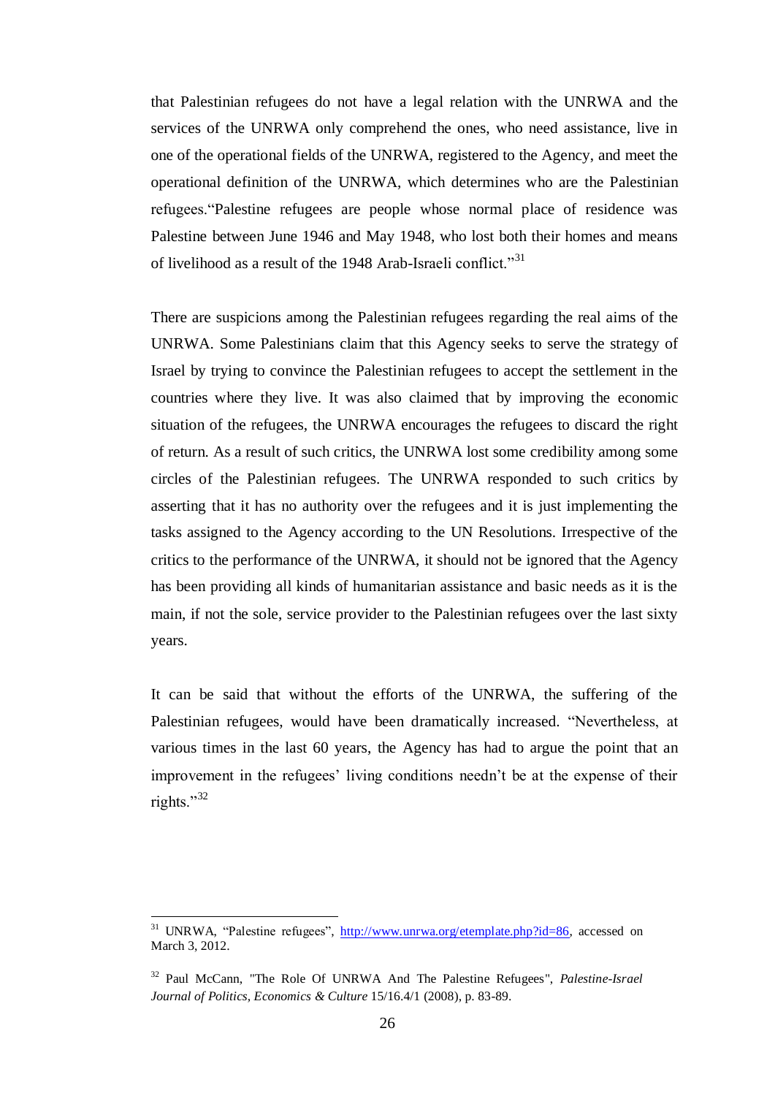that Palestinian refugees do not have a legal relation with the UNRWA and the services of the UNRWA only comprehend the ones, who need assistance, live in one of the operational fields of the UNRWA, registered to the Agency, and meet the operational definition of the UNRWA, which determines who are the Palestinian refugees."Palestine refugees are people whose normal place of residence was Palestine between June 1946 and May 1948, who lost both their homes and means of livelihood as a result of the 1948 Arab-Israeli conflict."<sup>31</sup>

There are suspicions among the Palestinian refugees regarding the real aims of the UNRWA. Some Palestinians claim that this Agency seeks to serve the strategy of Israel by trying to convince the Palestinian refugees to accept the settlement in the countries where they live. It was also claimed that by improving the economic situation of the refugees, the UNRWA encourages the refugees to discard the right of return. As a result of such critics, the UNRWA lost some credibility among some circles of the Palestinian refugees. The UNRWA responded to such critics by asserting that it has no authority over the refugees and it is just implementing the tasks assigned to the Agency according to the UN Resolutions. Irrespective of the critics to the performance of the UNRWA, it should not be ignored that the Agency has been providing all kinds of humanitarian assistance and basic needs as it is the main, if not the sole, service provider to the Palestinian refugees over the last sixty years.

It can be said that without the efforts of the UNRWA, the suffering of the Palestinian refugees, would have been dramatically increased. "Nevertheless, at various times in the last 60 years, the Agency has had to argue the point that an improvement in the refugees' living conditions needn't be at the expense of their rights." $32$ 

<sup>&</sup>lt;sup>31</sup> UNRWA, "Palestine refugees", [http://www.unrwa.org/etemplate.php?id=86,](http://www.unrwa.org/etemplate.php?id=86) accessed on March 3, 2012.

<sup>32</sup> Paul McCann, "The Role Of UNRWA And The Palestine Refugees", *Palestine-Israel Journal of Politics, Economics & Culture* 15/16.4/1 (2008), p. 83-89.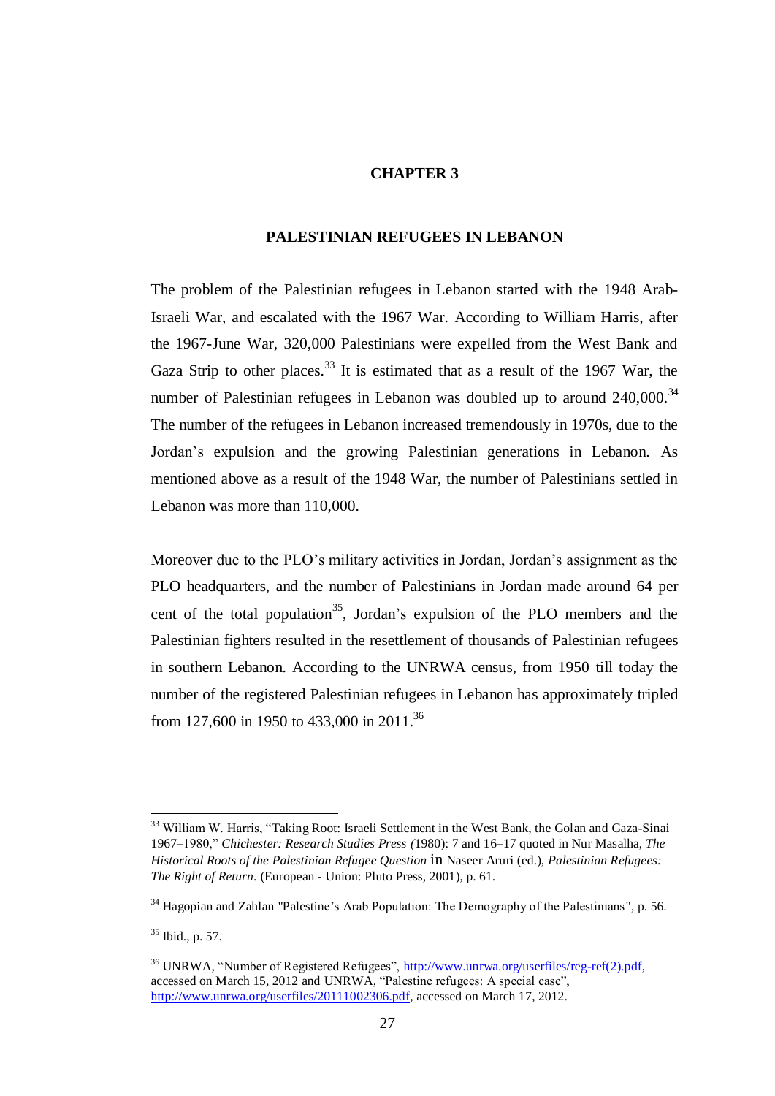# **CHAPTER 3**

# **PALESTINIAN REFUGEES IN LEBANON**

The problem of the Palestinian refugees in Lebanon started with the 1948 Arab-Israeli War, and escalated with the 1967 War. According to William Harris, after the 1967-June War, 320,000 Palestinians were expelled from the West Bank and Gaza Strip to other places.<sup>33</sup> It is estimated that as a result of the 1967 War, the number of Palestinian refugees in Lebanon was doubled up to around  $240,000$ .<sup>34</sup> The number of the refugees in Lebanon increased tremendously in 1970s, due to the Jordan"s expulsion and the growing Palestinian generations in Lebanon. As mentioned above as a result of the 1948 War, the number of Palestinians settled in Lebanon was more than 110,000.

Moreover due to the PLO's military activities in Jordan, Jordan's assignment as the PLO headquarters, and the number of Palestinians in Jordan made around 64 per cent of the total population<sup>35</sup>, Jordan's expulsion of the PLO members and the Palestinian fighters resulted in the resettlement of thousands of Palestinian refugees in southern Lebanon. According to the UNRWA census, from 1950 till today the number of the registered Palestinian refugees in Lebanon has approximately tripled from 127,600 in 1950 to 433,000 in 2011.<sup>36</sup>

<sup>&</sup>lt;sup>33</sup> William W. Harris, "Taking Root: Israeli Settlement in the West Bank, the Golan and Gaza-Sinai 1967–1980," *Chichester: Research Studies Press (*1980): 7 and 16–17 quoted in Nur Masalha, *The Historical Roots of the Palestinian Refugee Question* in Naseer Aruri (ed.), *Palestinian Refugees: The Right of Return*. (European - Union: Pluto Press, 2001), p. 61.

 $34$  Hagopian and Zahlan "Palestine's Arab Population: The Demography of the Palestinians", p. 56.

<sup>35</sup> Ibid., p. 57.

<sup>&</sup>lt;sup>36</sup> UNRWA, "Number of Registered Refugees", [http://www.unrwa.org/userfiles/reg-ref\(2\).pdf,](http://www.unrwa.org/userfiles/reg-ref(2).pdf) accessed on March 15, 2012 and UNRWA, "Palestine refugees: A special case", [http://www.unrwa.org/userfiles/20111002306.pdf,](http://www.unrwa.org/userfiles/20111002306.pdf) accessed on March 17, 2012.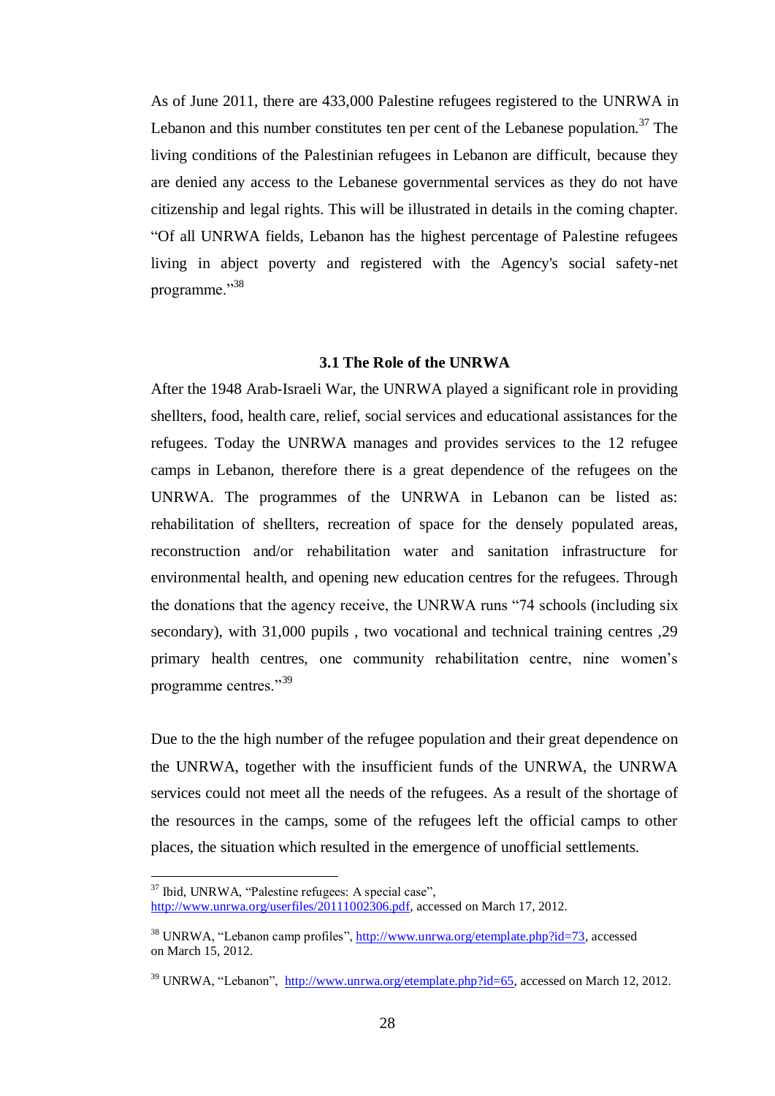As of June 2011, there are 433,000 Palestine refugees registered to the UNRWA in Lebanon and this number constitutes ten per cent of the Lebanese population.<sup>37</sup> The living conditions of the Palestinian refugees in Lebanon are difficult, because they are denied any access to the Lebanese governmental services as they do not have citizenship and legal rights. This will be illustrated in details in the coming chapter. "Of all UNRWA fields, Lebanon has the highest percentage of Palestine refugees living in abject poverty and registered with the Agency's social safety-net programme."<sup>38</sup>

## **3.1 The Role of the UNRWA**

After the 1948 Arab-Israeli War, the UNRWA played a significant role in providing shellters, food, health care, relief, social services and educational assistances for the refugees. Today the UNRWA manages and provides services to the 12 refugee camps in Lebanon, therefore there is a great dependence of the refugees on the UNRWA. The programmes of the UNRWA in Lebanon can be listed as: rehabilitation of shellters, recreation of space for the densely populated areas, reconstruction and/or rehabilitation water and sanitation infrastructure for environmental health, and opening new education centres for the refugees. Through the donations that the agency receive, the UNRWA runs "74 schools (including six secondary), with 31,000 pupils , two vocational and technical training centres ,29 primary health centres, one community rehabilitation centre, nine women"s programme centres."<sup>39</sup>

Due to the the high number of the refugee population and their great dependence on the UNRWA, together with the insufficient funds of the UNRWA, the UNRWA services could not meet all the needs of the refugees. As a result of the shortage of the resources in the camps, some of the refugees left the official camps to other places, the situation which resulted in the emergence of unofficial settlements.

<sup>37</sup> Ibid, UNRWA, "Palestine refugees: A special case",

[http://www.unrwa.org/userfiles/20111002306.pdf,](http://www.unrwa.org/userfiles/20111002306.pdf) accessed on March 17, 2012.

<sup>38</sup> UNRWA, "Lebanon camp profiles", [http://www.unrwa.org/etemplate.php?id=73,](http://www.unrwa.org/etemplate.php?id=73) accessed on March 15, 2012.

<sup>&</sup>lt;sup>39</sup> UNRWA, "Lebanon", [http://www.unrwa.org/etemplate.php?id=65,](http://www.unrwa.org/etemplate.php?id=65) accessed on March 12, 2012.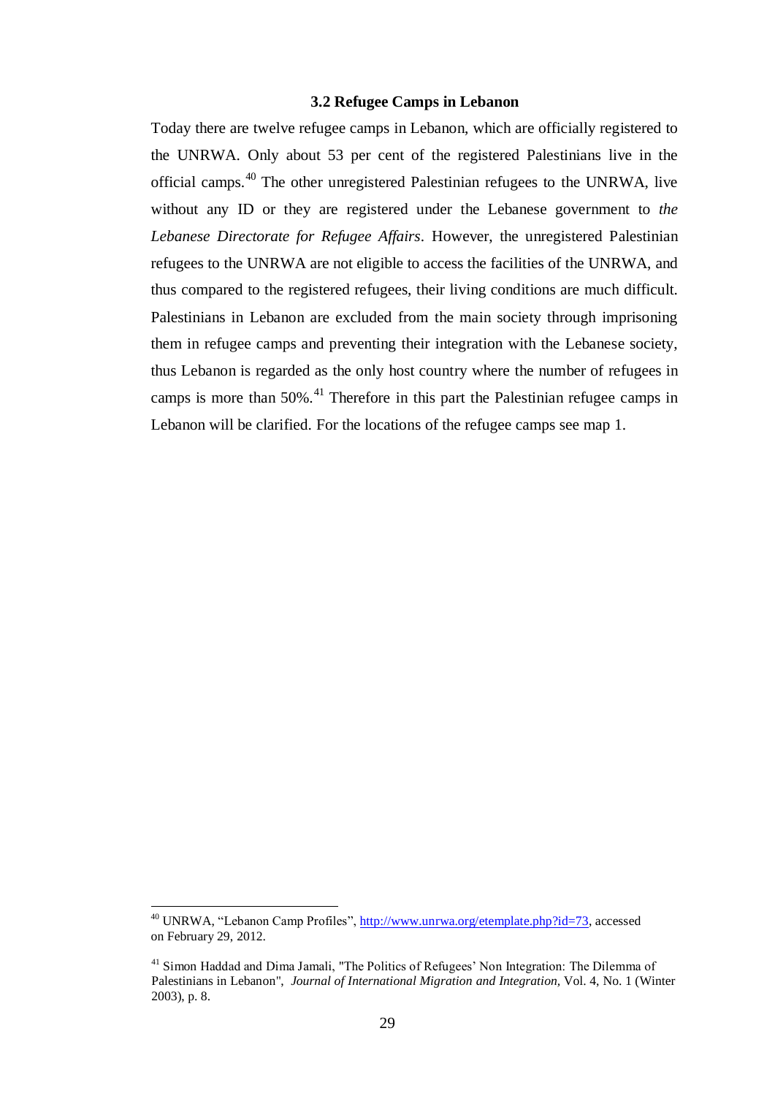## **3.2 Refugee Camps in Lebanon**

Today there are twelve refugee camps in Lebanon, which are officially registered to the UNRWA. Only about 53 per cent of the registered Palestinians live in the official camps.<sup>40</sup> The other unregistered Palestinian refugees to the UNRWA, live without any ID or they are registered under the Lebanese government to *the Lebanese Directorate for Refugee Affairs*. However, the unregistered Palestinian refugees to the UNRWA are not eligible to access the facilities of the UNRWA, and thus compared to the registered refugees, their living conditions are much difficult. Palestinians in Lebanon are excluded from the main society through imprisoning them in refugee camps and preventing their integration with the Lebanese society, thus Lebanon is regarded as the only host country where the number of refugees in camps is more than 50%.<sup>41</sup> Therefore in this part the Palestinian refugee camps in Lebanon will be clarified. For the locations of the refugee camps see map 1.

<sup>40</sup> UNRWA, "Lebanon Camp Profiles", [http://www.unrwa.org/etemplate.php?id=73,](http://www.unrwa.org/etemplate.php?id=73) accessed on February 29, 2012.

<sup>&</sup>lt;sup>41</sup> Simon Haddad and Dima Jamali, "The Politics of Refugees' Non Integration: The Dilemma of Palestinians in Lebanon", *Journal of International Migration and Integration,* Vol. 4, No. 1 (Winter 2003), p. 8.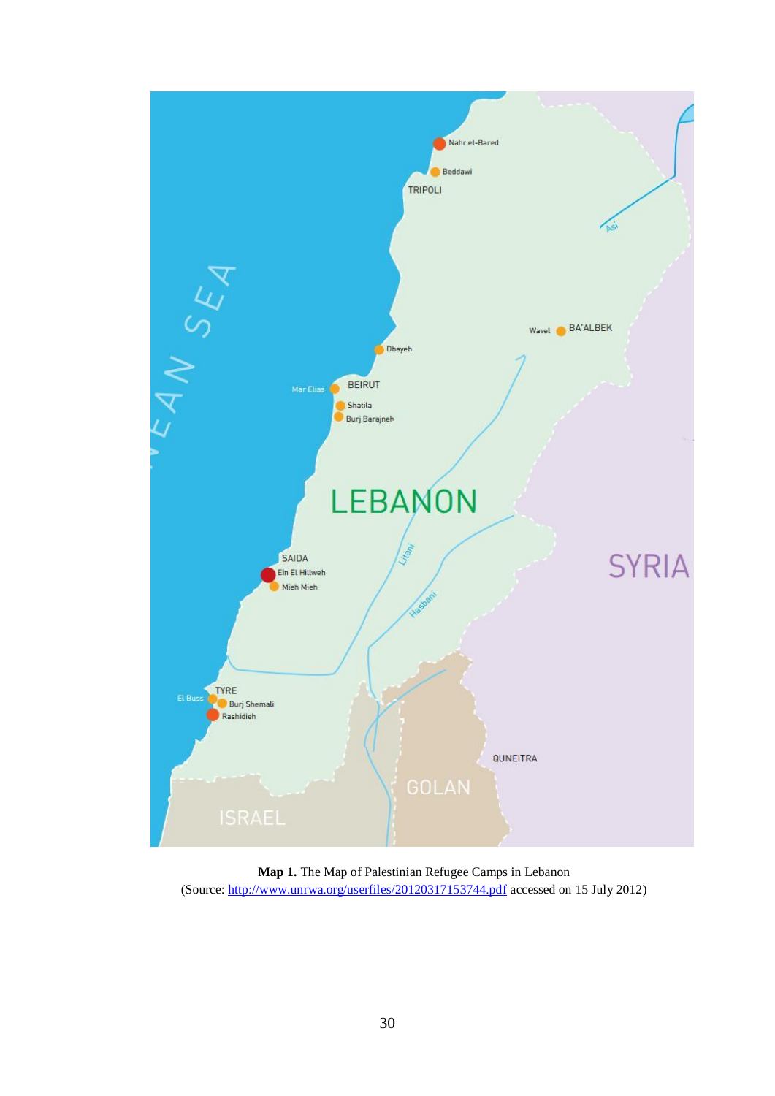

**Map 1.** The Map of Palestinian Refugee Camps in Lebanon (Source:<http://www.unrwa.org/userfiles/20120317153744.pdf> accessed on 15 July 2012)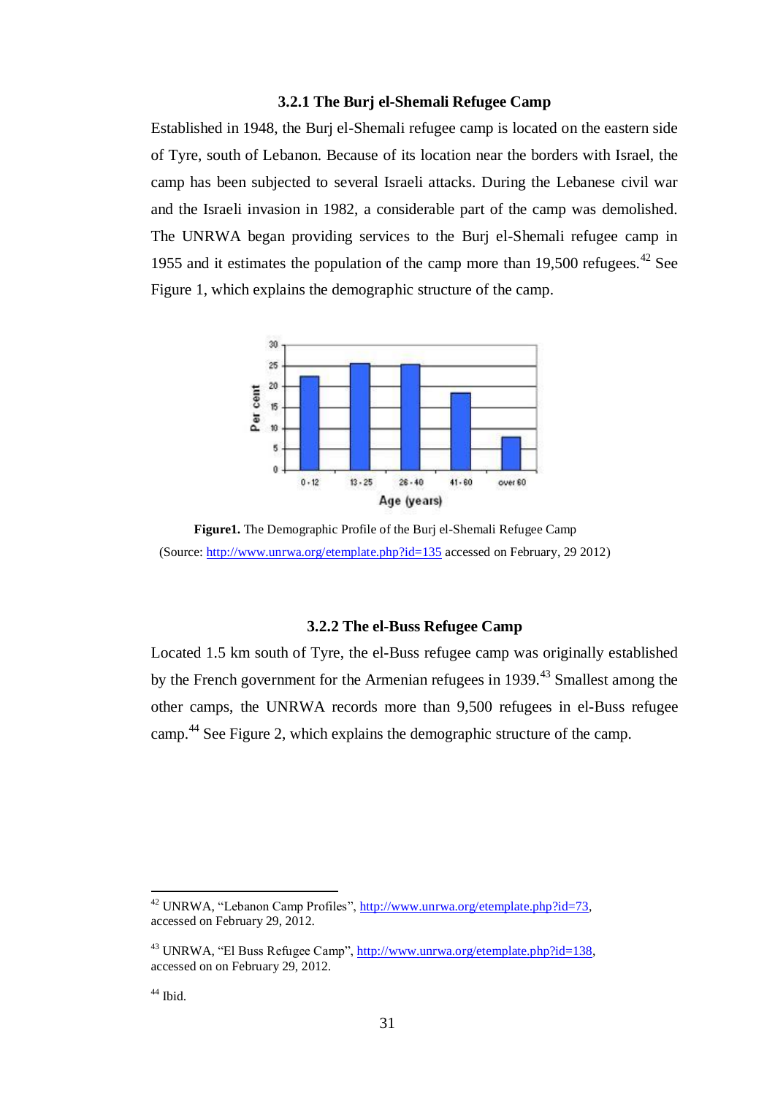## **3.2.1 The Burj el-Shemali Refugee Camp**

Established in 1948, the Burj el-Shemali refugee camp is located on the eastern side of Tyre, south of Lebanon. Because of its location near the borders with Israel, the camp has been subjected to several Israeli attacks. During the Lebanese civil war and the Israeli invasion in 1982, a considerable part of the camp was demolished. The UNRWA began providing services to the Burj el-Shemali refugee camp in 1955 and it estimates the population of the camp more than 19,500 refugees.<sup>42</sup> See Figure 1, which explains the demographic structure of the camp.



**Figure1.** The Demographic Profile of the Burj el-Shemali Refugee Camp (Source:<http://www.unrwa.org/etemplate.php?id=135> accessed on February, 29 2012)

# **3.2.2 The el-Buss Refugee Camp**

Located 1.5 km south of Tyre, the el-Buss refugee camp was originally established by the French government for the Armenian refugees in 1939.<sup>43</sup> Smallest among the other camps, the UNRWA records more than 9,500 refugees in el-Buss refugee camp.<sup>44</sup> See Figure 2, which explains the demographic structure of the camp.

<sup>42</sup> UNRWA, "Lebanon Camp Profiles", [http://www.unrwa.org/etemplate.php?id=73,](http://www.unrwa.org/etemplate.php?id=73)  accessed on February 29, 2012.

<sup>&</sup>lt;sup>43</sup> UNRWA, "El Buss Refugee Camp", http://www.unrwa.org/etemplate.php?id=138, accessed on on February 29, 2012.

<sup>&</sup>lt;sup>44</sup> Ibid.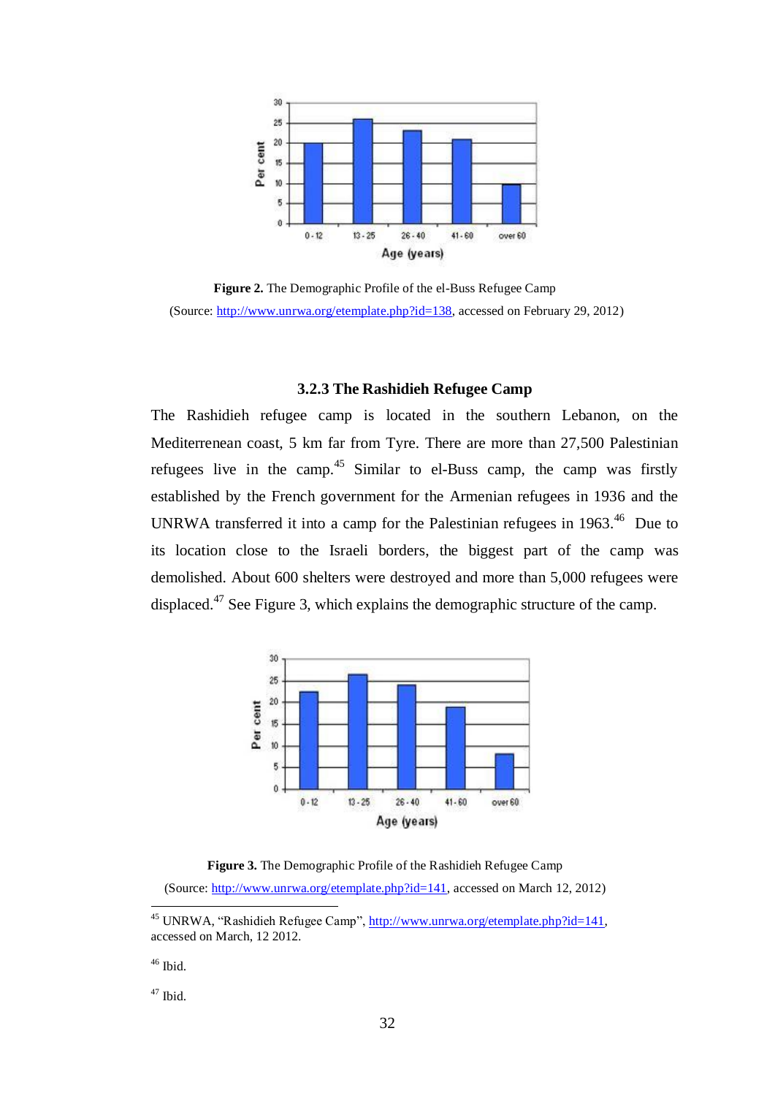

**Figure 2.** The Demographic Profile of the el-Buss Refugee Camp (Source: [http://www.unrwa.org/etemplate.php?id=138,](http://www.unrwa.org/etemplate.php?id=138) accessed on February 29, 2012)

## **3.2.3 The Rashidieh Refugee Camp**

The Rashidieh refugee camp is located in the southern Lebanon, on the Mediterrenean coast, 5 km far from Tyre. There are more than 27,500 Palestinian refugees live in the camp.<sup>45</sup> Similar to el-Buss camp, the camp was firstly established by the French government for the Armenian refugees in 1936 and the UNRWA transferred it into a camp for the Palestinian refugees in  $1963$ .<sup>46</sup> Due to its location close to the Israeli borders, the biggest part of the camp was demolished. About 600 shelters were destroyed and more than 5,000 refugees were displaced.<sup>47</sup> See Figure 3, which explains the demographic structure of the camp.



**Figure 3.** The Demographic Profile of the Rashidieh Refugee Camp (Source: [http://www.unrwa.org/etemplate.php?id=141,](http://www.unrwa.org/etemplate.php?id=141) accessed on March 12, 2012)

 $46$  Ibid.

 $47$  Ibid.

<sup>45</sup> UNRWA, "Rashidieh Refugee Camp", [http://www.unrwa.org/etemplate.php?id=141,](http://www.unrwa.org/etemplate.php?id=141) accessed on March, 12 2012.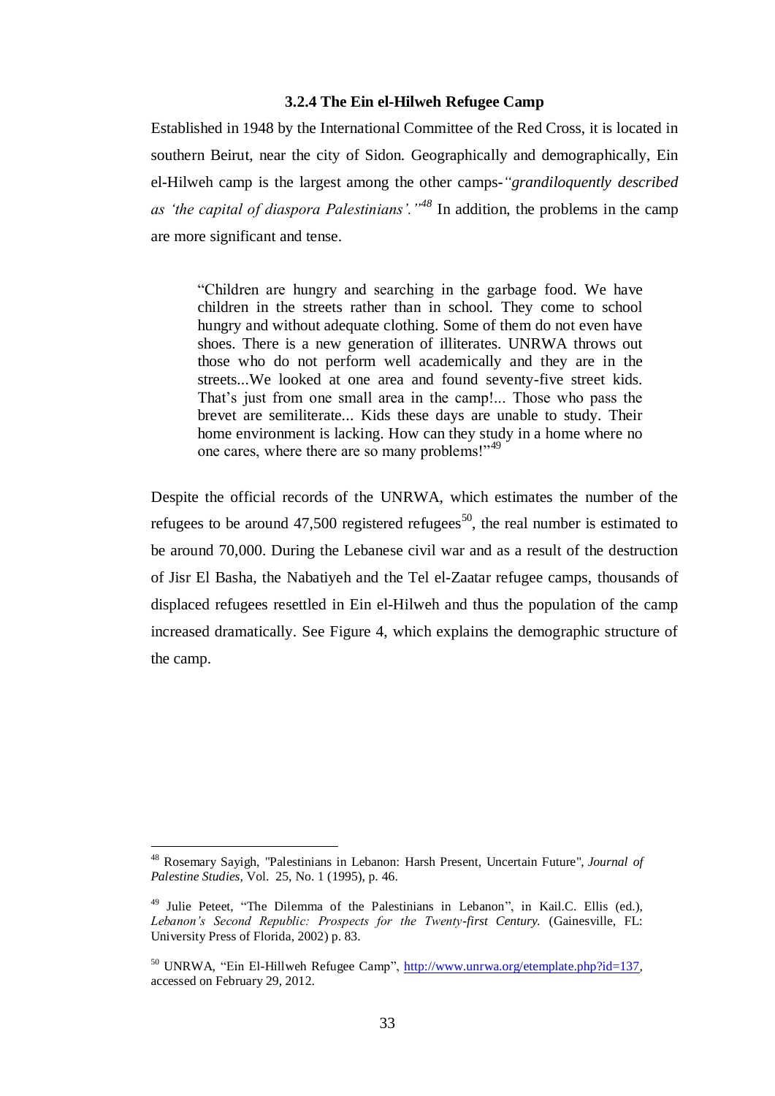## **3.2.4 The Ein el-Hilweh Refugee Camp**

Established in 1948 by the International Committee of the Red Cross, it is located in southern Beirut, near the city of Sidon. Geographically and demographically, Ein el-Hilweh camp is the largest among the other camps-*"grandiloquently described as "the capital of diaspora Palestinians"."<sup>48</sup>* In addition, the problems in the camp are more significant and tense.

"Children are hungry and searching in the garbage food. We have children in the streets rather than in school. They come to school hungry and without adequate clothing. Some of them do not even have shoes. There is a new generation of illiterates. UNRWA throws out those who do not perform well academically and they are in the streets...We looked at one area and found seventy-five street kids. That's just from one small area in the camp!... Those who pass the brevet are semiliterate... Kids these days are unable to study. Their home environment is lacking. How can they study in a home where no one cares, where there are so many problems!"<sup>49</sup>

Despite the official records of the UNRWA, which estimates the number of the refugees to be around  $47,500$  registered refugees<sup>50</sup>, the real number is estimated to be around 70,000. During the Lebanese civil war and as a result of the destruction of Jisr El Basha, the Nabatiyeh and the Tel el-Zaatar refugee camps, thousands of displaced refugees resettled in Ein el-Hilweh and thus the population of the camp increased dramatically. See Figure 4, which explains the demographic structure of the camp.

<sup>48</sup> Rosemary Sayigh, "Palestinians in Lebanon: Harsh Present, Uncertain Future", *Journal of Palestine Studies,* Vol. 25, No. 1 (1995), p. 46.

<sup>49</sup> Julie Peteet, "The Dilemma of the Palestinians in Lebanon", in Kail.C. Ellis (ed.), *Lebanon"s Second Republic: Prospects for the Twenty-first Century.* (Gainesville, FL: University Press of Florida, 2002) p. 83.

<sup>&</sup>lt;sup>50</sup> UNRWA, "Ein El-Hillweh Refugee Camp", [http://www.unrwa.org/etemplate.php?id=137,](http://www.unrwa.org/etemplate.php?id=137) accessed on February 29, 2012.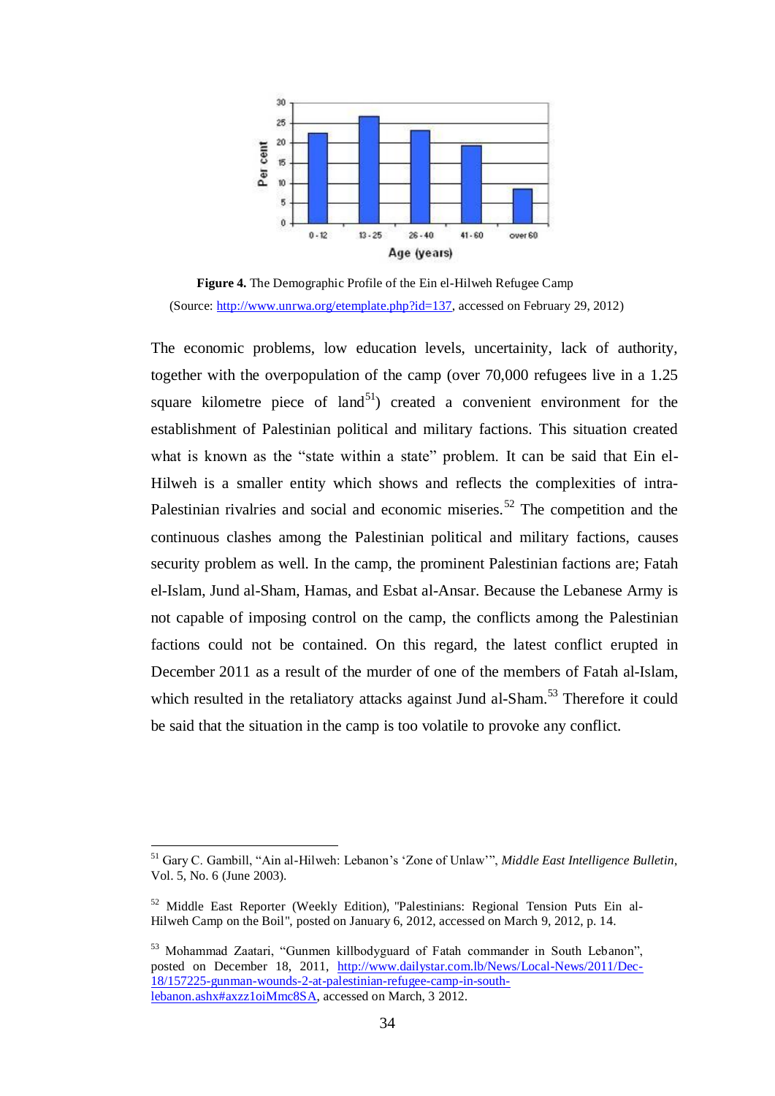

**Figure 4.** The Demographic Profile of the Ein el-Hilweh Refugee Camp (Source: [http://www.unrwa.org/etemplate.php?id=137,](http://www.unrwa.org/etemplate.php?id=137) accessed on February 29, 2012)

The economic problems, low education levels, uncertainity, lack of authority, together with the overpopulation of the camp (over 70,000 refugees live in a 1.25 square kilometre piece of land<sup>51</sup>) created a convenient environment for the establishment of Palestinian political and military factions. This situation created what is known as the "state within a state" problem. It can be said that Ein el-Hilweh is a smaller entity which shows and reflects the complexities of intra-Palestinian rivalries and social and economic miseries.<sup>52</sup> The competition and the continuous clashes among the Palestinian political and military factions, causes security problem as well. In the camp, the prominent Palestinian factions are; Fatah el-Islam, Jund al-Sham, Hamas, and Esbat al-Ansar. Because the Lebanese Army is not capable of imposing control on the camp, the conflicts among the Palestinian factions could not be contained. On this regard, the latest conflict erupted in December 2011 as a result of the murder of one of the members of Fatah al-Islam, which resulted in the retaliatory attacks against Jund al-Sham.<sup>53</sup> Therefore it could be said that the situation in the camp is too volatile to provoke any conflict.

<sup>&</sup>lt;sup>51</sup> Gary C. Gambill, "Ain al-Hilweh: Lebanon's 'Zone of Unlaw'", *Middle East Intelligence Bulletin*, Vol. 5, No. 6 (June 2003).

<sup>52</sup> Middle East Reporter (Weekly Edition), "Palestinians: Regional Tension Puts Ein al-Hilweh Camp on the Boil", posted on January 6, 2012, accessed on March 9, 2012, p. 14.

<sup>53</sup> Mohammad Zaatari, "Gunmen killbodyguard of Fatah commander in South Lebanon", posted on December 18, 2011, [http://www.dailystar.com.lb/News/Local-News/2011/Dec-](http://www.dailystar.com.lb/News/Local-News/2011/Dec-18/157225-gunman-wounds-2-at-palestinian-refugee-camp-in-south-lebanon.ashx#axzz1oiMmc8SA)[18/157225-gunman-wounds-2-at-palestinian-refugee-camp-in-south](http://www.dailystar.com.lb/News/Local-News/2011/Dec-18/157225-gunman-wounds-2-at-palestinian-refugee-camp-in-south-lebanon.ashx#axzz1oiMmc8SA)[lebanon.ashx#axzz1oiMmc8SA,](http://www.dailystar.com.lb/News/Local-News/2011/Dec-18/157225-gunman-wounds-2-at-palestinian-refugee-camp-in-south-lebanon.ashx#axzz1oiMmc8SA) accessed on March, 3 2012.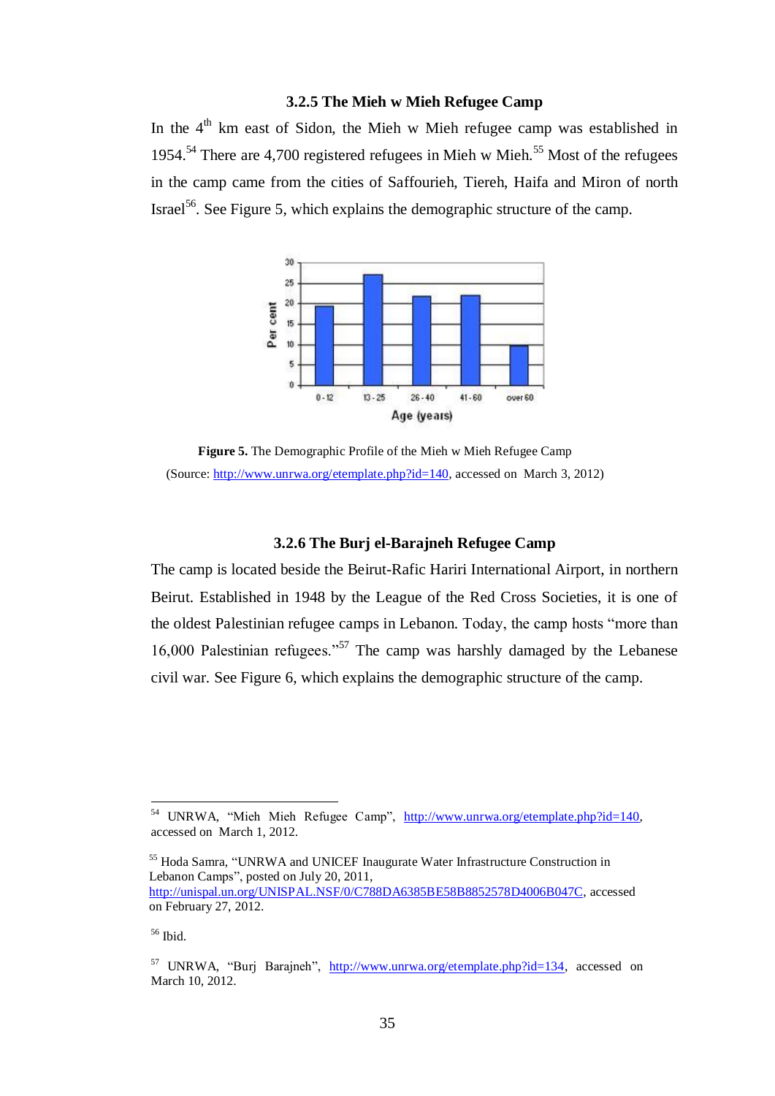## **3.2.5 The Mieh w Mieh Refugee Camp**

In the  $4<sup>th</sup>$  km east of Sidon, the Mieh w Mieh refugee camp was established in 1954.<sup>54</sup> There are 4,700 registered refugees in Mieh w Mieh.<sup>55</sup> Most of the refugees in the camp came from the cities of Saffourieh, Tiereh, Haifa and Miron of north Israel<sup>56</sup>. See Figure 5, which explains the demographic structure of the camp.



**Figure 5.** The Demographic Profile of the Mieh w Mieh Refugee Camp (Source: [http://www.unrwa.org/etemplate.php?id=140,](http://www.unrwa.org/etemplate.php?id=140) accessed on March 3, 2012)

## **3.2.6 The Burj el-Barajneh Refugee Camp**

The camp is located beside the Beirut-Rafic Hariri International Airport, in northern Beirut. Established in 1948 by the League of the Red Cross Societies, it is one of the oldest Palestinian refugee camps in Lebanon. Today, the camp hosts "more than 16,000 Palestinian refugees."<sup>57</sup> The camp was harshly damaged by the Lebanese civil war. See Figure 6, which explains the demographic structure of the camp.

<sup>&</sup>lt;sup>54</sup> UNRWA, "Mieh Mieh Refugee Camp", [http://www.unrwa.org/etemplate.php?id=140,](http://www.unrwa.org/etemplate.php?id=140) accessed on March 1, 2012.

<sup>55</sup> Hoda Samra, "UNRWA and UNICEF Inaugurate Water Infrastructure Construction in Lebanon Camps", posted on July 20, 2011, [http://unispal.un.org/UNISPAL.NSF/0/C788DA6385BE58B8852578D4006B047C,](http://unispal.un.org/UNISPAL.NSF/0/C788DA6385BE58B8852578D4006B047C) accessed on February 27, 2012.

 $56$  Ibid.

 $57$  UNRWA, "Burj Barajneh", [http://www.unrwa.org/etemplate.php?id=134,](http://www.unrwa.org/etemplate.php?id=134) accessed on March 10, 2012.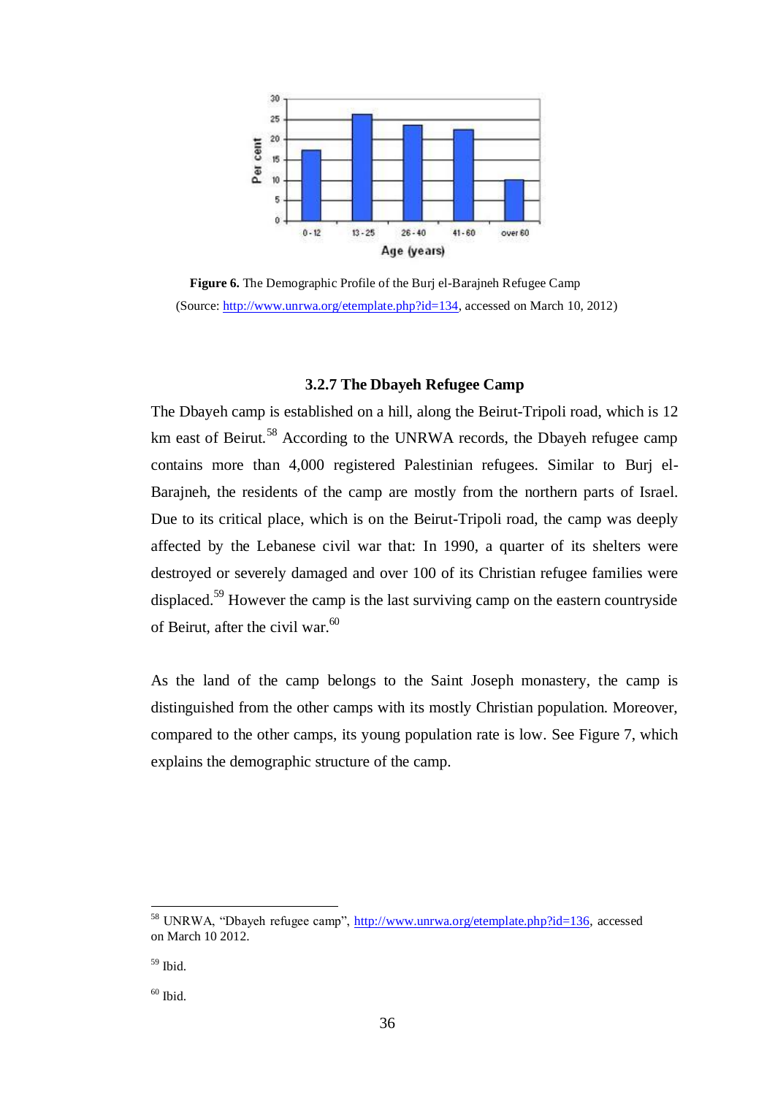

**Figure 6.** The Demographic Profile of the Burj el-Barajneh Refugee Camp (Source: [http://www.unrwa.org/etemplate.php?id=134,](http://www.unrwa.org/etemplate.php?id=134) accessed on March 10, 2012)

## **3.2.7 The Dbayeh Refugee Camp**

The Dbayeh camp is established on a hill, along the Beirut-Tripoli road, which is 12 km east of Beirut.<sup>58</sup> According to the UNRWA records, the Dbayeh refugee camp contains more than 4,000 registered Palestinian refugees. Similar to Burj el-Barajneh, the residents of the camp are mostly from the northern parts of Israel. Due to its critical place, which is on the Beirut-Tripoli road, the camp was deeply affected by the Lebanese civil war that: In 1990, a quarter of its shelters were destroyed or severely damaged and over 100 of its Christian refugee families were displaced.<sup>59</sup> However the camp is the last surviving camp on the eastern countryside of Beirut, after the civil war. 60

As the land of the camp belongs to the Saint Joseph monastery, the camp is distinguished from the other camps with its mostly Christian population. Moreover, compared to the other camps, its young population rate is low. See Figure 7, which explains the demographic structure of the camp.

<sup>58</sup> UNRWA, "Dbayeh refugee camp", [http://www.unrwa.org/etemplate.php?id=136,](http://www.unrwa.org/etemplate.php?id=136) accessed on March 10 2012.

 $59$  Ibid.

 $60$  Ibid.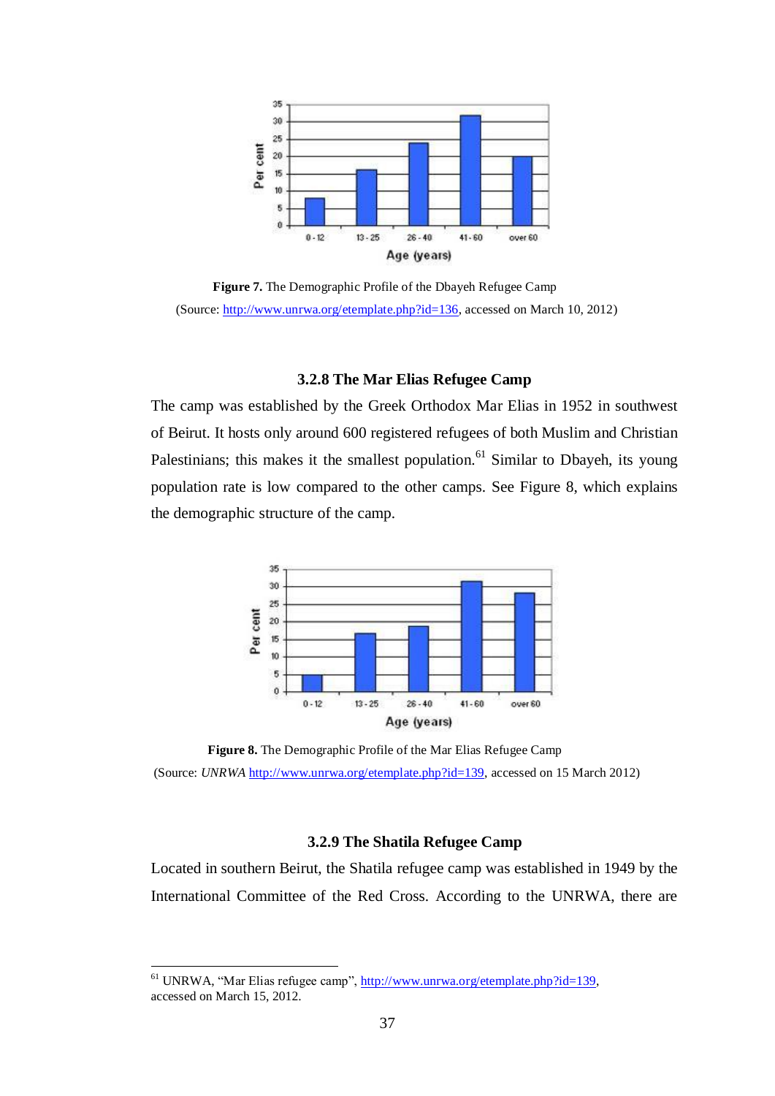

**Figure 7.** The Demographic Profile of the Dbayeh Refugee Camp (Source: [http://www.unrwa.org/etemplate.php?id=136,](http://www.unrwa.org/etemplate.php?id=136) accessed on March 10, 2012)

## **3.2.8 The Mar Elias Refugee Camp**

The camp was established by the Greek Orthodox Mar Elias in 1952 in southwest of Beirut. It hosts only around 600 registered refugees of both Muslim and Christian Palestinians; this makes it the smallest population.<sup>61</sup> Similar to Dbayeh, its young population rate is low compared to the other camps. See Figure 8, which explains the demographic structure of the camp.



**Figure 8.** The Demographic Profile of the Mar Elias Refugee Camp (Source: *UNRWA* [http://www.unrwa.org/etemplate.php?id=139,](http://www.unrwa.org/etemplate.php?id=139) accessed on 15 March 2012)

## **3.2.9 The Shatila Refugee Camp**

Located in southern Beirut, the Shatila refugee camp was established in 1949 by the International Committee of the Red Cross. According to the UNRWA, there are

<sup>&</sup>lt;sup>61</sup> UNRWA, "Mar Elias refugee camp", [http://www.unrwa.org/etemplate.php?id=139,](http://www.unrwa.org/etemplate.php?id=139) accessed on March 15, 2012.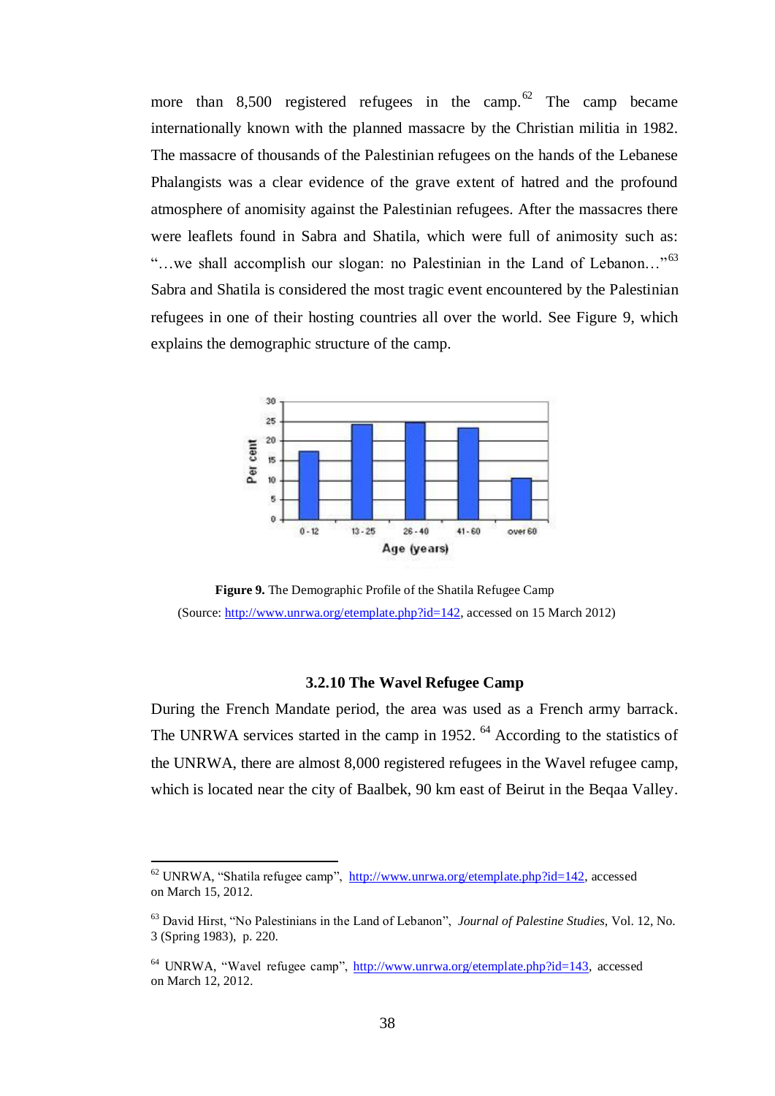more than 8,500 registered refugees in the camp.<sup>62</sup> The camp became internationally known with the planned massacre by the Christian militia in 1982. The massacre of thousands of the Palestinian refugees on the hands of the Lebanese Phalangists was a clear evidence of the grave extent of hatred and the profound atmosphere of anomisity against the Palestinian refugees. After the massacres there were leaflets found in Sabra and Shatila, which were full of animosity such as: "...we shall accomplish our slogan: no Palestinian in the Land of Lebanon..."<sup>63</sup> Sabra and Shatila is considered the most tragic event encountered by the Palestinian refugees in one of their hosting countries all over the world. See Figure 9, which explains the demographic structure of the camp.



**Figure 9.** The Demographic Profile of the Shatila Refugee Camp (Source: [http://www.unrwa.org/etemplate.php?id=142,](http://www.unrwa.org/etemplate.php?id=142) accessed on 15 March 2012)

## **3.2.10 The Wavel Refugee Camp**

During the French Mandate period, the area was used as a French army barrack. The UNRWA services started in the camp in 1952.  $^{64}$  According to the statistics of the UNRWA, there are almost 8,000 registered refugees in the Wavel refugee camp, which is located near the city of Baalbek, 90 km east of Beirut in the Beqaa Valley.

 $62$  UNRWA, "Shatila refugee camp", [http://www.unrwa.org/etemplate.php?id=142,](http://www.unrwa.org/etemplate.php?id=142) accessed on March 15, 2012.

<sup>63</sup> David Hirst, "No Palestinians in the Land of Lebanon", *Journal of Palestine Studies,* Vol. 12, No. 3 (Spring 1983), p. 220.

 $64$  UNRWA, "Wavel refugee camp", [http://www.unrwa.org/etemplate.php?id=143,](http://www.unrwa.org/etemplate.php?id=143) accessed on March 12, 2012.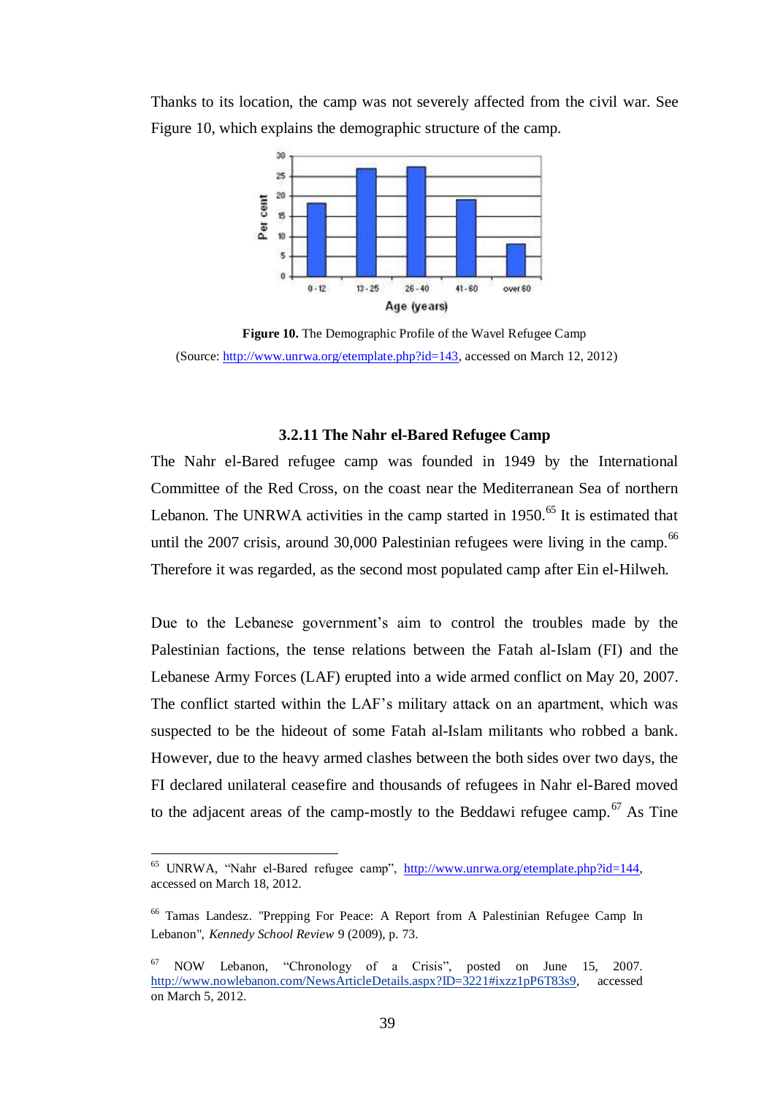

Thanks to its location, the camp was not severely affected from the civil war. See Figure 10, which explains the demographic structure of the camp.

**Figure 10.** The Demographic Profile of the Wavel Refugee Camp (Source: [http://www.unrwa.org/etemplate.php?id=143,](http://www.unrwa.org/etemplate.php?id=143) accessed on March 12, 2012)

#### **3.2.11 The Nahr el-Bared Refugee Camp**

The Nahr el-Bared refugee camp was founded in 1949 by the International Committee of the Red Cross, on the coast near the Mediterranean Sea of northern Lebanon. The UNRWA activities in the camp started in 1950.<sup>65</sup> It is estimated that until the 2007 crisis, around 30,000 Palestinian refugees were living in the camp. $66$ Therefore it was regarded, as the second most populated camp after Ein el-Hilweh.

Due to the Lebanese government's aim to control the troubles made by the Palestinian factions, the tense relations between the Fatah al-Islam (FI) and the Lebanese Army Forces (LAF) erupted into a wide armed conflict on May 20, 2007. The conflict started within the LAF"s military attack on an apartment, which was suspected to be the hideout of some Fatah al-Islam militants who robbed a bank. However, due to the heavy armed clashes between the both sides over two days, the FI declared unilateral ceasefire and thousands of refugees in Nahr el-Bared moved to the adjacent areas of the camp-mostly to the Beddawi refugee camp.<sup>67</sup> As Tine

<sup>65</sup> UNRWA, "Nahr el-Bared refugee camp", [http://www.unrwa.org/etemplate.php?id=144,](http://www.unrwa.org/etemplate.php?id=144) accessed on March 18, 2012.

<sup>66</sup> Tamas Landesz. "Prepping For Peace: A Report from A Palestinian Refugee Camp In Lebanon", *Kennedy School Review* 9 (2009), p. 73.

<sup>67</sup> NOW Lebanon, "Chronology of a Crisis", posted on June 15, 2007. [http://www.nowlebanon.com/NewsArticleDetails.aspx?ID=3221#ixzz1pP6T83s9,](http://www.nowlebanon.com/NewsArticleDetails.aspx?ID=3221#ixzz1pP6T83s9) accessed on March 5, 2012.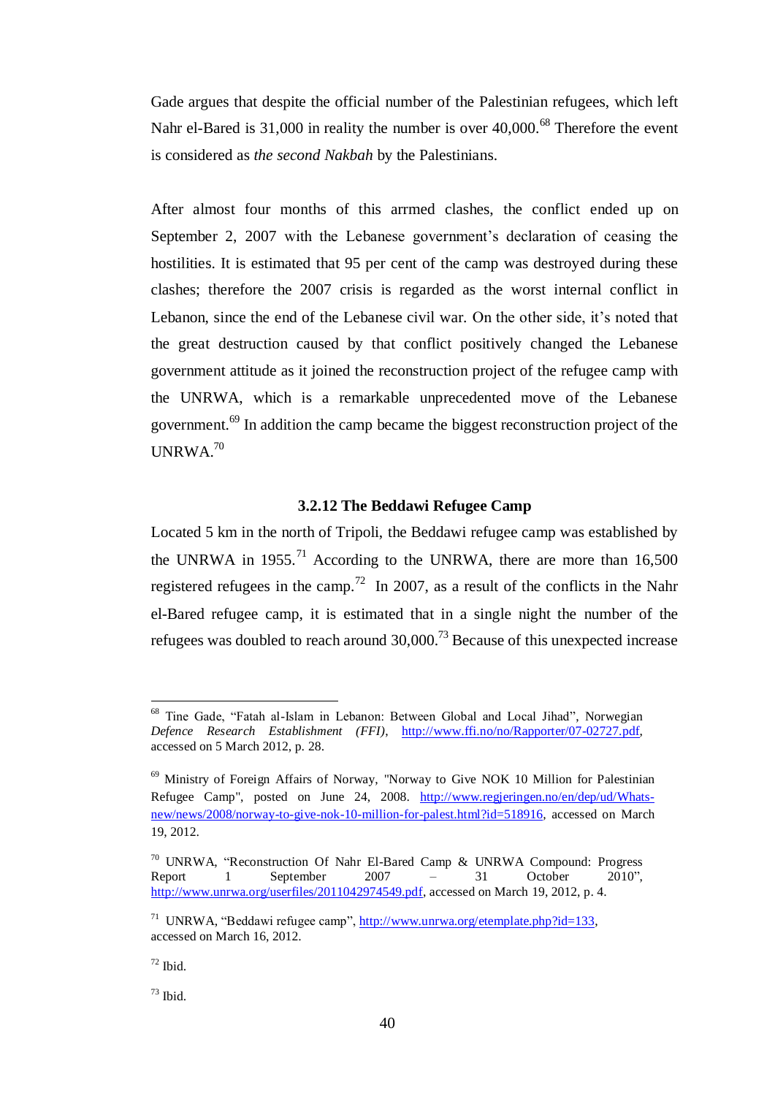Gade argues that despite the official number of the Palestinian refugees, which left Nahr el-Bared is 31,000 in reality the number is over 40,000.<sup>68</sup> Therefore the event is considered as *the second Nakbah* by the Palestinians.

After almost four months of this arrmed clashes, the conflict ended up on September 2, 2007 with the Lebanese government's declaration of ceasing the hostilities. It is estimated that 95 per cent of the camp was destroyed during these clashes; therefore the 2007 crisis is regarded as the worst internal conflict in Lebanon, since the end of the Lebanese civil war. On the other side, it"s noted that the great destruction caused by that conflict positively changed the Lebanese government attitude as it joined the reconstruction project of the refugee camp with the UNRWA, which is a remarkable unprecedented move of the Lebanese government.<sup>69</sup> In addition the camp became the biggest reconstruction project of the  $IINRWA.<sup>70</sup>$ 

## **3.2.12 The Beddawi Refugee Camp**

Located 5 km in the north of Tripoli, the Beddawi refugee camp was established by the UNRWA in 1955.<sup>71</sup> According to the UNRWA, there are more than  $16,500$ registered refugees in the camp.<sup>72</sup> In 2007, as a result of the conflicts in the Nahr el-Bared refugee camp, it is estimated that in a single night the number of the refugees was doubled to reach around  $30,000$ .<sup>73</sup> Because of this unexpected increase

<sup>73</sup> Ibid.

<sup>68</sup> Tine Gade, "Fatah al-Islam in Lebanon: Between Global and Local Jihad", Norwegian *Defence Research Establishment (FFI)*, [http://www.ffi.no/no/Rapporter/07-02727.pdf,](http://www.ffi.no/no/Rapporter/07-02727.pdf) accessed on 5 March 2012, p. 28.

<sup>69</sup> Ministry of Foreign Affairs of Norway, "Norway to Give NOK 10 Million for Palestinian Refugee Camp", posted on June 24, 2008. [http://www.regjeringen.no/en/dep/ud/Whats](http://www.regjeringen.no/en/dep/ud/Whats-new/news/2008/norway-to-give-nok-10-million-for-palest.html?id=518916)[new/news/2008/norway-to-give-nok-10-million-for-palest.html?id=518916](http://www.regjeringen.no/en/dep/ud/Whats-new/news/2008/norway-to-give-nok-10-million-for-palest.html?id=518916)*,* accessed on March 19, 2012.

<sup>&</sup>lt;sup>70</sup> UNRWA, "Reconstruction Of Nahr El-Bared Camp & UNRWA Compound: Progress Report 1 September 2007 – 31 October 2010". Report 1 September 2007 – 31 October 2010", [http://www.unrwa.org/userfiles/2011042974549.pdf,](http://www.unrwa.org/userfiles/2011042974549.pdf) accessed on March 19, 2012, p. 4.

<sup>&</sup>lt;sup>71</sup> UNRWA, "Beddawi refugee camp", [http://www.unrwa.org/etemplate.php?id=133,](http://www.unrwa.org/etemplate.php?id=133) accessed on March 16, 2012.

 $72$  Ibid.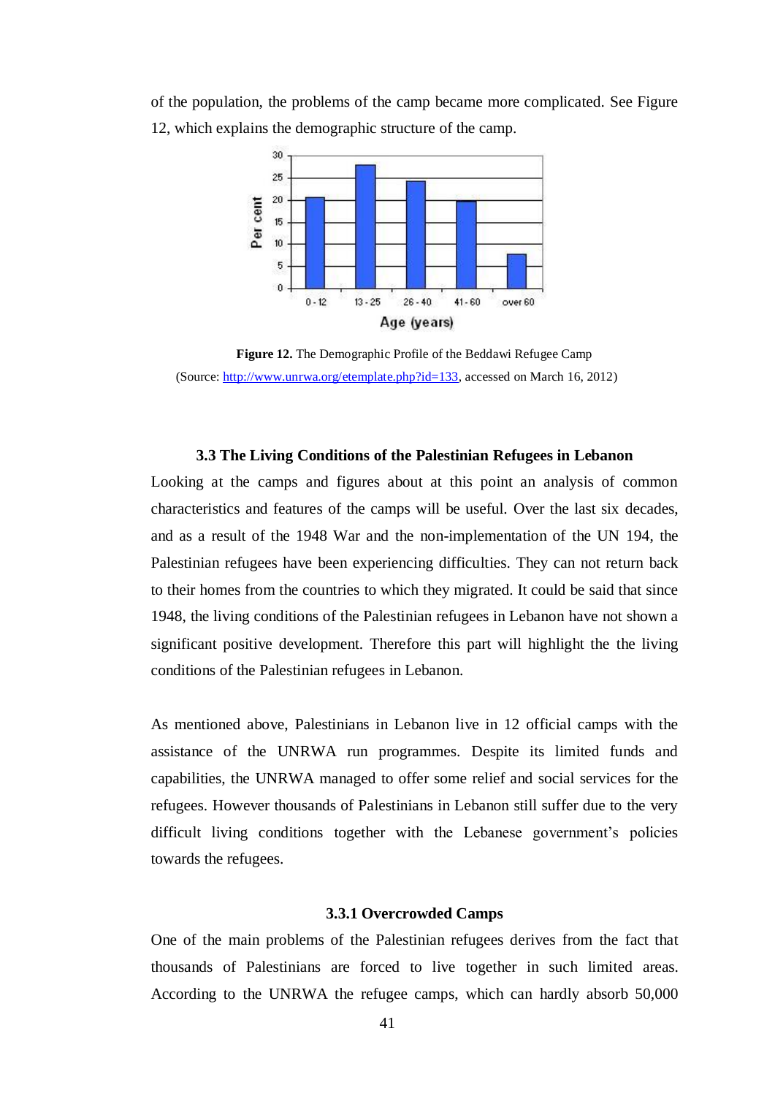of the population, the problems of the camp became more complicated. See Figure 12, which explains the demographic structure of the camp.



**Figure 12.** The Demographic Profile of the Beddawi Refugee Camp (Source: [http://www.unrwa.org/etemplate.php?id=133,](http://www.unrwa.org/etemplate.php?id=133) accessed on March 16, 2012)

## **3.3 The Living Conditions of the Palestinian Refugees in Lebanon**

Looking at the camps and figures about at this point an analysis of common characteristics and features of the camps will be useful. Over the last six decades, and as a result of the 1948 War and the non-implementation of the UN 194, the Palestinian refugees have been experiencing difficulties. They can not return back to their homes from the countries to which they migrated. It could be said that since 1948, the living conditions of the Palestinian refugees in Lebanon have not shown a significant positive development. Therefore this part will highlight the the living conditions of the Palestinian refugees in Lebanon.

As mentioned above, Palestinians in Lebanon live in 12 official camps with the assistance of the UNRWA run programmes. Despite its limited funds and capabilities, the UNRWA managed to offer some relief and social services for the refugees. However thousands of Palestinians in Lebanon still suffer due to the very difficult living conditions together with the Lebanese government's policies towards the refugees.

#### **3.3.1 Overcrowded Camps**

One of the main problems of the Palestinian refugees derives from the fact that thousands of Palestinians are forced to live together in such limited areas. According to the UNRWA the refugee camps, which can hardly absorb 50,000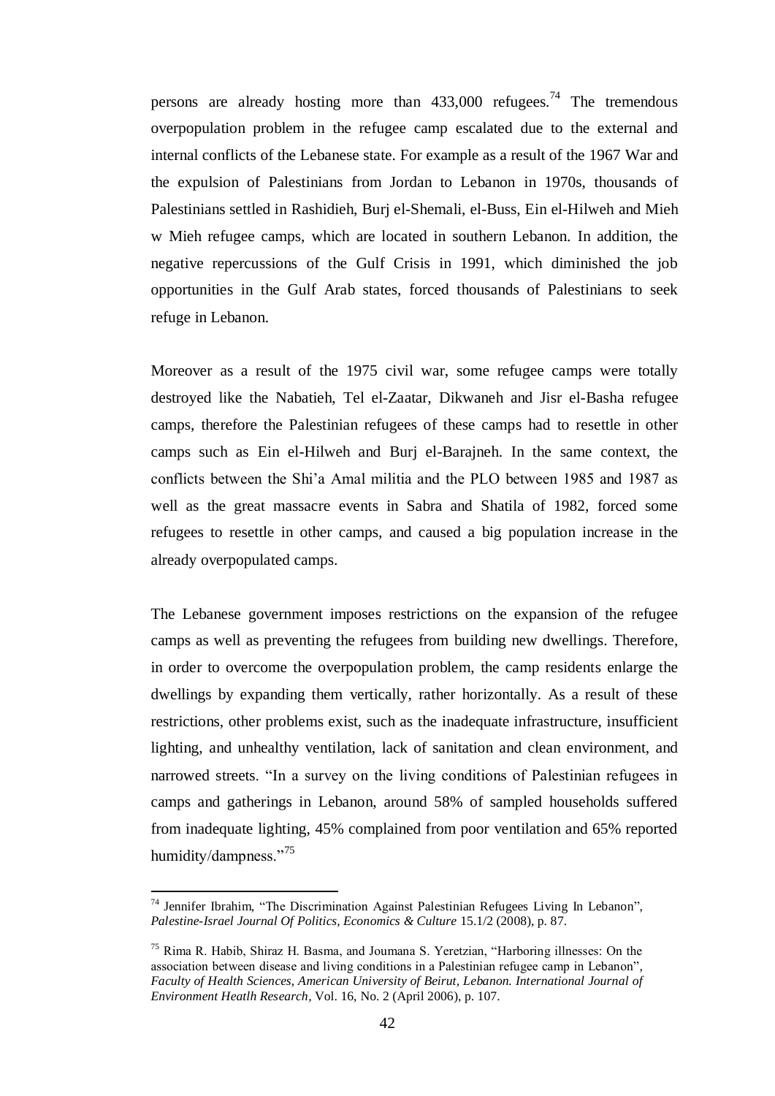persons are already hosting more than  $433,000$  refugees.<sup>74</sup> The tremendous overpopulation problem in the refugee camp escalated due to the external and internal conflicts of the Lebanese state. For example as a result of the 1967 War and the expulsion of Palestinians from Jordan to Lebanon in 1970s, thousands of Palestinians settled in Rashidieh, Burj el-Shemali, el-Buss, Ein el-Hilweh and Mieh w Mieh refugee camps, which are located in southern Lebanon. In addition, the negative repercussions of the Gulf Crisis in 1991, which diminished the job opportunities in the Gulf Arab states, forced thousands of Palestinians to seek refuge in Lebanon.

Moreover as a result of the 1975 civil war, some refugee camps were totally destroyed like the Nabatieh, Tel el-Zaatar, Dikwaneh and Jisr el-Basha refugee camps, therefore the Palestinian refugees of these camps had to resettle in other camps such as Ein el-Hilweh and Burj el-Barajneh. In the same context, the conflicts between the Shi"a Amal militia and the PLO between 1985 and 1987 as well as the great massacre events in Sabra and Shatila of 1982, forced some refugees to resettle in other camps, and caused a big population increase in the already overpopulated camps.

The Lebanese government imposes restrictions on the expansion of the refugee camps as well as preventing the refugees from building new dwellings. Therefore, in order to overcome the overpopulation problem, the camp residents enlarge the dwellings by expanding them vertically, rather horizontally. As a result of these restrictions, other problems exist, such as the inadequate infrastructure, insufficient lighting, and unhealthy ventilation, lack of sanitation and clean environment, and narrowed streets. "In a survey on the living conditions of Palestinian refugees in camps and gatherings in Lebanon, around 58% of sampled households suffered from inadequate lighting, 45% complained from poor ventilation and 65% reported humidity/dampness."<sup>75</sup>

<sup>74</sup> Jennifer Ibrahim, "The Discrimination Against Palestinian Refugees Living In Lebanon", *Palestine-Israel Journal Of Politics, Economics & Culture* 15.1/2 (2008), p. 87.

<sup>75</sup> Rima R. Habib, Shiraz H. Basma, and Joumana S. Yeretzian, "Harboring illnesses: On the association between disease and living conditions in a Palestinian refugee camp in Lebanon", *Faculty of Health Sciences, American University of Beirut, Lebanon. International Journal of Environment Heatlh Research,* Vol. 16, No. 2 (April 2006), p. 107.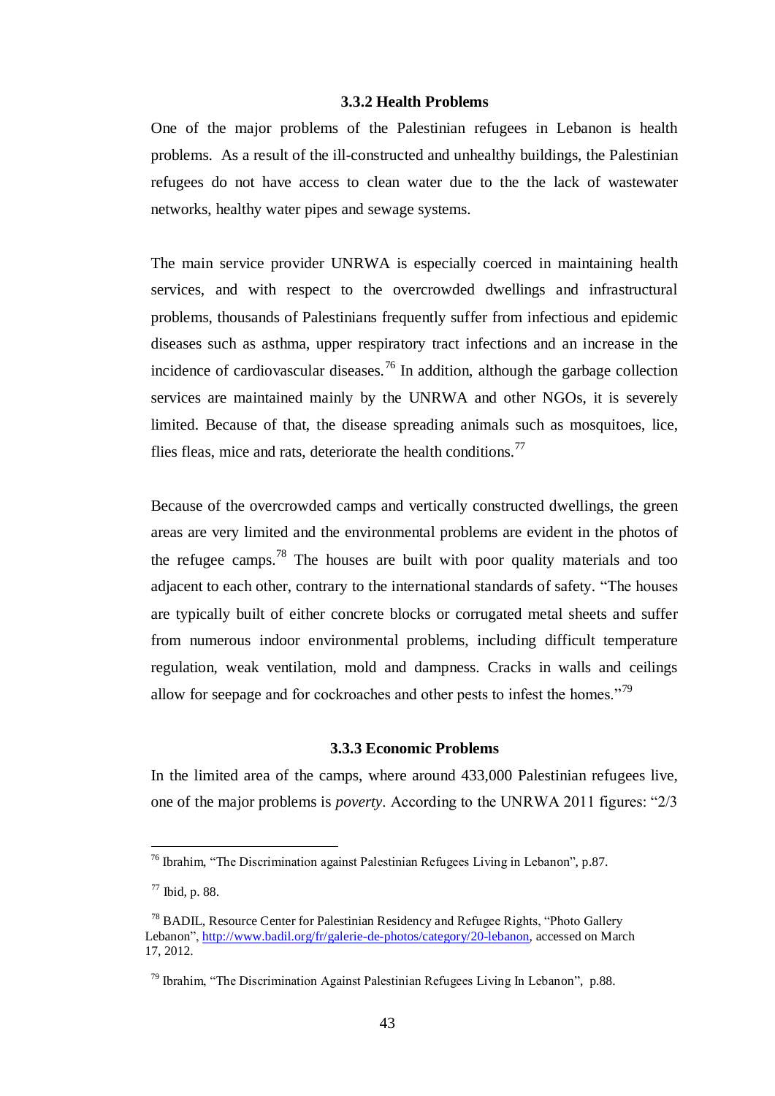#### **3.3.2 Health Problems**

One of the major problems of the Palestinian refugees in Lebanon is health problems. As a result of the ill-constructed and unhealthy buildings, the Palestinian refugees do not have access to clean water due to the the lack of wastewater networks, healthy water pipes and sewage systems.

The main service provider UNRWA is especially coerced in maintaining health services, and with respect to the overcrowded dwellings and infrastructural problems, thousands of Palestinians frequently suffer from infectious and epidemic diseases such as asthma, upper respiratory tract infections and an increase in the incidence of cardiovascular diseases.<sup>76</sup> In addition, although the garbage collection services are maintained mainly by the UNRWA and other NGOs, it is severely limited. Because of that, the disease spreading animals such as mosquitoes, lice, flies fleas, mice and rats, deteriorate the health conditions.<sup>77</sup>

Because of the overcrowded camps and vertically constructed dwellings, the green areas are very limited and the environmental problems are evident in the photos of the refugee camps.<sup>78</sup> The houses are built with poor quality materials and too adjacent to each other, contrary to the international standards of safety. "The houses are typically built of either concrete blocks or corrugated metal sheets and suffer from numerous indoor environmental problems, including difficult temperature regulation, weak ventilation, mold and dampness. Cracks in walls and ceilings allow for seepage and for cockroaches and other pests to infest the homes."<sup>79</sup>

## **3.3.3 Economic Problems**

In the limited area of the camps, where around 433,000 Palestinian refugees live, one of the major problems is *poverty*. According to the UNRWA 2011 figures: "2/3

<sup>76</sup> Ibrahim, "The Discrimination against Palestinian Refugees Living in Lebanon", p.87.

<sup>77</sup> Ibid, p. 88.

<sup>&</sup>lt;sup>78</sup> BADIL, Resource Center for Palestinian Residency and Refugee Rights, "Photo Gallery" Lebanon", [http://www.badil.org/fr/galerie-de-photos/category/20-lebanon,](http://www.badil.org/fr/galerie-de-photos/category/20-lebanon) accessed on March 17, 2012.

<sup>79</sup> Ibrahim, "The Discrimination Against Palestinian Refugees Living In Lebanon", p.88.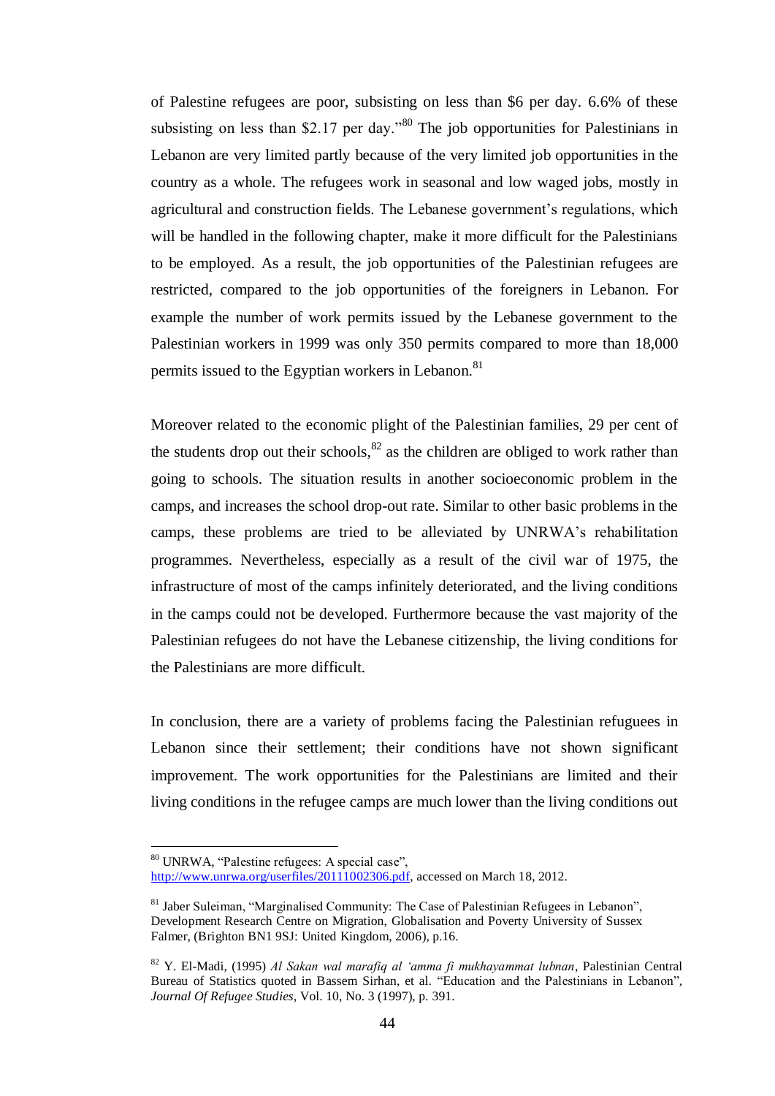of Palestine refugees are poor, subsisting on less than \$6 per day. 6.6% of these subsisting on less than \$2.17 per day.<sup>80</sup> The job opportunities for Palestinians in Lebanon are very limited partly because of the very limited job opportunities in the country as a whole. The refugees work in seasonal and low waged jobs, mostly in agricultural and construction fields. The Lebanese government"s regulations, which will be handled in the following chapter, make it more difficult for the Palestinians to be employed. As a result, the job opportunities of the Palestinian refugees are restricted, compared to the job opportunities of the foreigners in Lebanon. For example the number of work permits issued by the Lebanese government to the Palestinian workers in 1999 was only 350 permits compared to more than 18,000 permits issued to the Egyptian workers in Lebanon.<sup>81</sup>

Moreover related to the economic plight of the Palestinian families, 29 per cent of the students drop out their schools, $^{82}$  as the children are obliged to work rather than going to schools. The situation results in another socioeconomic problem in the camps, and increases the school drop-out rate. Similar to other basic problems in the camps, these problems are tried to be alleviated by UNRWA"s rehabilitation programmes. Nevertheless, especially as a result of the civil war of 1975, the infrastructure of most of the camps infinitely deteriorated, and the living conditions in the camps could not be developed. Furthermore because the vast majority of the Palestinian refugees do not have the Lebanese citizenship, the living conditions for the Palestinians are more difficult.

In conclusion, there are a variety of problems facing the Palestinian refuguees in Lebanon since their settlement; their conditions have not shown significant improvement. The work opportunities for the Palestinians are limited and their living conditions in the refugee camps are much lower than the living conditions out

<sup>80</sup> UNRWA, "Palestine refugees: A special case", [http://www.unrwa.org/userfiles/20111002306.pdf,](http://www.unrwa.org/userfiles/20111002306.pdf) accessed on March 18, 2012.

 $81$  Jaber Suleiman, "Marginalised Community: The Case of Palestinian Refugees in Lebanon". Development Research Centre on Migration, Globalisation and Poverty University of Sussex Falmer, (Brighton BN1 9SJ: United Kingdom, 2006), p.16.

<sup>82</sup> Y. El-Madi, (1995) *Al Sakan wal marafiq al "amma fi mukhayammat lubnan*, Palestinian Central Bureau of Statistics quoted in Bassem Sirhan, et al. "Education and the Palestinians in Lebanon", *Journal Of Refugee Studies*, Vol. 10, No. 3 (1997), p. 391.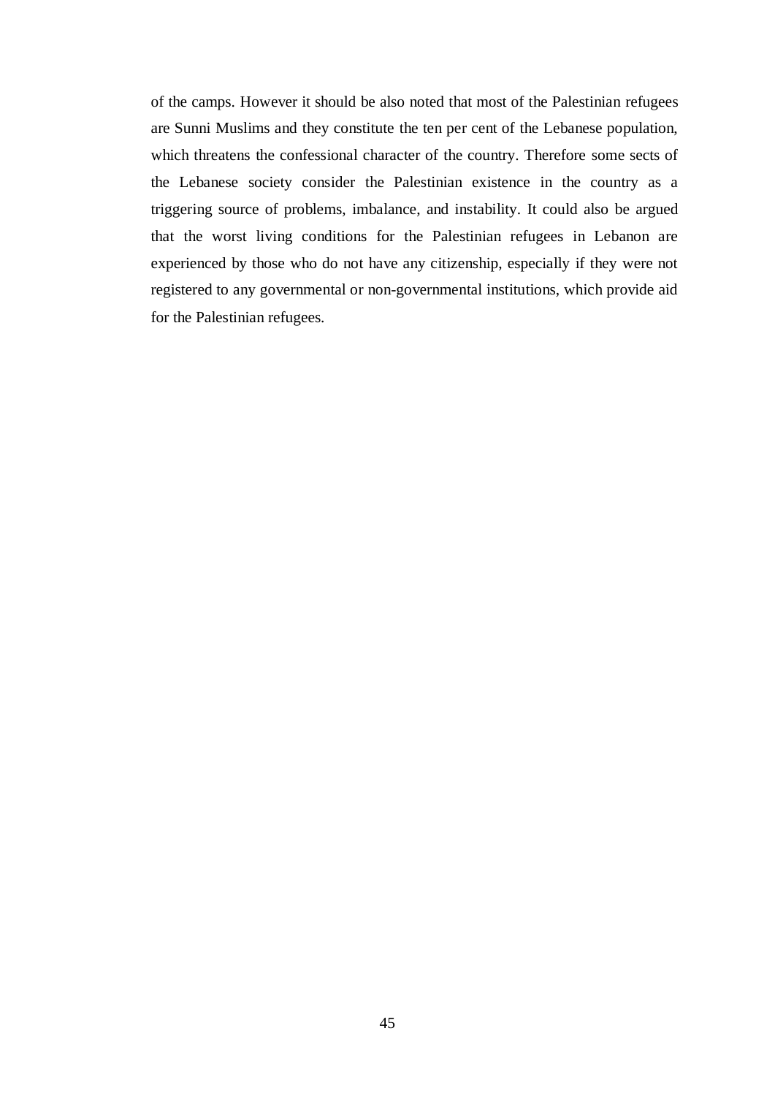of the camps. However it should be also noted that most of the Palestinian refugees are Sunni Muslims and they constitute the ten per cent of the Lebanese population, which threatens the confessional character of the country. Therefore some sects of the Lebanese society consider the Palestinian existence in the country as a triggering source of problems, imbalance, and instability. It could also be argued that the worst living conditions for the Palestinian refugees in Lebanon are experienced by those who do not have any citizenship, especially if they were not registered to any governmental or non-governmental institutions, which provide aid for the Palestinian refugees.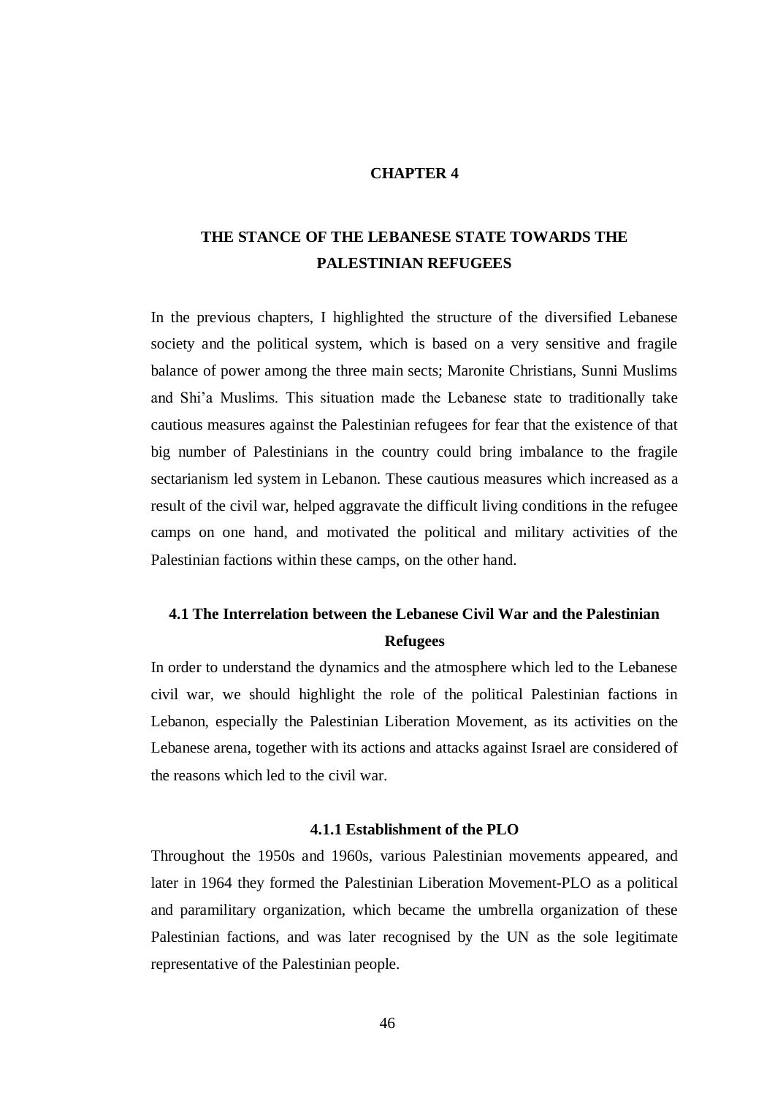#### **CHAPTER 4**

# **THE STANCE OF THE LEBANESE STATE TOWARDS THE PALESTINIAN REFUGEES**

In the previous chapters, I highlighted the structure of the diversified Lebanese society and the political system, which is based on a very sensitive and fragile balance of power among the three main sects; Maronite Christians, Sunni Muslims and Shi"a Muslims. This situation made the Lebanese state to traditionally take cautious measures against the Palestinian refugees for fear that the existence of that big number of Palestinians in the country could bring imbalance to the fragile sectarianism led system in Lebanon. These cautious measures which increased as a result of the civil war, helped aggravate the difficult living conditions in the refugee camps on one hand, and motivated the political and military activities of the Palestinian factions within these camps, on the other hand.

# **4.1 The Interrelation between the Lebanese Civil War and the Palestinian Refugees**

In order to understand the dynamics and the atmosphere which led to the Lebanese civil war, we should highlight the role of the political Palestinian factions in Lebanon, especially the Palestinian Liberation Movement, as its activities on the Lebanese arena, together with its actions and attacks against Israel are considered of the reasons which led to the civil war.

#### **4.1.1 Establishment of the PLO**

Throughout the 1950s and 1960s, various Palestinian movements appeared, and later in 1964 they formed the Palestinian Liberation Movement-PLO as a political and paramilitary organization, which became the umbrella organization of these Palestinian factions, and was later recognised by the UN as the sole legitimate representative of the Palestinian people.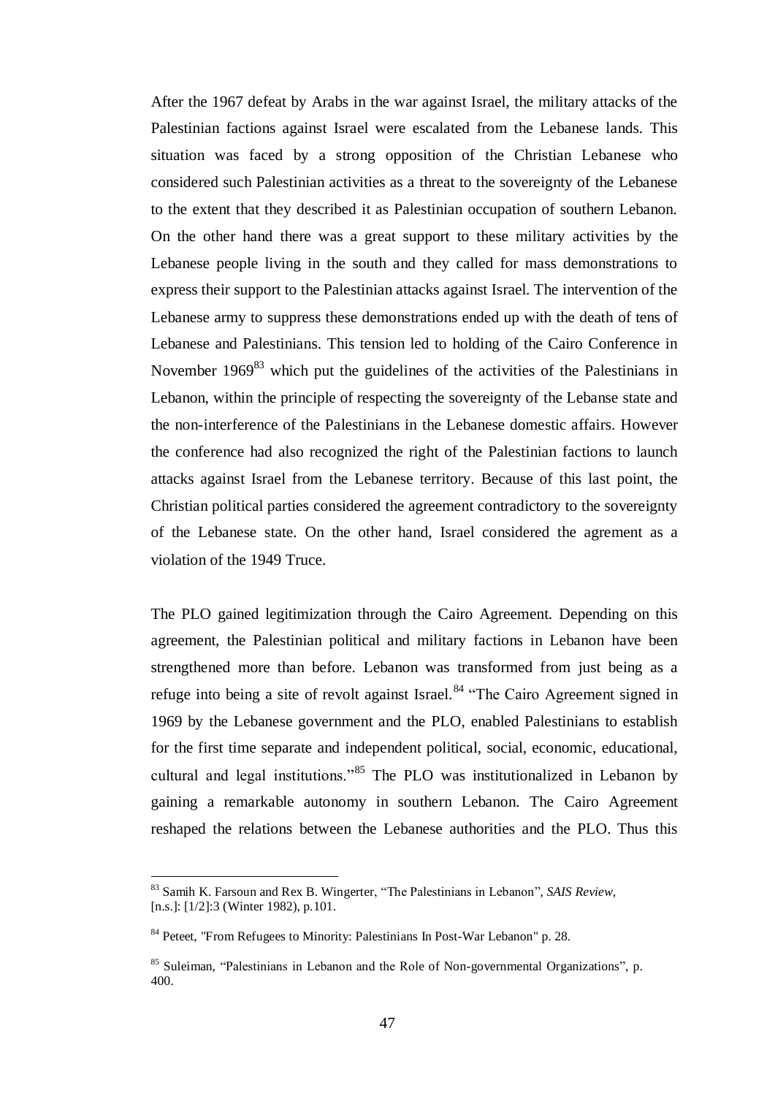After the 1967 defeat by Arabs in the war against Israel, the military attacks of the Palestinian factions against Israel were escalated from the Lebanese lands. This situation was faced by a strong opposition of the Christian Lebanese who considered such Palestinian activities as a threat to the sovereignty of the Lebanese to the extent that they described it as Palestinian occupation of southern Lebanon. On the other hand there was a great support to these military activities by the Lebanese people living in the south and they called for mass demonstrations to express their support to the Palestinian attacks against Israel. The intervention of the Lebanese army to suppress these demonstrations ended up with the death of tens of Lebanese and Palestinians. This tension led to holding of the Cairo Conference in November  $1969^{83}$  which put the guidelines of the activities of the Palestinians in Lebanon, within the principle of respecting the sovereignty of the Lebanse state and the non-interference of the Palestinians in the Lebanese domestic affairs. However the conference had also recognized the right of the Palestinian factions to launch attacks against Israel from the Lebanese territory. Because of this last point, the Christian political parties considered the agreement contradictory to the sovereignty of the Lebanese state. On the other hand, Israel considered the agrement as a violation of the 1949 Truce.

The PLO gained legitimization through the Cairo Agreement. Depending on this agreement, the Palestinian political and military factions in Lebanon have been strengthened more than before. Lebanon was transformed from just being as a refuge into being a site of revolt against Israel.<sup>84</sup> "The Cairo Agreement signed in 1969 by the Lebanese government and the PLO, enabled Palestinians to establish for the first time separate and independent political, social, economic, educational, cultural and legal institutions."<sup>85</sup> The PLO was institutionalized in Lebanon by gaining a remarkable autonomy in southern Lebanon. The Cairo Agreement reshaped the relations between the Lebanese authorities and the PLO. Thus this

<sup>83</sup> Samih K. Farsoun and Rex B. Wingerter, "The Palestinians in Lebanon", *SAIS Review*, [n.s.]: [1/2]:3 (Winter 1982), p.101.

<sup>84</sup> Peteet, "From Refugees to Minority: Palestinians In Post-War Lebanon" p. 28.

<sup>85</sup> Suleiman, "Palestinians in Lebanon and the Role of Non-governmental Organizations", p. 400.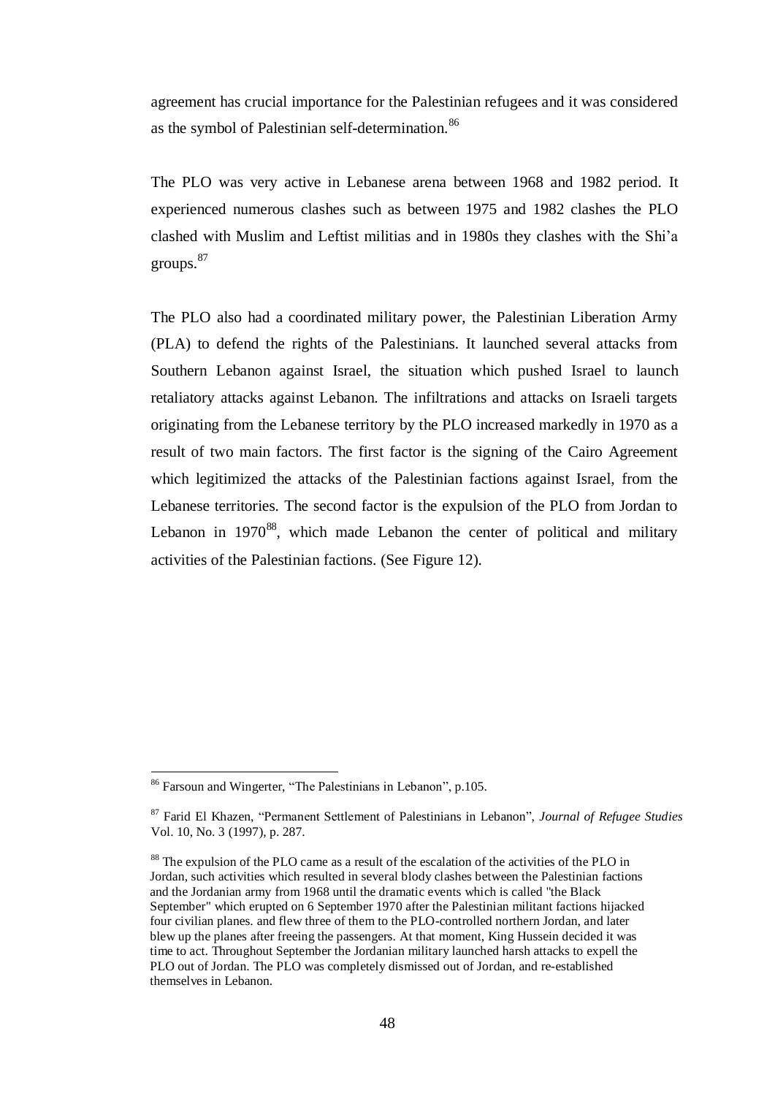agreement has crucial importance for the Palestinian refugees and it was considered as the symbol of Palestinian self-determination.<sup>86</sup>

The PLO was very active in Lebanese arena between 1968 and 1982 period. It experienced numerous clashes such as between 1975 and 1982 clashes the PLO clashed with Muslim and Leftist militias and in 1980s they clashes with the Shi"a groups. 87

The PLO also had a coordinated military power, the Palestinian Liberation Army (PLA) to defend the rights of the Palestinians. It launched several attacks from Southern Lebanon against Israel, the situation which pushed Israel to launch retaliatory attacks against Lebanon. The infiltrations and attacks on Israeli targets originating from the Lebanese territory by the PLO increased markedly in 1970 as a result of two main factors. The first factor is the signing of the Cairo Agreement which legitimized the attacks of the Palestinian factions against Israel, from the Lebanese territories. The second factor is the expulsion of the PLO from Jordan to Lebanon in  $1970^{88}$ , which made Lebanon the center of political and military activities of the Palestinian factions. (See Figure 12).

<sup>86</sup> Farsoun and Wingerter, "The Palestinians in Lebanon", p.105.

<sup>87</sup> Farid El Khazen, "Permanent Settlement of Palestinians in Lebanon", *Journal of Refugee Studies*  Vol. 10, No. 3 (1997), p. 287.

<sup>&</sup>lt;sup>88</sup> The expulsion of the PLO came as a result of the escalation of the activities of the PLO in Jordan, such activities which resulted in several blody clashes between the Palestinian factions and the Jordanian army from 1968 until the dramatic events which is called "the Black September" which erupted on 6 September 1970 after the Palestinian militant factions hijacked four civilian planes. and flew three of them to the PLO-controlled northern Jordan, and later blew up the planes after freeing the passengers. At that moment, King Hussein decided it was time to act. Throughout September the Jordanian military launched harsh attacks to expell the PLO out of Jordan. The PLO was completely dismissed out of Jordan, and re-established themselves in Lebanon.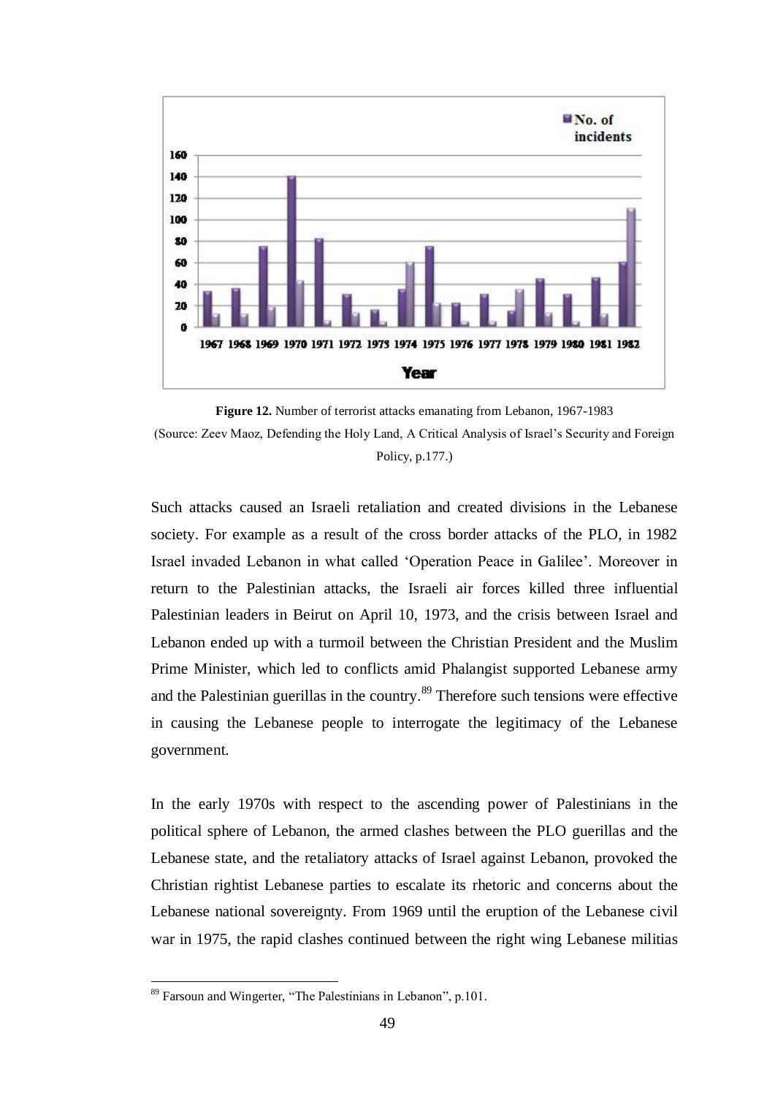

**Figure 12.** Number of terrorist attacks emanating from Lebanon, 1967-1983 (Source: Zeev Maoz, Defending the Holy Land, A Critical Analysis of Israel"s Security and Foreign Policy, p.177.)

Such attacks caused an Israeli retaliation and created divisions in the Lebanese society. For example as a result of the cross border attacks of the PLO, in 1982 Israel invaded Lebanon in what called "Operation Peace in Galilee". Moreover in return to the Palestinian attacks, the Israeli air forces killed three influential Palestinian leaders in Beirut on April 10, 1973, and the crisis between Israel and Lebanon ended up with a turmoil between the Christian President and the Muslim Prime Minister, which led to conflicts amid Phalangist supported Lebanese army and the Palestinian guerillas in the country.<sup>89</sup> Therefore such tensions were effective in causing the Lebanese people to interrogate the legitimacy of the Lebanese government.

In the early 1970s with respect to the ascending power of Palestinians in the political sphere of Lebanon, the armed clashes between the PLO guerillas and the Lebanese state, and the retaliatory attacks of Israel against Lebanon, provoked the Christian rightist Lebanese parties to escalate its rhetoric and concerns about the Lebanese national sovereignty. From 1969 until the eruption of the Lebanese civil war in 1975, the rapid clashes continued between the right wing Lebanese militias

<sup>89</sup> Farsoun and Wingerter, "The Palestinians in Lebanon", p.101.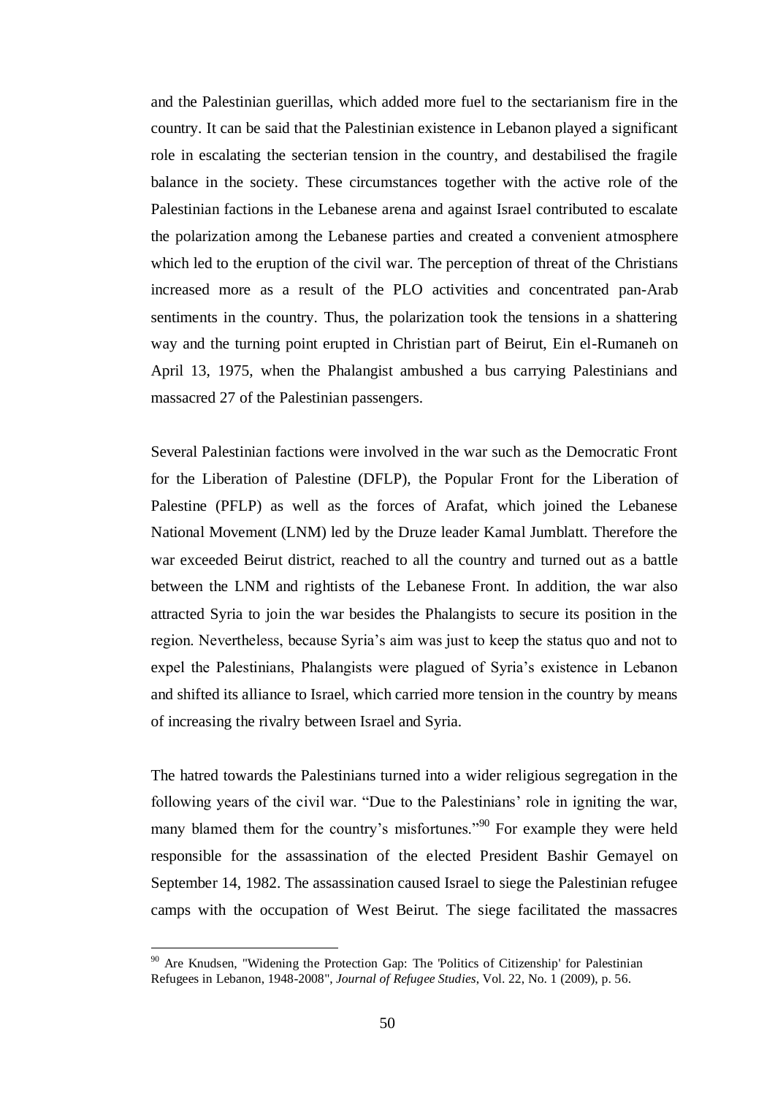and the Palestinian guerillas, which added more fuel to the sectarianism fire in the country. It can be said that the Palestinian existence in Lebanon played a significant role in escalating the secterian tension in the country, and destabilised the fragile balance in the society. These circumstances together with the active role of the Palestinian factions in the Lebanese arena and against Israel contributed to escalate the polarization among the Lebanese parties and created a convenient atmosphere which led to the eruption of the civil war. The perception of threat of the Christians increased more as a result of the PLO activities and concentrated pan-Arab sentiments in the country. Thus, the polarization took the tensions in a shattering way and the turning point erupted in Christian part of Beirut, Ein el-Rumaneh on April 13, 1975, when the Phalangist ambushed a bus carrying Palestinians and massacred 27 of the Palestinian passengers.

Several Palestinian factions were involved in the war such as the Democratic Front for the Liberation of Palestine (DFLP), the Popular Front for the Liberation of Palestine (PFLP) as well as the forces of Arafat, which joined the Lebanese National Movement (LNM) led by the Druze leader Kamal Jumblatt. Therefore the war exceeded Beirut district, reached to all the country and turned out as a battle between the LNM and rightists of the Lebanese Front. In addition, the war also attracted Syria to join the war besides the Phalangists to secure its position in the region. Nevertheless, because Syria"s aim was just to keep the status quo and not to expel the Palestinians, Phalangists were plagued of Syria's existence in Lebanon and shifted its alliance to Israel, which carried more tension in the country by means of increasing the rivalry between Israel and Syria.

The hatred towards the Palestinians turned into a wider religious segregation in the following years of the civil war. "Due to the Palestinians' role in igniting the war, many blamed them for the country's misfortunes."<sup>90</sup> For example they were held responsible for the assassination of the elected President Bashir Gemayel on September 14, 1982. The assassination caused Israel to siege the Palestinian refugee camps with the occupation of West Beirut. The siege facilitated the massacres

<sup>&</sup>lt;sup>90</sup> Are Knudsen, "Widening the Protection Gap: The 'Politics of Citizenship' for Palestinian Refugees in Lebanon, 1948-2008", *Journal of Refugee Studies*, Vol. 22, No. 1 (2009), p. 56.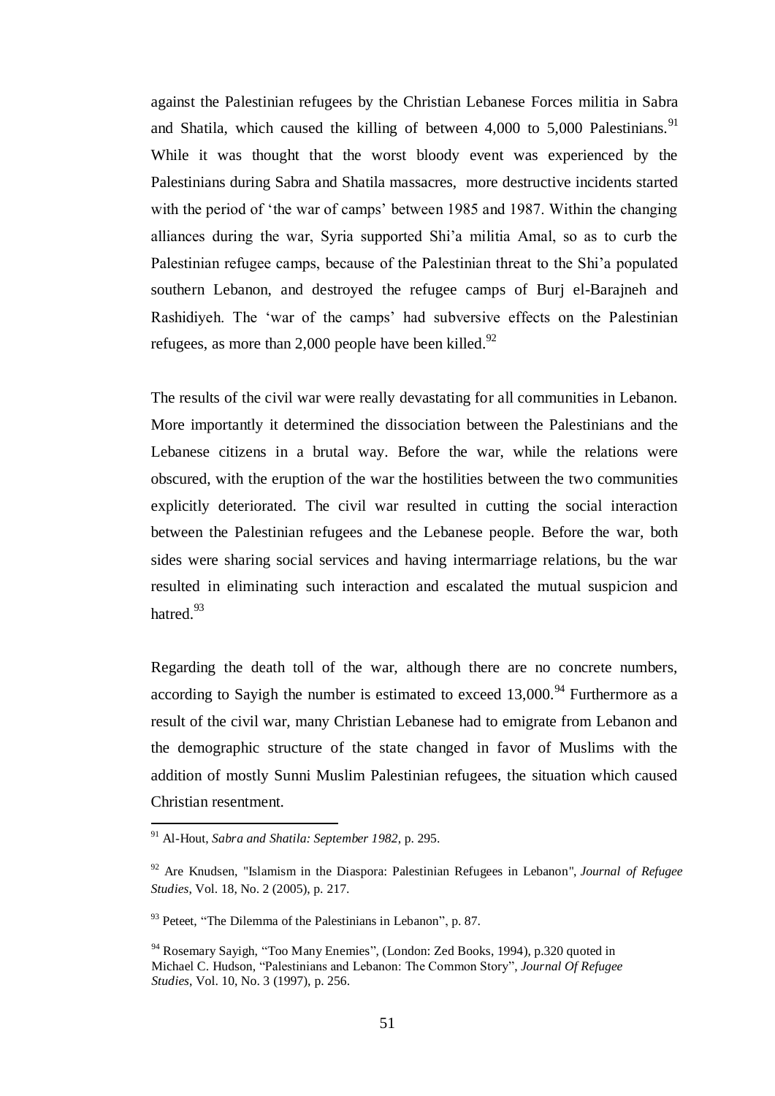against the Palestinian refugees by the Christian Lebanese Forces militia in Sabra and Shatila, which caused the killing of between 4,000 to 5,000 Palestinians.<sup>91</sup> While it was thought that the worst bloody event was experienced by the Palestinians during Sabra and Shatila massacres, more destructive incidents started with the period of 'the war of camps' between 1985 and 1987. Within the changing alliances during the war, Syria supported Shi"a militia Amal, so as to curb the Palestinian refugee camps, because of the Palestinian threat to the Shi'a populated southern Lebanon, and destroyed the refugee camps of Burj el-Barajneh and Rashidiyeh. The "war of the camps" had subversive effects on the Palestinian refugees, as more than 2,000 people have been killed.<sup>92</sup>

The results of the civil war were really devastating for all communities in Lebanon. More importantly it determined the dissociation between the Palestinians and the Lebanese citizens in a brutal way. Before the war, while the relations were obscured, with the eruption of the war the hostilities between the two communities explicitly deteriorated. The civil war resulted in cutting the social interaction between the Palestinian refugees and the Lebanese people. Before the war, both sides were sharing social services and having intermarriage relations, bu the war resulted in eliminating such interaction and escalated the mutual suspicion and hatred.<sup>93</sup>

Regarding the death toll of the war, although there are no concrete numbers, according to Sayigh the number is estimated to exceed  $13,000$ .<sup>94</sup> Furthermore as a result of the civil war, many Christian Lebanese had to emigrate from Lebanon and the demographic structure of the state changed in favor of Muslims with the addition of mostly Sunni Muslim Palestinian refugees, the situation which caused Christian resentment.

<sup>91</sup> Al-Hout, *Sabra and Shatila: September 1982*, p. 295.

<sup>92</sup> Are Knudsen, "Islamism in the Diaspora: Palestinian Refugees in Lebanon", *Journal of Refugee Studies*, Vol. 18, No. 2 (2005), p. 217.

<sup>&</sup>lt;sup>93</sup> Peteet, "The Dilemma of the Palestinians in Lebanon", p. 87.

<sup>94</sup> Rosemary Sayigh, "Too Many Enemies", (London: Zed Books, 1994), p.320 quoted in Michael C. Hudson, "Palestinians and Lebanon: The Common Story", *Journal Of Refugee Studies*, Vol. 10, No. 3 (1997), p. 256.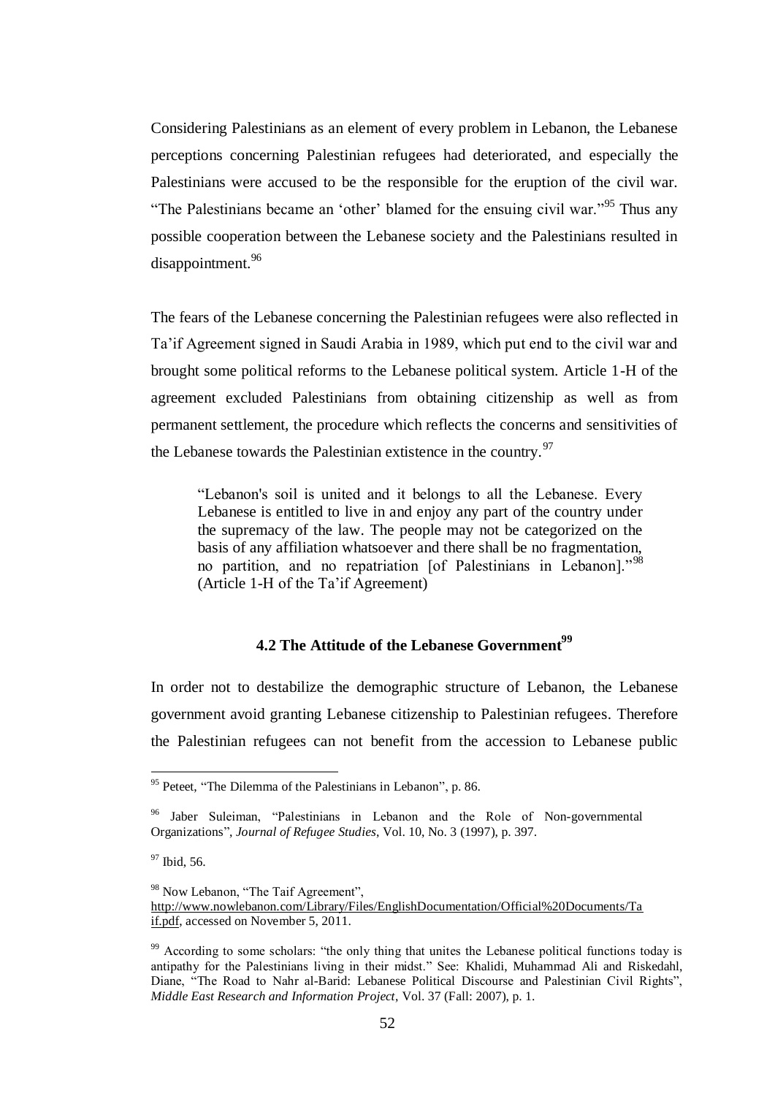Considering Palestinians as an element of every problem in Lebanon, the Lebanese perceptions concerning Palestinian refugees had deteriorated, and especially the Palestinians were accused to be the responsible for the eruption of the civil war. "The Palestinians became an 'other' blamed for the ensuing civil war."<sup>95</sup> Thus any possible cooperation between the Lebanese society and the Palestinians resulted in disappointment.<sup>96</sup>

The fears of the Lebanese concerning the Palestinian refugees were also reflected in Ta"if Agreement signed in Saudi Arabia in 1989, which put end to the civil war and brought some political reforms to the Lebanese political system. Article 1-H of the agreement excluded Palestinians from obtaining citizenship as well as from permanent settlement, the procedure which reflects the concerns and sensitivities of the Lebanese towards the Palestinian extistence in the country.  $97$ 

"Lebanon's soil is united and it belongs to all the Lebanese. Every Lebanese is entitled to live in and enjoy any part of the country under the supremacy of the law. The people may not be categorized on the basis of any affiliation whatsoever and there shall be no fragmentation, no partition, and no repatriation [of Palestinians in Lebanon]."<sup>98</sup> (Article 1-H of the Ta"if Agreement)

## **4.2 The Attitude of the Lebanese Government<sup>99</sup>**

In order not to destabilize the demographic structure of Lebanon, the Lebanese government avoid granting Lebanese citizenship to Palestinian refugees. Therefore the Palestinian refugees can not benefit from the accession to Lebanese public

<sup>&</sup>lt;sup>95</sup> Peteet, "The Dilemma of the Palestinians in Lebanon", p. 86.

<sup>&</sup>lt;sup>96</sup> Jaber Suleiman, "Palestinians in Lebanon and the Role of Non-governmental Organizations", *Journal of Refugee Studies*, Vol. 10, No. 3 (1997), p. 397.

<sup>&</sup>lt;sup>97</sup> Ibid, 56.

<sup>98</sup> Now Lebanon, "The Taif Agreement", [http://www.nowlebanon.com/Library/Files/EnglishDocumentation/Official%20Documents/Ta](http://www.nowlebanon.com/Library/Files/EnglishDocumentation/Official%20Documents/Taif.pdf) [if.pdf,](http://www.nowlebanon.com/Library/Files/EnglishDocumentation/Official%20Documents/Taif.pdf) accessed on November 5, 2011.

<sup>&</sup>lt;sup>99</sup> According to some scholars: "the only thing that unites the Lebanese political functions today is antipathy for the Palestinians living in their midst." See: Khalidi, Muhammad Ali and Riskedahl, Diane, "The Road to Nahr al-Barid: Lebanese Political Discourse and Palestinian Civil Rights", *Middle East Research and Information Project*, Vol. 37 (Fall: 2007), p. 1.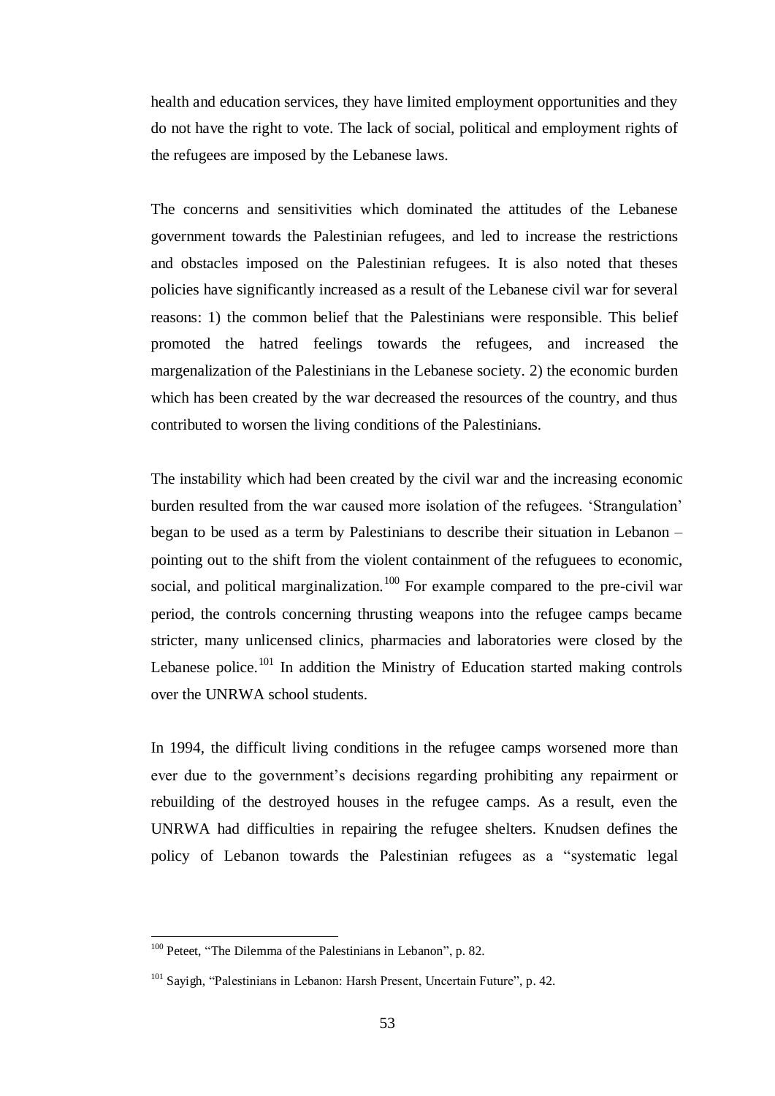health and education services, they have limited employment opportunities and they do not have the right to vote. The lack of social, political and employment rights of the refugees are imposed by the Lebanese laws.

The concerns and sensitivities which dominated the attitudes of the Lebanese government towards the Palestinian refugees, and led to increase the restrictions and obstacles imposed on the Palestinian refugees. It is also noted that theses policies have significantly increased as a result of the Lebanese civil war for several reasons: 1) the common belief that the Palestinians were responsible. This belief promoted the hatred feelings towards the refugees, and increased the margenalization of the Palestinians in the Lebanese society. 2) the economic burden which has been created by the war decreased the resources of the country, and thus contributed to worsen the living conditions of the Palestinians.

The instability which had been created by the civil war and the increasing economic burden resulted from the war caused more isolation of the refugees. "Strangulation" began to be used as a term by Palestinians to describe their situation in Lebanon – pointing out to the shift from the violent containment of the refuguees to economic, social, and political marginalization.<sup>100</sup> For example compared to the pre-civil war period, the controls concerning thrusting weapons into the refugee camps became stricter, many unlicensed clinics, pharmacies and laboratories were closed by the Lebanese police.<sup>101</sup> In addition the Ministry of Education started making controls over the UNRWA school students.

In 1994, the difficult living conditions in the refugee camps worsened more than ever due to the government"s decisions regarding prohibiting any repairment or rebuilding of the destroyed houses in the refugee camps. As a result, even the UNRWA had difficulties in repairing the refugee shelters. Knudsen defines the policy of Lebanon towards the Palestinian refugees as a "systematic legal

<sup>&</sup>lt;sup>100</sup> Peteet, "The Dilemma of the Palestinians in Lebanon", p. 82.

<sup>&</sup>lt;sup>101</sup> Sayigh, "Palestinians in Lebanon: Harsh Present, Uncertain Future", p. 42.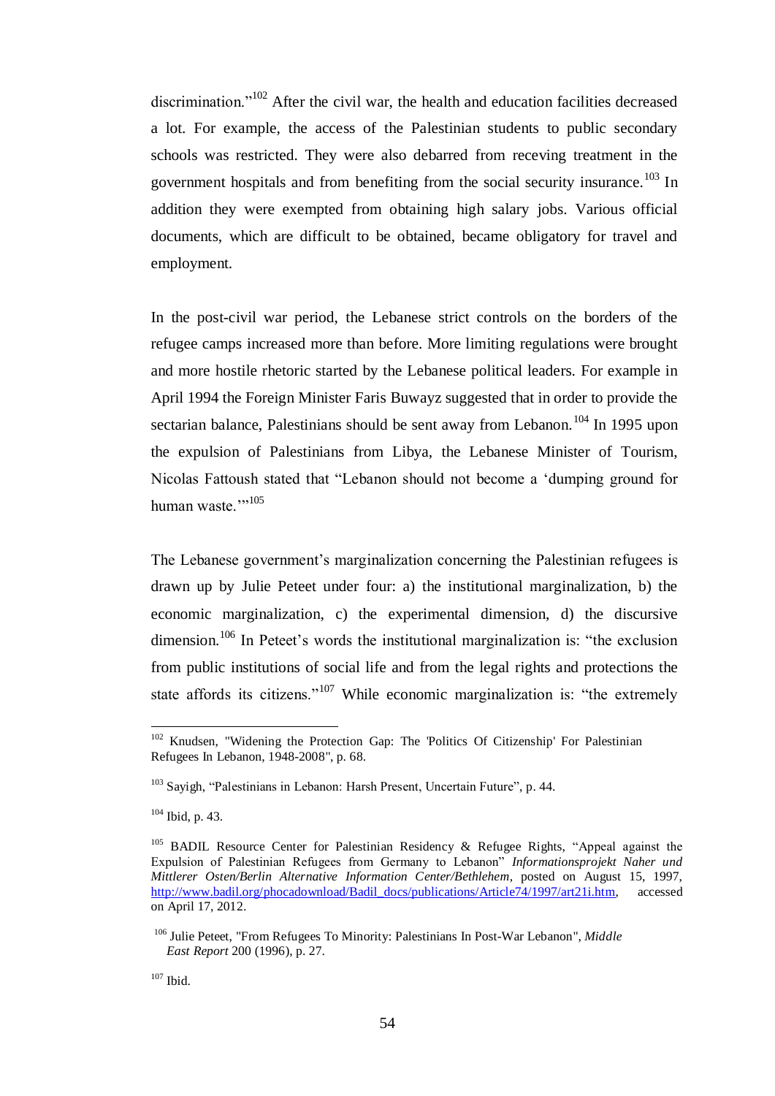discrimination. $102$  After the civil war, the health and education facilities decreased a lot. For example, the access of the Palestinian students to public secondary schools was restricted. They were also debarred from receving treatment in the government hospitals and from benefiting from the social security insurance.<sup>103</sup> In addition they were exempted from obtaining high salary jobs. Various official documents, which are difficult to be obtained, became obligatory for travel and employment.

In the post-civil war period, the Lebanese strict controls on the borders of the refugee camps increased more than before. More limiting regulations were brought and more hostile rhetoric started by the Lebanese political leaders. For example in April 1994 the Foreign Minister Faris Buwayz suggested that in order to provide the sectarian balance, Palestinians should be sent away from Lebanon.<sup>104</sup> In 1995 upon the expulsion of Palestinians from Libya, the Lebanese Minister of Tourism, Nicolas Fattoush stated that "Lebanon should not become a "dumping ground for human waste.""105

The Lebanese government's marginalization concerning the Palestinian refugees is drawn up by Julie Peteet under four: a) the institutional marginalization, b) the economic marginalization, c) the experimental dimension, d) the discursive dimension.<sup>106</sup> In Peteet's words the institutional marginalization is: "the exclusion from public institutions of social life and from the legal rights and protections the state affords its citizens."<sup>107</sup> While economic marginalization is: "the extremely

<sup>&</sup>lt;sup>102</sup> Knudsen, "Widening the Protection Gap: The 'Politics Of Citizenship' For Palestinian Refugees In Lebanon, 1948-2008", p. 68.

<sup>&</sup>lt;sup>103</sup> Sayigh, "Palestinians in Lebanon: Harsh Present, Uncertain Future", p. 44.

 $104$  Ibid, p. 43.

<sup>&</sup>lt;sup>105</sup> BADIL Resource Center for Palestinian Residency & Refugee Rights, "Appeal against the Expulsion of Palestinian Refugees from Germany to Lebanon" *Informationsprojekt Naher und Mittlerer Osten/Berlin Alternative Information Center/Bethlehem*, posted on August 15, 1997, [http://www.badil.org/phocadownload/Badil\\_docs/publications/Article74/1997/art21i.htm,](http://www.badil.org/phocadownload/Badil_docs/publications/Article74/1997/art21i.htm) accessed on April 17, 2012.

<sup>106</sup> Julie Peteet, "From Refugees To Minority: Palestinians In Post-War Lebanon", *Middle East Report* 200 (1996), p. 27.

 $107$  Ibid.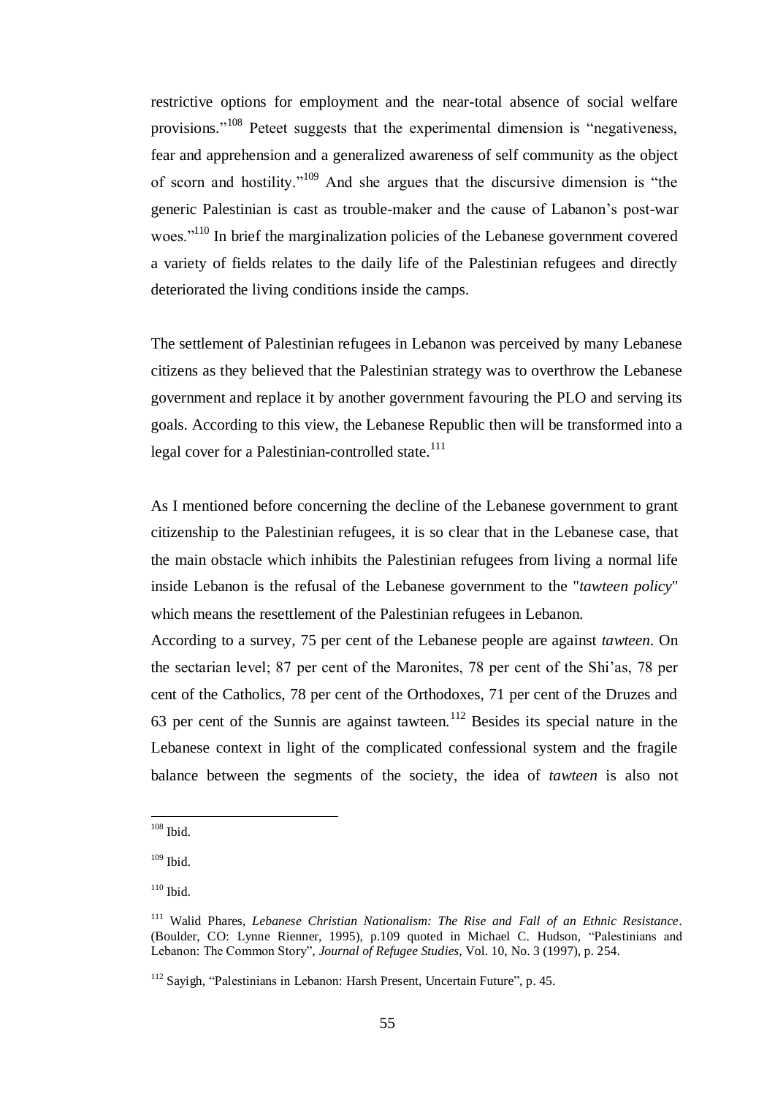restrictive options for employment and the near-total absence of social welfare provisions."<sup>108</sup> Peteet suggests that the experimental dimension is "negativeness, fear and apprehension and a generalized awareness of self community as the object of scorn and hostility."<sup>109</sup> And she argues that the discursive dimension is "the generic Palestinian is cast as trouble-maker and the cause of Labanon"s post-war woes."<sup>110</sup> In brief the marginalization policies of the Lebanese government covered a variety of fields relates to the daily life of the Palestinian refugees and directly deteriorated the living conditions inside the camps.

The settlement of Palestinian refugees in Lebanon was perceived by many Lebanese citizens as they believed that the Palestinian strategy was to overthrow the Lebanese government and replace it by another government favouring the PLO and serving its goals. According to this view, the Lebanese Republic then will be transformed into a legal cover for a Palestinian-controlled state. $^{111}$ 

As I mentioned before concerning the decline of the Lebanese government to grant citizenship to the Palestinian refugees, it is so clear that in the Lebanese case, that the main obstacle which inhibits the Palestinian refugees from living a normal life inside Lebanon is the refusal of the Lebanese government to the "*tawteen policy*" which means the resettlement of the Palestinian refugees in Lebanon.

According to a survey, 75 per cent of the Lebanese people are against *tawteen*. On the sectarian level; 87 per cent of the Maronites, 78 per cent of the Shi"as, 78 per cent of the Catholics, 78 per cent of the Orthodoxes, 71 per cent of the Druzes and 63 per cent of the Sunnis are against tawteen.<sup>112</sup> Besides its special nature in the Lebanese context in light of the complicated confessional system and the fragile balance between the segments of the society, the idea of *tawteen* is also not

<sup>108</sup> Ibid.

 $109$  Ibid.

 $110$  Ibid.

<sup>111</sup> Walid Phares, *Lebanese Christian Nationalism: The Rise and Fall of an Ethnic Resistance.*  (Boulder, CO: Lynne Rienner, 1995), p.109 quoted in Michael C. Hudson, "Palestinians and Lebanon: The Common Story", *Journal of Refugee Studies,* Vol. 10, No. 3 (1997), p. 254.

<sup>112</sup> Sayigh, "Palestinians in Lebanon: Harsh Present, Uncertain Future", p. 45.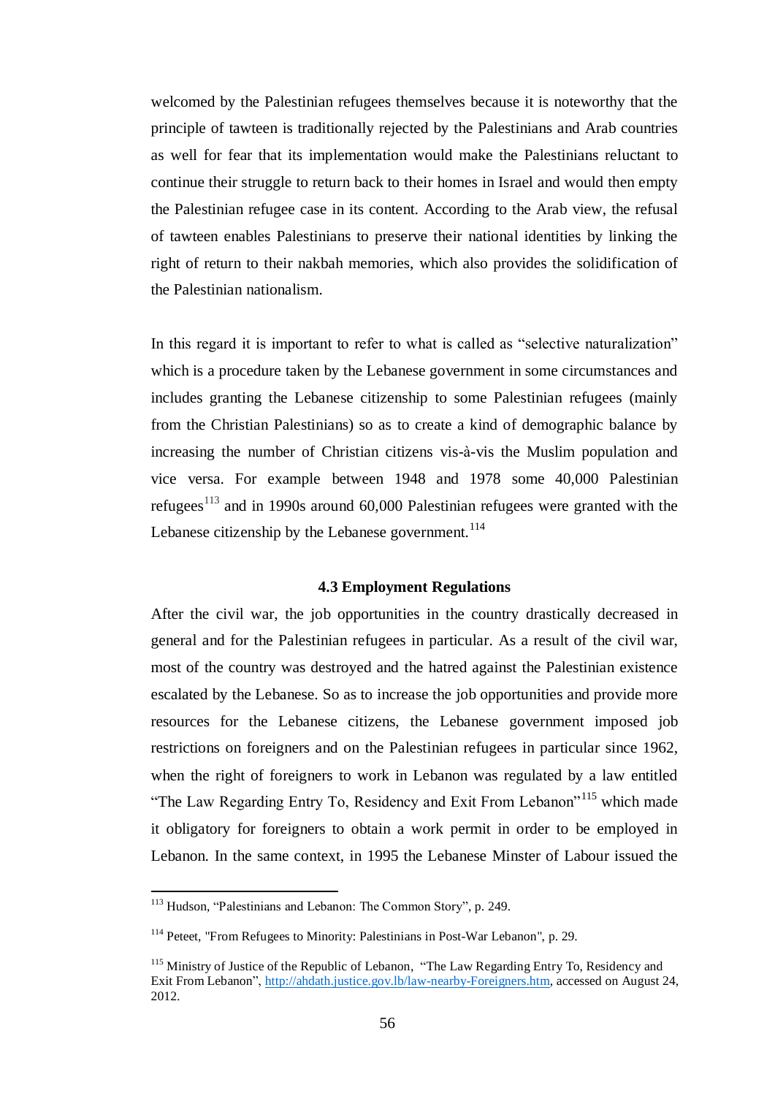welcomed by the Palestinian refugees themselves because it is noteworthy that the principle of tawteen is traditionally rejected by the Palestinians and Arab countries as well for fear that its implementation would make the Palestinians reluctant to continue their struggle to return back to their homes in Israel and would then empty the Palestinian refugee case in its content. According to the Arab view, the refusal of tawteen enables Palestinians to preserve their national identities by linking the right of return to their nakbah memories, which also provides the solidification of the Palestinian nationalism.

In this regard it is important to refer to what is called as "selective naturalization" which is a procedure taken by the Lebanese government in some circumstances and includes granting the Lebanese citizenship to some Palestinian refugees (mainly from the Christian Palestinians) so as to create a kind of demographic balance by increasing the number of Christian citizens vis-à-vis the Muslim population and vice versa. For example between 1948 and 1978 some 40,000 Palestinian refugees<sup>113</sup> and in 1990s around 60,000 Palestinian refugees were granted with the Lebanese citizenship by the Lebanese government.<sup>114</sup>

## **4.3 Employment Regulations**

After the civil war, the job opportunities in the country drastically decreased in general and for the Palestinian refugees in particular. As a result of the civil war, most of the country was destroyed and the hatred against the Palestinian existence escalated by the Lebanese. So as to increase the job opportunities and provide more resources for the Lebanese citizens, the Lebanese government imposed job restrictions on foreigners and on the Palestinian refugees in particular since 1962, when the right of foreigners to work in Lebanon was regulated by a law entitled "The Law Regarding Entry To, Residency and Exit From Lebanon"<sup>115</sup> which made it obligatory for foreigners to obtain a work permit in order to be employed in Lebanon. In the same context, in 1995 the Lebanese Minster of Labour issued the

<sup>113</sup> Hudson, "Palestinians and Lebanon: The Common Story", p. 249.

<sup>&</sup>lt;sup>114</sup> Peteet, "From Refugees to Minority: Palestinians in Post-War Lebanon", p. 29.

<sup>&</sup>lt;sup>115</sup> Ministry of Justice of the Republic of Lebanon, "The Law Regarding Entry To, Residency and Exit From Lebanon", [http://ahdath.justice.gov.lb/law-nearby-Foreigners.htm,](http://ahdath.justice.gov.lb/law-nearby-Foreigners.htm) accessed on August 24, 2012.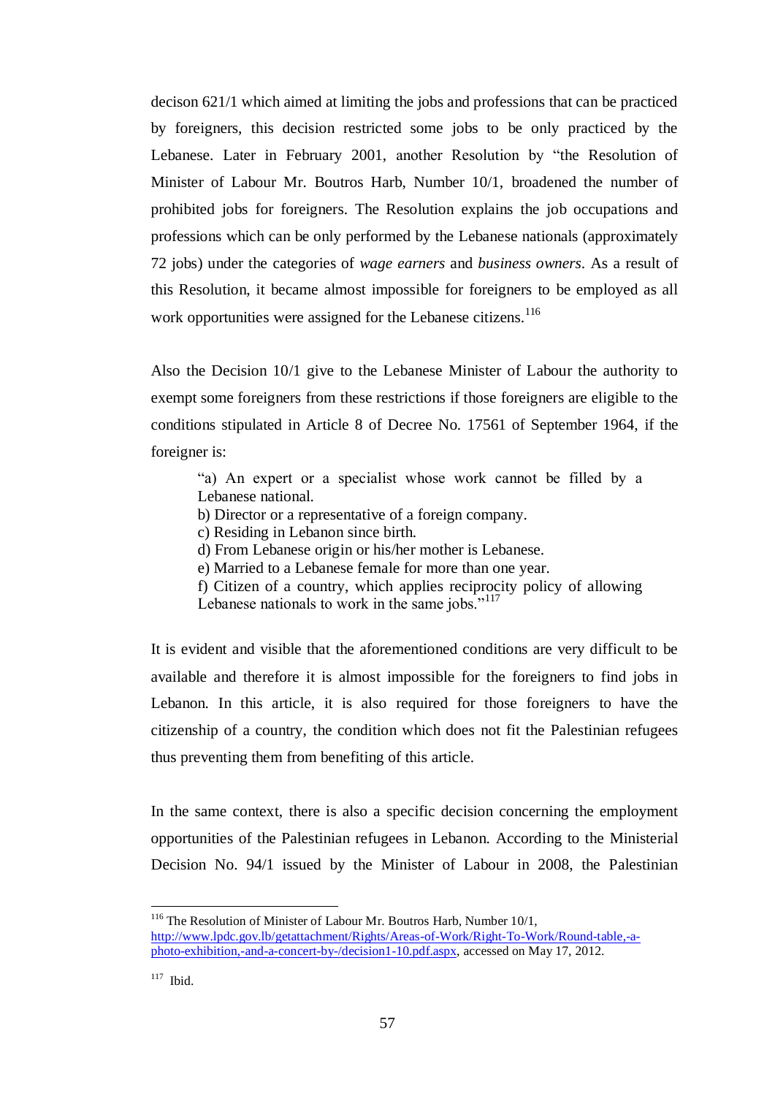decison 621/1 which aimed at limiting the jobs and professions that can be practiced by foreigners, this decision restricted some jobs to be only practiced by the Lebanese. Later in February 2001, another Resolution by "the Resolution of Minister of Labour Mr. Boutros Harb, Number 10/1, broadened the number of prohibited jobs for foreigners. The Resolution explains the job occupations and professions which can be only performed by the Lebanese nationals (approximately 72 jobs) under the categories of *wage earners* and *business owners*. As a result of this Resolution, it became almost impossible for foreigners to be employed as all work opportunities were assigned for the Lebanese citizens.<sup>116</sup>

Also the Decision 10/1 give to the Lebanese Minister of Labour the authority to exempt some foreigners from these restrictions if those foreigners are eligible to the conditions stipulated in Article 8 of Decree No. 17561 of September 1964, if the foreigner is:

"a) An expert or a specialist whose work cannot be filled by a Lebanese national.

- b) Director or a representative of a foreign company.
- c) Residing in Lebanon since birth.
- d) From Lebanese origin or his/her mother is Lebanese.
- e) Married to a Lebanese female for more than one year.
- f) Citizen of a country, which applies reciprocity policy of allowing Lebanese nationals to work in the same jobs."<sup>117</sup>

It is evident and visible that the aforementioned conditions are very difficult to be available and therefore it is almost impossible for the foreigners to find jobs in Lebanon. In this article, it is also required for those foreigners to have the citizenship of a country, the condition which does not fit the Palestinian refugees thus preventing them from benefiting of this article.

In the same context, there is also a specific decision concerning the employment opportunities of the Palestinian refugees in Lebanon. According to the Ministerial Decision No. 94/1 issued by the Minister of Labour in 2008, the Palestinian

<sup>&</sup>lt;sup>116</sup> The Resolution of Minister of Labour Mr. Boutros Harb, Number 10/1, [http://www.lpdc.gov.lb/getattachment/Rights/Areas-of-Work/Right-To-Work/Round-table,-a](http://www.lpdc.gov.lb/getattachment/Rights/Areas-of-Work/Right-To-Work/Round-table,-a-photo-exhibition,-and-a-concert-by-/decision1-10.pdf.aspx)[photo-exhibition,-and-a-concert-by-/decision1-10.pdf.aspx,](http://www.lpdc.gov.lb/getattachment/Rights/Areas-of-Work/Right-To-Work/Round-table,-a-photo-exhibition,-and-a-concert-by-/decision1-10.pdf.aspx) accessed on May 17, 2012.

 $117$  Ibid.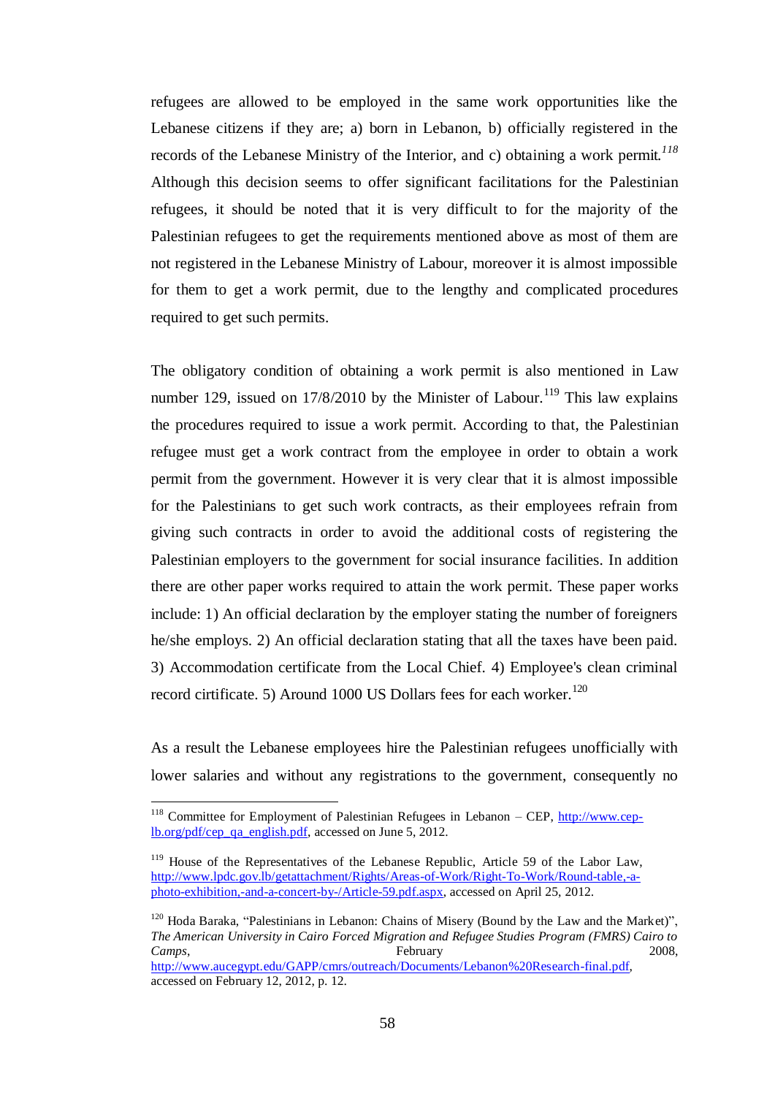refugees are allowed to be employed in the same work opportunities like the Lebanese citizens if they are; a) born in Lebanon, b) officially registered in the records of the Lebanese Ministry of the Interior, and c) obtaining a work permit.*<sup>118</sup>* Although this decision seems to offer significant facilitations for the Palestinian refugees, it should be noted that it is very difficult to for the majority of the Palestinian refugees to get the requirements mentioned above as most of them are not registered in the Lebanese Ministry of Labour, moreover it is almost impossible for them to get a work permit, due to the lengthy and complicated procedures required to get such permits.

The obligatory condition of obtaining a work permit is also mentioned in Law number 129, issued on  $17/8/2010$  by the Minister of Labour.<sup>119</sup> This law explains the procedures required to issue a work permit. According to that, the Palestinian refugee must get a work contract from the employee in order to obtain a work permit from the government. However it is very clear that it is almost impossible for the Palestinians to get such work contracts, as their employees refrain from giving such contracts in order to avoid the additional costs of registering the Palestinian employers to the government for social insurance facilities. In addition there are other paper works required to attain the work permit. These paper works include: 1) An official declaration by the employer stating the number of foreigners he/she employs. 2) An official declaration stating that all the taxes have been paid. 3) Accommodation certificate from the Local Chief. 4) Employee's clean criminal record cirtificate. 5) Around 1000 US Dollars fees for each worker.<sup>120</sup>

As a result the Lebanese employees hire the Palestinian refugees unofficially with lower salaries and without any registrations to the government, consequently no

<sup>&</sup>lt;sup>118</sup> Committee for Employment of Palestinian Refugees in Lebanon – CEP,  $\frac{http://www.cep-1}{http://www.cep-1}$ [lb.org/pdf/cep\\_qa\\_english.pdf,](http://www.cep-lb.org/pdf/cep_qa_english.pdf) accessed on June 5, 2012.

<sup>&</sup>lt;sup>119</sup> House of the Representatives of the Lebanese Republic, Article 59 of the Labor Law, [http://www.lpdc.gov.lb/getattachment/Rights/Areas-of-Work/Right-To-Work/Round-table,-a](http://www.lpdc.gov.lb/getattachment/Rights/Areas-of-Work/Right-To-Work/Round-table,-a-photo-exhibition,-and-a-concert-by-/Article-59.pdf.aspx)[photo-exhibition,-and-a-concert-by-/Article-59.pdf.aspx,](http://www.lpdc.gov.lb/getattachment/Rights/Areas-of-Work/Right-To-Work/Round-table,-a-photo-exhibition,-and-a-concert-by-/Article-59.pdf.aspx) accessed on April 25, 2012.

<sup>&</sup>lt;sup>120</sup> Hoda Baraka, "Palestinians in Lebanon: Chains of Misery (Bound by the Law and the Market)", *The American University in Cairo Forced Migration and Refugee Studies Program (FMRS) Cairo to Camps*, 2008, 2008, 2008, 2008, 2008, 2008, 2008, 2008, 2008, 2008, 2008, 2008, 2008, 2008, 2008, 2008, 2008, 2008, 2008, 2008, 2008, 2008, 2008, 2008, 2008, 2008, 2008, 2008, 2008, 2008, 2008, 2008, 2008, 2008, 2008, 200 [http://www.aucegypt.edu/GAPP/cmrs/outreach/Documents/Lebanon%20Research-final.pdf,](http://www.aucegypt.edu/GAPP/cmrs/outreach/Documents/Lebanon%20Research-final.pdf) accessed on February 12, 2012, p. 12.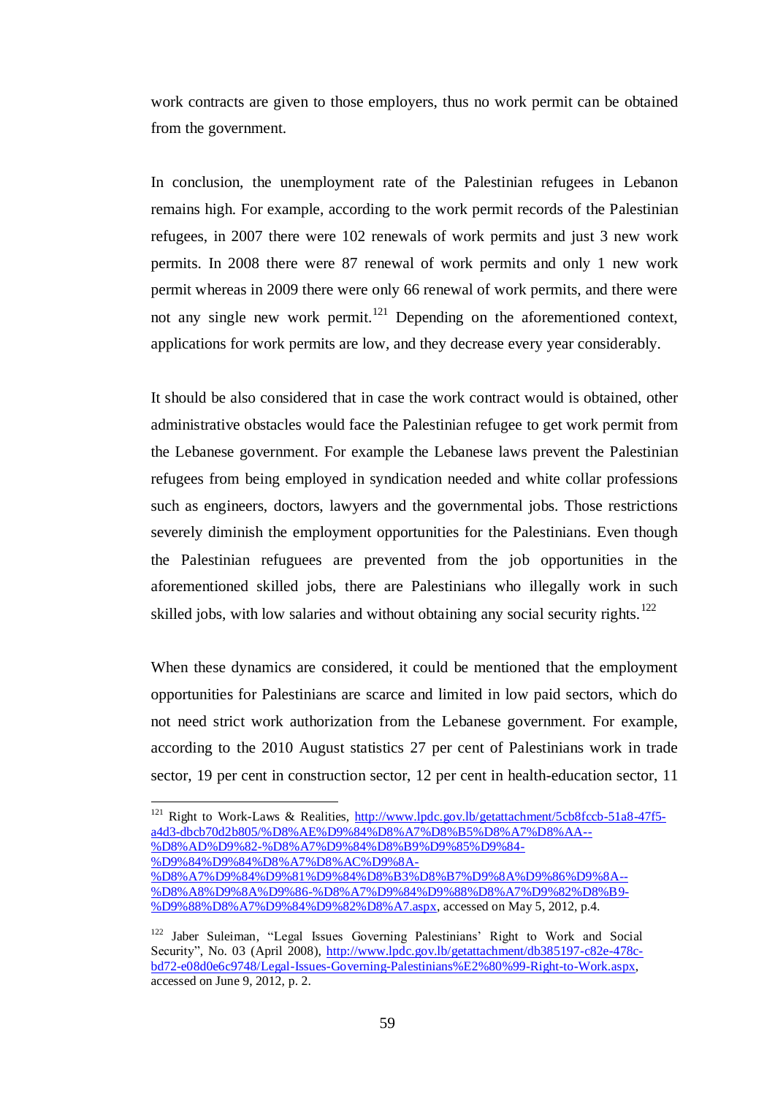work contracts are given to those employers, thus no work permit can be obtained from the government.

In conclusion, the unemployment rate of the Palestinian refugees in Lebanon remains high. For example, according to the work permit records of the Palestinian refugees, in 2007 there were 102 renewals of work permits and just 3 new work permits. In 2008 there were 87 renewal of work permits and only 1 new work permit whereas in 2009 there were only 66 renewal of work permits, and there were not any single new work permit.<sup>121</sup> Depending on the aforementioned context, applications for work permits are low, and they decrease every year considerably.

It should be also considered that in case the work contract would is obtained, other administrative obstacles would face the Palestinian refugee to get work permit from the Lebanese government. For example the Lebanese laws prevent the Palestinian refugees from being employed in syndication needed and white collar professions such as engineers, doctors, lawyers and the governmental jobs. Those restrictions severely diminish the employment opportunities for the Palestinians. Even though the Palestinian refuguees are prevented from the job opportunities in the aforementioned skilled jobs, there are Palestinians who illegally work in such skilled jobs, with low salaries and without obtaining any social security rights.<sup>122</sup>

When these dynamics are considered, it could be mentioned that the employment opportunities for Palestinians are scarce and limited in low paid sectors, which do not need strict work authorization from the Lebanese government. For example, according to the 2010 August statistics 27 per cent of Palestinians work in trade sector, 19 per cent in construction sector, 12 per cent in health-education sector, 11

<sup>&</sup>lt;sup>121</sup> Right to Work-Laws & Realities, [http://www.lpdc.gov.lb/getattachment/5cb8fccb-51a8-47f5](http://www.lpdc.gov.lb/getattachment/5cb8fccb-51a8-47f5-a4d3-dbcb70d2b805/%D8%AE%D9%84%D8%A7%D8%B5%D8%A7%D8%AA--%D8%AD%D9%82-%D8%A7%D9%84%D8%B9%D9%85%D9%84-%D9%84%D9%84%D8%A7%D8%AC%D9%8A-%D8%A7%D9%84%D9%81%D9%84%D8%B3%D8%B7%D9%8A%D9%86%D9%8A--%D8%A8%D9%8A%D9%86-%D8%A7%D9%84%D9%88%D8%A7%D9%82%D8%B9-%D9%88%D8%A7%D9%84%D9%82%D8%A7.aspx) [a4d3-dbcb70d2b805/%D8%AE%D9%84%D8%A7%D8%B5%D8%A7%D8%AA--](http://www.lpdc.gov.lb/getattachment/5cb8fccb-51a8-47f5-a4d3-dbcb70d2b805/%D8%AE%D9%84%D8%A7%D8%B5%D8%A7%D8%AA--%D8%AD%D9%82-%D8%A7%D9%84%D8%B9%D9%85%D9%84-%D9%84%D9%84%D8%A7%D8%AC%D9%8A-%D8%A7%D9%84%D9%81%D9%84%D8%B3%D8%B7%D9%8A%D9%86%D9%8A--%D8%A8%D9%8A%D9%86-%D8%A7%D9%84%D9%88%D8%A7%D9%82%D8%B9-%D9%88%D8%A7%D9%84%D9%82%D8%A7.aspx) [%D8%AD%D9%82-%D8%A7%D9%84%D8%B9%D9%85%D9%84-](http://www.lpdc.gov.lb/getattachment/5cb8fccb-51a8-47f5-a4d3-dbcb70d2b805/%D8%AE%D9%84%D8%A7%D8%B5%D8%A7%D8%AA--%D8%AD%D9%82-%D8%A7%D9%84%D8%B9%D9%85%D9%84-%D9%84%D9%84%D8%A7%D8%AC%D9%8A-%D8%A7%D9%84%D9%81%D9%84%D8%B3%D8%B7%D9%8A%D9%86%D9%8A--%D8%A8%D9%8A%D9%86-%D8%A7%D9%84%D9%88%D8%A7%D9%82%D8%B9-%D9%88%D8%A7%D9%84%D9%82%D8%A7.aspx) [%D9%84%D9%84%D8%A7%D8%AC%D9%8A-](http://www.lpdc.gov.lb/getattachment/5cb8fccb-51a8-47f5-a4d3-dbcb70d2b805/%D8%AE%D9%84%D8%A7%D8%B5%D8%A7%D8%AA--%D8%AD%D9%82-%D8%A7%D9%84%D8%B9%D9%85%D9%84-%D9%84%D9%84%D8%A7%D8%AC%D9%8A-%D8%A7%D9%84%D9%81%D9%84%D8%B3%D8%B7%D9%8A%D9%86%D9%8A--%D8%A8%D9%8A%D9%86-%D8%A7%D9%84%D9%88%D8%A7%D9%82%D8%B9-%D9%88%D8%A7%D9%84%D9%82%D8%A7.aspx)

[<sup>%</sup>D8%A7%D9%84%D9%81%D9%84%D8%B3%D8%B7%D9%8A%D9%86%D9%8A--](http://www.lpdc.gov.lb/getattachment/5cb8fccb-51a8-47f5-a4d3-dbcb70d2b805/%D8%AE%D9%84%D8%A7%D8%B5%D8%A7%D8%AA--%D8%AD%D9%82-%D8%A7%D9%84%D8%B9%D9%85%D9%84-%D9%84%D9%84%D8%A7%D8%AC%D9%8A-%D8%A7%D9%84%D9%81%D9%84%D8%B3%D8%B7%D9%8A%D9%86%D9%8A--%D8%A8%D9%8A%D9%86-%D8%A7%D9%84%D9%88%D8%A7%D9%82%D8%B9-%D9%88%D8%A7%D9%84%D9%82%D8%A7.aspx) [%D8%A8%D9%8A%D9%86-%D8%A7%D9%84%D9%88%D8%A7%D9%82%D8%B9-](http://www.lpdc.gov.lb/getattachment/5cb8fccb-51a8-47f5-a4d3-dbcb70d2b805/%D8%AE%D9%84%D8%A7%D8%B5%D8%A7%D8%AA--%D8%AD%D9%82-%D8%A7%D9%84%D8%B9%D9%85%D9%84-%D9%84%D9%84%D8%A7%D8%AC%D9%8A-%D8%A7%D9%84%D9%81%D9%84%D8%B3%D8%B7%D9%8A%D9%86%D9%8A--%D8%A8%D9%8A%D9%86-%D8%A7%D9%84%D9%88%D8%A7%D9%82%D8%B9-%D9%88%D8%A7%D9%84%D9%82%D8%A7.aspx) [%D9%88%D8%A7%D9%84%D9%82%D8%A7.aspx,](http://www.lpdc.gov.lb/getattachment/5cb8fccb-51a8-47f5-a4d3-dbcb70d2b805/%D8%AE%D9%84%D8%A7%D8%B5%D8%A7%D8%AA--%D8%AD%D9%82-%D8%A7%D9%84%D8%B9%D9%85%D9%84-%D9%84%D9%84%D8%A7%D8%AC%D9%8A-%D8%A7%D9%84%D9%81%D9%84%D8%B3%D8%B7%D9%8A%D9%86%D9%8A--%D8%A8%D9%8A%D9%86-%D8%A7%D9%84%D9%88%D8%A7%D9%82%D8%B9-%D9%88%D8%A7%D9%84%D9%82%D8%A7.aspx) accessed on May 5, 2012, p.4.

<sup>&</sup>lt;sup>122</sup> Jaber Suleiman, "Legal Issues Governing Palestinians' Right to Work and Social Security", No. 03 (April 2008), [http://www.lpdc.gov.lb/getattachment/db385197-c82e-478c](http://www.lpdc.gov.lb/getattachment/db385197-c82e-478c-bd72-e08d0e6c9748/Legal-Issues-Governing-Palestinians%E2%80%99-Right-to-Work.aspx)[bd72-e08d0e6c9748/Legal-Issues-Governing-Palestinians%E2%80%99-Right-to-Work.aspx,](http://www.lpdc.gov.lb/getattachment/db385197-c82e-478c-bd72-e08d0e6c9748/Legal-Issues-Governing-Palestinians%E2%80%99-Right-to-Work.aspx) accessed on June 9, 2012, p. 2.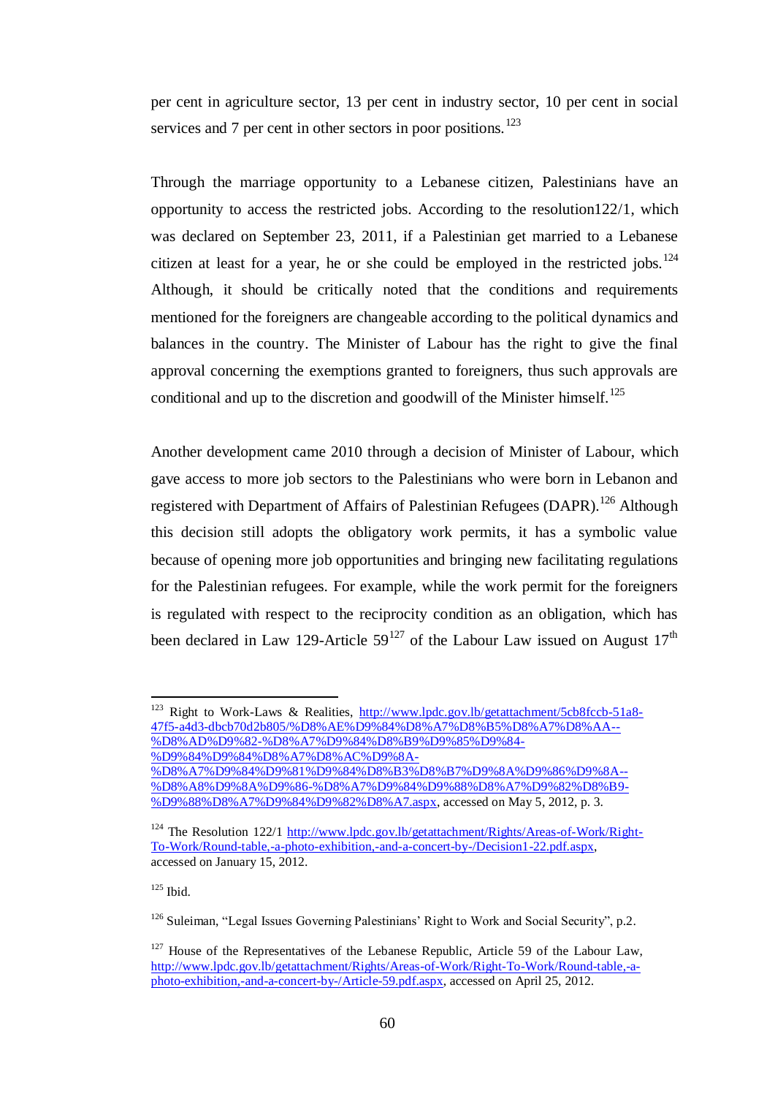per cent in agriculture sector, 13 per cent in industry sector, 10 per cent in social services and 7 per cent in other sectors in poor positions.<sup>123</sup>

Through the marriage opportunity to a Lebanese citizen, Palestinians have an opportunity to access the restricted jobs. According to the resolution122/1, which was declared on September 23, 2011, if a Palestinian get married to a Lebanese citizen at least for a year, he or she could be employed in the restricted jobs.<sup>124</sup> Although, it should be critically noted that the conditions and requirements mentioned for the foreigners are changeable according to the political dynamics and balances in the country. The Minister of Labour has the right to give the final approval concerning the exemptions granted to foreigners, thus such approvals are conditional and up to the discretion and goodwill of the Minister himself.<sup>125</sup>

Another development came 2010 through a decision of Minister of Labour, which gave access to more job sectors to the Palestinians who were born in Lebanon and registered with Department of Affairs of Palestinian Refugees (DAPR).<sup>126</sup> Although this decision still adopts the obligatory work permits, it has a symbolic value because of opening more job opportunities and bringing new facilitating regulations for the Palestinian refugees. For example, while the work permit for the foreigners is regulated with respect to the reciprocity condition as an obligation, which has been declared in Law 129-Article  $59^{127}$  of the Labour Law issued on August  $17<sup>th</sup>$ 

 $125$  Ibid.

<sup>&</sup>lt;sup>123</sup> Right to Work-Laws & Realities, [http://www.lpdc.gov.lb/getattachment/5cb8fccb-51a8-](http://www.lpdc.gov.lb/getattachment/5cb8fccb-51a8-47f5-a4d3-dbcb70d2b805/%D8%AE%D9%84%D8%A7%D8%B5%D8%A7%D8%AA--%D8%AD%D9%82-%D8%A7%D9%84%D8%B9%D9%85%D9%84-%D9%84%D9%84%D8%A7%D8%AC%D9%8A-%D8%A7%D9%84%D9%81%D9%84%D8%B3%D8%B7%D9%8A%D9%86%D9%8A--%D8%A8%D9%8A%D9%86-%D8%A7%D9%84%D9%88%D8%A7%D9%82%D8%B9-%D9%88%D8%A7%D9%84%D9%82%D8%A7.aspx) [47f5-a4d3-dbcb70d2b805/%D8%AE%D9%84%D8%A7%D8%B5%D8%A7%D8%AA--](http://www.lpdc.gov.lb/getattachment/5cb8fccb-51a8-47f5-a4d3-dbcb70d2b805/%D8%AE%D9%84%D8%A7%D8%B5%D8%A7%D8%AA--%D8%AD%D9%82-%D8%A7%D9%84%D8%B9%D9%85%D9%84-%D9%84%D9%84%D8%A7%D8%AC%D9%8A-%D8%A7%D9%84%D9%81%D9%84%D8%B3%D8%B7%D9%8A%D9%86%D9%8A--%D8%A8%D9%8A%D9%86-%D8%A7%D9%84%D9%88%D8%A7%D9%82%D8%B9-%D9%88%D8%A7%D9%84%D9%82%D8%A7.aspx) [%D8%AD%D9%82-%D8%A7%D9%84%D8%B9%D9%85%D9%84-](http://www.lpdc.gov.lb/getattachment/5cb8fccb-51a8-47f5-a4d3-dbcb70d2b805/%D8%AE%D9%84%D8%A7%D8%B5%D8%A7%D8%AA--%D8%AD%D9%82-%D8%A7%D9%84%D8%B9%D9%85%D9%84-%D9%84%D9%84%D8%A7%D8%AC%D9%8A-%D8%A7%D9%84%D9%81%D9%84%D8%B3%D8%B7%D9%8A%D9%86%D9%8A--%D8%A8%D9%8A%D9%86-%D8%A7%D9%84%D9%88%D8%A7%D9%82%D8%B9-%D9%88%D8%A7%D9%84%D9%82%D8%A7.aspx)

[<sup>%</sup>D9%84%D9%84%D8%A7%D8%AC%D9%8A-](http://www.lpdc.gov.lb/getattachment/5cb8fccb-51a8-47f5-a4d3-dbcb70d2b805/%D8%AE%D9%84%D8%A7%D8%B5%D8%A7%D8%AA--%D8%AD%D9%82-%D8%A7%D9%84%D8%B9%D9%85%D9%84-%D9%84%D9%84%D8%A7%D8%AC%D9%8A-%D8%A7%D9%84%D9%81%D9%84%D8%B3%D8%B7%D9%8A%D9%86%D9%8A--%D8%A8%D9%8A%D9%86-%D8%A7%D9%84%D9%88%D8%A7%D9%82%D8%B9-%D9%88%D8%A7%D9%84%D9%82%D8%A7.aspx)

[<sup>%</sup>D8%A7%D9%84%D9%81%D9%84%D8%B3%D8%B7%D9%8A%D9%86%D9%8A--](http://www.lpdc.gov.lb/getattachment/5cb8fccb-51a8-47f5-a4d3-dbcb70d2b805/%D8%AE%D9%84%D8%A7%D8%B5%D8%A7%D8%AA--%D8%AD%D9%82-%D8%A7%D9%84%D8%B9%D9%85%D9%84-%D9%84%D9%84%D8%A7%D8%AC%D9%8A-%D8%A7%D9%84%D9%81%D9%84%D8%B3%D8%B7%D9%8A%D9%86%D9%8A--%D8%A8%D9%8A%D9%86-%D8%A7%D9%84%D9%88%D8%A7%D9%82%D8%B9-%D9%88%D8%A7%D9%84%D9%82%D8%A7.aspx) [%D8%A8%D9%8A%D9%86-%D8%A7%D9%84%D9%88%D8%A7%D9%82%D8%B9-](http://www.lpdc.gov.lb/getattachment/5cb8fccb-51a8-47f5-a4d3-dbcb70d2b805/%D8%AE%D9%84%D8%A7%D8%B5%D8%A7%D8%AA--%D8%AD%D9%82-%D8%A7%D9%84%D8%B9%D9%85%D9%84-%D9%84%D9%84%D8%A7%D8%AC%D9%8A-%D8%A7%D9%84%D9%81%D9%84%D8%B3%D8%B7%D9%8A%D9%86%D9%8A--%D8%A8%D9%8A%D9%86-%D8%A7%D9%84%D9%88%D8%A7%D9%82%D8%B9-%D9%88%D8%A7%D9%84%D9%82%D8%A7.aspx) [%D9%88%D8%A7%D9%84%D9%82%D8%A7.aspx,](http://www.lpdc.gov.lb/getattachment/5cb8fccb-51a8-47f5-a4d3-dbcb70d2b805/%D8%AE%D9%84%D8%A7%D8%B5%D8%A7%D8%AA--%D8%AD%D9%82-%D8%A7%D9%84%D8%B9%D9%85%D9%84-%D9%84%D9%84%D8%A7%D8%AC%D9%8A-%D8%A7%D9%84%D9%81%D9%84%D8%B3%D8%B7%D9%8A%D9%86%D9%8A--%D8%A8%D9%8A%D9%86-%D8%A7%D9%84%D9%88%D8%A7%D9%82%D8%B9-%D9%88%D8%A7%D9%84%D9%82%D8%A7.aspx) accessed on May 5, 2012, p. 3.

<sup>&</sup>lt;sup>124</sup> The Resolution 122/1 [http://www.lpdc.gov.lb/getattachment/Rights/Areas-of-Work/Right-](http://www.lpdc.gov.lb/getattachment/Rights/Areas-of-Work/Right-To-Work/Round-table,-a-photo-exhibition,-and-a-concert-by-/Decision1-22.pdf.aspx)[To-Work/Round-table,-a-photo-exhibition,-and-a-concert-by-/Decision1-22.pdf.aspx,](http://www.lpdc.gov.lb/getattachment/Rights/Areas-of-Work/Right-To-Work/Round-table,-a-photo-exhibition,-and-a-concert-by-/Decision1-22.pdf.aspx)  accessed on January 15, 2012.

 $126$  Suleiman, "Legal Issues Governing Palestinians' Right to Work and Social Security", p.2.

 $127$  House of the Representatives of the Lebanese Republic, Article 59 of the Labour Law, [http://www.lpdc.gov.lb/getattachment/Rights/Areas-of-Work/Right-To-Work/Round-table,-a](http://www.lpdc.gov.lb/getattachment/Rights/Areas-of-Work/Right-To-Work/Round-table,-a-photo-exhibition,-and-a-concert-by-/Article-59.pdf.aspx)[photo-exhibition,-and-a-concert-by-/Article-59.pdf.aspx,](http://www.lpdc.gov.lb/getattachment/Rights/Areas-of-Work/Right-To-Work/Round-table,-a-photo-exhibition,-and-a-concert-by-/Article-59.pdf.aspx) accessed on April 25, 2012.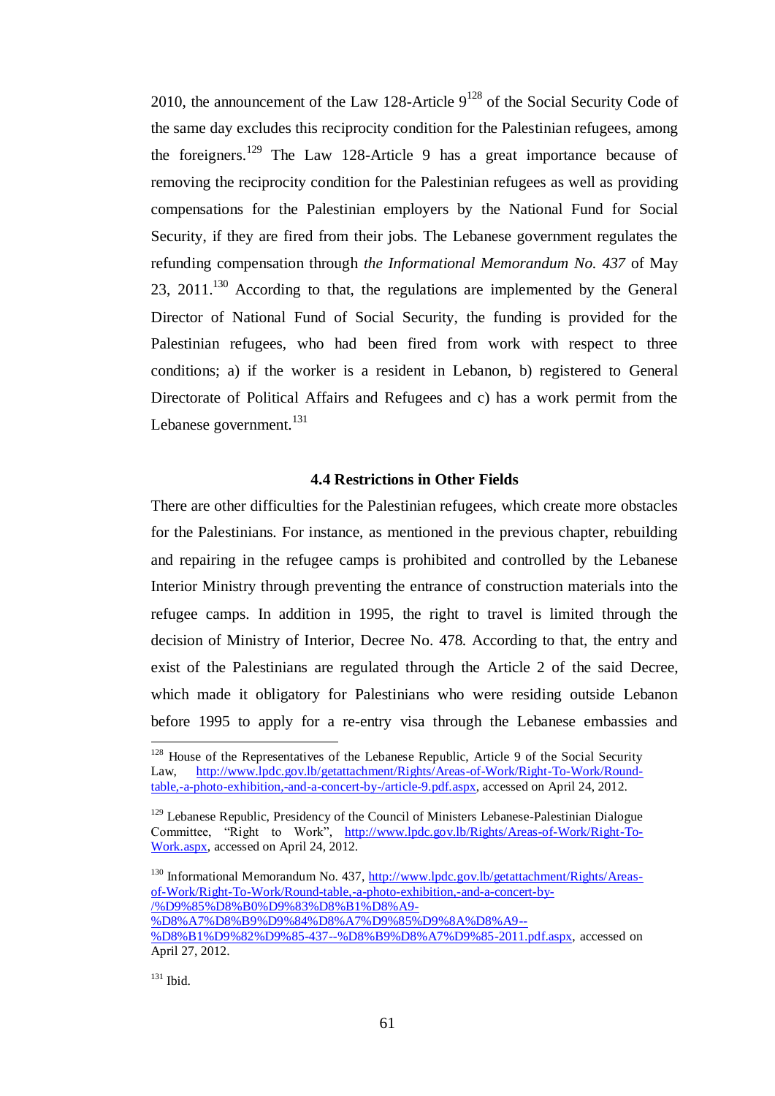2010, the announcement of the Law 128-Article  $9^{128}$  of the Social Security Code of the same day excludes this reciprocity condition for the Palestinian refugees, among the foreigners.<sup>129</sup> The Law 128-Article 9 has a great importance because of removing the reciprocity condition for the Palestinian refugees as well as providing compensations for the Palestinian employers by the National Fund for Social Security, if they are fired from their jobs. The Lebanese government regulates the refunding compensation through *the Informational Memorandum No. 437* of May 23,  $2011.<sup>130</sup>$  According to that, the regulations are implemented by the General Director of National Fund of Social Security, the funding is provided for the Palestinian refugees, who had been fired from work with respect to three conditions; a) if the worker is a resident in Lebanon, b) registered to General Directorate of Political Affairs and Refugees and c) has a work permit from the Lebanese government.<sup>131</sup>

## **4.4 Restrictions in Other Fields**

There are other difficulties for the Palestinian refugees, which create more obstacles for the Palestinians. For instance, as mentioned in the previous chapter, rebuilding and repairing in the refugee camps is prohibited and controlled by the Lebanese Interior Ministry through preventing the entrance of construction materials into the refugee camps. In addition in 1995, the right to travel is limited through the decision of Ministry of Interior, Decree No. 478. According to that, the entry and exist of the Palestinians are regulated through the Article 2 of the said Decree, which made it obligatory for Palestinians who were residing outside Lebanon before 1995 to apply for a re-entry visa through the Lebanese embassies and

[%D8%A7%D8%B9%D9%84%D8%A7%D9%85%D9%8A%D8%A9--](http://www.lpdc.gov.lb/getattachment/Rights/Areas-of-Work/Right-To-Work/Round-table,-a-photo-exhibition,-and-a-concert-by-/%D9%85%D8%B0%D9%83%D8%B1%D8%A9-%D8%A7%D8%B9%D9%84%D8%A7%D9%85%D9%8A%D8%A9--%D8%B1%D9%82%D9%85-437--%D8%B9%D8%A7%D9%85-2011.pdf.aspx)

<sup>&</sup>lt;sup>128</sup> House of the Representatives of the Lebanese Republic, Article 9 of the Social Security Law, [http://www.lpdc.gov.lb/getattachment/Rights/Areas-of-Work/Right-To-Work/Round](http://www.lpdc.gov.lb/getattachment/Rights/Areas-of-Work/Right-To-Work/Round-table,-a-photo-exhibition,-and-a-concert-by-/article-9.pdf.aspx)[table,-a-photo-exhibition,-and-a-concert-by-/article-9.pdf.aspx,](http://www.lpdc.gov.lb/getattachment/Rights/Areas-of-Work/Right-To-Work/Round-table,-a-photo-exhibition,-and-a-concert-by-/article-9.pdf.aspx) accessed on April 24, 2012.

<sup>&</sup>lt;sup>129</sup> Lebanese Republic, Presidency of the Council of Ministers Lebanese-Palestinian Dialogue Committee, "Right to Work", [http://www.lpdc.gov.lb/Rights/Areas-of-Work/Right-To-](http://www.lpdc.gov.lb/Rights/Areas-of-Work/Right-To-Work.aspx)[Work.aspx,](http://www.lpdc.gov.lb/Rights/Areas-of-Work/Right-To-Work.aspx) accessed on April 24, 2012.

<sup>&</sup>lt;sup>130</sup> Informational Memorandum No. 437, [http://www.lpdc.gov.lb/getattachment/Rights/Areas](http://www.lpdc.gov.lb/getattachment/Rights/Areas-of-Work/Right-To-Work/Round-table,-a-photo-exhibition,-and-a-concert-by-/%D9%85%D8%B0%D9%83%D8%B1%D8%A9-%D8%A7%D8%B9%D9%84%D8%A7%D9%85%D9%8A%D8%A9--%D8%B1%D9%82%D9%85-437--%D8%B9%D8%A7%D9%85-2011.pdf.aspx)[of-Work/Right-To-Work/Round-table,-a-photo-exhibition,-and-a-concert-by-](http://www.lpdc.gov.lb/getattachment/Rights/Areas-of-Work/Right-To-Work/Round-table,-a-photo-exhibition,-and-a-concert-by-/%D9%85%D8%B0%D9%83%D8%B1%D8%A9-%D8%A7%D8%B9%D9%84%D8%A7%D9%85%D9%8A%D8%A9--%D8%B1%D9%82%D9%85-437--%D8%B9%D8%A7%D9%85-2011.pdf.aspx) [/%D9%85%D8%B0%D9%83%D8%B1%D8%A9-](http://www.lpdc.gov.lb/getattachment/Rights/Areas-of-Work/Right-To-Work/Round-table,-a-photo-exhibition,-and-a-concert-by-/%D9%85%D8%B0%D9%83%D8%B1%D8%A9-%D8%A7%D8%B9%D9%84%D8%A7%D9%85%D9%8A%D8%A9--%D8%B1%D9%82%D9%85-437--%D8%B9%D8%A7%D9%85-2011.pdf.aspx)

[<sup>%</sup>D8%B1%D9%82%D9%85-437--%D8%B9%D8%A7%D9%85-2011.pdf.aspx,](http://www.lpdc.gov.lb/getattachment/Rights/Areas-of-Work/Right-To-Work/Round-table,-a-photo-exhibition,-and-a-concert-by-/%D9%85%D8%B0%D9%83%D8%B1%D8%A9-%D8%A7%D8%B9%D9%84%D8%A7%D9%85%D9%8A%D8%A9--%D8%B1%D9%82%D9%85-437--%D8%B9%D8%A7%D9%85-2011.pdf.aspx) accessed on April 27, 2012.

 $131$  Ibid.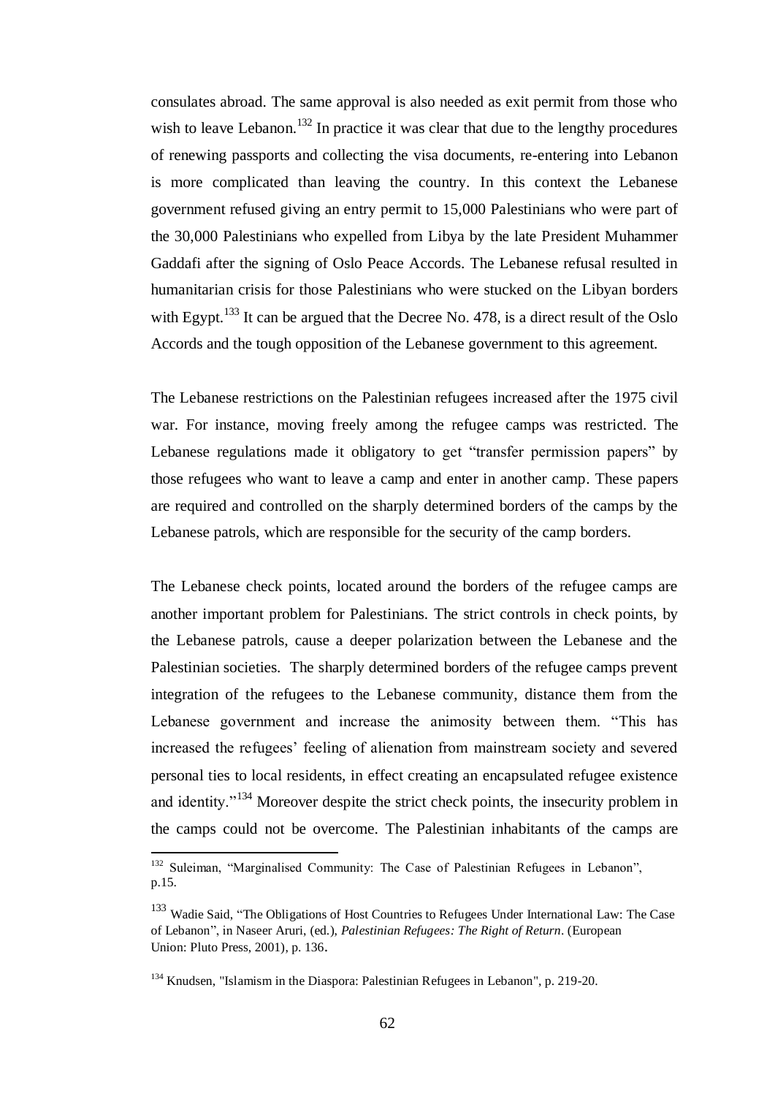consulates abroad. The same approval is also needed as exit permit from those who wish to leave Lebanon.<sup>132</sup> In practice it was clear that due to the lengthy procedures of renewing passports and collecting the visa documents, re-entering into Lebanon is more complicated than leaving the country. In this context the Lebanese government refused giving an entry permit to 15,000 Palestinians who were part of the 30,000 Palestinians who expelled from Libya by the late President Muhammer Gaddafi after the signing of Oslo Peace Accords. The Lebanese refusal resulted in humanitarian crisis for those Palestinians who were stucked on the Libyan borders with Egypt.<sup>133</sup> It can be argued that the Decree No. 478, is a direct result of the Oslo Accords and the tough opposition of the Lebanese government to this agreement.

The Lebanese restrictions on the Palestinian refugees increased after the 1975 civil war. For instance, moving freely among the refugee camps was restricted. The Lebanese regulations made it obligatory to get "transfer permission papers" by those refugees who want to leave a camp and enter in another camp. These papers are required and controlled on the sharply determined borders of the camps by the Lebanese patrols, which are responsible for the security of the camp borders.

The Lebanese check points, located around the borders of the refugee camps are another important problem for Palestinians. The strict controls in check points, by the Lebanese patrols, cause a deeper polarization between the Lebanese and the Palestinian societies. The sharply determined borders of the refugee camps prevent integration of the refugees to the Lebanese community, distance them from the Lebanese government and increase the animosity between them. "This has increased the refugees" feeling of alienation from mainstream society and severed personal ties to local residents, in effect creating an encapsulated refugee existence and identity."<sup>134</sup> Moreover despite the strict check points, the insecurity problem in the camps could not be overcome. The Palestinian inhabitants of the camps are

<sup>&</sup>lt;sup>132</sup> Suleiman, "Marginalised Community: The Case of Palestinian Refugees in Lebanon". p.15.

<sup>&</sup>lt;sup>133</sup> Wadie Said, "The Obligations of Host Countries to Refugees Under International Law: The Case of Lebanon", in Naseer Aruri, (ed.), *Palestinian Refugees: The Right of Return*. (European Union: Pluto Press, 2001), p. 136.

<sup>134</sup> Knudsen, "Islamism in the Diaspora: Palestinian Refugees in Lebanon", p. 219-20.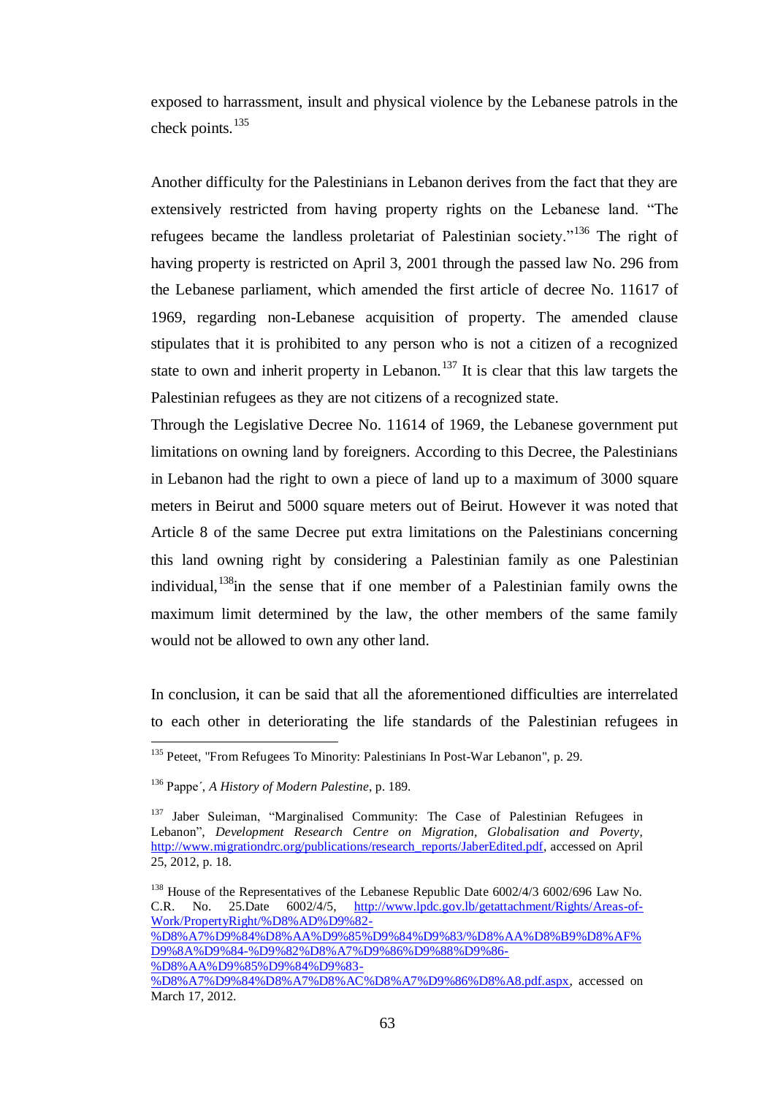exposed to harrassment, insult and physical violence by the Lebanese patrols in the check points.<sup>135</sup>

Another difficulty for the Palestinians in Lebanon derives from the fact that they are extensively restricted from having property rights on the Lebanese land. "The refugees became the landless proletariat of Palestinian society."<sup>136</sup> The right of having property is restricted on April 3, 2001 through the passed law No. 296 from the Lebanese parliament, which amended the first article of decree No. 11617 of 1969, regarding non-Lebanese acquisition of property. The amended clause stipulates that it is prohibited to any person who is not a citizen of a recognized state to own and inherit property in Lebanon.<sup>137</sup> It is clear that this law targets the Palestinian refugees as they are not citizens of a recognized state.

Through the Legislative Decree No. 11614 of 1969, the Lebanese government put limitations on owning land by foreigners. According to this Decree, the Palestinians in Lebanon had the right to own a piece of land up to a maximum of 3000 square meters in Beirut and 5000 square meters out of Beirut. However it was noted that Article 8 of the same Decree put extra limitations on the Palestinians concerning this land owning right by considering a Palestinian family as one Palestinian individual,  $138$ in the sense that if one member of a Palestinian family owns the maximum limit determined by the law, the other members of the same family would not be allowed to own any other land.

In conclusion, it can be said that all the aforementioned difficulties are interrelated to each other in deteriorating the life standards of the Palestinian refugees in

[%D8%A7%D9%84%D8%AA%D9%85%D9%84%D9%83/%D8%AA%D8%B9%D8%AF%](http://www.lpdc.gov.lb/getattachment/Rights/Areas-of-Work/PropertyRight/%D8%AD%D9%82-%D8%A7%D9%84%D8%AA%D9%85%D9%84%D9%83/%D8%AA%D8%B9%D8%AF%D9%8A%D9%84-%D9%82%D8%A7%D9%86%D9%88%D9%86-%D8%AA%D9%85%D9%84%D9%83-%D8%A7%D9%84%D8%A7%D8%AC%D8%A7%D9%86%D8%A8.pdf.aspx) [D9%8A%D9%84-%D9%82%D8%A7%D9%86%D9%88%D9%86-](http://www.lpdc.gov.lb/getattachment/Rights/Areas-of-Work/PropertyRight/%D8%AD%D9%82-%D8%A7%D9%84%D8%AA%D9%85%D9%84%D9%83/%D8%AA%D8%B9%D8%AF%D9%8A%D9%84-%D9%82%D8%A7%D9%86%D9%88%D9%86-%D8%AA%D9%85%D9%84%D9%83-%D8%A7%D9%84%D8%A7%D8%AC%D8%A7%D9%86%D8%A8.pdf.aspx)

[%D8%AA%D9%85%D9%84%D9%83-](http://www.lpdc.gov.lb/getattachment/Rights/Areas-of-Work/PropertyRight/%D8%AD%D9%82-%D8%A7%D9%84%D8%AA%D9%85%D9%84%D9%83/%D8%AA%D8%B9%D8%AF%D9%8A%D9%84-%D9%82%D8%A7%D9%86%D9%88%D9%86-%D8%AA%D9%85%D9%84%D9%83-%D8%A7%D9%84%D8%A7%D8%AC%D8%A7%D9%86%D8%A8.pdf.aspx)

<sup>&</sup>lt;sup>135</sup> Peteet, "From Refugees To Minority: Palestinians In Post-War Lebanon", p. 29.

<sup>136</sup> Pappe´, *A History of Modern Palestine*, p. 189.

<sup>&</sup>lt;sup>137</sup> Jaber Suleiman, "Marginalised Community: The Case of Palestinian Refugees in Lebanon", *Development Research Centre on Migration, Globalisation and Poverty,* [http://www.migrationdrc.org/publications/research\\_reports/JaberEdited.pdf,](http://www.migrationdrc.org/publications/research_reports/JaberEdited.pdf) accessed on April 25, 2012, p. 18.

<sup>&</sup>lt;sup>138</sup> House of the Representatives of the Lebanese Republic Date 6002/4/3 6002/696 Law No. C.R. No. 25.Date 6002/4/5, [http://www.lpdc.gov.lb/getattachment/Rights/Areas-of-](http://www.lpdc.gov.lb/getattachment/Rights/Areas-of-Work/PropertyRight/%D8%AD%D9%82-%D8%A7%D9%84%D8%AA%D9%85%D9%84%D9%83/%D8%AA%D8%B9%D8%AF%D9%8A%D9%84-%D9%82%D8%A7%D9%86%D9%88%D9%86-%D8%AA%D9%85%D9%84%D9%83-%D8%A7%D9%84%D8%A7%D8%AC%D8%A7%D9%86%D8%A8.pdf.aspx)[Work/PropertyRight/%D8%AD%D9%82-](http://www.lpdc.gov.lb/getattachment/Rights/Areas-of-Work/PropertyRight/%D8%AD%D9%82-%D8%A7%D9%84%D8%AA%D9%85%D9%84%D9%83/%D8%AA%D8%B9%D8%AF%D9%8A%D9%84-%D9%82%D8%A7%D9%86%D9%88%D9%86-%D8%AA%D9%85%D9%84%D9%83-%D8%A7%D9%84%D8%A7%D8%AC%D8%A7%D9%86%D8%A8.pdf.aspx)

[<sup>%</sup>D8%A7%D9%84%D8%A7%D8%AC%D8%A7%D9%86%D8%A8.pdf.aspx,](http://www.lpdc.gov.lb/getattachment/Rights/Areas-of-Work/PropertyRight/%D8%AD%D9%82-%D8%A7%D9%84%D8%AA%D9%85%D9%84%D9%83/%D8%AA%D8%B9%D8%AF%D9%8A%D9%84-%D9%82%D8%A7%D9%86%D9%88%D9%86-%D8%AA%D9%85%D9%84%D9%83-%D8%A7%D9%84%D8%A7%D8%AC%D8%A7%D9%86%D8%A8.pdf.aspx) accessed on March 17, 2012.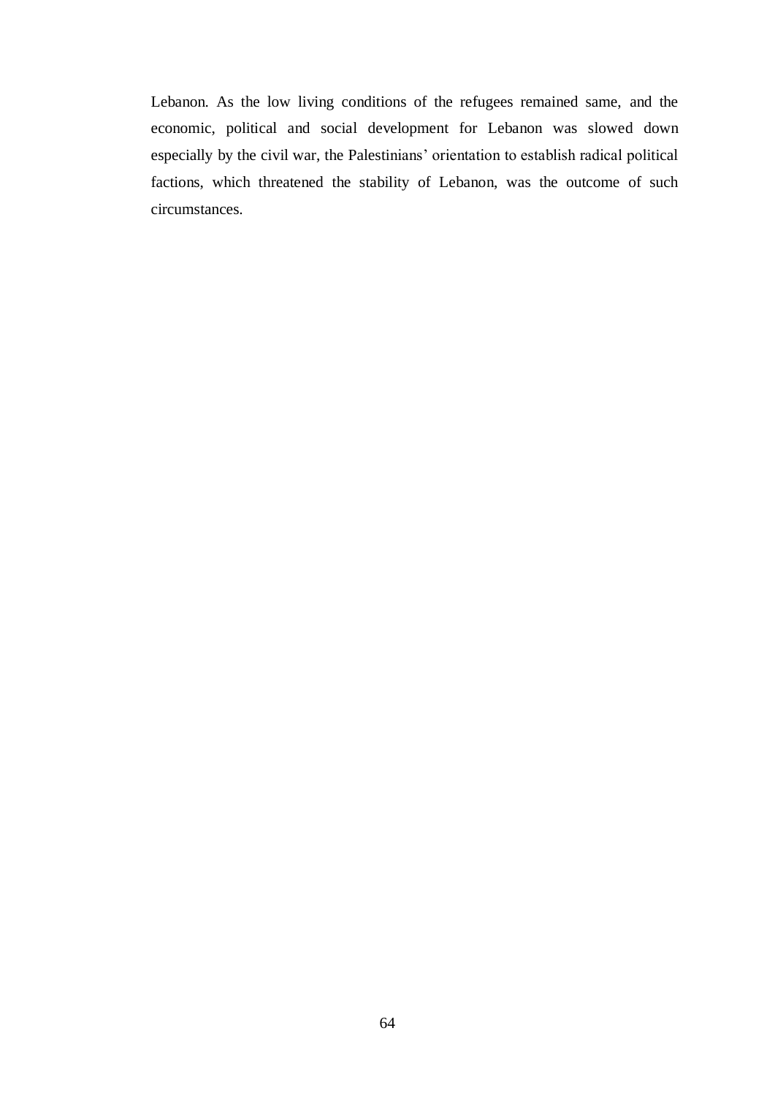Lebanon. As the low living conditions of the refugees remained same, and the economic, political and social development for Lebanon was slowed down especially by the civil war, the Palestinians" orientation to establish radical political factions, which threatened the stability of Lebanon, was the outcome of such circumstances.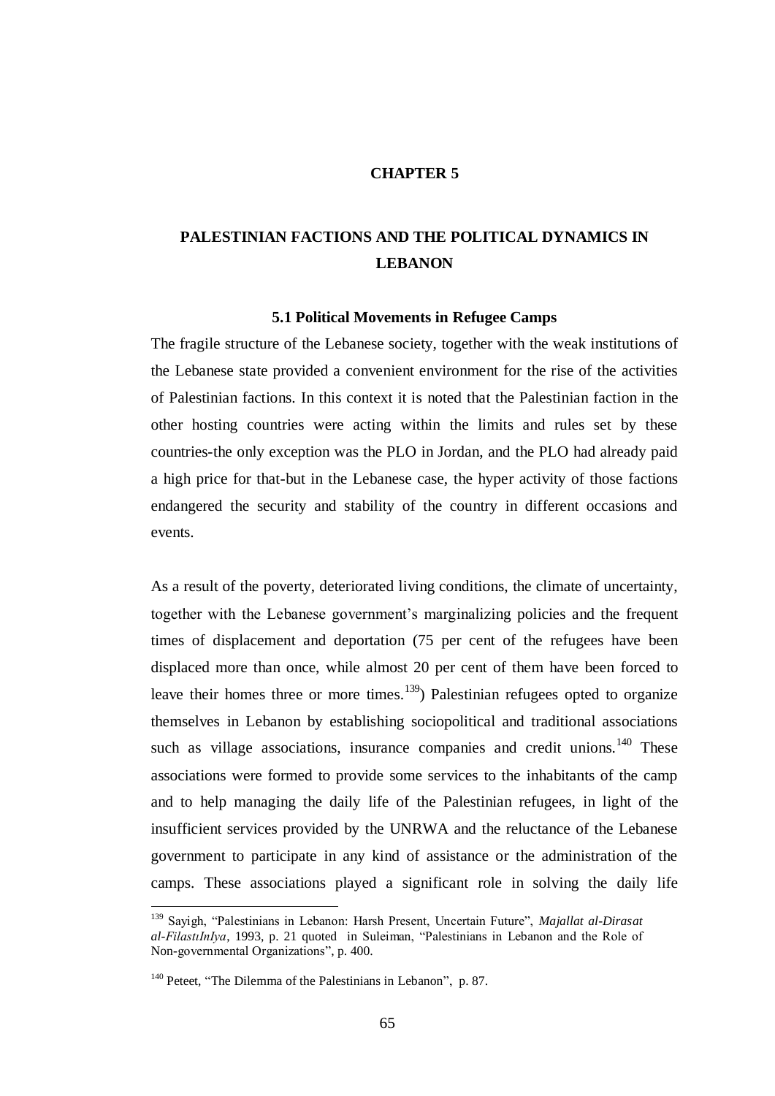#### **CHAPTER 5**

# **PALESTINIAN FACTIONS AND THE POLITICAL DYNAMICS IN LEBANON**

#### **5.1 Political Movements in Refugee Camps**

The fragile structure of the Lebanese society, together with the weak institutions of the Lebanese state provided a convenient environment for the rise of the activities of Palestinian factions. In this context it is noted that the Palestinian faction in the other hosting countries were acting within the limits and rules set by these countries-the only exception was the PLO in Jordan, and the PLO had already paid a high price for that-but in the Lebanese case, the hyper activity of those factions endangered the security and stability of the country in different occasions and events.

As a result of the poverty, deteriorated living conditions, the climate of uncertainty, together with the Lebanese government"s marginalizing policies and the frequent times of displacement and deportation (75 per cent of the refugees have been displaced more than once, while almost 20 per cent of them have been forced to leave their homes three or more times.<sup>139</sup>) Palestinian refugees opted to organize themselves in Lebanon by establishing sociopolitical and traditional associations such as village associations, insurance companies and credit unions. $140$  These associations were formed to provide some services to the inhabitants of the camp and to help managing the daily life of the Palestinian refugees, in light of the insufficient services provided by the UNRWA and the reluctance of the Lebanese government to participate in any kind of assistance or the administration of the camps. These associations played a significant role in solving the daily life

<sup>139</sup> Sayigh, "Palestinians in Lebanon: Harsh Present, Uncertain Future", *Majallat al-Dirasat al-FilastıInIya*, 1993, p. 21 quoted in Suleiman, "Palestinians in Lebanon and the Role of Non-governmental Organizations", p. 400.

<sup>&</sup>lt;sup>140</sup> Peteet, "The Dilemma of the Palestinians in Lebanon", p. 87.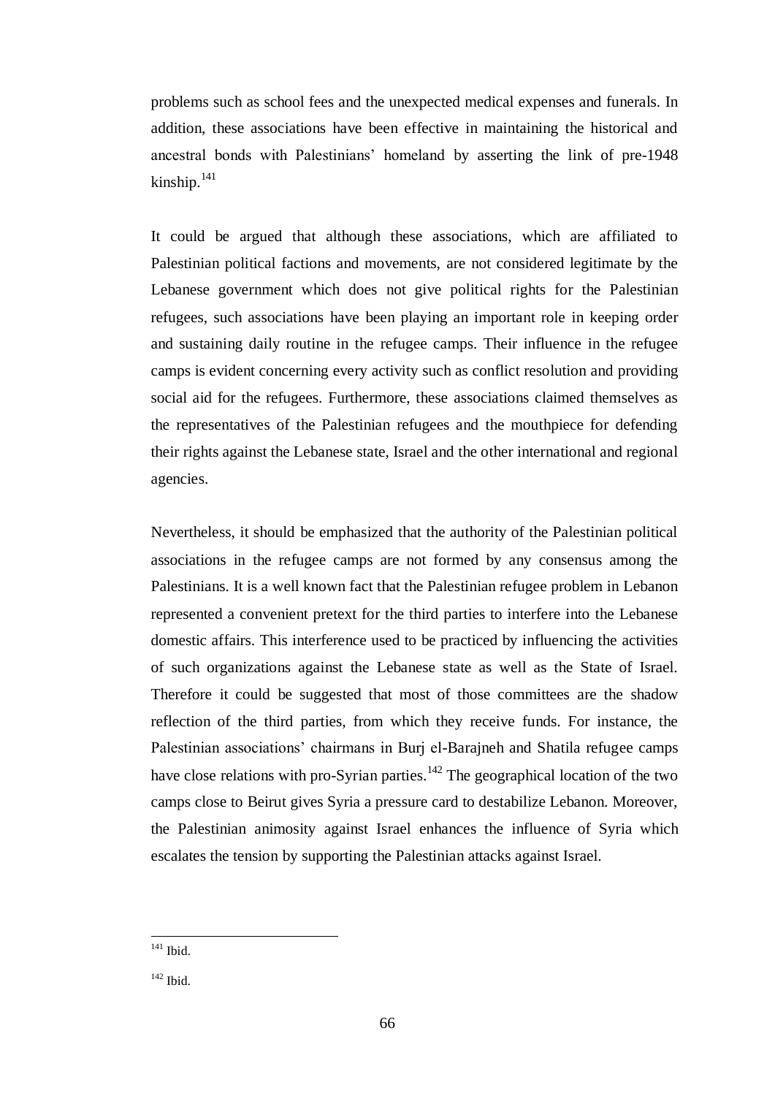problems such as school fees and the unexpected medical expenses and funerals. In addition, these associations have been effective in maintaining the historical and ancestral bonds with Palestinians" homeland by asserting the link of pre-1948 kinship. $^{141}$ 

It could be argued that although these associations, which are affiliated to Palestinian political factions and movements, are not considered legitimate by the Lebanese government which does not give political rights for the Palestinian refugees, such associations have been playing an important role in keeping order and sustaining daily routine in the refugee camps. Their influence in the refugee camps is evident concerning every activity such as conflict resolution and providing social aid for the refugees. Furthermore, these associations claimed themselves as the representatives of the Palestinian refugees and the mouthpiece for defending their rights against the Lebanese state, Israel and the other international and regional agencies.

Nevertheless, it should be emphasized that the authority of the Palestinian political associations in the refugee camps are not formed by any consensus among the Palestinians. It is a well known fact that the Palestinian refugee problem in Lebanon represented a convenient pretext for the third parties to interfere into the Lebanese domestic affairs. This interference used to be practiced by influencing the activities of such organizations against the Lebanese state as well as the State of Israel. Therefore it could be suggested that most of those committees are the shadow reflection of the third parties, from which they receive funds. For instance, the Palestinian associations' chairmans in Burj el-Barajneh and Shatila refugee camps have close relations with pro-Syrian parties.<sup>142</sup> The geographical location of the two camps close to Beirut gives Syria a pressure card to destabilize Lebanon. Moreover, the Palestinian animosity against Israel enhances the influence of Syria which escalates the tension by supporting the Palestinian attacks against Israel.

 $141$  Ibid.

 $142$  Ibid.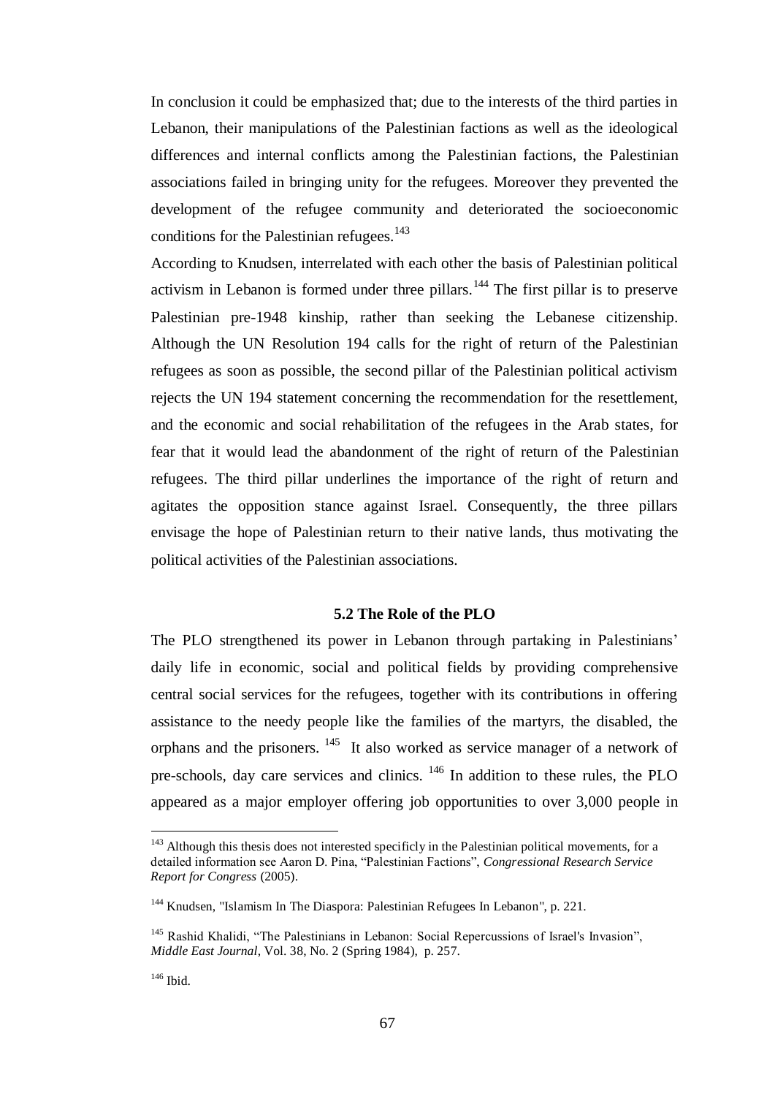In conclusion it could be emphasized that; due to the interests of the third parties in Lebanon, their manipulations of the Palestinian factions as well as the ideological differences and internal conflicts among the Palestinian factions, the Palestinian associations failed in bringing unity for the refugees. Moreover they prevented the development of the refugee community and deteriorated the socioeconomic conditions for the Palestinian refugees.<sup>143</sup>

According to Knudsen, interrelated with each other the basis of Palestinian political activism in Lebanon is formed under three pillars.<sup>144</sup> The first pillar is to preserve Palestinian pre-1948 kinship, rather than seeking the Lebanese citizenship. Although the UN Resolution 194 calls for the right of return of the Palestinian refugees as soon as possible, the second pillar of the Palestinian political activism rejects the UN 194 statement concerning the recommendation for the resettlement, and the economic and social rehabilitation of the refugees in the Arab states, for fear that it would lead the abandonment of the right of return of the Palestinian refugees. The third pillar underlines the importance of the right of return and agitates the opposition stance against Israel. Consequently, the three pillars envisage the hope of Palestinian return to their native lands, thus motivating the political activities of the Palestinian associations.

#### **5.2 The Role of the PLO**

The PLO strengthened its power in Lebanon through partaking in Palestinians' daily life in economic, social and political fields by providing comprehensive central social services for the refugees, together with its contributions in offering assistance to the needy people like the families of the martyrs, the disabled, the orphans and the prisoners. <sup>145</sup> It also worked as service manager of a network of pre-schools, day care services and clinics. <sup>146</sup> In addition to these rules, the PLO appeared as a major employer offering job opportunities to over 3,000 people in

<sup>&</sup>lt;sup>143</sup> Although this thesis does not interested specificly in the Palestinian political movements, for a detailed information see Aaron D. Pina, "Palestinian Factions", *Congressional Research Service Report for Congress* (2005).

<sup>&</sup>lt;sup>144</sup> Knudsen, "Islamism In The Diaspora: Palestinian Refugees In Lebanon", p. 221.

<sup>&</sup>lt;sup>145</sup> Rashid Khalidi, "The Palestinians in Lebanon: Social Repercussions of Israel's Invasion", *Middle East Journal*, Vol. 38, No. 2 (Spring 1984), p. 257.

 $146$  Ibid.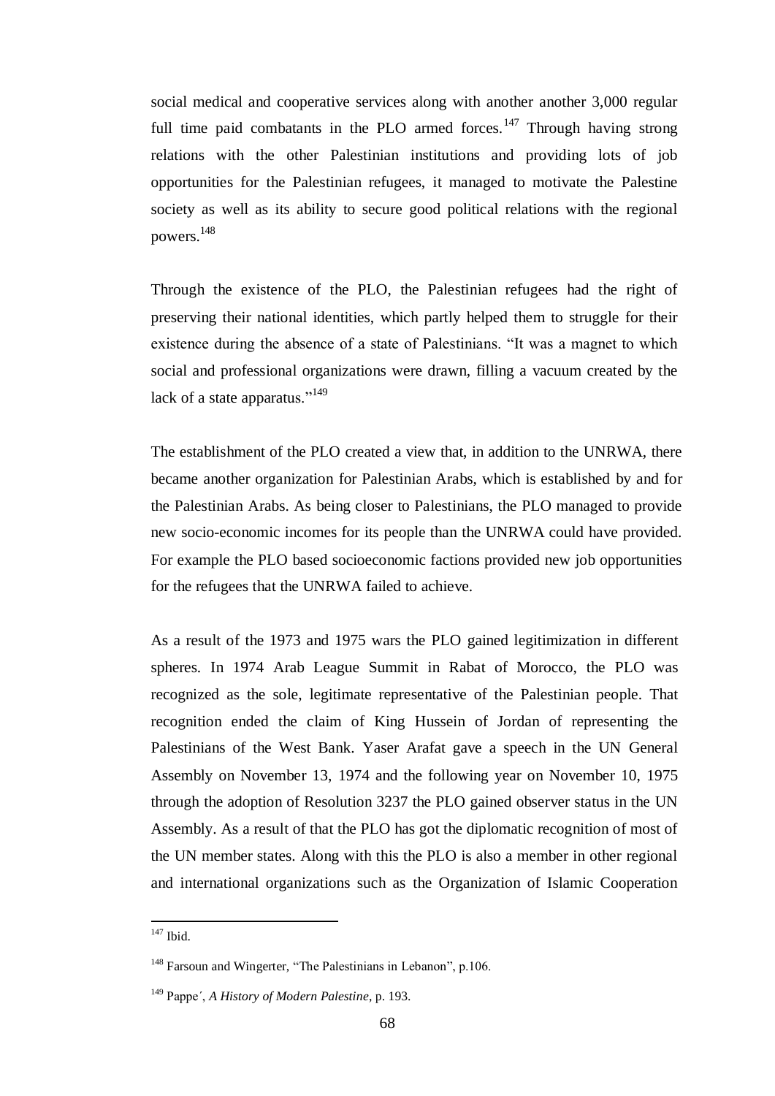social medical and cooperative services along with another another 3,000 regular full time paid combatants in the PLO armed forces.<sup>147</sup> Through having strong relations with the other Palestinian institutions and providing lots of job opportunities for the Palestinian refugees, it managed to motivate the Palestine society as well as its ability to secure good political relations with the regional powers. 148

Through the existence of the PLO, the Palestinian refugees had the right of preserving their national identities, which partly helped them to struggle for their existence during the absence of a state of Palestinians. "It was a magnet to which social and professional organizations were drawn, filling a vacuum created by the lack of a state apparatus." $149$ 

The establishment of the PLO created a view that, in addition to the UNRWA, there became another organization for Palestinian Arabs, which is established by and for the Palestinian Arabs. As being closer to Palestinians, the PLO managed to provide new socio-economic incomes for its people than the UNRWA could have provided. For example the PLO based socioeconomic factions provided new job opportunities for the refugees that the UNRWA failed to achieve.

As a result of the 1973 and 1975 wars the PLO gained legitimization in different spheres. In 1974 Arab League Summit in Rabat of Morocco, the PLO was recognized as the sole, legitimate representative of the Palestinian people. That recognition ended the claim of King Hussein of Jordan of representing the Palestinians of the West Bank. Yaser Arafat gave a speech in the UN General Assembly on November 13, 1974 and the following year on November 10, 1975 through the adoption of Resolution 3237 the PLO gained observer status in the UN Assembly. As a result of that the PLO has got the diplomatic recognition of most of the UN member states. Along with this the PLO is also a member in other regional and international organizations such as the Organization of Islamic Cooperation

<sup>&</sup>lt;sup>147</sup> Ibid.

<sup>&</sup>lt;sup>148</sup> Farsoun and Wingerter, "The Palestinians in Lebanon", p.106.

<sup>149</sup> Pappe´, *A History of Modern Palestine*, p. 193.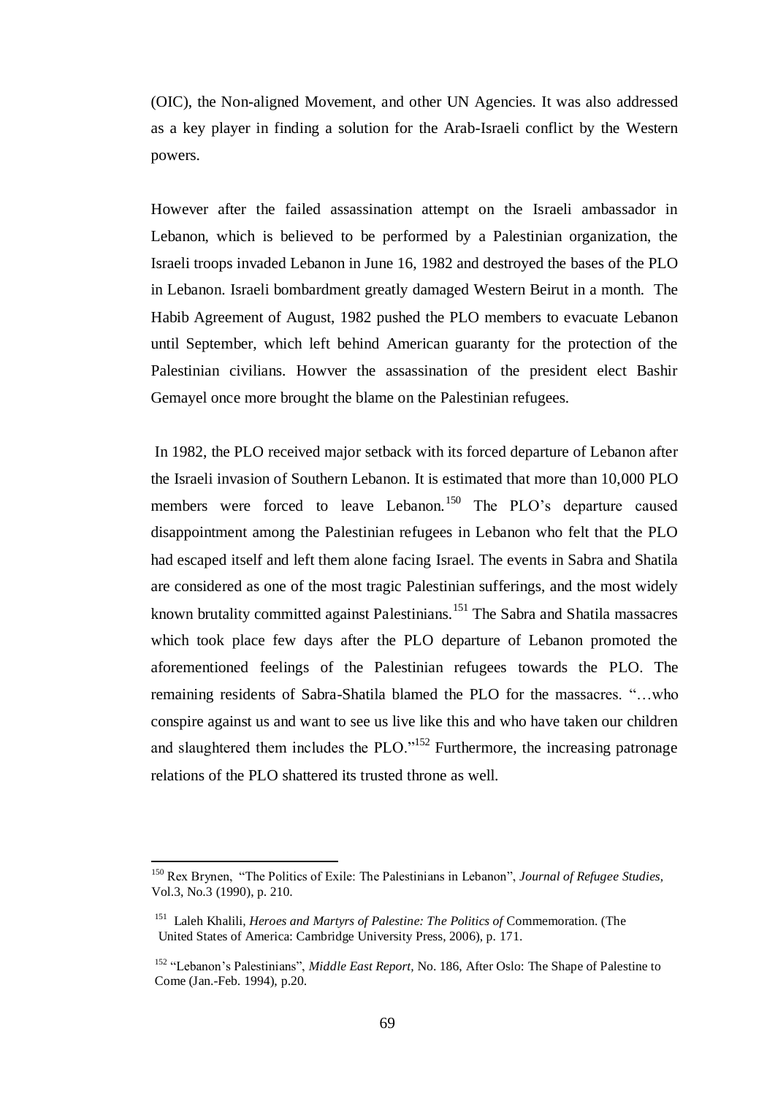(OIC), the Non-aligned Movement, and other UN Agencies. It was also addressed as a key player in finding a solution for the Arab-Israeli conflict by the Western powers.

However after the failed assassination attempt on the Israeli ambassador in Lebanon, which is believed to be performed by a Palestinian organization, the Israeli troops invaded Lebanon in June 16, 1982 and destroyed the bases of the PLO in Lebanon. Israeli bombardment greatly damaged Western Beirut in a month. The Habib Agreement of August, 1982 pushed the PLO members to evacuate Lebanon until September, which left behind American guaranty for the protection of the Palestinian civilians. Howver the assassination of the president elect Bashir Gemayel once more brought the blame on the Palestinian refugees.

In 1982, the PLO received major setback with its forced departure of Lebanon after the Israeli invasion of Southern Lebanon. It is estimated that more than 10,000 PLO members were forced to leave Lebanon.<sup>150</sup> The PLO's departure caused disappointment among the Palestinian refugees in Lebanon who felt that the PLO had escaped itself and left them alone facing Israel. The events in Sabra and Shatila are considered as one of the most tragic Palestinian sufferings, and the most widely known brutality committed against Palestinians.<sup>151</sup> The Sabra and Shatila massacres which took place few days after the PLO departure of Lebanon promoted the aforementioned feelings of the Palestinian refugees towards the PLO. The remaining residents of Sabra-Shatila blamed the PLO for the massacres. "…who conspire against us and want to see us live like this and who have taken our children and slaughtered them includes the PLO."<sup>152</sup> Furthermore, the increasing patronage relations of the PLO shattered its trusted throne as well.

<sup>150</sup> Rex Brynen, "The Politics of Exile: The Palestinians in Lebanon", *Journal of Refugee Studies,*  Vol.3, No.3 (1990), p. 210.

<sup>&</sup>lt;sup>151</sup> Laleh Khalili, *Heroes and Martyrs of Palestine: The Politics of* Commemoration. (The United States of America: Cambridge University Press, 2006), p. 171.

<sup>&</sup>lt;sup>152</sup> "Lebanon's Palestinians", *Middle East Report*, No. 186, After Oslo: The Shape of Palestine to Come (Jan.-Feb. 1994), p.20.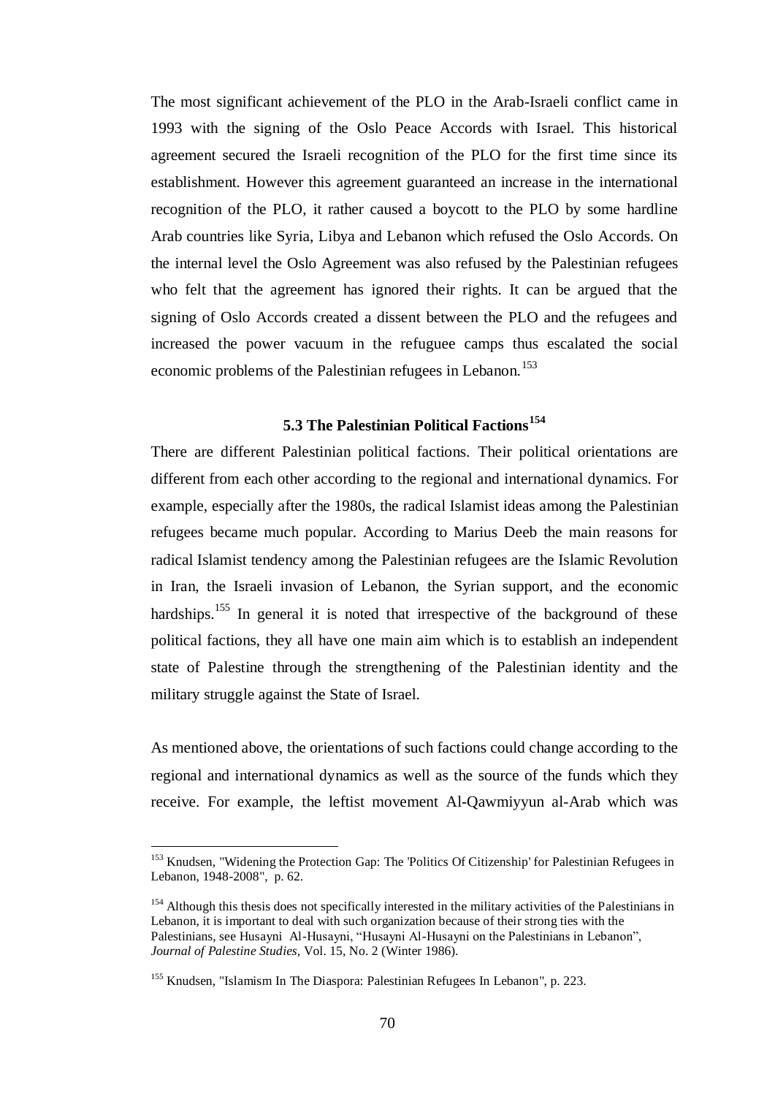The most significant achievement of the PLO in the Arab-Israeli conflict came in 1993 with the signing of the Oslo Peace Accords with Israel. This historical agreement secured the Israeli recognition of the PLO for the first time since its establishment. However this agreement guaranteed an increase in the international recognition of the PLO, it rather caused a boycott to the PLO by some hardline Arab countries like Syria, Libya and Lebanon which refused the Oslo Accords. On the internal level the Oslo Agreement was also refused by the Palestinian refugees who felt that the agreement has ignored their rights. It can be argued that the signing of Oslo Accords created a dissent between the PLO and the refugees and increased the power vacuum in the refuguee camps thus escalated the social economic problems of the Palestinian refugees in Lebanon.<sup>153</sup>

## **5.3 The Palestinian Political Factions<sup>154</sup>**

There are different Palestinian political factions. Their political orientations are different from each other according to the regional and international dynamics. For example, especially after the 1980s, the radical Islamist ideas among the Palestinian refugees became much popular. According to Marius Deeb the main reasons for radical Islamist tendency among the Palestinian refugees are the Islamic Revolution in Iran, the Israeli invasion of Lebanon, the Syrian support, and the economic hardships.<sup>155</sup> In general it is noted that irrespective of the background of these political factions, they all have one main aim which is to establish an independent state of Palestine through the strengthening of the Palestinian identity and the military struggle against the State of Israel.

As mentioned above, the orientations of such factions could change according to the regional and international dynamics as well as the source of the funds which they receive. For example, the leftist movement Al-Qawmiyyun al-Arab which was

<sup>&</sup>lt;sup>153</sup> Knudsen, "Widening the Protection Gap: The 'Politics Of Citizenship' for Palestinian Refugees in Lebanon, 1948-2008", p. 62.

<sup>&</sup>lt;sup>154</sup> Although this thesis does not specifically interested in the military activities of the Palestinians in Lebanon, it is important to deal with such organization because of their strong ties with the Palestinians, see Husayni Al-Husayni, "Husayni Al-Husayni on the Palestinians in Lebanon", *Journal of Palestine Studies,* Vol. 15, No. 2 (Winter 1986).

<sup>&</sup>lt;sup>155</sup> Knudsen, "Islamism In The Diaspora: Palestinian Refugees In Lebanon", p. 223.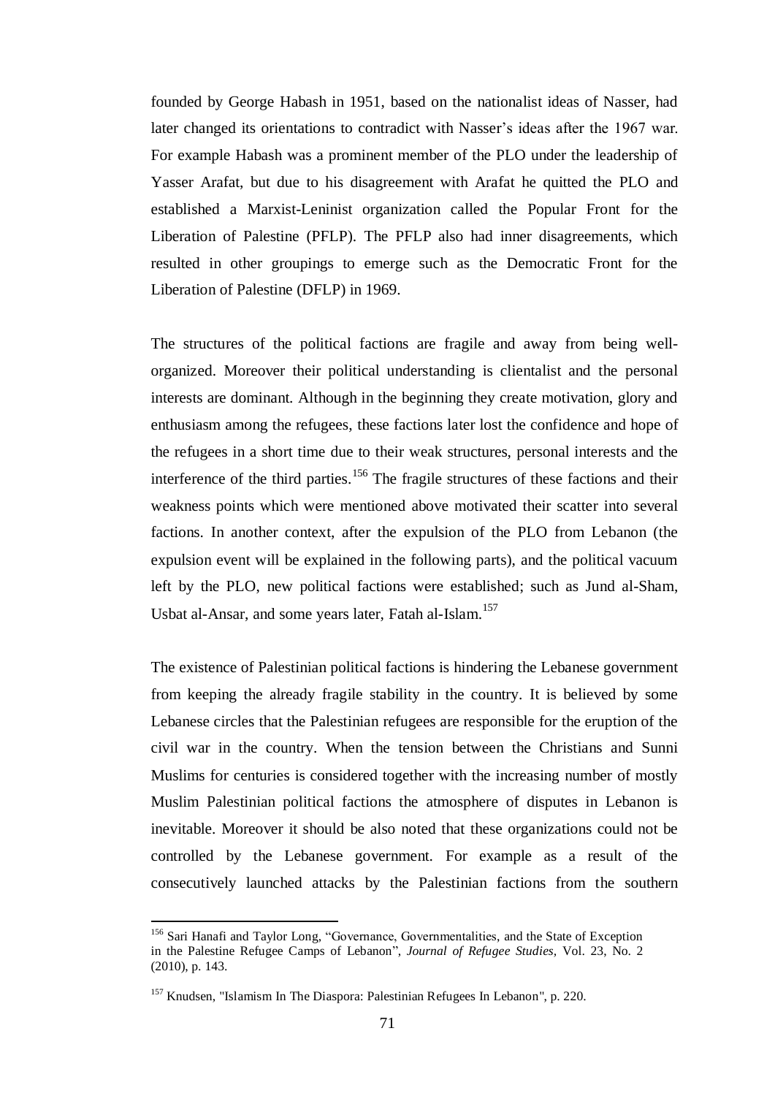founded by George Habash in 1951, based on the nationalist ideas of Nasser, had later changed its orientations to contradict with Nasser"s ideas after the 1967 war. For example Habash was a prominent member of the PLO under the leadership of Yasser Arafat, but due to his disagreement with Arafat he quitted the PLO and established a Marxist-Leninist organization called the Popular Front for the Liberation of Palestine (PFLP). The PFLP also had inner disagreements, which resulted in other groupings to emerge such as the Democratic Front for the Liberation of Palestine (DFLP) in 1969.

The structures of the political factions are fragile and away from being wellorganized. Moreover their political understanding is clientalist and the personal interests are dominant. Although in the beginning they create motivation, glory and enthusiasm among the refugees, these factions later lost the confidence and hope of the refugees in a short time due to their weak structures, personal interests and the interference of the third parties.<sup>156</sup> The fragile structures of these factions and their weakness points which were mentioned above motivated their scatter into several factions. In another context, after the expulsion of the PLO from Lebanon (the expulsion event will be explained in the following parts), and the political vacuum left by the PLO, new political factions were established; such as Jund al-Sham, Usbat al-Ansar, and some years later, Fatah al-Islam.<sup>157</sup>

The existence of Palestinian political factions is hindering the Lebanese government from keeping the already fragile stability in the country. It is believed by some Lebanese circles that the Palestinian refugees are responsible for the eruption of the civil war in the country. When the tension between the Christians and Sunni Muslims for centuries is considered together with the increasing number of mostly Muslim Palestinian political factions the atmosphere of disputes in Lebanon is inevitable. Moreover it should be also noted that these organizations could not be controlled by the Lebanese government. For example as a result of the consecutively launched attacks by the Palestinian factions from the southern

<sup>156</sup> Sari Hanafi and Taylor Long, "Governance, Governmentalities, and the State of Exception in the Palestine Refugee Camps of Lebanon", *Journal of Refugee Studies,* Vol. 23, No. 2 (2010), p. 143.

<sup>&</sup>lt;sup>157</sup> Knudsen, "Islamism In The Diaspora: Palestinian Refugees In Lebanon", p. 220.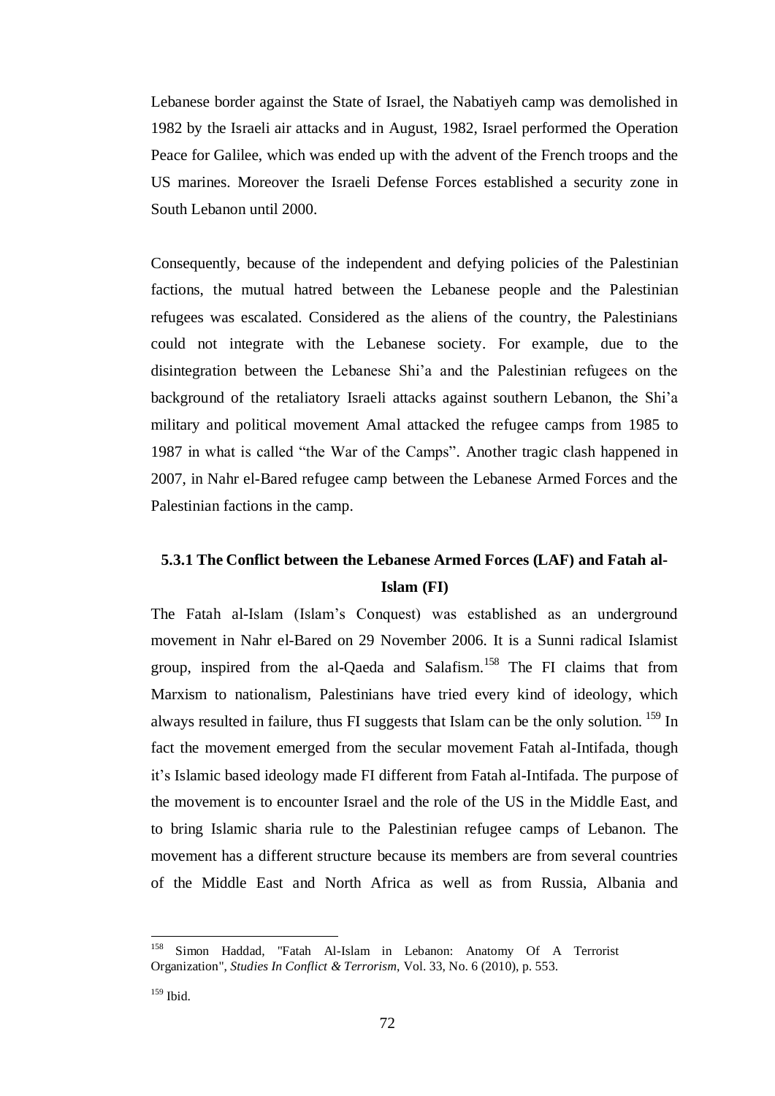Lebanese border against the State of Israel, the Nabatiyeh camp was demolished in 1982 by the Israeli air attacks and in August, 1982, Israel performed the Operation Peace for Galilee, which was ended up with the advent of the French troops and the US marines. Moreover the Israeli Defense Forces established a security zone in South Lebanon until 2000.

Consequently, because of the independent and defying policies of the Palestinian factions, the mutual hatred between the Lebanese people and the Palestinian refugees was escalated. Considered as the aliens of the country, the Palestinians could not integrate with the Lebanese society. For example, due to the disintegration between the Lebanese Shi"a and the Palestinian refugees on the background of the retaliatory Israeli attacks against southern Lebanon, the Shi"a military and political movement Amal attacked the refugee camps from 1985 to 1987 in what is called "the War of the Camps". Another tragic clash happened in 2007, in Nahr el-Bared refugee camp between the Lebanese Armed Forces and the Palestinian factions in the camp.

# **5.3.1 The Conflict between the Lebanese Armed Forces (LAF) and Fatah al-Islam (FI)**

The Fatah al-Islam (Islam"s Conquest) was established as an underground movement in Nahr el-Bared on 29 November 2006. It is a Sunni radical Islamist group, inspired from the al-Qaeda and Salafism.<sup>158</sup> The FI claims that from Marxism to nationalism, Palestinians have tried every kind of ideology, which always resulted in failure, thus FI suggests that Islam can be the only solution. <sup>159</sup> In fact the movement emerged from the secular movement Fatah al-Intifada, though it"s Islamic based ideology made FI different from Fatah al-Intifada. The purpose of the movement is to encounter Israel and the role of the US in the Middle East, and to bring Islamic sharia rule to the Palestinian refugee camps of Lebanon. The movement has a different structure because its members are from several countries of the Middle East and North Africa as well as from Russia, Albania and

<sup>158</sup> Simon Haddad, "Fatah Al-Islam in Lebanon: Anatomy Of A Terrorist Organization", *Studies In Conflict & Terrorism*, Vol. 33, No. 6 (2010), p. 553.

<sup>159</sup> Ibid.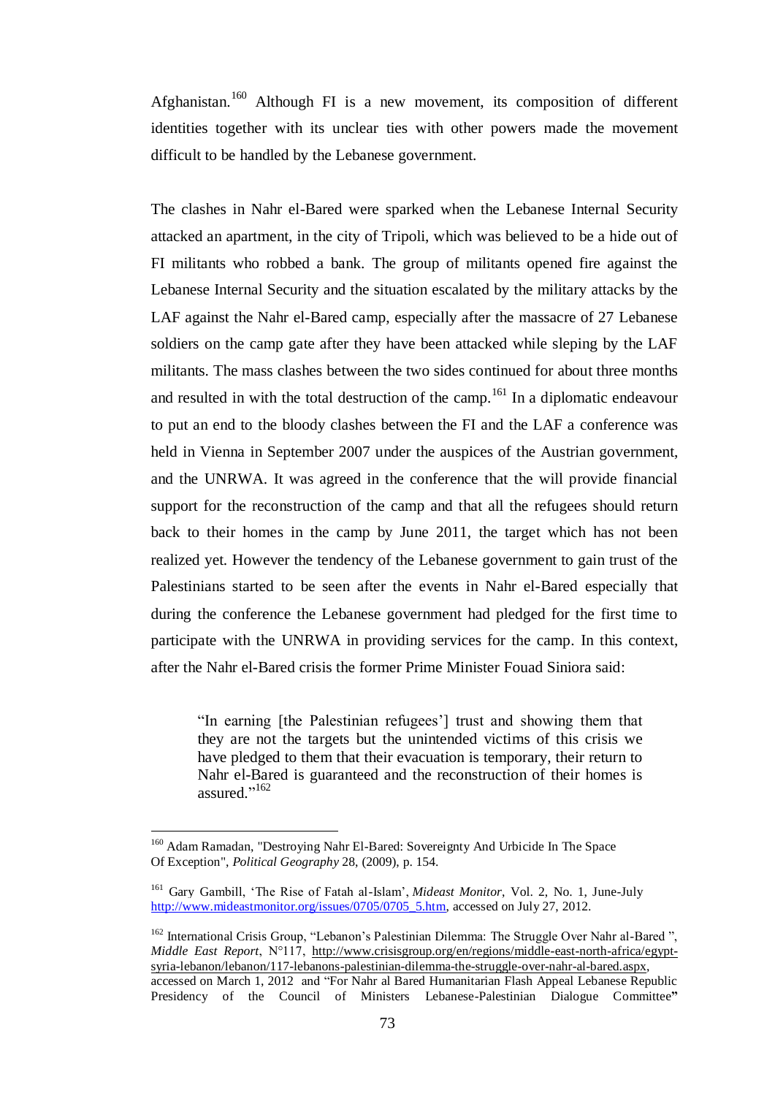Afghanistan.<sup>160</sup> Although FI is a new movement, its composition of different identities together with its unclear ties with other powers made the movement difficult to be handled by the Lebanese government.

The clashes in Nahr el-Bared were sparked when the Lebanese Internal Security attacked an apartment, in the city of Tripoli, which was believed to be a hide out of FI militants who robbed a bank. The group of militants opened fire against the Lebanese Internal Security and the situation escalated by the military attacks by the LAF against the Nahr el-Bared camp, especially after the massacre of 27 Lebanese soldiers on the camp gate after they have been attacked while sleping by the LAF militants. The mass clashes between the two sides continued for about three months and resulted in with the total destruction of the camp.<sup>161</sup> In a diplomatic endeavour to put an end to the bloody clashes between the FI and the LAF a conference was held in Vienna in September 2007 under the auspices of the Austrian government, and the UNRWA. It was agreed in the conference that the will provide financial support for the reconstruction of the camp and that all the refugees should return back to their homes in the camp by June 2011, the target which has not been realized yet. However the tendency of the Lebanese government to gain trust of the Palestinians started to be seen after the events in Nahr el-Bared especially that during the conference the Lebanese government had pledged for the first time to participate with the UNRWA in providing services for the camp. In this context, after the Nahr el-Bared crisis the former Prime Minister Fouad Siniora said:

"In earning [the Palestinian refugees"] trust and showing them that they are not the targets but the unintended victims of this crisis we have pledged to them that their evacuation is temporary, their return to Nahr el-Bared is guaranteed and the reconstruction of their homes is assured."<sup>162</sup>

<sup>&</sup>lt;sup>160</sup> Adam Ramadan, "Destroying Nahr El-Bared: Sovereignty And Urbicide In The Space Of Exception", *Political Geography* 28, (2009), p. 154.

<sup>161</sup> Gary Gambill, "The Rise of Fatah al-Islam", *Mideast Monitor*, Vol. 2, No. 1, June-July [http://www.mideastmonitor.org/issues/0705/0705\\_5.htm,](http://www.mideastmonitor.org/issues/0705/0705_5.htm) accessed on July 27, 2012.

<sup>&</sup>lt;sup>162</sup> International Crisis Group, "Lebanon's Palestinian Dilemma: The Struggle Over Nahr al-Bared", *Middle East Report*, N°117, [http://www.crisisgroup.org/en/regions/middle-east-north-africa/egypt](http://www.crisisgroup.org/en/regions/middle-east-north-africa/egypt-syria-lebanon/lebanon/117-lebanons-palestinian-dilemma-the-struggle-over-nahr-al-bared.aspx)[syria-lebanon/lebanon/117-lebanons-palestinian-dilemma-the-struggle-over-nahr-al-bared.aspx,](http://www.crisisgroup.org/en/regions/middle-east-north-africa/egypt-syria-lebanon/lebanon/117-lebanons-palestinian-dilemma-the-struggle-over-nahr-al-bared.aspx) accessed on March 1, 2012 and "For Nahr al Bared Humanitarian Flash Appeal Lebanese Republic Presidency of the Council of Ministers Lebanese-Palestinian Dialogue Committee**"**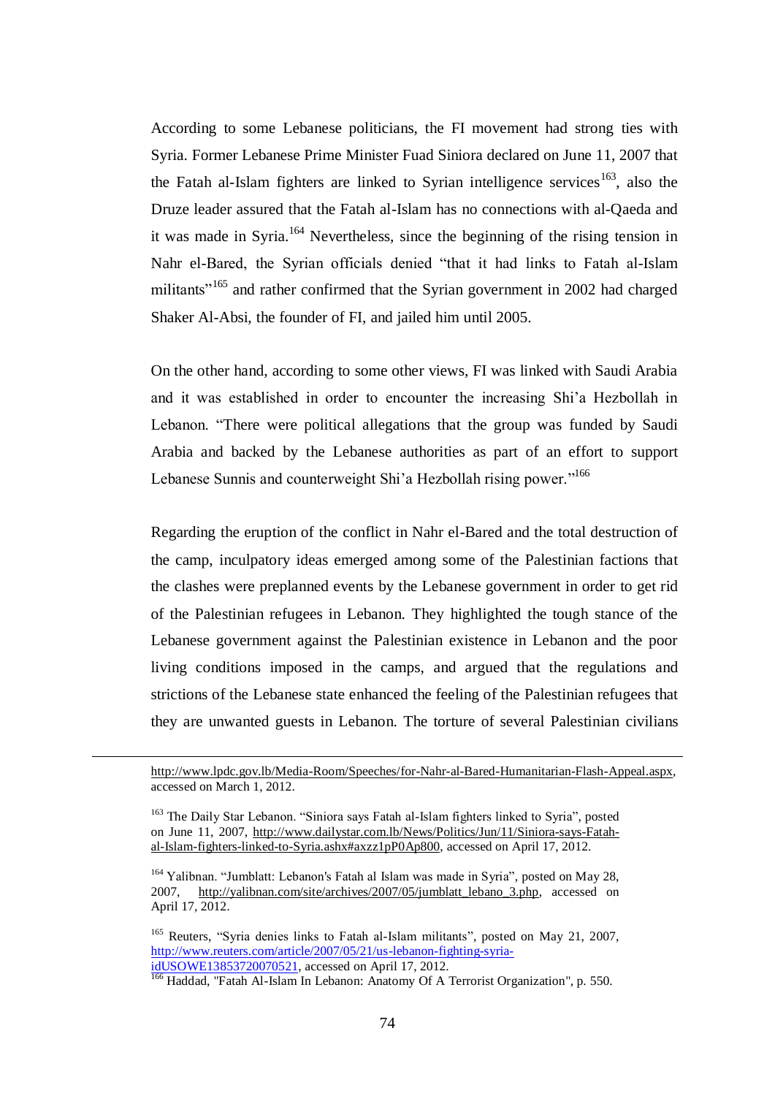According to some Lebanese politicians, the FI movement had strong ties with Syria. Former Lebanese Prime Minister Fuad Siniora declared on June 11, 2007 that the Fatah al-Islam fighters are linked to Syrian intelligence services<sup>163</sup>, also the Druze leader assured that the Fatah al-Islam has no connections with al-Qaeda and it was made in Syria.<sup>164</sup> Nevertheless, since the beginning of the rising tension in Nahr el-Bared, the Syrian officials denied "that it had links to Fatah al-Islam militants<sup>"165</sup> and rather confirmed that the Syrian government in 2002 had charged Shaker Al-Absi, the founder of FI, and jailed him until 2005.

On the other hand, according to some other views, FI was linked with Saudi Arabia and it was established in order to encounter the increasing Shi"a Hezbollah in Lebanon. "There were political allegations that the group was funded by Saudi Arabia and backed by the Lebanese authorities as part of an effort to support Lebanese Sunnis and counterweight Shi'a Hezbollah rising power."<sup>166</sup>

Regarding the eruption of the conflict in Nahr el-Bared and the total destruction of the camp, inculpatory ideas emerged among some of the Palestinian factions that the clashes were preplanned events by the Lebanese government in order to get rid of the Palestinian refugees in Lebanon. They highlighted the tough stance of the Lebanese government against the Palestinian existence in Lebanon and the poor living conditions imposed in the camps, and argued that the regulations and strictions of the Lebanese state enhanced the feeling of the Palestinian refugees that they are unwanted guests in Lebanon. The torture of several Palestinian civilians

 $\overline{a}$ 

[http://www.lpdc.gov.lb/Media-Room/Speeches/for-Nahr-al-Bared-Humanitarian-Flash-Appeal.aspx,](http://www.lpdc.gov.lb/Media-Room/Speeches/for-Nahr-al-Bared-Humanitarian-Flash-Appeal.aspx) accessed on March 1, 2012.

<sup>&</sup>lt;sup>163</sup> The Daily Star Lebanon. "Siniora says Fatah al-Islam fighters linked to Syria", posted on June 11, 2007, [http://www.dailystar.com.lb/News/Politics/Jun/11/Siniora-says-Fatah](http://www.dailystar.com.lb/News/Politics/Jun/11/Siniora-says-Fatah-al-Islam-fighters-linked-to-Syria.ashx#axzz1pP0Ap800)[al-Islam-fighters-linked-to-Syria.ashx#axzz1pP0Ap800,](http://www.dailystar.com.lb/News/Politics/Jun/11/Siniora-says-Fatah-al-Islam-fighters-linked-to-Syria.ashx#axzz1pP0Ap800) accessed on April 17, 2012.

<sup>&</sup>lt;sup>164</sup> Yalibnan. "Jumblatt: Lebanon's Fatah al Islam was made in Syria", posted on May 28, 2007, [http://yalibnan.com/site/archives/2007/05/jumblatt\\_lebano\\_3.php,](http://yalibnan.com/site/archives/2007/05/jumblatt_lebano_3.php) accessed on April 17, 2012.

<sup>&</sup>lt;sup>165</sup> Reuters, "Syria denies links to Fatah al-Islam militants", posted on May 21, 2007, [http://www.reuters.com/article/2007/05/21/us-lebanon-fighting-syria](http://www.reuters.com/article/2007/05/21/us-lebanon-fighting-syria-idUSOWE13853720070521)[idUSOWE13853720070521,](http://www.reuters.com/article/2007/05/21/us-lebanon-fighting-syria-idUSOWE13853720070521) accessed on April 17, 2012.

<sup>&</sup>lt;sup>166</sup> Haddad, "Fatah Al-Islam In Lebanon: Anatomy Of A Terrorist Organization", p. 550.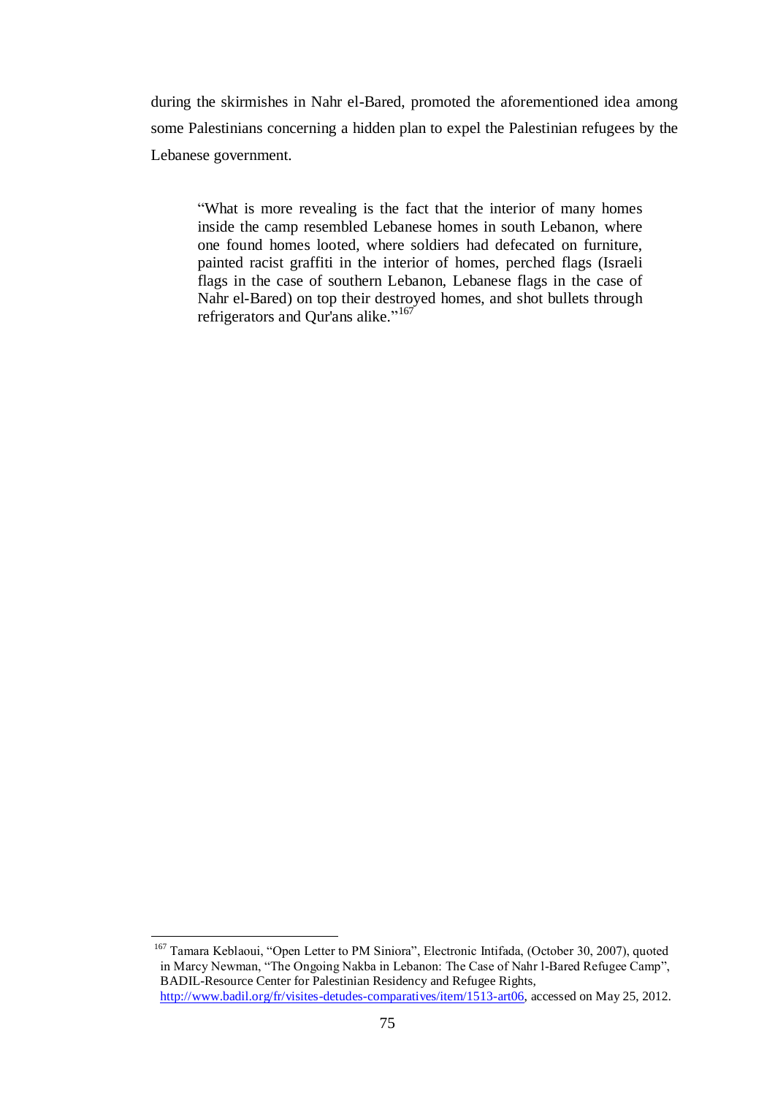during the skirmishes in Nahr el-Bared, promoted the aforementioned idea among some Palestinians concerning a hidden plan to expel the Palestinian refugees by the Lebanese government.

"What is more revealing is the fact that the interior of many homes inside the camp resembled Lebanese homes in south Lebanon, where one found homes looted, where soldiers had defecated on furniture, painted racist graffiti in the interior of homes, perched flags (Israeli flags in the case of southern Lebanon, Lebanese flags in the case of Nahr el-Bared) on top their destroyed homes, and shot bullets through refrigerators and Qur'ans alike."<sup>167</sup>

<sup>&</sup>lt;sup>167</sup> Tamara Keblaoui, "Open Letter to PM Siniora", Electronic Intifada, (October 30, 2007), quoted in Marcy Newman, "The Ongoing Nakba in Lebanon: The Case of Nahr l-Bared Refugee Camp", BADIL-Resource Center for Palestinian Residency and Refugee Rights, [http://www.badil.org/fr/visites-detudes-comparatives/item/1513-art06,](http://www.badil.org/fr/visites-detudes-comparatives/item/1513-art06) accessed on May 25, 2012.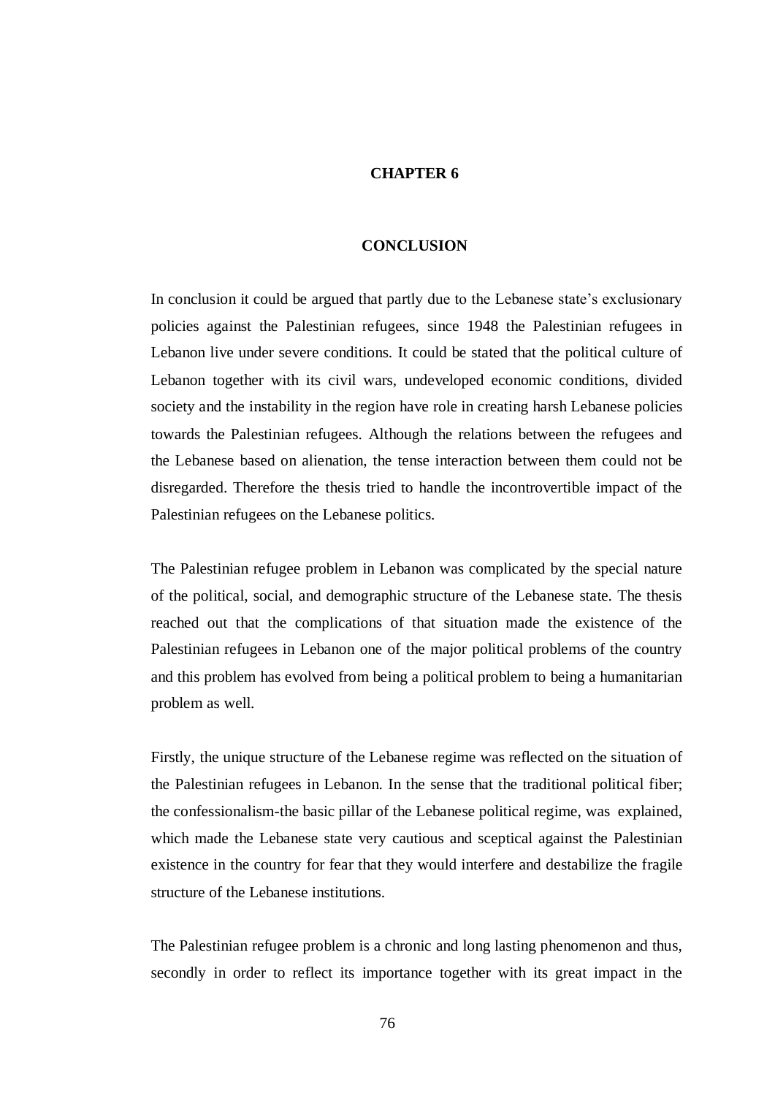#### **CHAPTER 6**

#### **CONCLUSION**

In conclusion it could be argued that partly due to the Lebanese state"s exclusionary policies against the Palestinian refugees, since 1948 the Palestinian refugees in Lebanon live under severe conditions. It could be stated that the political culture of Lebanon together with its civil wars, undeveloped economic conditions, divided society and the instability in the region have role in creating harsh Lebanese policies towards the Palestinian refugees. Although the relations between the refugees and the Lebanese based on alienation, the tense interaction between them could not be disregarded. Therefore the thesis tried to handle the incontrovertible impact of the Palestinian refugees on the Lebanese politics.

The Palestinian refugee problem in Lebanon was complicated by the special nature of the political, social, and demographic structure of the Lebanese state. The thesis reached out that the complications of that situation made the existence of the Palestinian refugees in Lebanon one of the major political problems of the country and this problem has evolved from being a political problem to being a humanitarian problem as well.

Firstly, the unique structure of the Lebanese regime was reflected on the situation of the Palestinian refugees in Lebanon. In the sense that the traditional political fiber; the confessionalism-the basic pillar of the Lebanese political regime, was explained, which made the Lebanese state very cautious and sceptical against the Palestinian existence in the country for fear that they would interfere and destabilize the fragile structure of the Lebanese institutions.

The Palestinian refugee problem is a chronic and long lasting phenomenon and thus, secondly in order to reflect its importance together with its great impact in the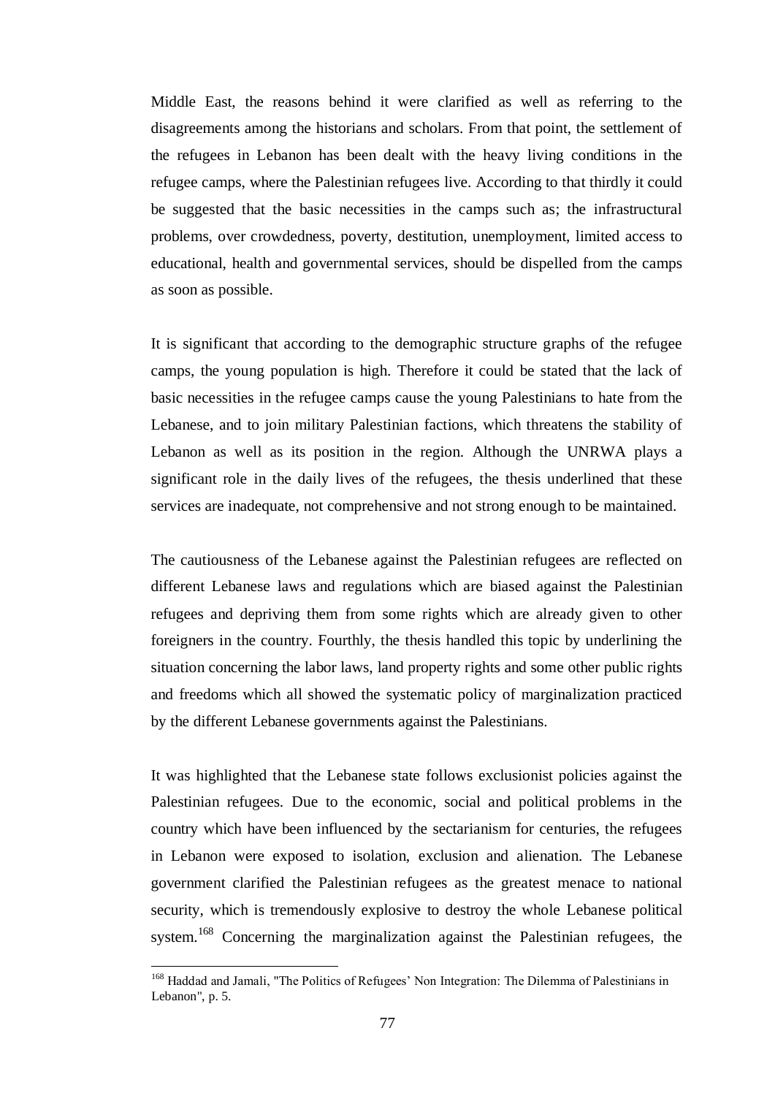Middle East, the reasons behind it were clarified as well as referring to the disagreements among the historians and scholars. From that point, the settlement of the refugees in Lebanon has been dealt with the heavy living conditions in the refugee camps, where the Palestinian refugees live. According to that thirdly it could be suggested that the basic necessities in the camps such as; the infrastructural problems, over crowdedness, poverty, destitution, unemployment, limited access to educational, health and governmental services, should be dispelled from the camps as soon as possible.

It is significant that according to the demographic structure graphs of the refugee camps, the young population is high. Therefore it could be stated that the lack of basic necessities in the refugee camps cause the young Palestinians to hate from the Lebanese, and to join military Palestinian factions, which threatens the stability of Lebanon as well as its position in the region. Although the UNRWA plays a significant role in the daily lives of the refugees, the thesis underlined that these services are inadequate, not comprehensive and not strong enough to be maintained.

The cautiousness of the Lebanese against the Palestinian refugees are reflected on different Lebanese laws and regulations which are biased against the Palestinian refugees and depriving them from some rights which are already given to other foreigners in the country. Fourthly, the thesis handled this topic by underlining the situation concerning the labor laws, land property rights and some other public rights and freedoms which all showed the systematic policy of marginalization practiced by the different Lebanese governments against the Palestinians.

It was highlighted that the Lebanese state follows exclusionist policies against the Palestinian refugees. Due to the economic, social and political problems in the country which have been influenced by the sectarianism for centuries, the refugees in Lebanon were exposed to isolation, exclusion and alienation. The Lebanese government clarified the Palestinian refugees as the greatest menace to national security, which is tremendously explosive to destroy the whole Lebanese political system.<sup>168</sup> Concerning the marginalization against the Palestinian refugees, the

<sup>&</sup>lt;sup>168</sup> Haddad and Jamali, "The Politics of Refugees' Non Integration: The Dilemma of Palestinians in Lebanon", p. 5.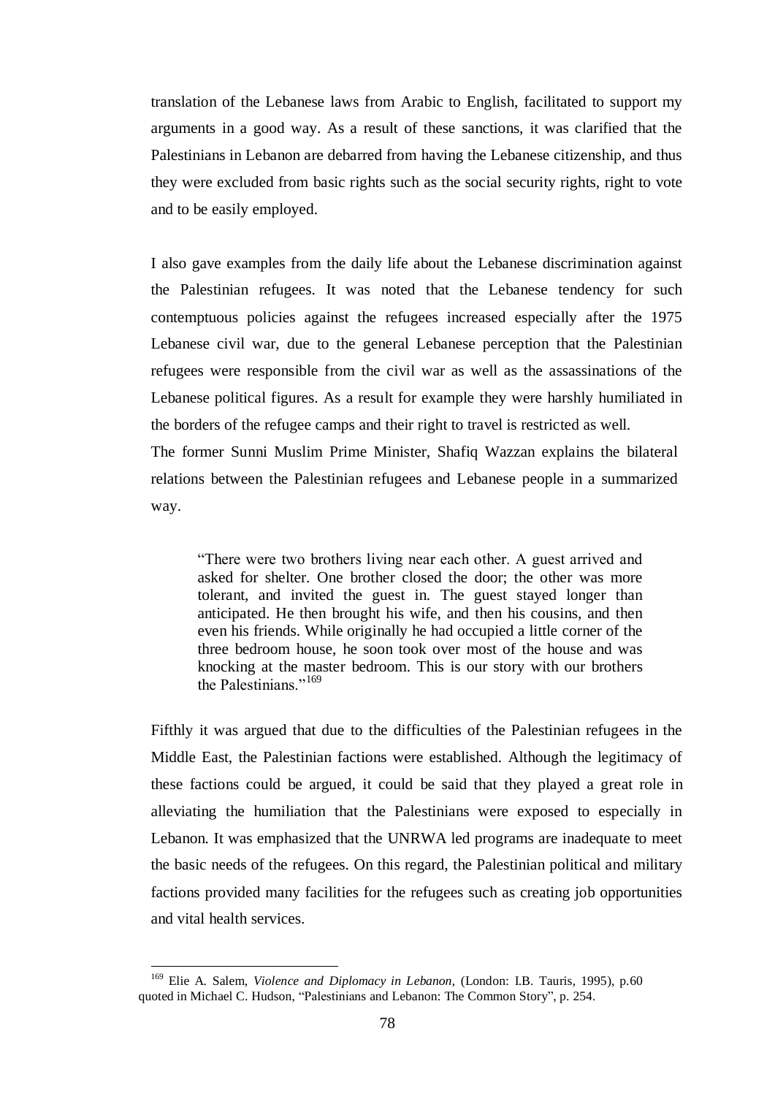translation of the Lebanese laws from Arabic to English, facilitated to support my arguments in a good way. As a result of these sanctions, it was clarified that the Palestinians in Lebanon are debarred from having the Lebanese citizenship, and thus they were excluded from basic rights such as the social security rights, right to vote and to be easily employed.

I also gave examples from the daily life about the Lebanese discrimination against the Palestinian refugees. It was noted that the Lebanese tendency for such contemptuous policies against the refugees increased especially after the 1975 Lebanese civil war, due to the general Lebanese perception that the Palestinian refugees were responsible from the civil war as well as the assassinations of the Lebanese political figures. As a result for example they were harshly humiliated in the borders of the refugee camps and their right to travel is restricted as well. The former Sunni Muslim Prime Minister, Shafiq Wazzan explains the bilateral relations between the Palestinian refugees and Lebanese people in a summarized

way.

"There were two brothers living near each other. A guest arrived and asked for shelter. One brother closed the door; the other was more tolerant, and invited the guest in. The guest stayed longer than anticipated. He then brought his wife, and then his cousins, and then even his friends. While originally he had occupied a little corner of the three bedroom house, he soon took over most of the house and was knocking at the master bedroom. This is our story with our brothers the Palestinians."<sup>169</sup>

Fifthly it was argued that due to the difficulties of the Palestinian refugees in the Middle East, the Palestinian factions were established. Although the legitimacy of these factions could be argued, it could be said that they played a great role in alleviating the humiliation that the Palestinians were exposed to especially in Lebanon. It was emphasized that the UNRWA led programs are inadequate to meet the basic needs of the refugees. On this regard, the Palestinian political and military factions provided many facilities for the refugees such as creating job opportunities and vital health services.

<sup>169</sup> Elie A. Salem, *Violence and Diplomacy in Lebanon*, (London: I.B. Tauris, 1995), p.60 quoted in Michael C. Hudson, "Palestinians and Lebanon: The Common Story", p. 254.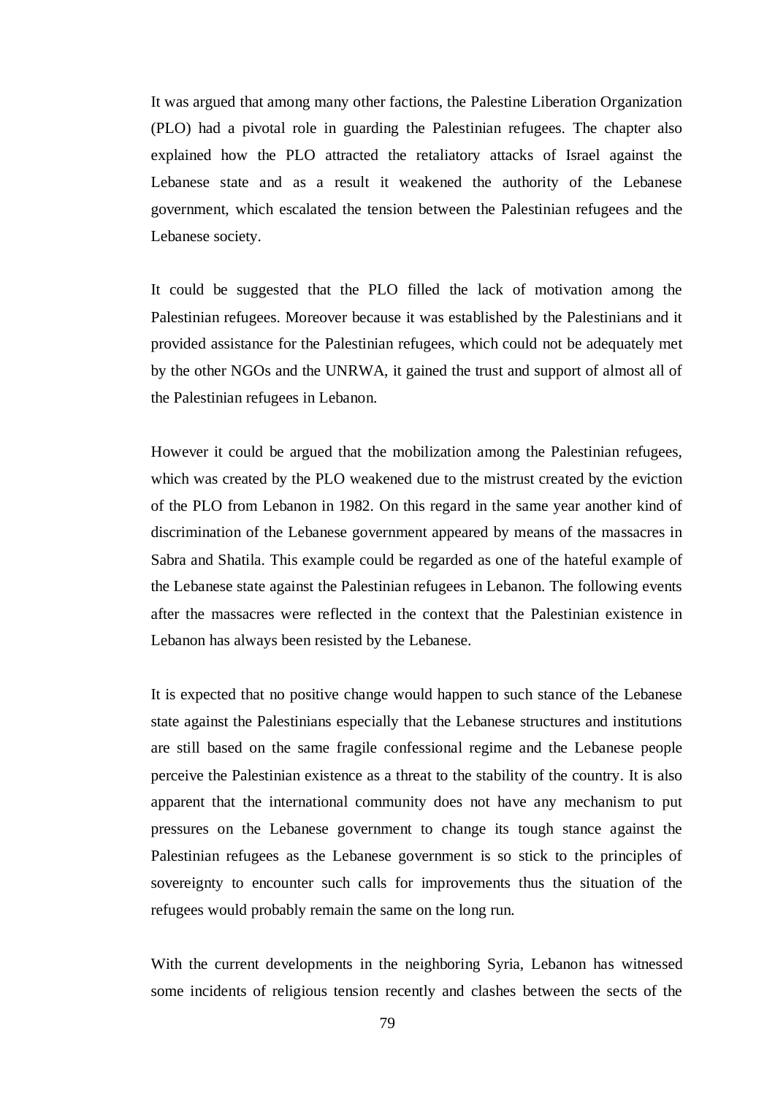It was argued that among many other factions, the Palestine Liberation Organization (PLO) had a pivotal role in guarding the Palestinian refugees. The chapter also explained how the PLO attracted the retaliatory attacks of Israel against the Lebanese state and as a result it weakened the authority of the Lebanese government, which escalated the tension between the Palestinian refugees and the Lebanese society.

It could be suggested that the PLO filled the lack of motivation among the Palestinian refugees. Moreover because it was established by the Palestinians and it provided assistance for the Palestinian refugees, which could not be adequately met by the other NGOs and the UNRWA, it gained the trust and support of almost all of the Palestinian refugees in Lebanon.

However it could be argued that the mobilization among the Palestinian refugees, which was created by the PLO weakened due to the mistrust created by the eviction of the PLO from Lebanon in 1982. On this regard in the same year another kind of discrimination of the Lebanese government appeared by means of the massacres in Sabra and Shatila. This example could be regarded as one of the hateful example of the Lebanese state against the Palestinian refugees in Lebanon. The following events after the massacres were reflected in the context that the Palestinian existence in Lebanon has always been resisted by the Lebanese.

It is expected that no positive change would happen to such stance of the Lebanese state against the Palestinians especially that the Lebanese structures and institutions are still based on the same fragile confessional regime and the Lebanese people perceive the Palestinian existence as a threat to the stability of the country. It is also apparent that the international community does not have any mechanism to put pressures on the Lebanese government to change its tough stance against the Palestinian refugees as the Lebanese government is so stick to the principles of sovereignty to encounter such calls for improvements thus the situation of the refugees would probably remain the same on the long run.

With the current developments in the neighboring Syria, Lebanon has witnessed some incidents of religious tension recently and clashes between the sects of the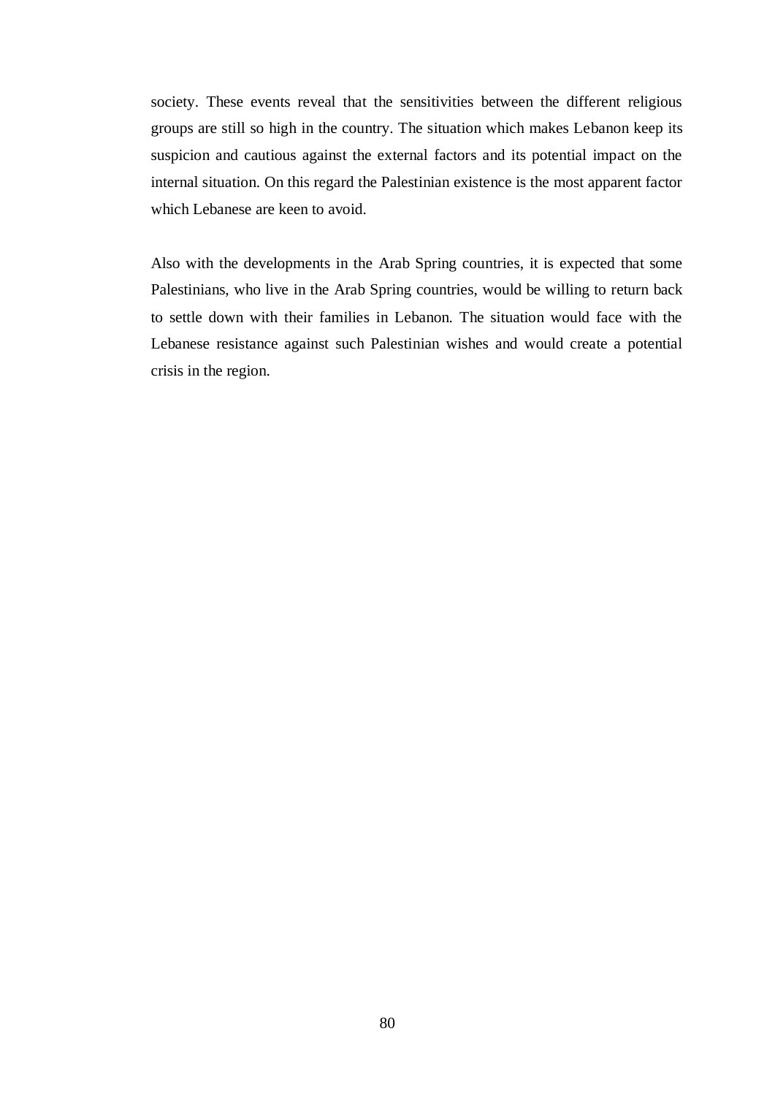society. These events reveal that the sensitivities between the different religious groups are still so high in the country. The situation which makes Lebanon keep its suspicion and cautious against the external factors and its potential impact on the internal situation. On this regard the Palestinian existence is the most apparent factor which Lebanese are keen to avoid.

Also with the developments in the Arab Spring countries, it is expected that some Palestinians, who live in the Arab Spring countries, would be willing to return back to settle down with their families in Lebanon. The situation would face with the Lebanese resistance against such Palestinian wishes and would create a potential crisis in the region.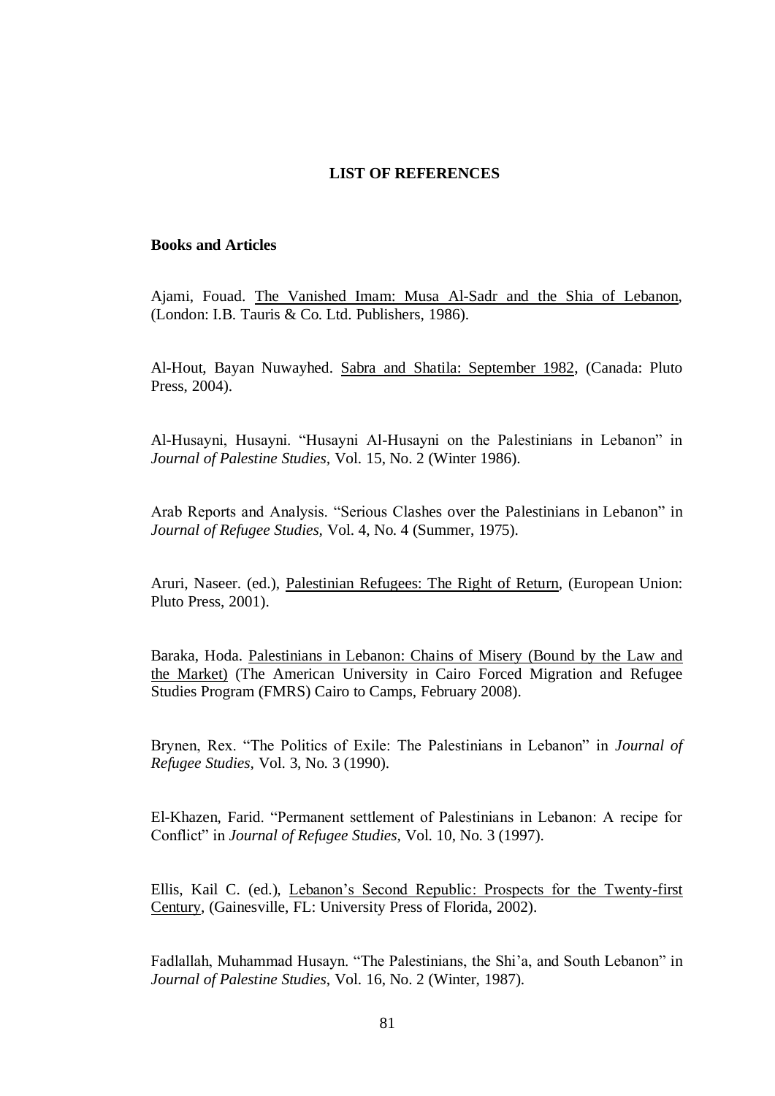#### **LIST OF REFERENCES**

#### **Books and Articles**

Ajami, Fouad. The Vanished Imam: Musa Al-Sadr and the Shia of Lebanon, (London: I.B. Tauris & Co. Ltd. Publishers, 1986).

Al-Hout, Bayan Nuwayhed. Sabra and Shatila: September 1982, (Canada: Pluto Press, 2004).

Al-Husayni, Husayni. "Husayni Al-Husayni on the Palestinians in Lebanon" in *Journal of Palestine Studies,* Vol. 15, No. 2 (Winter 1986).

Arab Reports and Analysis. "Serious Clashes over the Palestinians in Lebanon" in *Journal of Refugee Studies,* Vol. 4, No. 4 (Summer, 1975).

Aruri, Naseer. (ed.), Palestinian Refugees: The Right of Return, (European Union: Pluto Press, 2001).

Baraka, Hoda. Palestinians in Lebanon: Chains of Misery (Bound by the Law and the Market) (The American University in Cairo Forced Migration and Refugee Studies Program (FMRS) Cairo to Camps, February 2008).

Brynen, Rex. "The Politics of Exile: The Palestinians in Lebanon" in *Journal of Refugee Studies,* Vol. 3, No. 3 (1990).

El-Khazen, Farid. "Permanent settlement of Palestinians in Lebanon: A recipe for Conflict" in *Journal of Refugee Studies,* Vol. 10, No. 3 (1997).

Ellis, Kail C. (ed.), Lebanon"s Second Republic: Prospects for the Twenty-first Century, (Gainesville, FL: University Press of Florida, 2002).

Fadlallah, Muhammad Husayn. "The Palestinians, the Shi"a, and South Lebanon" in *Journal of Palestine Studies*, Vol. 16, No. 2 (Winter, 1987).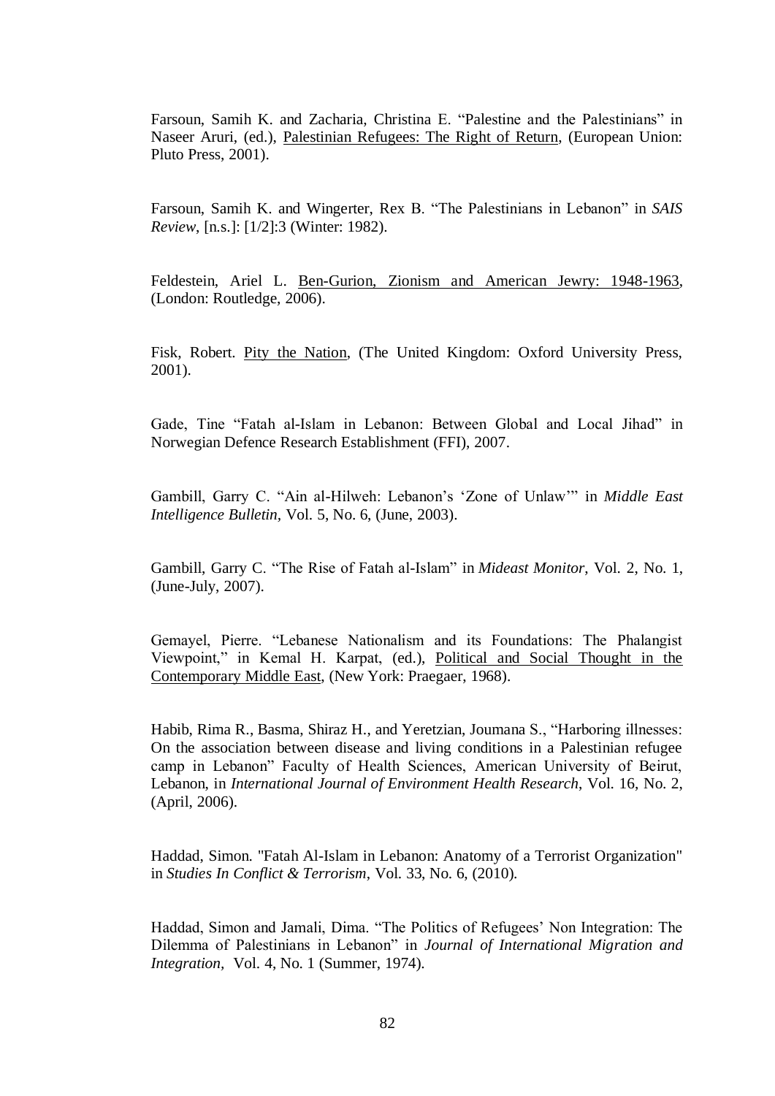Farsoun, Samih K. and Zacharia, Christina E. "Palestine and the Palestinians" in Naseer Aruri, (ed.), Palestinian Refugees: The Right of Return, (European Union: Pluto Press, 2001).

Farsoun, Samih K. and Wingerter, Rex B. "The Palestinians in Lebanon" in *SAIS Review*, [n.s.]: [1/2]:3 (Winter: 1982).

Feldestein, Ariel L. Ben-Gurion, Zionism and American Jewry: 1948-1963, (London: Routledge, 2006).

Fisk, Robert. Pity the Nation, (The United Kingdom: Oxford University Press, 2001).

Gade, Tine "Fatah al-Islam in Lebanon: Between Global and Local Jihad" in Norwegian Defence Research Establishment (FFI), 2007.

Gambill, Garry C. "Ain al-Hilweh: Lebanon"s "Zone of Unlaw"" in *Middle East Intelligence Bulletin,* Vol. 5, No. 6, (June, 2003).

Gambill, Garry C. "The Rise of Fatah al-Islam" in *Mideast Monitor*, Vol. 2, No. 1, (June-July, 2007).

Gemayel, Pierre. "Lebanese Nationalism and its Foundations: The Phalangist Viewpoint," in Kemal H. Karpat, (ed.), Political and Social Thought in the Contemporary Middle East, (New York: Praegaer, 1968).

Habib, Rima R., Basma, Shiraz H., and Yeretzian, Joumana S., "Harboring illnesses: On the association between disease and living conditions in a Palestinian refugee camp in Lebanon" Faculty of Health Sciences, American University of Beirut, Lebanon, in *International Journal of Environment Health Research*, Vol. 16, No. 2, (April, 2006).

Haddad, Simon. "Fatah Al-Islam in Lebanon: Anatomy of a Terrorist Organization" in *Studies In Conflict & Terrorism*, Vol. 33, No. 6, (2010).

Haddad, Simon and Jamali, Dima. "The Politics of Refugees" Non Integration: The Dilemma of Palestinians in Lebanon" in *Journal of International Migration and Integration,* Vol. 4, No. 1 (Summer, 1974).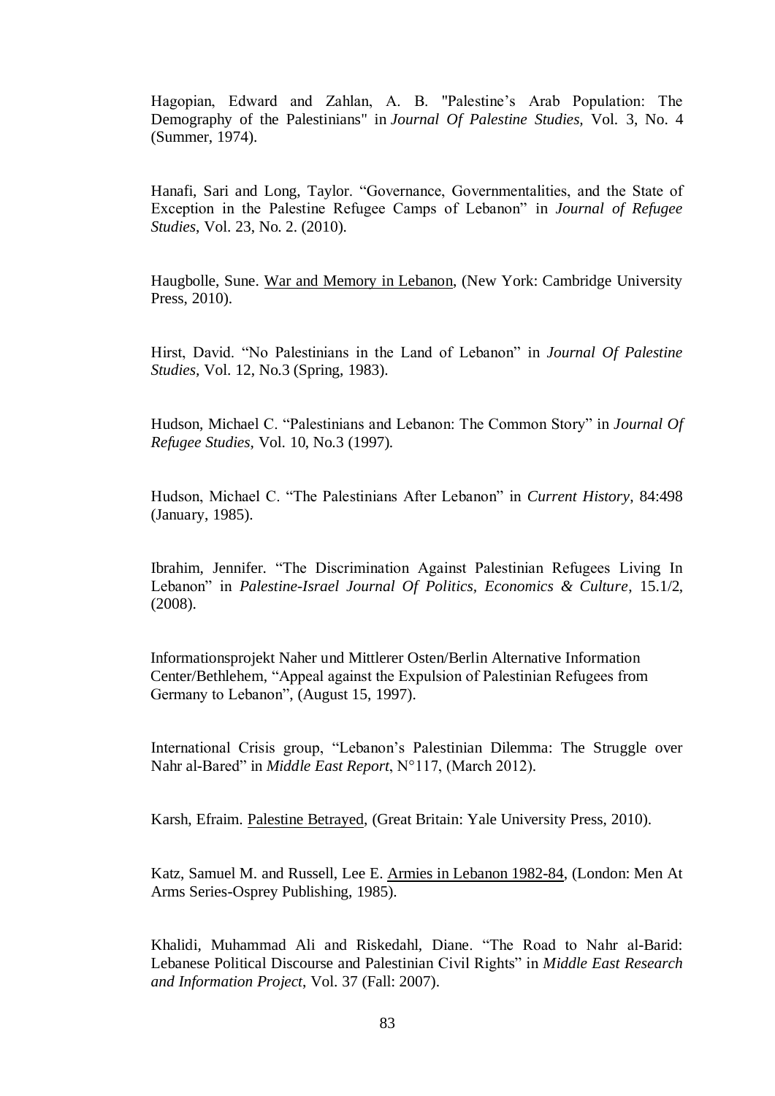Hagopian, Edward and Zahlan, A. B. "Palestine"s Arab Population: The Demography of the Palestinians" in *Journal Of Palestine Studies,* Vol. 3, No. 4 (Summer, 1974).

Hanafi, Sari and Long, Taylor. "Governance, Governmentalities, and the State of Exception in the Palestine Refugee Camps of Lebanon" in *Journal of Refugee Studies*, Vol. 23, No. 2. (2010).

Haugbolle, Sune. War and Memory in Lebanon, (New York: Cambridge University Press, 2010).

Hirst, David. "No Palestinians in the Land of Lebanon" in *Journal Of Palestine Studies,* Vol. 12, No.3 (Spring, 1983).

Hudson, Michael C. "Palestinians and Lebanon: The Common Story" in *Journal Of Refugee Studies,* Vol. 10, No.3 (1997).

Hudson, Michael C. "The Palestinians After Lebanon" in *Current History*, 84:498 (January, 1985).

Ibrahim, Jennifer. "The Discrimination Against Palestinian Refugees Living In Lebanon" in *Palestine-Israel Journal Of Politics, Economics & Culture*, 15.1/2, (2008).

 Informationsprojekt Naher und Mittlerer Osten/Berlin Alternative Information Center/Bethlehem, "Appeal against the Expulsion of Palestinian Refugees from Germany to Lebanon", (August 15, 1997).

International Crisis group, "Lebanon"s Palestinian Dilemma: The Struggle over Nahr al-Bared" in *Middle East Report*, N°117, (March 2012).

Karsh, Efraim. Palestine Betrayed, (Great Britain: Yale University Press, 2010).

Katz, Samuel M. and Russell, Lee E. Armies in Lebanon 1982-84, (London: Men At Arms Series-Osprey Publishing, 1985).

Khalidi, Muhammad Ali and Riskedahl, Diane. "The Road to Nahr al-Barid: Lebanese Political Discourse and Palestinian Civil Rights" in *Middle East Research and Information Project*, Vol. 37 (Fall: 2007).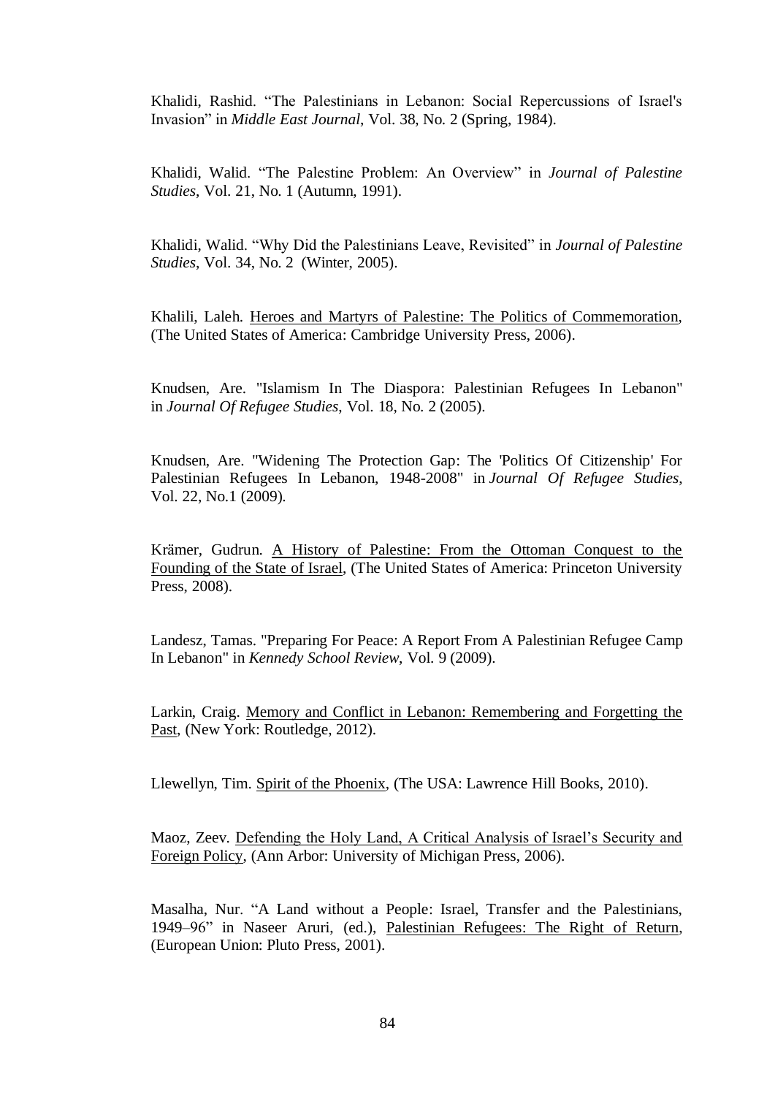Khalidi, Rashid. "The Palestinians in Lebanon: Social Repercussions of Israel's Invasion" in *Middle East Journal*, Vol. 38, No. 2 (Spring, 1984).

Khalidi, Walid. "The Palestine Problem: An Overview" in *Journal of Palestine Studies*, Vol. 21, No. 1 (Autumn, 1991).

Khalidi, Walid. "Why Did the Palestinians Leave, Revisited" in *Journal of Palestine Studies*, Vol. 34, No. 2 (Winter, 2005).

Khalili, Laleh. Heroes and Martyrs of Palestine: The Politics of Commemoration, (The United States of America: Cambridge University Press, 2006).

Knudsen, Are. "Islamism In The Diaspora: Palestinian Refugees In Lebanon" in *Journal Of Refugee Studies*, Vol. 18, No. 2 (2005).

Knudsen, Are. "Widening The Protection Gap: The 'Politics Of Citizenship' For Palestinian Refugees In Lebanon, 1948-2008" in *Journal Of Refugee Studies*, Vol. 22, No.1 (2009).

Krämer, Gudrun. A History of Palestine: From the Ottoman Conquest to the Founding of the State of Israel, (The United States of America: Princeton University Press, 2008).

Landesz, Tamas. "Preparing For Peace: A Report From A Palestinian Refugee Camp In Lebanon" in *Kennedy School Review*, Vol. 9 (2009).

Larkin, Craig. Memory and Conflict in Lebanon: Remembering and Forgetting the Past, (New York: Routledge, 2012).

Llewellyn, Tim. Spirit of the Phoenix, (The USA: Lawrence Hill Books, 2010).

Maoz, Zeev. Defending the Holy Land, A Critical Analysis of Israel"s Security and Foreign Policy, (Ann Arbor: University of Michigan Press, 2006).

Masalha, Nur. "A Land without a People: Israel, Transfer and the Palestinians, 1949–96" in Naseer Aruri, (ed.), Palestinian Refugees: The Right of Return, (European Union: Pluto Press, 2001).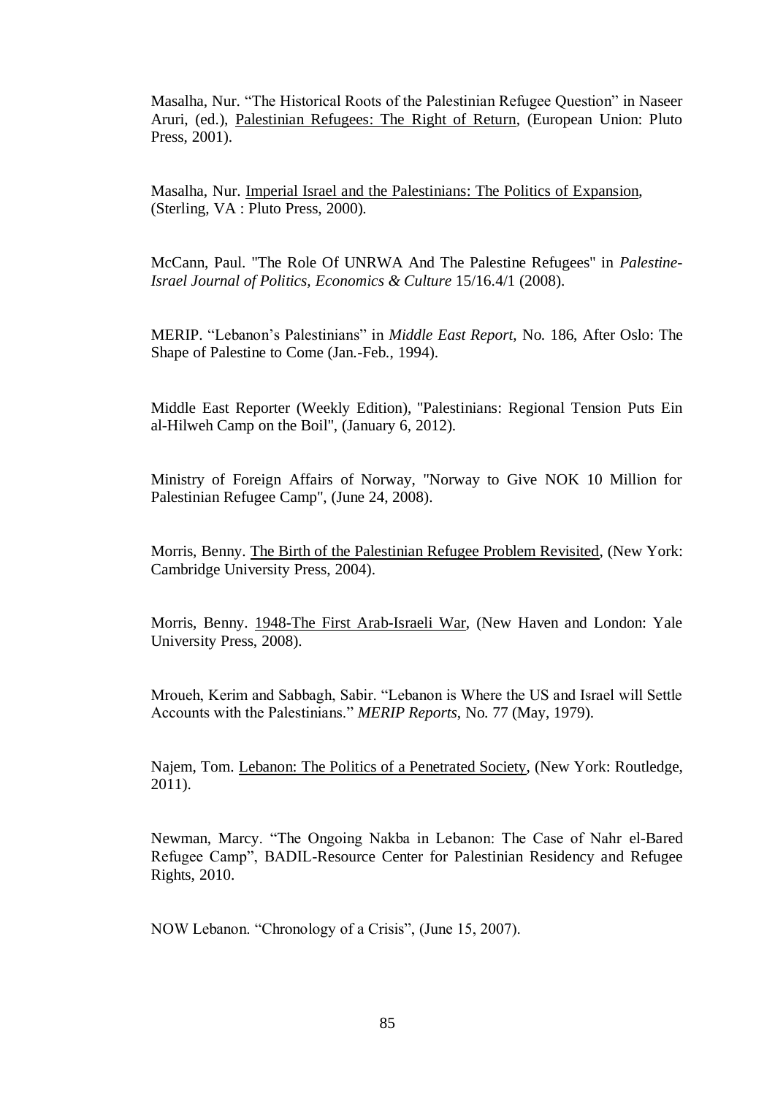Masalha, Nur. "The Historical Roots of the Palestinian Refugee Question" in Naseer Aruri, (ed.), Palestinian Refugees: The Right of Return, (European Union: Pluto Press, 2001).

Masalha, Nur. Imperial Israel and the Palestinians: The Politics of Expansion, (Sterling, VA : Pluto Press, 2000).

McCann, Paul. "The Role Of UNRWA And The Palestine Refugees" in *Palestine-Israel Journal of Politics, Economics & Culture* 15/16.4/1 (2008).

MERIP. "Lebanon"s Palestinians" in *Middle East Report*, No. 186, After Oslo: The Shape of Palestine to Come (Jan.-Feb., 1994).

Middle East Reporter (Weekly Edition), "Palestinians: Regional Tension Puts Ein al-Hilweh Camp on the Boil", (January 6, 2012).

Ministry of Foreign Affairs of Norway, "Norway to Give NOK 10 Million for Palestinian Refugee Camp", (June 24, 2008).

Morris, Benny. The Birth of the Palestinian Refugee Problem Revisited, (New York: Cambridge University Press, 2004).

Morris, Benny. 1948-The First Arab-Israeli War, (New Haven and London: Yale University Press, 2008).

Mroueh, Kerim and Sabbagh, Sabir. "Lebanon is Where the US and Israel will Settle Accounts with the Palestinians." *MERIP Reports*, No. 77 (May, 1979).

Najem, Tom. Lebanon: The Politics of a Penetrated Society, (New York: Routledge, 2011).

Newman, Marcy. "The Ongoing Nakba in Lebanon: The Case of Nahr el-Bared Refugee Camp", BADIL-Resource Center for Palestinian Residency and Refugee Rights, 2010.

NOW Lebanon. "Chronology of a Crisis", (June 15, 2007).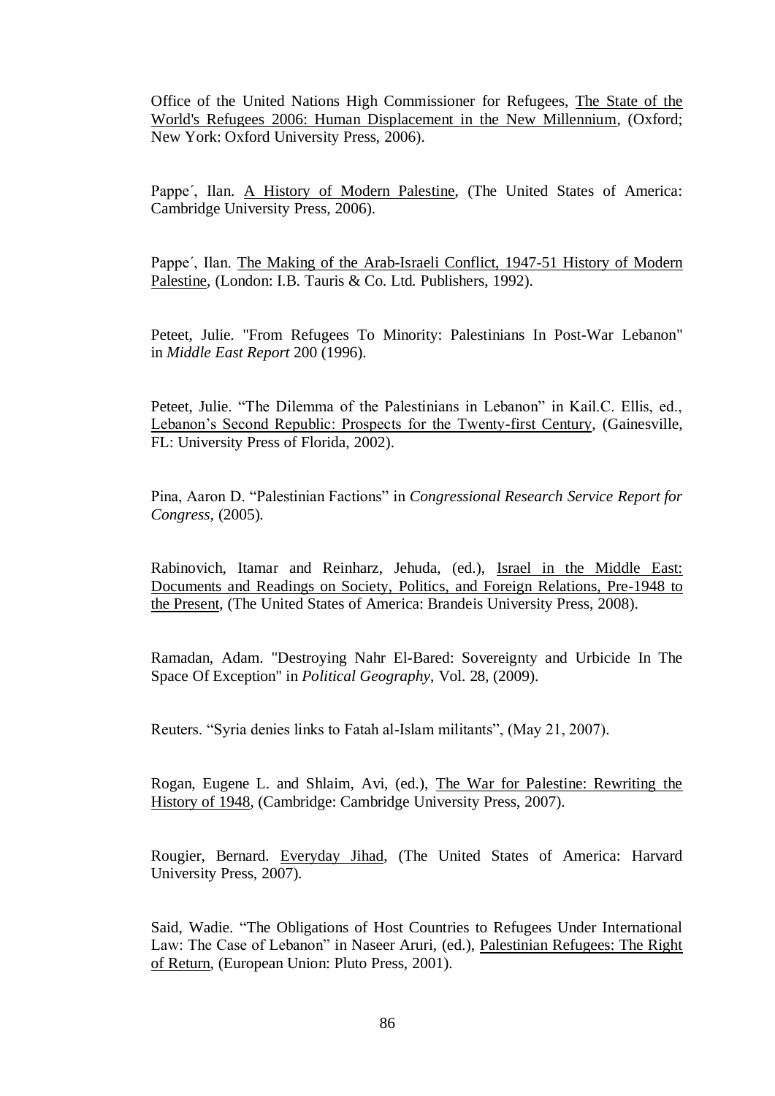Office of the United Nations High Commissioner for Refugees, The State of the World's Refugees 2006: Human Displacement in the New Millennium, (Oxford; New York: Oxford University Press, 2006).

Pappe', Ilan. A History of Modern Palestine, (The United States of America: Cambridge University Press, 2006).

Pappe´, Ilan. The Making of the Arab-Israeli Conflict, 1947-51 History of Modern Palestine, (London: I.B. Tauris & Co. Ltd. Publishers, 1992).

Peteet, Julie. "From Refugees To Minority: Palestinians In Post-War Lebanon" in *Middle East Report* 200 (1996).

Peteet, Julie. "The Dilemma of the Palestinians in Lebanon" in Kail.C. Ellis, ed., Lebanon"s Second Republic: Prospects for the Twenty-first Century, (Gainesville, FL: University Press of Florida, 2002).

Pina, Aaron D. "Palestinian Factions" in *Congressional Research Service Report for Congress,* (2005).

Rabinovich, Itamar and Reinharz, Jehuda, (ed.), Israel in the Middle East: Documents and Readings on Society, Politics, and Foreign Relations, Pre-1948 to the Present, (The United States of America: Brandeis University Press, 2008).

Ramadan, Adam. "Destroying Nahr El-Bared: Sovereignty and Urbicide In The Space Of Exception" in *Political Geography*, Vol. 28, (2009).

Reuters. "Syria denies links to Fatah al-Islam militants", (May 21, 2007).

Rogan, Eugene L. and Shlaim, Avi, (ed.), The War for Palestine: Rewriting the History of 1948, (Cambridge: Cambridge University Press, 2007).

Rougier, Bernard. Everyday Jihad, (The United States of America: Harvard University Press, 2007).

Said, Wadie. "The Obligations of Host Countries to Refugees Under International Law: The Case of Lebanon" in Naseer Aruri, (ed.), Palestinian Refugees: The Right of Return, (European Union: Pluto Press, 2001).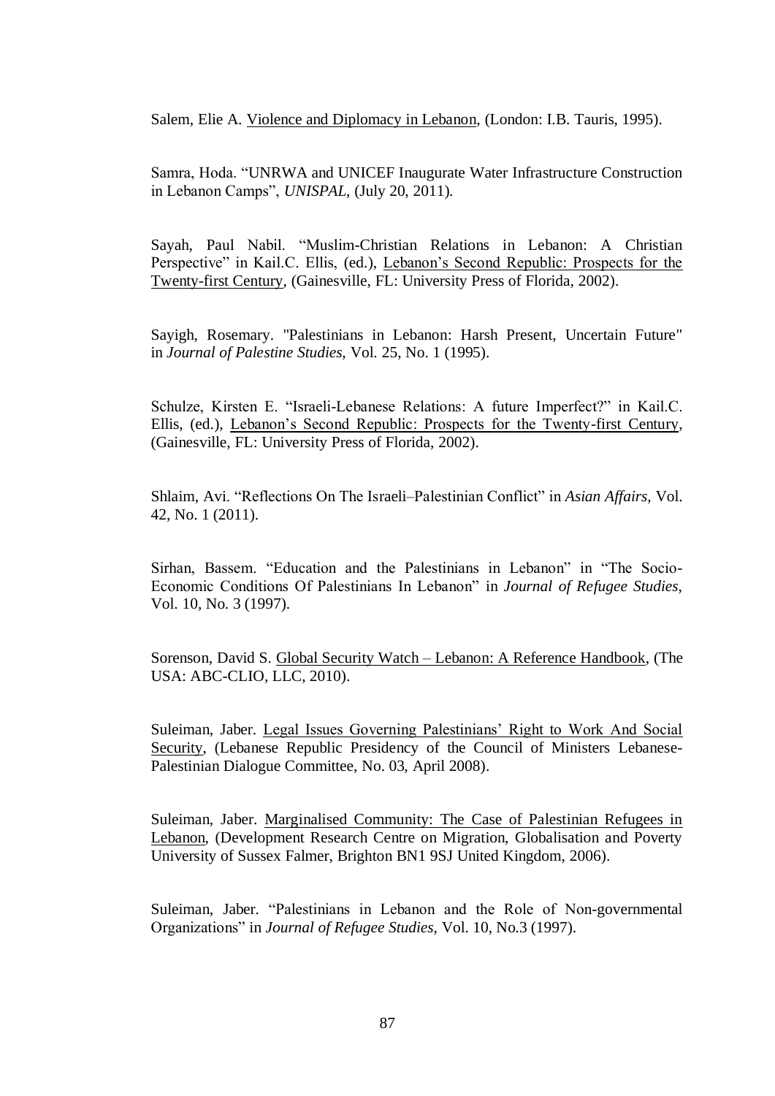Salem, Elie A. Violence and Diplomacy in Lebanon, (London: I.B. Tauris, 1995).

Samra, Hoda. "UNRWA and UNICEF Inaugurate Water Infrastructure Construction in Lebanon Camps", *UNISPAL*, (July 20, 2011).

Sayah, Paul Nabil. "Muslim-Christian Relations in Lebanon: A Christian Perspective" in Kail.C. Ellis, (ed.), Lebanon's Second Republic: Prospects for the Twenty-first Century, (Gainesville, FL: University Press of Florida, 2002).

Sayigh, Rosemary. "Palestinians in Lebanon: Harsh Present, Uncertain Future" in *Journal of Palestine Studies*, Vol. 25, No. 1 (1995).

Schulze, Kirsten E. "Israeli-Lebanese Relations: A future Imperfect?" in Kail.C. Ellis, (ed.), Lebanon"s Second Republic: Prospects for the Twenty-first Century, (Gainesville, FL: University Press of Florida, 2002).

Shlaim, Avi. "Reflections On The Israeli–Palestinian Conflict" in *Asian Affairs*, Vol. 42, No. 1 (2011).

Sirhan, Bassem. "Education and the Palestinians in Lebanon" in "The Socio-Economic Conditions Of Palestinians In Lebanon" in *Journal of Refugee Studies*, Vol. 10, No. 3 (1997).

Sorenson, David S. Global Security Watch – Lebanon: A Reference Handbook, (The USA: ABC-CLIO, LLC, 2010).

Suleiman, Jaber. Legal Issues Governing Palestinians" Right to Work And Social Security, (Lebanese Republic Presidency of the Council of Ministers Lebanese-Palestinian Dialogue Committee, No. 03, April 2008).

Suleiman, Jaber. Marginalised Community: The Case of Palestinian Refugees in Lebanon, (Development Research Centre on Migration, Globalisation and Poverty University of Sussex Falmer, Brighton BN1 9SJ United Kingdom, 2006).

Suleiman, Jaber. "Palestinians in Lebanon and the Role of Non-governmental Organizations" in *Journal of Refugee Studies*, Vol. 10, No.3 (1997).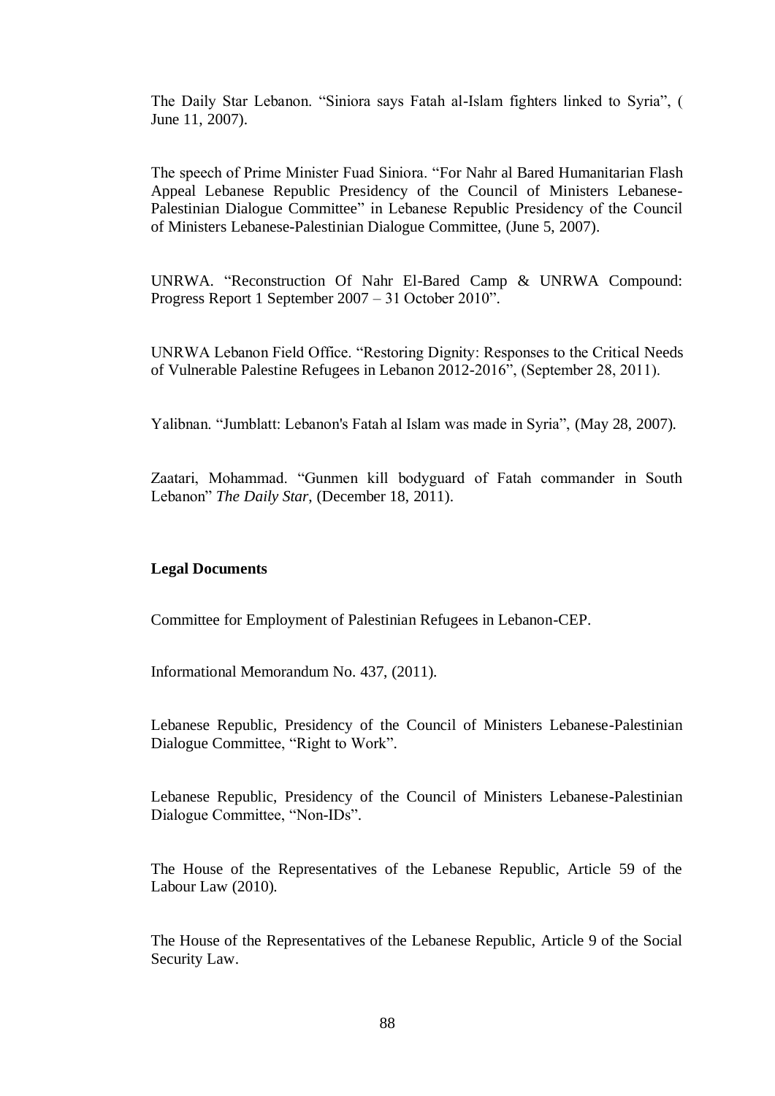The Daily Star Lebanon. "Siniora says Fatah al-Islam fighters linked to Syria", ( June 11, 2007).

The speech of Prime Minister Fuad Siniora. "For Nahr al Bared Humanitarian Flash Appeal Lebanese Republic Presidency of the Council of Ministers Lebanese-Palestinian Dialogue Committee" in Lebanese Republic Presidency of the Council of Ministers Lebanese-Palestinian Dialogue Committee, (June 5, 2007).

UNRWA. "Reconstruction Of Nahr El-Bared Camp & UNRWA Compound: Progress Report 1 September 2007 – 31 October 2010".

UNRWA Lebanon Field Office. "Restoring Dignity: Responses to the Critical Needs of Vulnerable Palestine Refugees in Lebanon 2012-2016", (September 28, 2011).

Yalibnan. "Jumblatt: Lebanon's Fatah al Islam was made in Syria", (May 28, 2007).

Zaatari, Mohammad. "Gunmen kill bodyguard of Fatah commander in South Lebanon" *The Daily Star*, (December 18, 2011).

### **Legal Documents**

Committee for Employment of Palestinian Refugees in Lebanon-CEP.

Informational Memorandum No. 437, (2011).

Lebanese Republic, Presidency of the Council of Ministers Lebanese-Palestinian Dialogue Committee, "Right to Work".

Lebanese Republic, Presidency of the Council of Ministers Lebanese-Palestinian Dialogue Committee, "Non-IDs".

The House of the Representatives of the Lebanese Republic, Article 59 of the Labour Law (2010).

The House of the Representatives of the Lebanese Republic, Article 9 of the Social Security Law.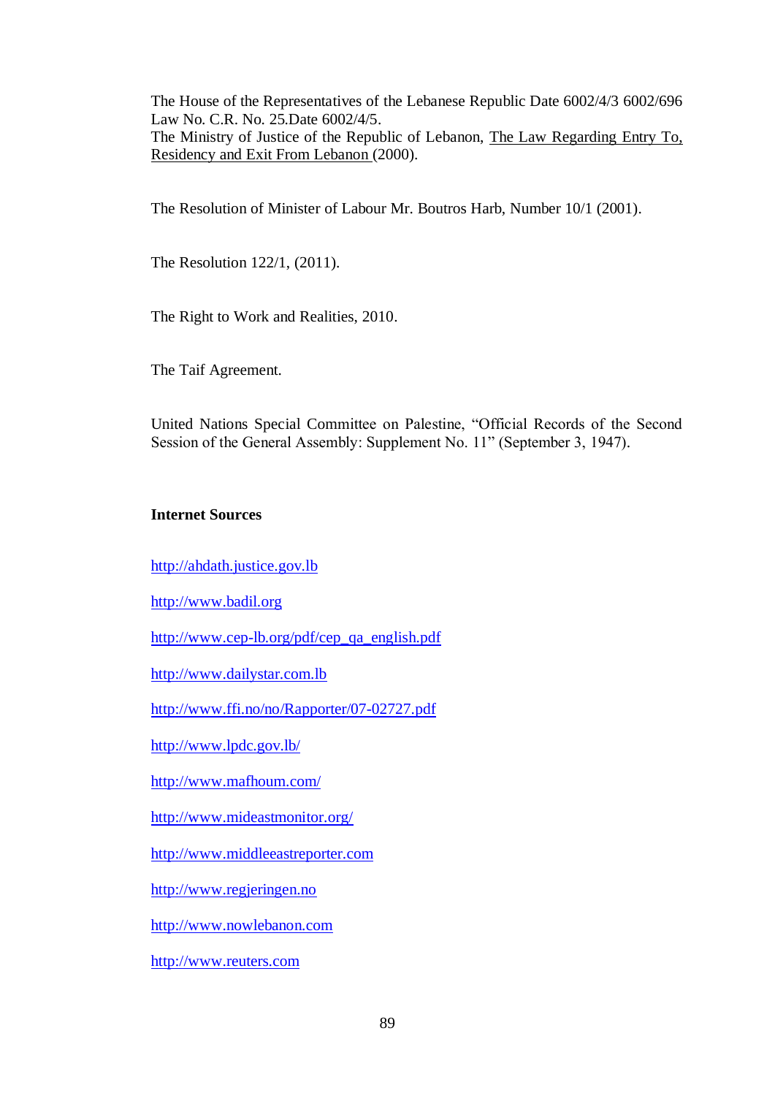The House of the Representatives of the Lebanese Republic Date 6002/4/3 6002/696 Law No. C.R. No. 25.Date 6002/4/5.

The Ministry of Justice of the Republic of Lebanon, The Law Regarding Entry To, Residency and Exit From Lebanon (2000).

The Resolution of Minister of Labour Mr. Boutros Harb, Number 10/1 (2001).

The Resolution 122/1, (2011).

The Right to Work and Realities, 2010.

The Taif Agreement.

United Nations Special Committee on Palestine, "Official Records of the Second Session of the General Assembly: Supplement No. 11" (September 3, 1947).

### **Internet Sources**

[http://ahdath.justice.gov.lb](http://ahdath.justice.gov.lb/)

[http://www.badil.org](http://www.badil.org/)

[http://www.cep-lb.org/pdf/cep\\_qa\\_english.pdf](http://www.cep-lb.org/pdf/cep_qa_english.pdf)

[http://www.dailystar.com.lb](http://www.dailystar.com.lb/)

<http://www.ffi.no/no/Rapporter/07-02727.pdf>

<http://www.lpdc.gov.lb/>

<http://www.mafhoum.com/>

<http://www.mideastmonitor.org/>

[http://www.middleeastreporter.com](http://www.middleeastreporter.com/)

[http://www.regjeringen.no](http://www.regjeringen.no/)

[http://www.nowlebanon.com](http://www.nowlebanon.com/)

[http://www.reuters.com](http://www.reuters.com/)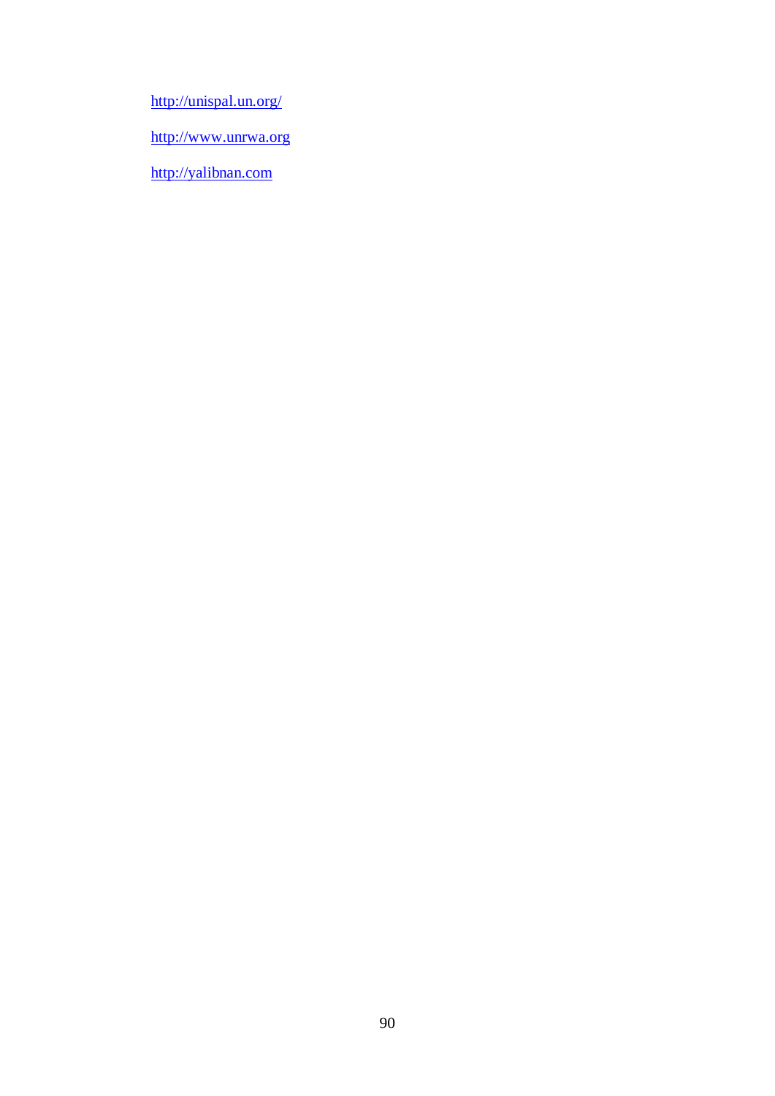<http://unispal.un.org/>

[http://www.unrwa.org](http://www.unrwa.org/)

[http://yalibnan.com](http://yalibnan.com/)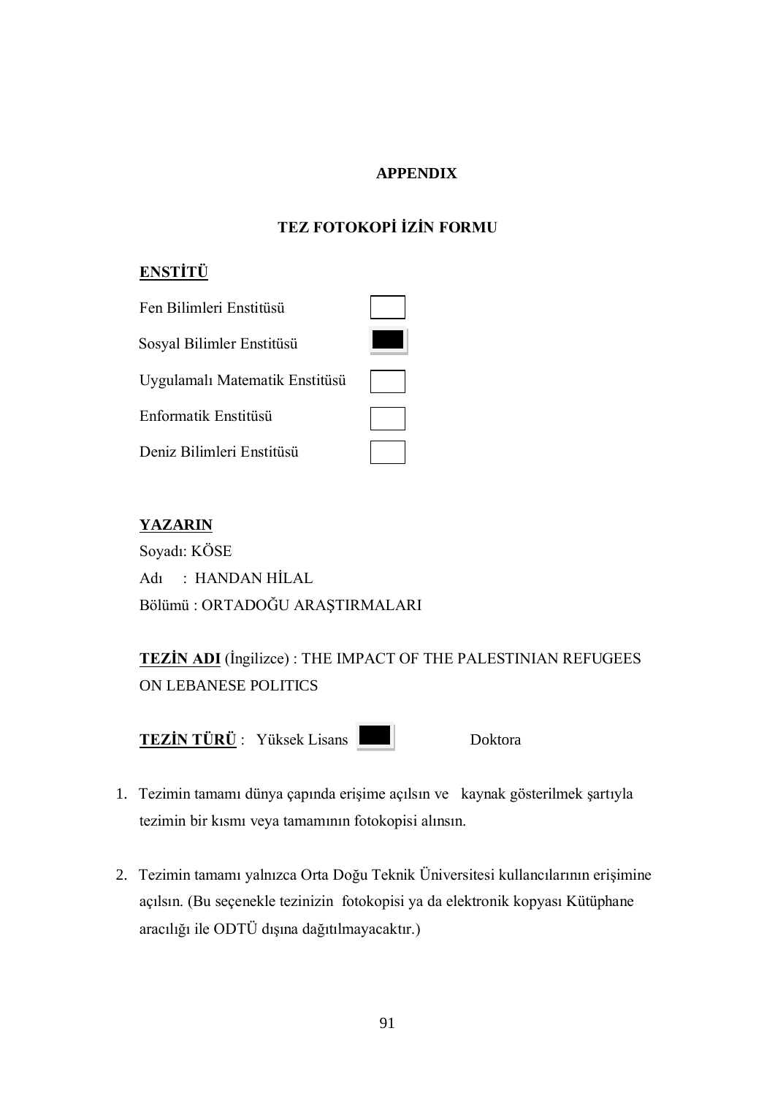## **APPENDIX**

# **TEZ FOTOKOPİ İZİN FORMU**

# **ENSTİTÜ**

| Fen Bilimleri Enstitüsü        |  |
|--------------------------------|--|
| Sosyal Bilimler Enstitüsü      |  |
| Uygulamalı Matematik Enstitüsü |  |
| Enformatik Enstitüsü           |  |
| Deniz Bilimleri Enstitüsü      |  |

# **YAZARIN**

Soyadı: KÖSE Adı : HANDAN HİLAL Bölümü : ORTADOĞU ARAŞTIRMALARI

**TEZIN ADI** (Ingilizce) : THE IMPACT OF THE PALESTINIAN REFUGEES ON LEBANESE POLITICS

**TEZİN TÜRÜ** : Yüksek Lisans **Doktora** Doktora

- 1. Tezimin tamamı dünya çapında erişime açılsın ve kaynak gösterilmek şartıyla tezimin bir kısmı veya tamamının fotokopisi alınsın.
- 2. Tezimin tamamı yalnızca Orta Doğu Teknik Üniversitesi kullancılarının erişimine açılsın. (Bu seçenekle tezinizin fotokopisi ya da elektronik kopyası Kütüphane aracılığı ile ODTÜ dıĢına dağıtılmayacaktır.)